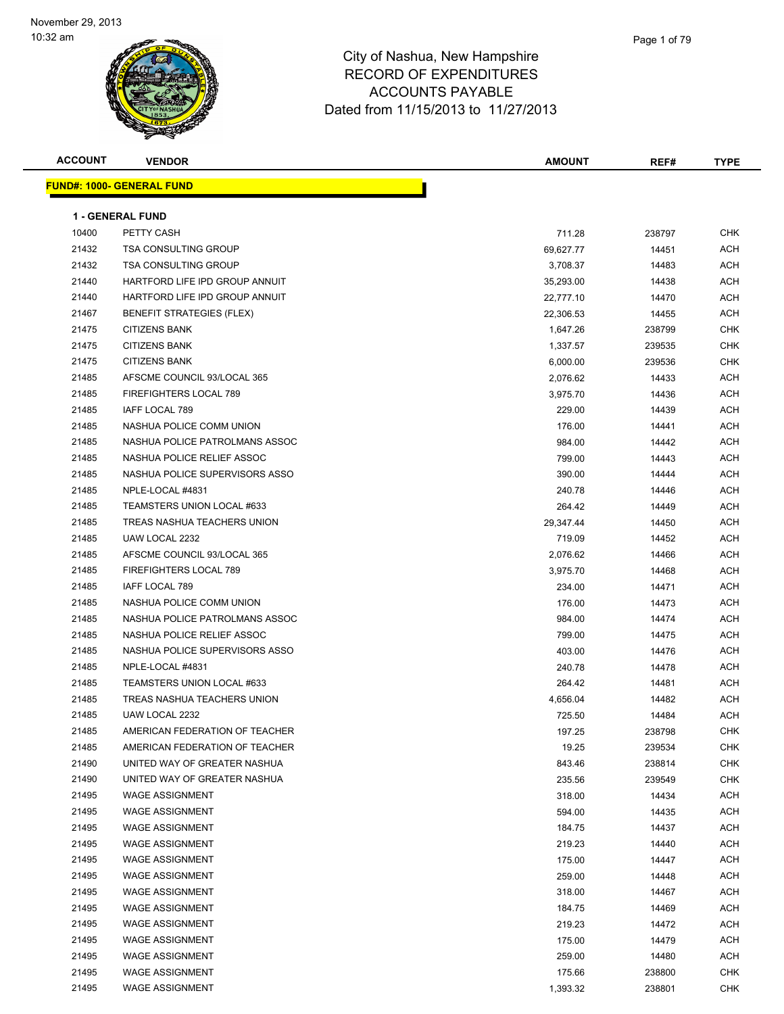

| <b>ACCOUNT</b> | <b>VENDOR</b>                    | <b>AMOUNT</b> | REF#   | <b>TYPE</b> |
|----------------|----------------------------------|---------------|--------|-------------|
|                | <b>FUND#: 1000- GENERAL FUND</b> |               |        |             |
|                |                                  |               |        |             |
|                | <b>1 - GENERAL FUND</b>          |               |        |             |
| 10400          | PETTY CASH                       | 711.28        | 238797 | CHK         |
| 21432          | <b>TSA CONSULTING GROUP</b>      | 69,627.77     | 14451  | ACH         |
| 21432          | <b>TSA CONSULTING GROUP</b>      | 3,708.37      | 14483  | ACH         |
| 21440          | HARTFORD LIFE IPD GROUP ANNUIT   | 35,293.00     | 14438  | ACH         |
| 21440          | HARTFORD LIFE IPD GROUP ANNUIT   | 22,777.10     | 14470  | ACH         |
| 21467          | BENEFIT STRATEGIES (FLEX)        | 22,306.53     | 14455  | ACH         |
| 21475          | <b>CITIZENS BANK</b>             | 1,647.26      | 238799 | <b>CHK</b>  |
| 21475          | <b>CITIZENS BANK</b>             | 1,337.57      | 239535 | <b>CHK</b>  |
| 21475          | <b>CITIZENS BANK</b>             | 6,000.00      | 239536 | <b>CHK</b>  |
| 21485          | AFSCME COUNCIL 93/LOCAL 365      | 2,076.62      | 14433  | ACH         |
| 21485          | FIREFIGHTERS LOCAL 789           | 3,975.70      | 14436  | ACH         |
| 21485          | IAFF LOCAL 789                   | 229.00        | 14439  | ACH         |
| 21485          | NASHUA POLICE COMM UNION         | 176.00        | 14441  | ACH         |
| 21485          | NASHUA POLICE PATROLMANS ASSOC   | 984.00        | 14442  | ACH         |
| 21485          | NASHUA POLICE RELIEF ASSOC       | 799.00        | 14443  | ACH         |
| 21485          | NASHUA POLICE SUPERVISORS ASSO   | 390.00        | 14444  | ACH         |
| 21485          | NPLE-LOCAL #4831                 | 240.78        | 14446  | ACH         |
| 21485          | TEAMSTERS UNION LOCAL #633       | 264.42        | 14449  | ACH         |
| 21485          | TREAS NASHUA TEACHERS UNION      | 29,347.44     | 14450  | ACH         |
| 21485          | UAW LOCAL 2232                   | 719.09        | 14452  | ACH         |
| 21485          | AFSCME COUNCIL 93/LOCAL 365      | 2,076.62      | 14466  | ACH         |
| 21485          | FIREFIGHTERS LOCAL 789           | 3,975.70      | 14468  | <b>ACH</b>  |
| 21485          | IAFF LOCAL 789                   | 234.00        | 14471  | ACH         |
| 21485          | NASHUA POLICE COMM UNION         | 176.00        | 14473  | ACH         |
| 21485          | NASHUA POLICE PATROLMANS ASSOC   | 984.00        | 14474  | ACH         |
| 21485          | NASHUA POLICE RELIEF ASSOC       | 799.00        | 14475  | ACH         |
| 21485          | NASHUA POLICE SUPERVISORS ASSO   | 403.00        | 14476  | ACH         |
| 21485          | NPLE-LOCAL #4831                 | 240.78        | 14478  | ACH         |
| 21485          | TEAMSTERS UNION LOCAL #633       | 264.42        | 14481  | ACH         |
| 21485          | TREAS NASHUA TEACHERS UNION      | 4,656.04      | 14482  | ACH         |
| 21485          | UAW LOCAL 2232                   | 725.50        | 14484  | ACH         |
| 21485          | AMERICAN FEDERATION OF TEACHER   | 197.25        | 238798 | CHK         |
| 21485          | AMERICAN FEDERATION OF TEACHER   | 19.25         | 239534 | <b>CHK</b>  |
| 21490          | UNITED WAY OF GREATER NASHUA     | 843.46        | 238814 | <b>CHK</b>  |
| 21490          | UNITED WAY OF GREATER NASHUA     | 235.56        | 239549 | <b>CHK</b>  |
| 21495          | <b>WAGE ASSIGNMENT</b>           | 318.00        | 14434  | ACH         |
| 21495          | <b>WAGE ASSIGNMENT</b>           | 594.00        | 14435  | ACH         |
| 21495          | <b>WAGE ASSIGNMENT</b>           | 184.75        | 14437  | <b>ACH</b>  |
| 21495          | <b>WAGE ASSIGNMENT</b>           | 219.23        | 14440  | ACH         |
| 21495          | <b>WAGE ASSIGNMENT</b>           | 175.00        | 14447  | ACH         |
| 21495          | <b>WAGE ASSIGNMENT</b>           | 259.00        | 14448  | ACH         |
| 21495          | <b>WAGE ASSIGNMENT</b>           | 318.00        | 14467  | ACH         |
| 21495          | <b>WAGE ASSIGNMENT</b>           | 184.75        | 14469  | ACH         |
| 21495          | <b>WAGE ASSIGNMENT</b>           | 219.23        | 14472  | ACH         |
| 21495          | <b>WAGE ASSIGNMENT</b>           | 175.00        | 14479  | ACH         |
| 21495          | <b>WAGE ASSIGNMENT</b>           | 259.00        | 14480  | ACH         |
| 21495          | <b>WAGE ASSIGNMENT</b>           | 175.66        | 238800 | <b>CHK</b>  |
| 21495          | <b>WAGE ASSIGNMENT</b>           | 1,393.32      | 238801 | CHK         |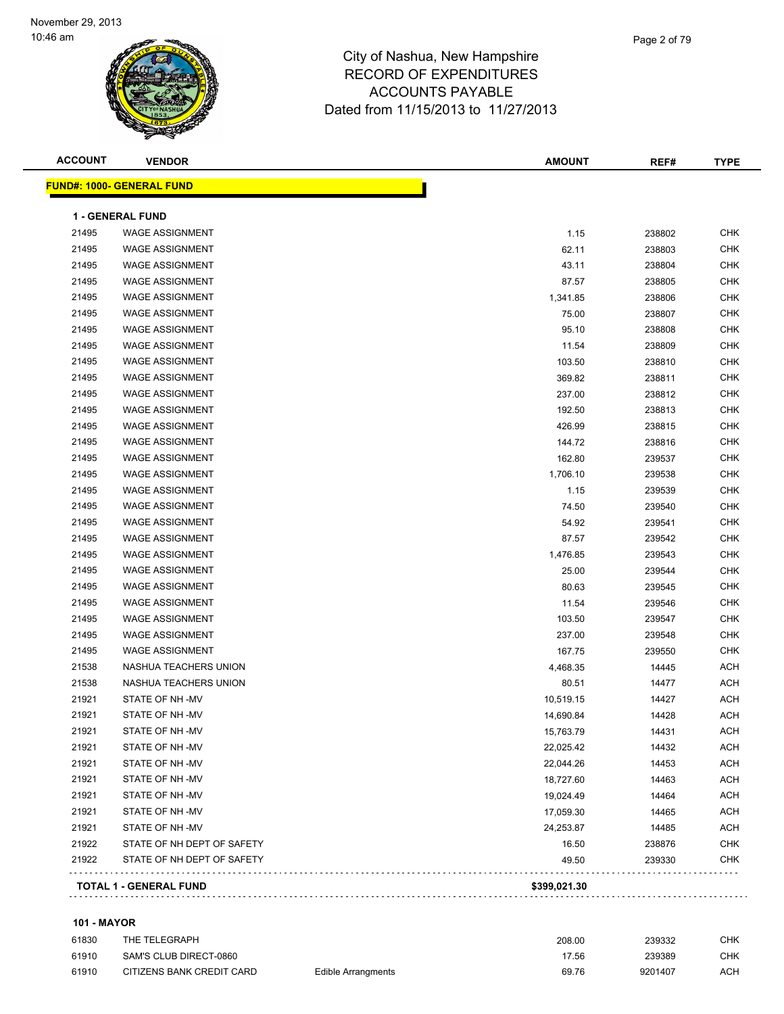

| <b>ACCOUNT</b> | <b>VENDOR</b>                    | <b>AMOUNT</b> | REF#   | <b>TYPE</b> |
|----------------|----------------------------------|---------------|--------|-------------|
|                | <b>FUND#: 1000- GENERAL FUND</b> |               |        |             |
|                | <b>1 - GENERAL FUND</b>          |               |        |             |
| 21495          | <b>WAGE ASSIGNMENT</b>           | 1.15          | 238802 | <b>CHK</b>  |
| 21495          | <b>WAGE ASSIGNMENT</b>           | 62.11         | 238803 | <b>CHK</b>  |
| 21495          | <b>WAGE ASSIGNMENT</b>           | 43.11         | 238804 | <b>CHK</b>  |
| 21495          | <b>WAGE ASSIGNMENT</b>           | 87.57         | 238805 | <b>CHK</b>  |
| 21495          | <b>WAGE ASSIGNMENT</b>           | 1,341.85      | 238806 | <b>CHK</b>  |
| 21495          | <b>WAGE ASSIGNMENT</b>           | 75.00         | 238807 | <b>CHK</b>  |
| 21495          | <b>WAGE ASSIGNMENT</b>           | 95.10         | 238808 | <b>CHK</b>  |
| 21495          | <b>WAGE ASSIGNMENT</b>           | 11.54         | 238809 | <b>CHK</b>  |
| 21495          | <b>WAGE ASSIGNMENT</b>           | 103.50        | 238810 | <b>CHK</b>  |
| 21495          | <b>WAGE ASSIGNMENT</b>           | 369.82        | 238811 | <b>CHK</b>  |
| 21495          | <b>WAGE ASSIGNMENT</b>           | 237.00        | 238812 | <b>CHK</b>  |
| 21495          | <b>WAGE ASSIGNMENT</b>           | 192.50        | 238813 | <b>CHK</b>  |
| 21495          | <b>WAGE ASSIGNMENT</b>           | 426.99        | 238815 | <b>CHK</b>  |
| 21495          | <b>WAGE ASSIGNMENT</b>           | 144.72        | 238816 | <b>CHK</b>  |
| 21495          | <b>WAGE ASSIGNMENT</b>           | 162.80        | 239537 | <b>CHK</b>  |
| 21495          | <b>WAGE ASSIGNMENT</b>           | 1,706.10      | 239538 | <b>CHK</b>  |
| 21495          | <b>WAGE ASSIGNMENT</b>           | 1.15          | 239539 | <b>CHK</b>  |
| 21495          | <b>WAGE ASSIGNMENT</b>           | 74.50         | 239540 | CHK         |
| 21495          | <b>WAGE ASSIGNMENT</b>           | 54.92         | 239541 | <b>CHK</b>  |
| 21495          | <b>WAGE ASSIGNMENT</b>           | 87.57         | 239542 | <b>CHK</b>  |
| 21495          | <b>WAGE ASSIGNMENT</b>           | 1,476.85      | 239543 | <b>CHK</b>  |
| 21495          | <b>WAGE ASSIGNMENT</b>           | 25.00         | 239544 | CHK         |
| 21495          | <b>WAGE ASSIGNMENT</b>           | 80.63         | 239545 | <b>CHK</b>  |
| 21495          | <b>WAGE ASSIGNMENT</b>           | 11.54         | 239546 | <b>CHK</b>  |
| 21495          | <b>WAGE ASSIGNMENT</b>           | 103.50        | 239547 | CHK         |
| 21495          | <b>WAGE ASSIGNMENT</b>           | 237.00        | 239548 | <b>CHK</b>  |
| 21495          | <b>WAGE ASSIGNMENT</b>           | 167.75        | 239550 | <b>CHK</b>  |
| 21538          | NASHUA TEACHERS UNION            | 4,468.35      | 14445  | ACH         |
| 21538          | NASHUA TEACHERS UNION            | 80.51         | 14477  | <b>ACH</b>  |
| 21921          | STATE OF NH -MV                  | 10,519.15     | 14427  | <b>ACH</b>  |
| 21921          | STATE OF NH -MV                  | 14,690.84     | 14428  | <b>ACH</b>  |
| 21921          | STATE OF NH-MV                   | 15,763.79     | 14431  | ACH         |
| 21921          | STATE OF NH -MV                  | 22,025.42     | 14432  | ACH         |
| 21921          | STATE OF NH -MV                  | 22,044.26     | 14453  | <b>ACH</b>  |
| 21921          | STATE OF NH -MV                  | 18,727.60     | 14463  | <b>ACH</b>  |
| 21921          | STATE OF NH -MV                  | 19,024.49     | 14464  | <b>ACH</b>  |
| 21921          | STATE OF NH -MV                  | 17,059.30     | 14465  | <b>ACH</b>  |
| 21921          | STATE OF NH -MV                  | 24,253.87     | 14485  | <b>ACH</b>  |
| 21922          | STATE OF NH DEPT OF SAFETY       | 16.50         | 238876 | CHK         |
| 21922          | STATE OF NH DEPT OF SAFETY       | 49.50         | 239330 | CHK         |
|                | <b>TOTAL 1 - GENERAL FUND</b>    | \$399,021.30  |        |             |
|                |                                  |               |        |             |

### **101 - MAYOR**

| 61830 | THE TELEGRAPH             |                    | 208.00 | 239332  | СНК        |
|-------|---------------------------|--------------------|--------|---------|------------|
| 61910 | SAM'S CLUB DIRECT-0860    |                    | 17.56  | 239389  | СНК        |
| 61910 | CITIZENS BANK CREDIT CARD | Edible Arrangments | 69.76  | 9201407 | <b>ACH</b> |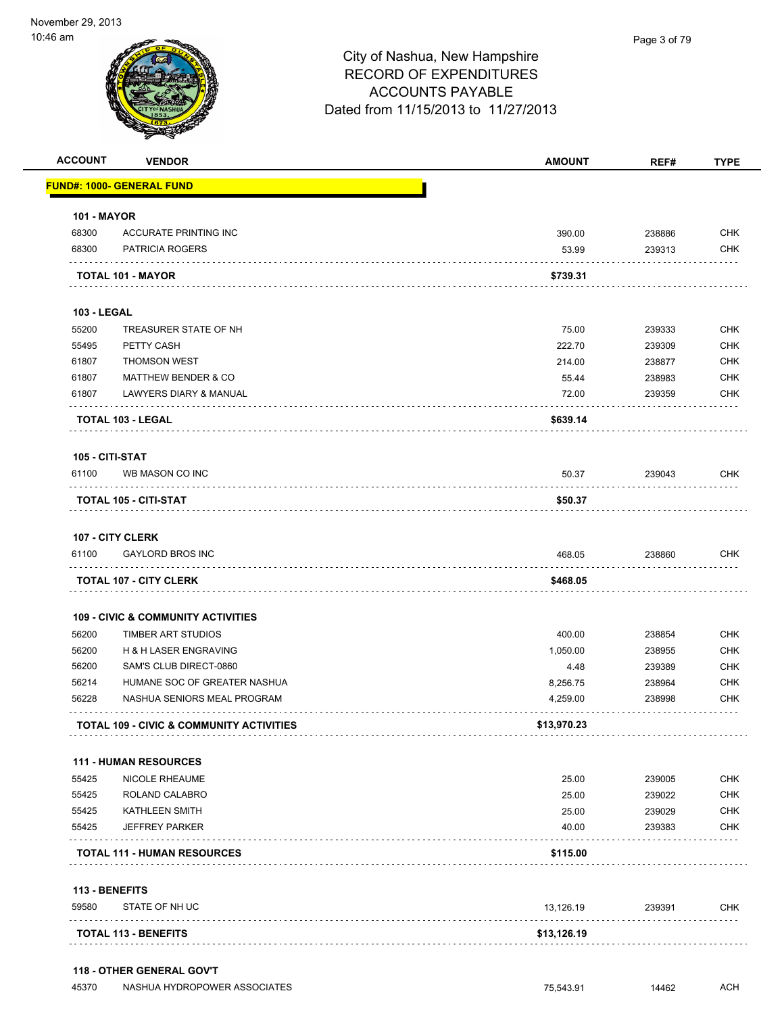| <b>ACCOUNT</b>     | <b>VENDOR</b>                                 | <b>AMOUNT</b> | REF#        | <b>TYPE</b> |
|--------------------|-----------------------------------------------|---------------|-------------|-------------|
|                    | <b>FUND#: 1000- GENERAL FUND</b>              |               |             |             |
| <b>101 - MAYOR</b> |                                               |               |             |             |
| 68300              | <b>ACCURATE PRINTING INC</b>                  | 390.00        | 238886      | <b>CHK</b>  |
| 68300              | <b>PATRICIA ROGERS</b>                        | 53.99         | 239313      | <b>CHK</b>  |
|                    | <b>TOTAL 101 - MAYOR</b>                      | \$739.31      |             |             |
| <b>103 - LEGAL</b> |                                               |               |             |             |
| 55200              | TREASURER STATE OF NH                         | 75.00         | 239333      | <b>CHK</b>  |
| 55495              | PETTY CASH                                    | 222.70        | 239309      | <b>CHK</b>  |
| 61807              | <b>THOMSON WEST</b>                           | 214.00        | 238877      | <b>CHK</b>  |
| 61807              | <b>MATTHEW BENDER &amp; CO</b>                | 55.44         | 238983      | <b>CHK</b>  |
| 61807              | LAWYERS DIARY & MANUAL                        | 72.00         | 239359      | <b>CHK</b>  |
|                    | TOTAL 103 - LEGAL                             | \$639.14      |             |             |
| 105 - CITI-STAT    |                                               |               |             |             |
| 61100              | WB MASON CO INC                               | 50.37         | 239043      | <b>CHK</b>  |
|                    | TOTAL 105 - CITI-STAT                         | \$50.37       |             |             |
|                    | 107 - CITY CLERK                              |               |             |             |
| 61100              | <b>GAYLORD BROS INC</b>                       | 468.05        | 238860      | <b>CHK</b>  |
|                    | <b>TOTAL 107 - CITY CLERK</b>                 | \$468.05      |             |             |
|                    | <b>109 - CIVIC &amp; COMMUNITY ACTIVITIES</b> |               |             |             |
| 56200              | TIMBER ART STUDIOS                            | 400.00        | 238854      | <b>CHK</b>  |
| 56200              | <b>H &amp; H LASER ENGRAVING</b>              | 1,050.00      | 238955      | <b>CHK</b>  |
| 56200              | SAM'S CLUB DIRECT-0860                        | 4.48          | 239389      | <b>CHK</b>  |
| 56214              | HUMANE SOC OF GREATER NASHUA                  | 8,256.75      | 238964      | <b>CHK</b>  |
| 56228              | NASHUA SENIORS MEAL PROGRAM                   | 4,259.00      | 238998      | <b>CHK</b>  |
|                    | TOTAL 109 - CIVIC & COMMUNITY ACTIVITIES      | \$13,970.23   | .           |             |
|                    | 111 - HUMAN RESOURCES                         |               |             |             |
| 55425              | NICOLE RHEAUME                                | 25.00         | 239005      | <b>CHK</b>  |
| 55425              | ROLAND CALABRO                                | 25.00         | 239022      | <b>CHK</b>  |
| 55425              | <b>KATHLEEN SMITH</b>                         | 25.00         | 239029      | <b>CHK</b>  |
| 55425              | <b>JEFFREY PARKER</b>                         | 40.00         | 239383      | <b>CHK</b>  |
|                    | <b>TOTAL 111 - HUMAN RESOURCES</b>            | \$115.00      |             |             |
| 113 - BENEFITS     |                                               |               |             |             |
| 59580              | STATE OF NH UC                                | 13,126.19     | 239391<br>. | <b>CHK</b>  |
|                    |                                               |               |             |             |

**118 - OTHER GENERAL GOV'T**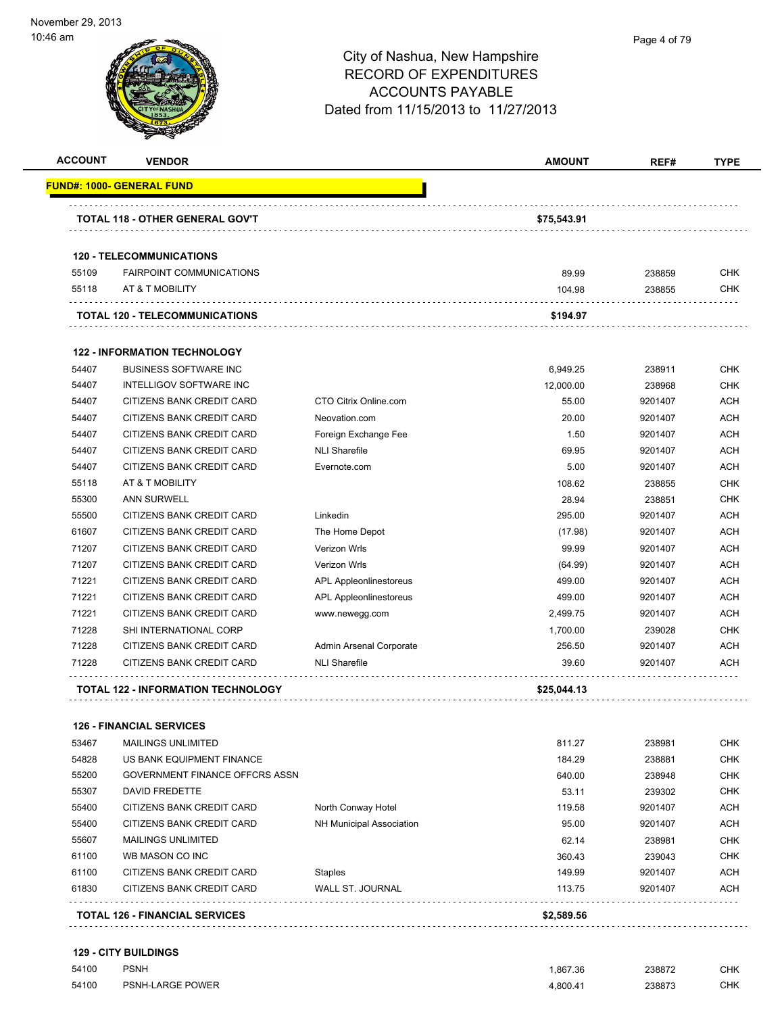| <b>ACCOUNT</b> | <b>VENDOR</b>                              |                                 | <b>AMOUNT</b> | REF#    | <b>TYPE</b> |
|----------------|--------------------------------------------|---------------------------------|---------------|---------|-------------|
|                | <u> FUND#: 1000- GENERAL FUND</u>          |                                 |               |         |             |
|                | TOTAL 118 - OTHER GENERAL GOV'T            |                                 | \$75,543.91   |         |             |
|                |                                            |                                 |               |         |             |
|                | <b>120 - TELECOMMUNICATIONS</b>            |                                 |               |         |             |
| 55109          | <b>FAIRPOINT COMMUNICATIONS</b>            |                                 | 89.99         | 238859  | CHK         |
| 55118          | AT & T MOBILITY                            |                                 | 104.98        | 238855  | <b>CHK</b>  |
|                | <b>TOTAL 120 - TELECOMMUNICATIONS</b>      |                                 | \$194.97      |         |             |
|                | <b>122 - INFORMATION TECHNOLOGY</b>        |                                 |               |         |             |
| 54407          | <b>BUSINESS SOFTWARE INC</b>               |                                 | 6,949.25      | 238911  | <b>CHK</b>  |
| 54407          | INTELLIGOV SOFTWARE INC                    |                                 | 12,000.00     | 238968  | <b>CHK</b>  |
| 54407          | CITIZENS BANK CREDIT CARD                  | CTO Citrix Online.com           | 55.00         | 9201407 | ACH         |
| 54407          | CITIZENS BANK CREDIT CARD                  | Neovation.com                   | 20.00         | 9201407 | ACH         |
| 54407          | CITIZENS BANK CREDIT CARD                  | Foreign Exchange Fee            | 1.50          | 9201407 | ACH         |
| 54407          | CITIZENS BANK CREDIT CARD                  | <b>NLI Sharefile</b>            | 69.95         | 9201407 | <b>ACH</b>  |
| 54407          | CITIZENS BANK CREDIT CARD                  | Evernote.com                    | 5.00          | 9201407 | <b>ACH</b>  |
| 55118          | AT & T MOBILITY                            |                                 | 108.62        | 238855  | <b>CHK</b>  |
| 55300          | <b>ANN SURWELL</b>                         |                                 | 28.94         | 238851  | <b>CHK</b>  |
| 55500          | CITIZENS BANK CREDIT CARD                  | Linkedin                        | 295.00        | 9201407 | <b>ACH</b>  |
| 61607          | CITIZENS BANK CREDIT CARD                  | The Home Depot                  | (17.98)       | 9201407 | <b>ACH</b>  |
| 71207          | CITIZENS BANK CREDIT CARD                  | Verizon Wrls                    | 99.99         | 9201407 | <b>ACH</b>  |
| 71207          | CITIZENS BANK CREDIT CARD                  | Verizon Wrls                    | (64.99)       | 9201407 | <b>ACH</b>  |
| 71221          | CITIZENS BANK CREDIT CARD                  | APL Appleonlinestoreus          | 499.00        | 9201407 | <b>ACH</b>  |
| 71221          | CITIZENS BANK CREDIT CARD                  | APL Appleonlinestoreus          | 499.00        | 9201407 | <b>ACH</b>  |
| 71221          | CITIZENS BANK CREDIT CARD                  | www.newegg.com                  | 2,499.75      | 9201407 | <b>ACH</b>  |
| 71228          | SHI INTERNATIONAL CORP                     |                                 | 1,700.00      | 239028  | <b>CHK</b>  |
| 71228          | CITIZENS BANK CREDIT CARD                  | Admin Arsenal Corporate         | 256.50        | 9201407 | ACH         |
| 71228          | CITIZENS BANK CREDIT CARD                  | <b>NLI Sharefile</b>            | 39.60         | 9201407 | ACH         |
|                | <b>TOTAL 122 - INFORMATION TECHNOLOGY</b>  |                                 | \$25,044.13   |         |             |
|                | <b>126 - FINANCIAL SERVICES</b>            |                                 |               |         |             |
| 53467          | <b>MAILINGS UNLIMITED</b>                  |                                 | 811.27        | 238981  | <b>CHK</b>  |
| 54828          | US BANK EQUIPMENT FINANCE                  |                                 | 184.29        | 238881  | <b>CHK</b>  |
| 55200          | GOVERNMENT FINANCE OFFCRS ASSN             |                                 | 640.00        | 238948  | <b>CHK</b>  |
| 55307          | DAVID FREDETTE                             |                                 | 53.11         | 239302  | <b>CHK</b>  |
| 55400          | CITIZENS BANK CREDIT CARD                  | North Conway Hotel              | 119.58        | 9201407 | ACH         |
| 55400          | CITIZENS BANK CREDIT CARD                  | <b>NH Municipal Association</b> | 95.00         | 9201407 | ACH         |
| 55607          | <b>MAILINGS UNLIMITED</b>                  |                                 | 62.14         | 238981  | <b>CHK</b>  |
| 61100          | WB MASON CO INC                            |                                 | 360.43        | 239043  | <b>CHK</b>  |
| 61100          | CITIZENS BANK CREDIT CARD                  | <b>Staples</b>                  | 149.99        | 9201407 | ACH         |
| 61830          | CITIZENS BANK CREDIT CARD                  | WALL ST. JOURNAL                | 113.75        | 9201407 | ACH         |
|                | .<br><b>TOTAL 126 - FINANCIAL SERVICES</b> |                                 | \$2,589.56    |         |             |

**129 - CITY BUILDINGS**

| 54100 | <b>PSNH</b>             | .867.36<br>. | 238872<br>. | CHK. |
|-------|-------------------------|--------------|-------------|------|
| 54100 | <b>PSNH-LARGE POWER</b> | 4.800.41     | 238873<br>. | СНК  |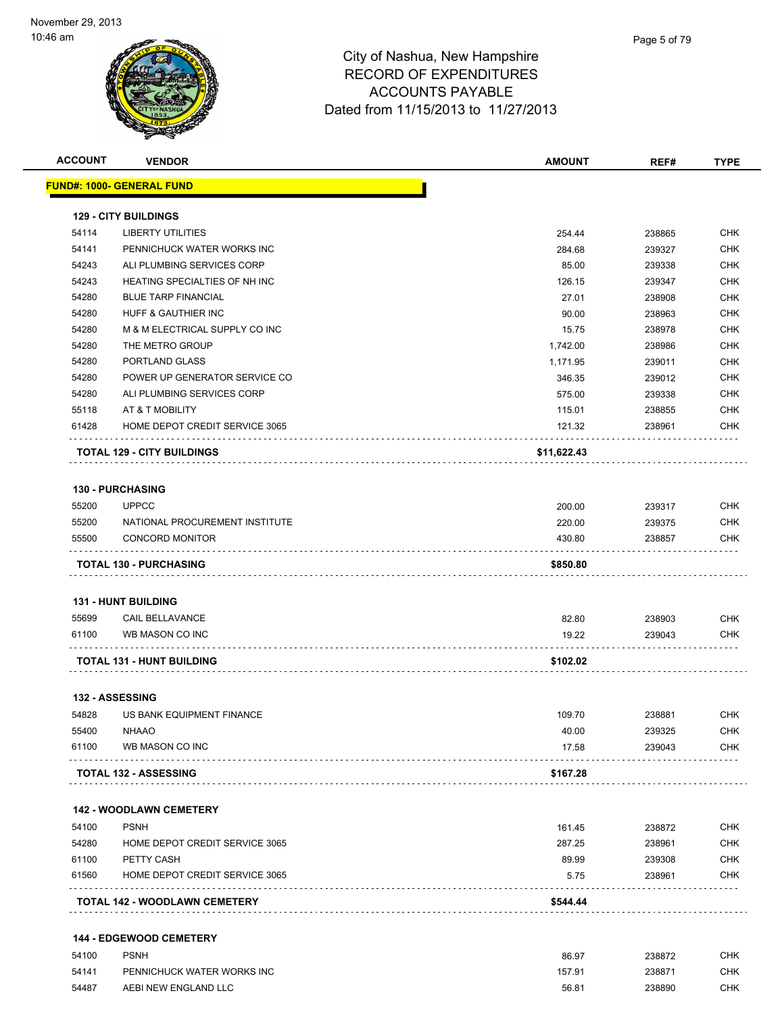

| <b>ACCOUNT</b> | <b>VENDOR</b>                     | <b>AMOUNT</b> | REF#             | <b>TYPE</b> |
|----------------|-----------------------------------|---------------|------------------|-------------|
|                | <u> FUND#: 1000- GENERAL FUND</u> |               |                  |             |
|                | <b>129 - CITY BUILDINGS</b>       |               |                  |             |
| 54114          | <b>LIBERTY UTILITIES</b>          | 254.44        | 238865           | <b>CHK</b>  |
| 54141          | PENNICHUCK WATER WORKS INC        | 284.68        | 239327           | <b>CHK</b>  |
| 54243          | ALI PLUMBING SERVICES CORP        | 85.00         | 239338           | CHK         |
| 54243          | HEATING SPECIALTIES OF NH INC     | 126.15        | 239347           | <b>CHK</b>  |
| 54280          | <b>BLUE TARP FINANCIAL</b>        | 27.01         | 238908           | <b>CHK</b>  |
| 54280          | HUFF & GAUTHIER INC               | 90.00         | 238963           | <b>CHK</b>  |
| 54280          | M & M ELECTRICAL SUPPLY CO INC    | 15.75         | 238978           | <b>CHK</b>  |
| 54280          | THE METRO GROUP                   | 1,742.00      | 238986           | <b>CHK</b>  |
| 54280          | PORTLAND GLASS                    | 1,171.95      | 239011           | <b>CHK</b>  |
| 54280          | POWER UP GENERATOR SERVICE CO     | 346.35        | 239012           | <b>CHK</b>  |
| 54280          | ALI PLUMBING SERVICES CORP        | 575.00        | 239338           | <b>CHK</b>  |
| 55118          | AT & T MOBILITY                   | 115.01        | 238855           | <b>CHK</b>  |
| 61428          | HOME DEPOT CREDIT SERVICE 3065    | 121.32        | 238961           | <b>CHK</b>  |
|                | <b>TOTAL 129 - CITY BUILDINGS</b> | \$11,622.43   |                  |             |
|                | <b>130 - PURCHASING</b>           |               |                  |             |
| 55200          | <b>UPPCC</b>                      | 200.00        | 239317           | <b>CHK</b>  |
| 55200          | NATIONAL PROCUREMENT INSTITUTE    | 220.00        | 239375           | <b>CHK</b>  |
| 55500          | <b>CONCORD MONITOR</b>            | 430.80        | 238857           | <b>CHK</b>  |
|                | <b>TOTAL 130 - PURCHASING</b>     | \$850.80      |                  |             |
|                | <b>131 - HUNT BUILDING</b>        |               |                  |             |
| 55699          | <b>CAIL BELLAVANCE</b>            | 82.80         |                  | CHK         |
| 61100          | WB MASON CO INC                   | 19.22         | 238903<br>239043 | CHK         |
|                |                                   |               |                  |             |
|                | TOTAL 131 - HUNT BUILDING         | \$102.02      |                  |             |
|                | <b>132 - ASSESSING</b>            |               |                  |             |
| 54828          | US BANK EQUIPMENT FINANCE         | 109.70        | 238881           | CHK         |
|                | 55400 NHAAO                       | 40.00         | 239325           | <b>CHK</b>  |
| 61100          | WB MASON CO INC                   | 17.58         | 239043<br>.<br>. | CHK         |
|                | <b>TOTAL 132 - ASSESSING</b>      | \$167.28      |                  |             |
|                | <b>142 - WOODLAWN CEMETERY</b>    |               |                  |             |
| 54100          | <b>PSNH</b>                       | 161.45        | 238872           | <b>CHK</b>  |
| 54280          | HOME DEPOT CREDIT SERVICE 3065    | 287.25        | 238961           | CHK         |
| 61100          | PETTY CASH                        | 89.99         | 239308           | <b>CHK</b>  |
| 61560          | HOME DEPOT CREDIT SERVICE 3065    | 5.75          | 238961           | <b>CHK</b>  |
|                | TOTAL 142 - WOODLAWN CEMETERY     | \$544.44      |                  |             |
|                | 144 - EDGEWOOD CEMETERY           |               |                  |             |
| 54100          | <b>PSNH</b>                       | 86.97         | 238872           | <b>CHK</b>  |
| 54141          | PENNICHUCK WATER WORKS INC        | 157.91        | 238871           | <b>CHK</b>  |

54487 AEBI NEW ENGLAND LLC 56.81 238890 CHK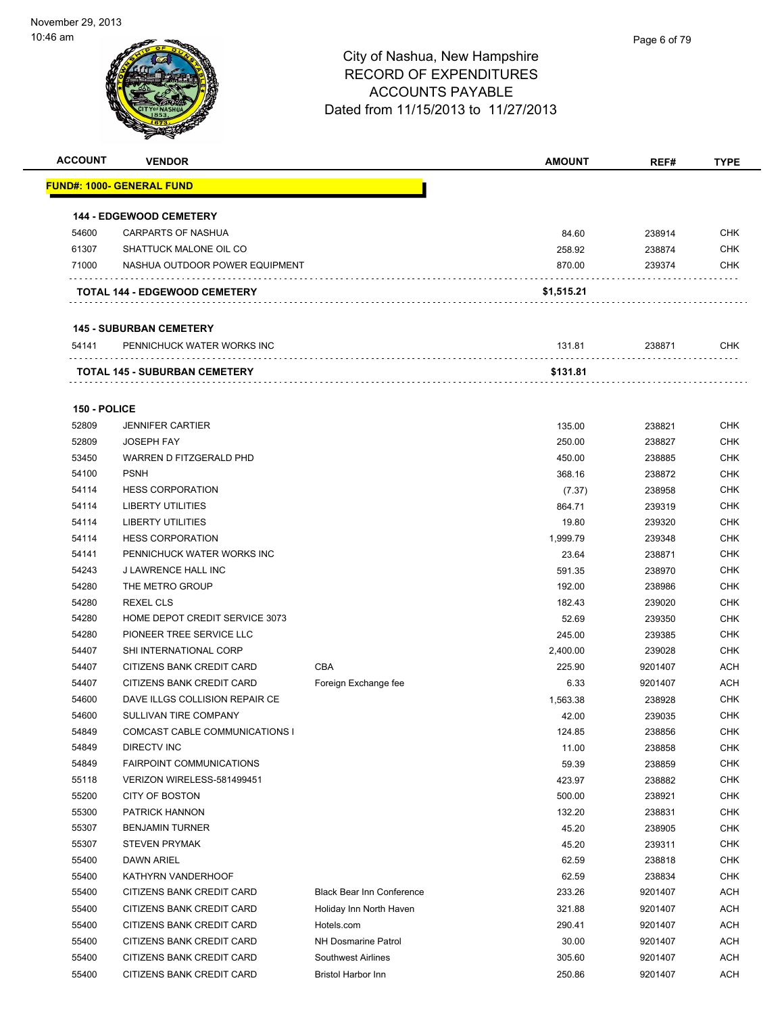| <b>ACCOUNT</b> | <b>VENDOR</b>                        |                                  | <b>AMOUNT</b> | REF#    | <b>TYPE</b> |
|----------------|--------------------------------------|----------------------------------|---------------|---------|-------------|
|                | <u> FUND#: 1000- GENERAL FUND</u>    |                                  |               |         |             |
|                |                                      |                                  |               |         |             |
|                | <b>144 - EDGEWOOD CEMETERY</b>       |                                  |               |         |             |
| 54600          | <b>CARPARTS OF NASHUA</b>            |                                  | 84.60         | 238914  | <b>CHK</b>  |
| 61307          | SHATTUCK MALONE OIL CO               |                                  | 258.92        | 238874  | <b>CHK</b>  |
| 71000          | NASHUA OUTDOOR POWER EQUIPMENT       |                                  | 870.00        | 239374  | <b>CHK</b>  |
|                | <b>TOTAL 144 - EDGEWOOD CEMETERY</b> |                                  | \$1,515.21    |         |             |
|                | <b>145 - SUBURBAN CEMETERY</b>       |                                  |               |         |             |
| 54141          | PENNICHUCK WATER WORKS INC           |                                  | 131.81        | 238871  | <b>CHK</b>  |
|                | TOTAL 145 - SUBURBAN CEMETERY        |                                  | \$131.81      |         |             |
|                |                                      |                                  |               |         |             |
| 150 - POLICE   |                                      |                                  |               |         |             |
| 52809          | <b>JENNIFER CARTIER</b>              |                                  | 135.00        | 238821  | <b>CHK</b>  |
| 52809          | <b>JOSEPH FAY</b>                    |                                  | 250.00        | 238827  | <b>CHK</b>  |
| 53450          | WARREN D FITZGERALD PHD              |                                  | 450.00        | 238885  | <b>CHK</b>  |
| 54100          | <b>PSNH</b>                          |                                  | 368.16        | 238872  | <b>CHK</b>  |
| 54114          | <b>HESS CORPORATION</b>              |                                  | (7.37)        | 238958  | <b>CHK</b>  |
| 54114          | <b>LIBERTY UTILITIES</b>             |                                  | 864.71        | 239319  | <b>CHK</b>  |
| 54114          | <b>LIBERTY UTILITIES</b>             |                                  | 19.80         | 239320  | <b>CHK</b>  |
| 54114          | <b>HESS CORPORATION</b>              |                                  | 1,999.79      | 239348  | <b>CHK</b>  |
| 54141          | PENNICHUCK WATER WORKS INC           |                                  | 23.64         | 238871  | <b>CHK</b>  |
| 54243          | <b>J LAWRENCE HALL INC</b>           |                                  | 591.35        | 238970  | <b>CHK</b>  |
| 54280          | THE METRO GROUP                      |                                  | 192.00        | 238986  | <b>CHK</b>  |
| 54280          | <b>REXEL CLS</b>                     |                                  | 182.43        | 239020  | <b>CHK</b>  |
| 54280          | HOME DEPOT CREDIT SERVICE 3073       |                                  | 52.69         | 239350  | <b>CHK</b>  |
| 54280          | PIONEER TREE SERVICE LLC             |                                  | 245.00        | 239385  | <b>CHK</b>  |
| 54407          | SHI INTERNATIONAL CORP               |                                  | 2,400.00      | 239028  | <b>CHK</b>  |
| 54407          | CITIZENS BANK CREDIT CARD            | CBA                              | 225.90        | 9201407 | ACH         |
| 54407          | CITIZENS BANK CREDIT CARD            | Foreign Exchange fee             | 6.33          | 9201407 | ACH         |
| 54600          | DAVE ILLGS COLLISION REPAIR CE       |                                  | 1,563.38      | 238928  | <b>CHK</b>  |
| 54600          | SULLIVAN TIRE COMPANY                |                                  | 42.00         | 239035  | <b>CHK</b>  |
| 54849          | COMCAST CABLE COMMUNICATIONS I       |                                  | 124.85        | 238856  | <b>CHK</b>  |
| 54849          | DIRECTV INC                          |                                  | 11.00         | 238858  | <b>CHK</b>  |
| 54849          | <b>FAIRPOINT COMMUNICATIONS</b>      |                                  | 59.39         | 238859  | <b>CHK</b>  |
| 55118          | VERIZON WIRELESS-581499451           |                                  | 423.97        | 238882  | <b>CHK</b>  |
| 55200          | CITY OF BOSTON                       |                                  | 500.00        | 238921  | <b>CHK</b>  |
| 55300          | PATRICK HANNON                       |                                  | 132.20        | 238831  | <b>CHK</b>  |
| 55307          | <b>BENJAMIN TURNER</b>               |                                  | 45.20         | 238905  | <b>CHK</b>  |
| 55307          | <b>STEVEN PRYMAK</b>                 |                                  | 45.20         | 239311  | <b>CHK</b>  |
| 55400          | <b>DAWN ARIEL</b>                    |                                  | 62.59         | 238818  | <b>CHK</b>  |
| 55400          | KATHYRN VANDERHOOF                   |                                  | 62.59         | 238834  | <b>CHK</b>  |
| 55400          | CITIZENS BANK CREDIT CARD            | <b>Black Bear Inn Conference</b> | 233.26        | 9201407 | <b>ACH</b>  |
| 55400          | CITIZENS BANK CREDIT CARD            | Holiday Inn North Haven          | 321.88        | 9201407 | <b>ACH</b>  |
| 55400          | CITIZENS BANK CREDIT CARD            | Hotels.com                       | 290.41        | 9201407 | <b>ACH</b>  |
| 55400          | CITIZENS BANK CREDIT CARD            | <b>NH Dosmarine Patrol</b>       | 30.00         | 9201407 | <b>ACH</b>  |
|                |                                      |                                  |               |         |             |
| 55400          | CITIZENS BANK CREDIT CARD            | <b>Southwest Airlines</b>        | 305.60        | 9201407 | <b>ACH</b>  |
| 55400          | CITIZENS BANK CREDIT CARD            | <b>Bristol Harbor Inn</b>        | 250.86        | 9201407 | <b>ACH</b>  |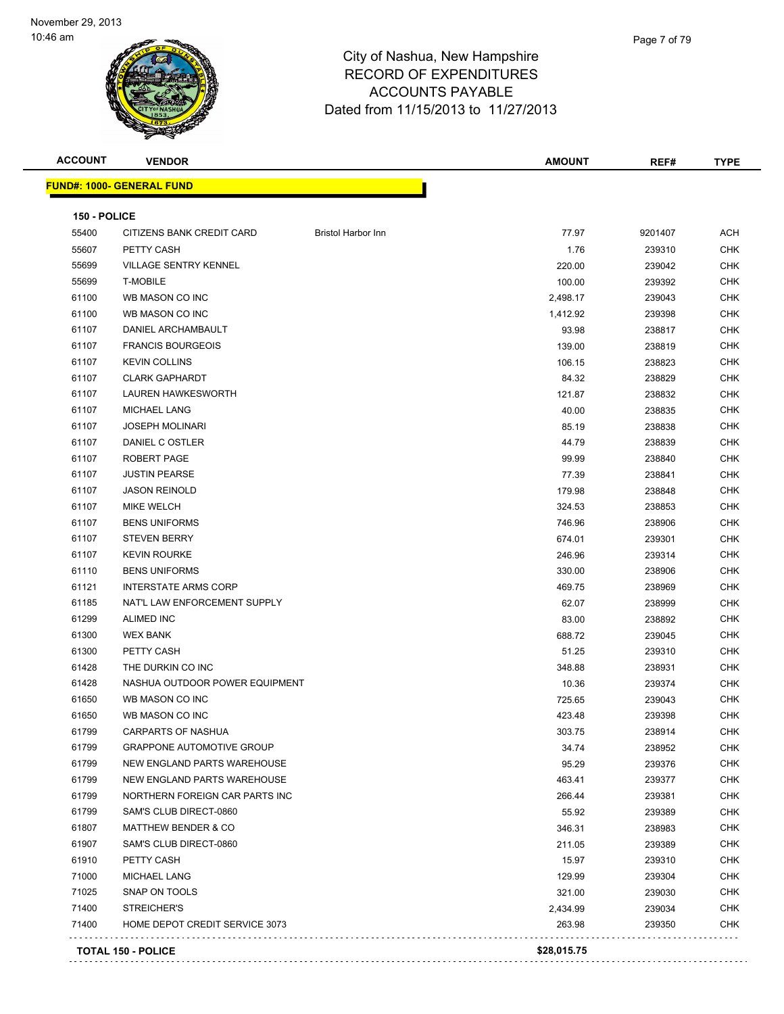

| <b>ACCOUNT</b> | <b>VENDOR</b>                    |                           | <b>AMOUNT</b> | REF#    | <b>TYPE</b> |
|----------------|----------------------------------|---------------------------|---------------|---------|-------------|
|                | <b>FUND#: 1000- GENERAL FUND</b> |                           |               |         |             |
| 150 - POLICE   |                                  |                           |               |         |             |
| 55400          | CITIZENS BANK CREDIT CARD        | <b>Bristol Harbor Inn</b> | 77.97         | 9201407 | ACH         |
| 55607          | PETTY CASH                       |                           | 1.76          | 239310  | <b>CHK</b>  |
| 55699          | <b>VILLAGE SENTRY KENNEL</b>     |                           | 220.00        | 239042  | <b>CHK</b>  |
| 55699          | <b>T-MOBILE</b>                  |                           | 100.00        | 239392  | <b>CHK</b>  |
| 61100          | WB MASON CO INC                  |                           | 2,498.17      | 239043  | <b>CHK</b>  |
| 61100          | WB MASON CO INC                  |                           | 1,412.92      | 239398  | <b>CHK</b>  |
| 61107          | DANIEL ARCHAMBAULT               |                           | 93.98         | 238817  | <b>CHK</b>  |
| 61107          | <b>FRANCIS BOURGEOIS</b>         |                           | 139.00        | 238819  | <b>CHK</b>  |
| 61107          | <b>KEVIN COLLINS</b>             |                           | 106.15        | 238823  | <b>CHK</b>  |
| 61107          | <b>CLARK GAPHARDT</b>            |                           | 84.32         | 238829  | <b>CHK</b>  |
| 61107          | <b>LAUREN HAWKESWORTH</b>        |                           | 121.87        | 238832  | <b>CHK</b>  |
| 61107          | <b>MICHAEL LANG</b>              |                           | 40.00         | 238835  | <b>CHK</b>  |
| 61107          | <b>JOSEPH MOLINARI</b>           |                           | 85.19         | 238838  | <b>CHK</b>  |
| 61107          | DANIEL C OSTLER                  |                           | 44.79         | 238839  | <b>CHK</b>  |
| 61107          | <b>ROBERT PAGE</b>               |                           | 99.99         | 238840  | <b>CHK</b>  |
| 61107          | <b>JUSTIN PEARSE</b>             |                           | 77.39         | 238841  | <b>CHK</b>  |
| 61107          | <b>JASON REINOLD</b>             |                           | 179.98        | 238848  | <b>CHK</b>  |
| 61107          | <b>MIKE WELCH</b>                |                           | 324.53        | 238853  | <b>CHK</b>  |
| 61107          | <b>BENS UNIFORMS</b>             |                           | 746.96        | 238906  | <b>CHK</b>  |
| 61107          | <b>STEVEN BERRY</b>              |                           | 674.01        | 239301  | <b>CHK</b>  |
| 61107          | <b>KEVIN ROURKE</b>              |                           | 246.96        | 239314  | <b>CHK</b>  |
| 61110          | <b>BENS UNIFORMS</b>             |                           | 330.00        | 238906  | <b>CHK</b>  |
| 61121          | <b>INTERSTATE ARMS CORP</b>      |                           | 469.75        | 238969  | <b>CHK</b>  |
| 61185          | NAT'L LAW ENFORCEMENT SUPPLY     |                           | 62.07         | 238999  | <b>CHK</b>  |
| 61299          | <b>ALIMED INC</b>                |                           | 83.00         | 238892  | <b>CHK</b>  |
| 61300          | <b>WEX BANK</b>                  |                           | 688.72        | 239045  | <b>CHK</b>  |
| 61300          | PETTY CASH                       |                           | 51.25         | 239310  | <b>CHK</b>  |
| 61428          | THE DURKIN CO INC                |                           | 348.88        | 238931  | <b>CHK</b>  |
| 61428          | NASHUA OUTDOOR POWER EQUIPMENT   |                           | 10.36         | 239374  | <b>CHK</b>  |
| 61650          | WB MASON CO INC                  |                           | 725.65        | 239043  | <b>CHK</b>  |
| 61650          | WB MASON CO INC                  |                           | 423.48        | 239398  | CHK         |
| 61799          | CARPARTS OF NASHUA               |                           | 303.75        | 238914  | CHK         |
| 61799          | <b>GRAPPONE AUTOMOTIVE GROUP</b> |                           | 34.74         | 238952  | CHK         |
| 61799          | NEW ENGLAND PARTS WAREHOUSE      |                           | 95.29         | 239376  | <b>CHK</b>  |
| 61799          | NEW ENGLAND PARTS WAREHOUSE      |                           | 463.41        | 239377  | <b>CHK</b>  |
| 61799          | NORTHERN FOREIGN CAR PARTS INC   |                           | 266.44        | 239381  | <b>CHK</b>  |
| 61799          | SAM'S CLUB DIRECT-0860           |                           | 55.92         | 239389  | <b>CHK</b>  |
| 61807          | <b>MATTHEW BENDER &amp; CO</b>   |                           | 346.31        | 238983  | <b>CHK</b>  |
| 61907          | SAM'S CLUB DIRECT-0860           |                           | 211.05        | 239389  | <b>CHK</b>  |
| 61910          | PETTY CASH                       |                           | 15.97         | 239310  | <b>CHK</b>  |
| 71000          | <b>MICHAEL LANG</b>              |                           | 129.99        | 239304  | <b>CHK</b>  |
| 71025          | SNAP ON TOOLS                    |                           | 321.00        | 239030  | CHK         |
| 71400          | STREICHER'S                      |                           | 2,434.99      | 239034  | CHK         |
| 71400          | HOME DEPOT CREDIT SERVICE 3073   |                           | 263.98        | 239350  | <b>CHK</b>  |
|                | <b>TOTAL 150 - POLICE</b>        |                           | \$28,015.75   |         |             |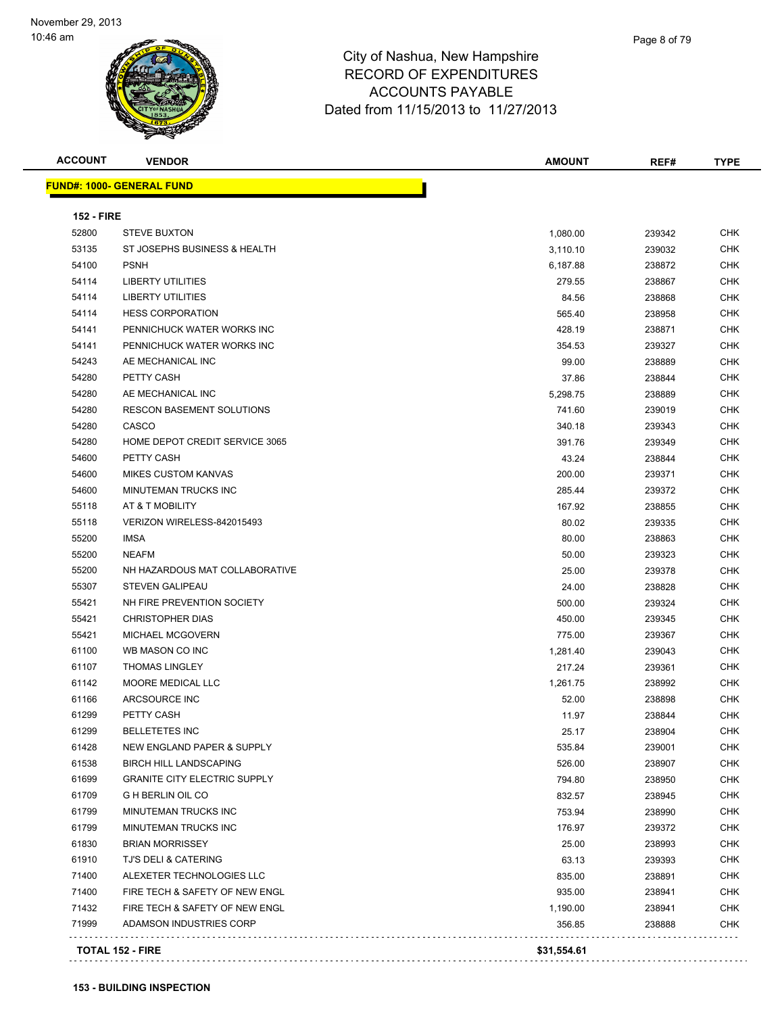

**FUND#: 1000- GENERAL FUND**

# City of Nashua, New Hampshire RECORD OF EXPENDITURES ACCOUNTS PAYABLE Date

| W,                                         | <b>ACCOUNTS PAYABLE</b><br>Dated from 11/15/2013 to 11/27/2013 |        |             |  |  |
|--------------------------------------------|----------------------------------------------------------------|--------|-------------|--|--|
| <b>ACCOUNT</b><br><b>VENDOR</b>            | <b>AMOUNT</b>                                                  | REF#   | <b>TYPE</b> |  |  |
| <u> IND#: 1000- GENERAL FUND</u>           |                                                                |        |             |  |  |
| <b>152 - FIRE</b><br>STEVE BUXTON<br>52800 | 1.080.00                                                       | 239342 | <b>CHK</b>  |  |  |

| <b>152 - FIRE</b> |                                     |          |        |            |
|-------------------|-------------------------------------|----------|--------|------------|
| 52800             | <b>STEVE BUXTON</b>                 | 1,080.00 | 239342 | CHK        |
| 53135             | ST JOSEPHS BUSINESS & HEALTH        | 3,110.10 | 239032 | <b>CHK</b> |
| 54100             | <b>PSNH</b>                         | 6,187.88 | 238872 | <b>CHK</b> |
| 54114             | LIBERTY UTILITIES                   | 279.55   | 238867 | <b>CHK</b> |
| 54114             | <b>LIBERTY UTILITIES</b>            | 84.56    | 238868 | CHK        |
| 54114             | <b>HESS CORPORATION</b>             | 565.40   | 238958 | <b>CHK</b> |
| 54141             | PENNICHUCK WATER WORKS INC          | 428.19   | 238871 | CHK        |
| 54141             | PENNICHUCK WATER WORKS INC          | 354.53   | 239327 | CHK        |
| 54243             | AE MECHANICAL INC                   | 99.00    | 238889 | CHK        |
| 54280             | PETTY CASH                          | 37.86    | 238844 | <b>CHK</b> |
| 54280             | AE MECHANICAL INC                   | 5,298.75 | 238889 | <b>CHK</b> |
| 54280             | <b>RESCON BASEMENT SOLUTIONS</b>    | 741.60   | 239019 | CHK        |
| 54280             | CASCO                               | 340.18   | 239343 | CHK        |
| 54280             | HOME DEPOT CREDIT SERVICE 3065      | 391.76   | 239349 | <b>CHK</b> |
| 54600             | PETTY CASH                          | 43.24    | 238844 | <b>CHK</b> |
| 54600             | <b>MIKES CUSTOM KANVAS</b>          | 200.00   | 239371 | <b>CHK</b> |
| 54600             | MINUTEMAN TRUCKS INC                | 285.44   | 239372 | <b>CHK</b> |
| 55118             | AT & T MOBILITY                     | 167.92   | 238855 | <b>CHK</b> |
| 55118             | VERIZON WIRELESS-842015493          | 80.02    | 239335 | <b>CHK</b> |
| 55200             | <b>IMSA</b>                         | 80.00    | 238863 | <b>CHK</b> |
| 55200             | <b>NEAFM</b>                        | 50.00    | 239323 | <b>CHK</b> |
| 55200             | NH HAZARDOUS MAT COLLABORATIVE      | 25.00    | 239378 | <b>CHK</b> |
| 55307             | <b>STEVEN GALIPEAU</b>              | 24.00    | 238828 | <b>CHK</b> |
| 55421             | NH FIRE PREVENTION SOCIETY          | 500.00   | 239324 | CHK        |
| 55421             | <b>CHRISTOPHER DIAS</b>             | 450.00   | 239345 | CHK        |
| 55421             | MICHAEL MCGOVERN                    | 775.00   | 239367 | <b>CHK</b> |
| 61100             | WB MASON CO INC                     | 1,281.40 | 239043 | CHK        |
| 61107             | <b>THOMAS LINGLEY</b>               | 217.24   | 239361 | CHK        |
| 61142             | MOORE MEDICAL LLC                   | 1,261.75 | 238992 | CHK        |
| 61166             | ARCSOURCE INC                       | 52.00    | 238898 | <b>CHK</b> |
| 61299             | PETTY CASH                          | 11.97    | 238844 | CHK        |
| 61299             | <b>BELLETETES INC</b>               | 25.17    | 238904 | <b>CHK</b> |
| 61428             | NEW ENGLAND PAPER & SUPPLY          | 535.84   | 239001 | <b>CHK</b> |
| 61538             | <b>BIRCH HILL LANDSCAPING</b>       | 526.00   | 238907 | CHK        |
| 61699             | <b>GRANITE CITY ELECTRIC SUPPLY</b> | 794.80   | 238950 | <b>CHK</b> |
| 61709             | <b>G H BERLIN OIL CO</b>            | 832.57   | 238945 | CHK        |
| 61799             | MINUTEMAN TRUCKS INC                | 753.94   | 238990 | <b>CHK</b> |
| 61799             | MINUTEMAN TRUCKS INC                | 176.97   | 239372 | <b>CHK</b> |
| 61830             | <b>BRIAN MORRISSEY</b>              | 25.00    | 238993 | <b>CHK</b> |
| 61910             | <b>TJ'S DELI &amp; CATERING</b>     | 63.13    | 239393 | CHK        |
| 71400             | ALEXETER TECHNOLOGIES LLC           | 835.00   | 238891 | <b>CHK</b> |
| 71400             | FIRE TECH & SAFETY OF NEW ENGL      | 935.00   | 238941 | CHK        |
| 71432             | FIRE TECH & SAFETY OF NEW ENGL      | 1,190.00 | 238941 | <b>CHK</b> |
| 71999             | ADAMSON INDUSTRIES CORP             | 356.85   | 238888 | <b>CHK</b> |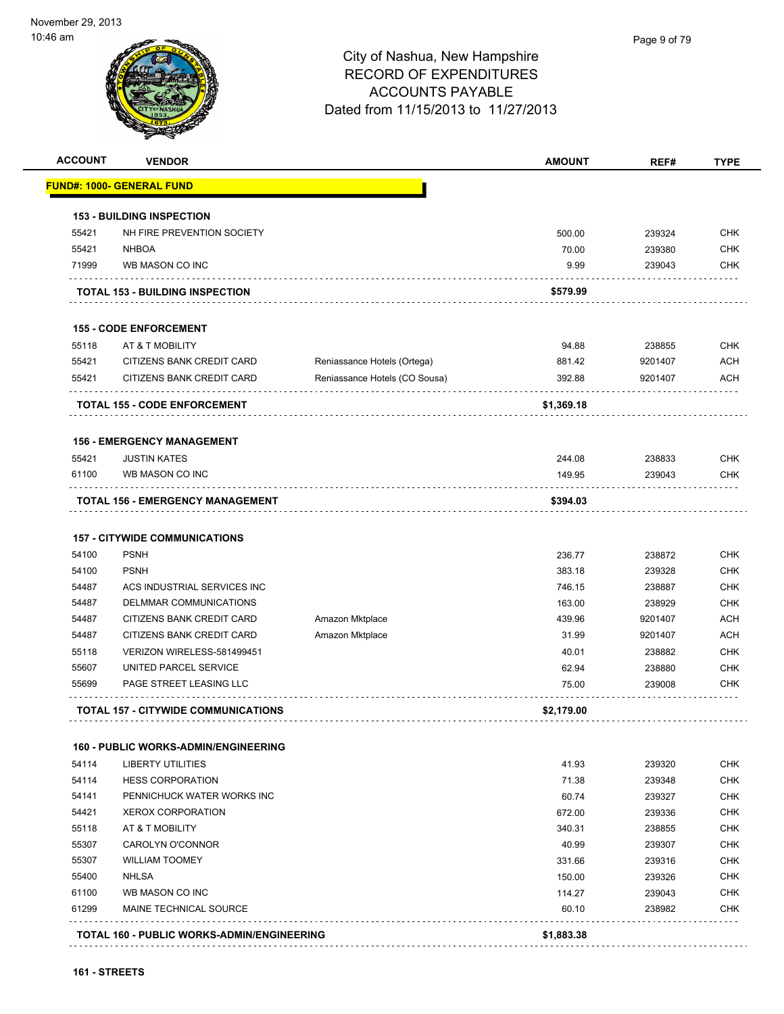| <b>ACCOUNT</b> | <b>VENDOR</b>                               |                               | <b>AMOUNT</b> | REF#    | <b>TYPE</b> |
|----------------|---------------------------------------------|-------------------------------|---------------|---------|-------------|
|                | FUND#: 1000- GENERAL FUND                   |                               |               |         |             |
|                | <b>153 - BUILDING INSPECTION</b>            |                               |               |         |             |
| 55421          | NH FIRE PREVENTION SOCIETY                  |                               | 500.00        | 239324  | <b>CHK</b>  |
| 55421          | <b>NHBOA</b>                                |                               | 70.00         | 239380  | <b>CHK</b>  |
| 71999          | WB MASON CO INC                             |                               | 9.99          | 239043  | <b>CHK</b>  |
|                | <b>TOTAL 153 - BUILDING INSPECTION</b>      |                               | \$579.99      |         |             |
|                | <b>155 - CODE ENFORCEMENT</b>               |                               |               |         |             |
| 55118          | AT & T MOBILITY                             |                               | 94.88         | 238855  | <b>CHK</b>  |
| 55421          | CITIZENS BANK CREDIT CARD                   | Reniassance Hotels (Ortega)   | 881.42        | 9201407 | <b>ACH</b>  |
| 55421          | CITIZENS BANK CREDIT CARD                   | Reniassance Hotels (CO Sousa) | 392.88        | 9201407 | <b>ACH</b>  |
|                | <b>TOTAL 155 - CODE ENFORCEMENT</b>         |                               | \$1,369.18    |         |             |
|                | <b>156 - EMERGENCY MANAGEMENT</b>           |                               |               |         |             |
| 55421          | <b>JUSTIN KATES</b>                         |                               | 244.08        | 238833  | <b>CHK</b>  |
| 61100          | WB MASON CO INC                             |                               | 149.95        | 239043  | <b>CHK</b>  |
|                | TOTAL 156 - EMERGENCY MANAGEMENT            |                               | \$394.03      |         |             |
|                | <b>157 - CITYWIDE COMMUNICATIONS</b>        |                               |               |         |             |
| 54100          | <b>PSNH</b>                                 |                               | 236.77        | 238872  | <b>CHK</b>  |
| 54100          | <b>PSNH</b>                                 |                               | 383.18        | 239328  | <b>CHK</b>  |
| 54487          | ACS INDUSTRIAL SERVICES INC                 |                               | 746.15        | 238887  | <b>CHK</b>  |
| 54487          | DELMMAR COMMUNICATIONS                      |                               | 163.00        | 238929  | <b>CHK</b>  |
| 54487          | CITIZENS BANK CREDIT CARD                   | Amazon Mktplace               | 439.96        | 9201407 | <b>ACH</b>  |
| 54487          | CITIZENS BANK CREDIT CARD                   | Amazon Mktplace               | 31.99         | 9201407 | <b>ACH</b>  |
| 55118          | VERIZON WIRELESS-581499451                  |                               | 40.01         | 238882  | <b>CHK</b>  |
| 55607          | UNITED PARCEL SERVICE                       |                               | 62.94         | 238880  | <b>CHK</b>  |
| 55699          | PAGE STREET LEASING LLC                     |                               | 75.00         | 239008  | <b>CHK</b>  |
|                | <b>TOTAL 157 - CITYWIDE COMMUNICATIONS</b>  |                               | \$2,179.00    |         |             |
|                | <b>160 - PUBLIC WORKS-ADMIN/ENGINEERING</b> |                               |               |         |             |
| 54114          | <b>LIBERTY UTILITIES</b>                    |                               | 41.93         | 239320  | <b>CHK</b>  |
| 54114          | <b>HESS CORPORATION</b>                     |                               | 71.38         | 239348  | <b>CHK</b>  |
| 54141          | PENNICHUCK WATER WORKS INC                  |                               | 60.74         | 239327  | <b>CHK</b>  |
| 54421          | <b>XEROX CORPORATION</b>                    |                               | 672.00        | 239336  | <b>CHK</b>  |
| 55118          | AT & T MOBILITY                             |                               | 340.31        | 238855  | <b>CHK</b>  |
| 55307          | <b>CAROLYN O'CONNOR</b>                     |                               | 40.99         | 239307  | <b>CHK</b>  |
| 55307          | <b>WILLIAM TOOMEY</b>                       |                               | 331.66        | 239316  | <b>CHK</b>  |
| 55400          | <b>NHLSA</b>                                |                               | 150.00        | 239326  | <b>CHK</b>  |
| 61100          | WB MASON CO INC                             |                               | 114.27        | 239043  | <b>CHK</b>  |
| 61299          | MAINE TECHNICAL SOURCE                      |                               | 60.10         | 238982  | <b>CHK</b>  |
|                |                                             |                               |               |         |             |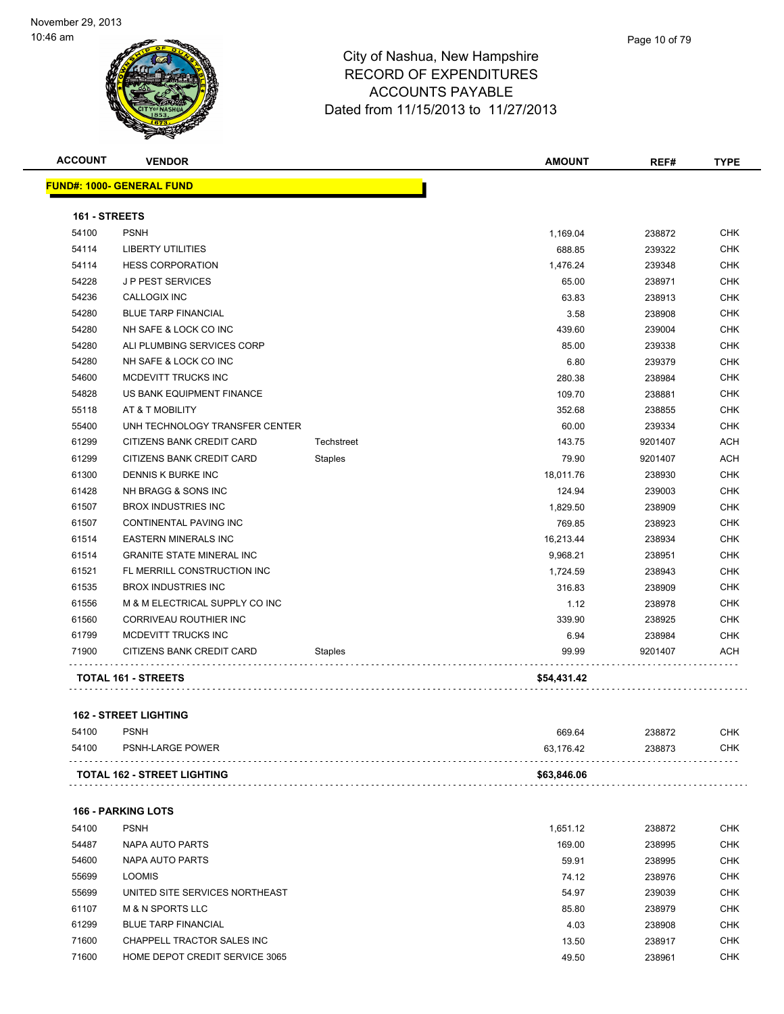|                | 1,169.04                                                         | 238872  | <b>CHK</b> |
|----------------|------------------------------------------------------------------|---------|------------|
|                | 688.85                                                           | 239322  | <b>CHK</b> |
|                | 1,476.24                                                         | 239348  | <b>CHK</b> |
|                | 65.00                                                            | 238971  | <b>CHK</b> |
|                | 63.83                                                            | 238913  | <b>CHK</b> |
|                | 3.58                                                             | 238908  | CHK        |
|                | 439.60                                                           | 239004  | <b>CHK</b> |
|                | 85.00                                                            | 239338  | <b>CHK</b> |
|                | 6.80                                                             | 239379  | <b>CHK</b> |
|                | 280.38                                                           | 238984  | CHK        |
|                | 109.70                                                           | 238881  | <b>CHK</b> |
|                | 352.68                                                           | 238855  | <b>CHK</b> |
|                | 60.00                                                            | 239334  | <b>CHK</b> |
| Techstreet     | 143.75                                                           | 9201407 | <b>ACH</b> |
| <b>Staples</b> | 79.90                                                            | 9201407 | <b>ACH</b> |
|                | 18,011.76                                                        | 238930  | <b>CHK</b> |
|                | 124.94                                                           | 239003  | <b>CHK</b> |
|                | 1,829.50                                                         | 238909  | <b>CHK</b> |
|                | 769.85                                                           | 238923  | <b>CHK</b> |
|                | 16,213.44                                                        | 238934  | <b>CHK</b> |
|                | 9,968.21                                                         | 238951  | <b>CHK</b> |
|                | 1,724.59                                                         | 238943  | <b>CHK</b> |
|                | 316.83                                                           | 238909  | <b>CHK</b> |
|                | 1.12                                                             | 238978  | <b>CHK</b> |
|                | 339.90                                                           | 238925  | <b>CHK</b> |
|                | 6.94                                                             | 238984  | CHK        |
| <b>Staples</b> | 99.99                                                            | 9201407 | ACH        |
|                | \$54,431.42                                                      |         |            |
|                | UNH TECHNOLOGY TRANSFER CENTER<br>M & M ELECTRICAL SUPPLY CO INC |         |            |

### **162 - STREET LIGHTING**

| 54100 | <b>PSNH</b>                        | 669.64      | 238872 | снк |
|-------|------------------------------------|-------------|--------|-----|
| 54100 | PSNH-LARGE POWER                   | 63.176.42   | 238873 | СНК |
|       | <b>TOTAL 162 - STREET LIGHTING</b> | \$63,846.06 |        |     |

### **166 - PARKING LOTS**

| 54100 | <b>PSNH</b>                    | 1.651.12 | 238872 | <b>CHK</b> |
|-------|--------------------------------|----------|--------|------------|
| 54487 | NAPA AUTO PARTS                | 169.00   | 238995 | <b>CHK</b> |
| 54600 | NAPA AUTO PARTS                | 59.91    | 238995 | <b>CHK</b> |
| 55699 | <b>LOOMIS</b>                  | 74.12    | 238976 | <b>CHK</b> |
| 55699 | UNITED SITE SERVICES NORTHEAST | 54.97    | 239039 | <b>CHK</b> |
| 61107 | <b>M &amp; N SPORTS LLC</b>    | 85.80    | 238979 | <b>CHK</b> |
| 61299 | <b>BLUE TARP FINANCIAL</b>     | 4.03     | 238908 | <b>CHK</b> |
| 71600 | CHAPPELL TRACTOR SALES INC     | 13.50    | 238917 | <b>CHK</b> |
| 71600 | HOME DEPOT CREDIT SERVICE 3065 | 49.50    | 238961 | <b>CHK</b> |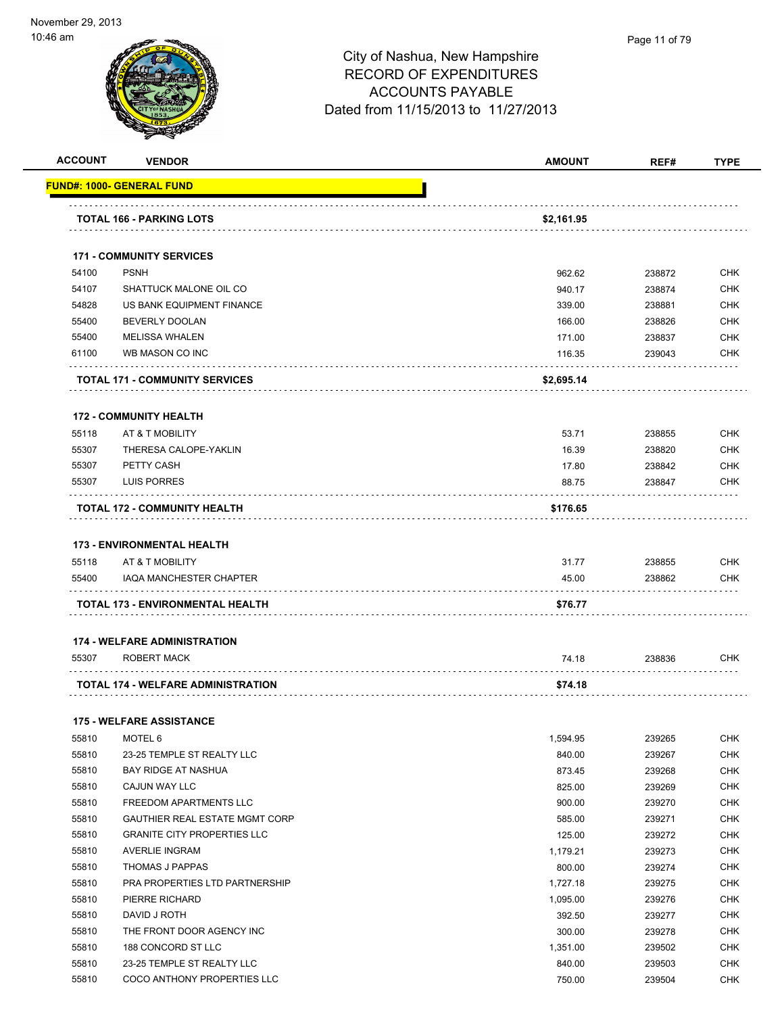|                |                                                           | <b>AMOUNT</b>    | REF#             | <b>TYPE</b>                                                                                                                                                                        |
|----------------|-----------------------------------------------------------|------------------|------------------|------------------------------------------------------------------------------------------------------------------------------------------------------------------------------------|
|                | FUND#: 1000- GENERAL FUND                                 |                  |                  |                                                                                                                                                                                    |
|                | <b>TOTAL 166 - PARKING LOTS</b>                           | \$2,161.95       |                  |                                                                                                                                                                                    |
|                |                                                           |                  |                  |                                                                                                                                                                                    |
|                | <b>171 - COMMUNITY SERVICES</b>                           |                  |                  |                                                                                                                                                                                    |
| 54100          | <b>PSNH</b>                                               | 962.62           | 238872           | <b>CHK</b>                                                                                                                                                                         |
| 54107          | SHATTUCK MALONE OIL CO                                    | 940.17           | 238874           | <b>CHK</b>                                                                                                                                                                         |
| 54828          | US BANK EQUIPMENT FINANCE                                 | 339.00           | 238881           | <b>CHK</b>                                                                                                                                                                         |
| 55400          | <b>BEVERLY DOOLAN</b>                                     | 166.00           | 238826           | <b>CHK</b>                                                                                                                                                                         |
| 55400<br>61100 | <b>MELISSA WHALEN</b><br>WB MASON CO INC                  | 171.00<br>116.35 | 238837<br>239043 | <b>CHK</b><br>CHK                                                                                                                                                                  |
|                |                                                           |                  |                  |                                                                                                                                                                                    |
|                | <b>TOTAL 171 - COMMUNITY SERVICES</b>                     | \$2,695.14       |                  |                                                                                                                                                                                    |
|                | <b>172 - COMMUNITY HEALTH</b>                             |                  |                  |                                                                                                                                                                                    |
| 55118          | AT & T MOBILITY                                           | 53.71            | 238855           | <b>CHK</b>                                                                                                                                                                         |
| 55307          | THERESA CALOPE-YAKLIN                                     | 16.39            | 238820           | <b>CHK</b>                                                                                                                                                                         |
| 55307          | PETTY CASH                                                | 17.80            | 238842           | CHK                                                                                                                                                                                |
| 55307          | LUIS PORRES                                               | 88.75            | 238847           | <b>CHK</b>                                                                                                                                                                         |
|                | TOTAL 172 - COMMUNITY HEALTH                              | \$176.65         |                  |                                                                                                                                                                                    |
|                |                                                           |                  |                  |                                                                                                                                                                                    |
|                | <b>173 - ENVIRONMENTAL HEALTH</b>                         |                  |                  |                                                                                                                                                                                    |
|                | AT & T MOBILITY                                           |                  |                  | <b>CHK</b>                                                                                                                                                                         |
| 55118          |                                                           | 31.77            | 238855           |                                                                                                                                                                                    |
| 55400          | IAQA MANCHESTER CHAPTER                                   | 45.00            | 238862           |                                                                                                                                                                                    |
|                | TOTAL 173 - ENVIRONMENTAL HEALTH                          | \$76.77          |                  |                                                                                                                                                                                    |
|                | <b>174 - WELFARE ADMINISTRATION</b>                       |                  |                  |                                                                                                                                                                                    |
| 55307          | <b>ROBERT MACK</b>                                        | 74.18            | 238836           | CHK<br><b>CHK</b>                                                                                                                                                                  |
|                | .<br>TOTAL 174 - WELFARE ADMINISTRATION                   | \$74.18          |                  |                                                                                                                                                                                    |
|                |                                                           |                  |                  |                                                                                                                                                                                    |
|                | <b>175 - WELFARE ASSISTANCE</b>                           |                  |                  |                                                                                                                                                                                    |
| 55810          | MOTEL 6                                                   | 1,594.95         | 239265           |                                                                                                                                                                                    |
| 55810          | 23-25 TEMPLE ST REALTY LLC                                | 840.00           | 239267           |                                                                                                                                                                                    |
| 55810          | <b>BAY RIDGE AT NASHUA</b>                                | 873.45           | 239268           |                                                                                                                                                                                    |
| 55810          | CAJUN WAY LLC                                             | 825.00           | 239269           |                                                                                                                                                                                    |
| 55810          | FREEDOM APARTMENTS LLC                                    | 900.00           | 239270           |                                                                                                                                                                                    |
| 55810          | GAUTHIER REAL ESTATE MGMT CORP                            | 585.00           | 239271           |                                                                                                                                                                                    |
| 55810          | <b>GRANITE CITY PROPERTIES LLC</b>                        | 125.00           | 239272           |                                                                                                                                                                                    |
| 55810          | <b>AVERLIE INGRAM</b>                                     | 1,179.21         | 239273           |                                                                                                                                                                                    |
| 55810          | THOMAS J PAPPAS                                           | 800.00           | 239274           |                                                                                                                                                                                    |
| 55810          | PRA PROPERTIES LTD PARTNERSHIP                            | 1,727.18         | 239275           |                                                                                                                                                                                    |
| 55810          | PIERRE RICHARD                                            | 1,095.00         | 239276           |                                                                                                                                                                                    |
| 55810          | DAVID J ROTH                                              | 392.50           | 239277           |                                                                                                                                                                                    |
| 55810          | THE FRONT DOOR AGENCY INC                                 | 300.00           | 239278           |                                                                                                                                                                                    |
| 55810          | 188 CONCORD ST LLC                                        | 1,351.00         | 239502           | <b>CHK</b><br><b>CHK</b><br><b>CHK</b><br><b>CHK</b><br><b>CHK</b><br><b>CHK</b><br><b>CHK</b><br><b>CHK</b><br><b>CHK</b><br><b>CHK</b><br><b>CHK</b><br><b>CHK</b><br>CHK<br>CHK |
| 55810<br>55810 | 23-25 TEMPLE ST REALTY LLC<br>COCO ANTHONY PROPERTIES LLC | 840.00<br>750.00 | 239503<br>239504 | <b>CHK</b><br><b>CHK</b>                                                                                                                                                           |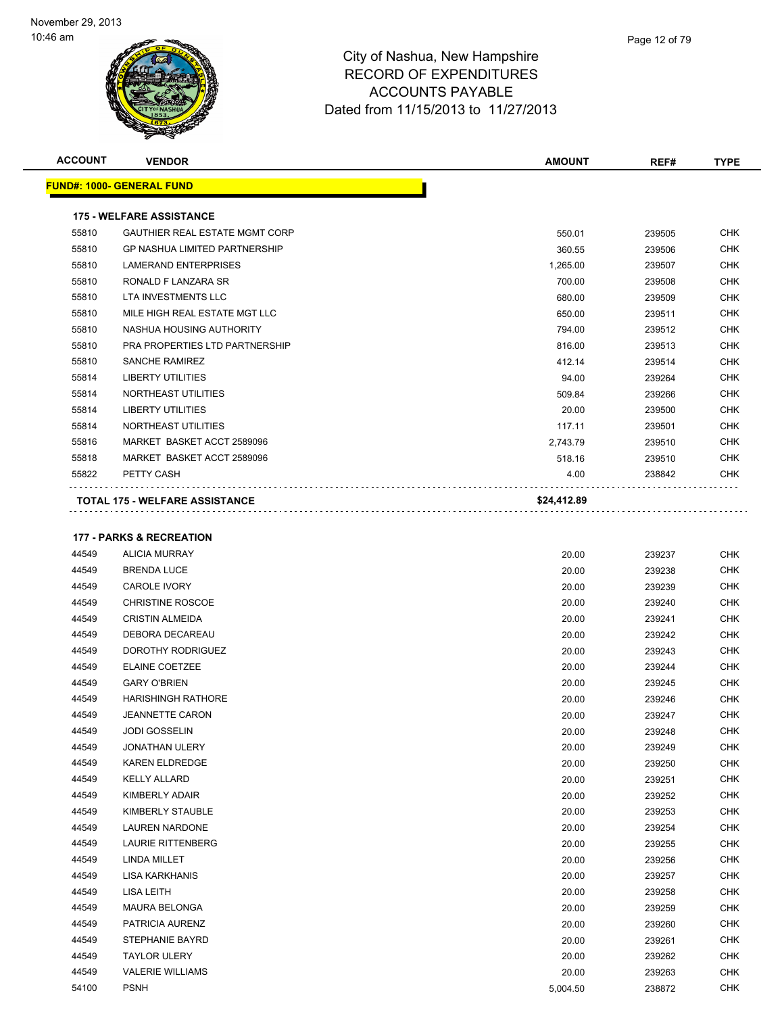

| <b>ACCOUNT</b> | <b>VENDOR</b>                         | <b>AMOUNT</b> | REF#   | <b>TYPE</b> |
|----------------|---------------------------------------|---------------|--------|-------------|
|                | <u> FUND#: 1000- GENERAL FUND</u>     |               |        |             |
|                | <b>175 - WELFARE ASSISTANCE</b>       |               |        |             |
| 55810          | <b>GAUTHIER REAL ESTATE MGMT CORP</b> | 550.01        | 239505 | <b>CHK</b>  |
| 55810          | <b>GP NASHUA LIMITED PARTNERSHIP</b>  | 360.55        | 239506 | <b>CHK</b>  |
| 55810          | <b>LAMERAND ENTERPRISES</b>           | 1,265.00      | 239507 | <b>CHK</b>  |
| 55810          | RONALD F LANZARA SR                   | 700.00        | 239508 | <b>CHK</b>  |
| 55810          | LTA INVESTMENTS LLC                   | 680.00        | 239509 | <b>CHK</b>  |
| 55810          | MILE HIGH REAL ESTATE MGT LLC         | 650.00        | 239511 | <b>CHK</b>  |
| 55810          | NASHUA HOUSING AUTHORITY              | 794.00        | 239512 | CHK         |
| 55810          | PRA PROPERTIES LTD PARTNERSHIP        | 816.00        | 239513 | <b>CHK</b>  |
| 55810          | SANCHE RAMIREZ                        | 412.14        | 239514 | <b>CHK</b>  |
| 55814          | <b>LIBERTY UTILITIES</b>              | 94.00         | 239264 | <b>CHK</b>  |
| 55814          | NORTHEAST UTILITIES                   | 509.84        | 239266 | <b>CHK</b>  |
| 55814          | <b>LIBERTY UTILITIES</b>              | 20.00         | 239500 | <b>CHK</b>  |
| 55814          | NORTHEAST UTILITIES                   | 117.11        | 239501 | <b>CHK</b>  |
| 55816          | MARKET BASKET ACCT 2589096            | 2,743.79      | 239510 | <b>CHK</b>  |
| 55818          | MARKET BASKET ACCT 2589096            | 518.16        | 239510 | CHK         |
| 55822          | PETTY CASH                            | 4.00          | 238842 | <b>CHK</b>  |
|                | <b>TOTAL 175 - WELFARE ASSISTANCE</b> | \$24,412.89   |        |             |
|                | <b>177 - PARKS &amp; RECREATION</b>   |               |        |             |
| 44549          | <b>ALICIA MURRAY</b>                  | 20.00         | 239237 | <b>CHK</b>  |
| 44549          | <b>BRENDA LUCE</b>                    | 20.00         | 239238 | <b>CHK</b>  |
| 44549          | <b>CAROLE IVORY</b>                   | 20.00         | 239239 | CHK         |
| 44549          | <b>CHRISTINE ROSCOE</b>               | 20.00         | 239240 | <b>CHK</b>  |
| 44549          | <b>CRISTIN ALMEIDA</b>                | 20.00         | 239241 | <b>CHK</b>  |
| 44549          | DEBORA DECAREAU                       | 20.00         | 239242 | <b>CHK</b>  |
| 44549          | DOROTHY RODRIGUEZ                     | 20.00         | 239243 | <b>CHK</b>  |
| 44549          | <b>ELAINE COETZEE</b>                 | 20.00         | 239244 | <b>CHK</b>  |
| 44549          | <b>GARY O'BRIEN</b>                   | 20.00         | 239245 | <b>CHK</b>  |
| 44549          | <b>HARISHINGH RATHORE</b>             | 20.00         | 239246 | <b>CHK</b>  |
|                |                                       |               |        |             |

| 44549 | DEBORA DECAREAU           | 20.00    | 239242 | <b>CHK</b> |
|-------|---------------------------|----------|--------|------------|
| 44549 | DOROTHY RODRIGUEZ         | 20.00    | 239243 | <b>CHK</b> |
| 44549 | <b>ELAINE COETZEE</b>     | 20.00    | 239244 | <b>CHK</b> |
| 44549 | <b>GARY O'BRIEN</b>       | 20.00    | 239245 | <b>CHK</b> |
| 44549 | <b>HARISHINGH RATHORE</b> | 20.00    | 239246 | <b>CHK</b> |
| 44549 | <b>JEANNETTE CARON</b>    | 20.00    | 239247 | <b>CHK</b> |
| 44549 | <b>JODI GOSSELIN</b>      | 20.00    | 239248 | <b>CHK</b> |
| 44549 | <b>JONATHAN ULERY</b>     | 20.00    | 239249 | <b>CHK</b> |
| 44549 | <b>KAREN ELDREDGE</b>     | 20.00    | 239250 | <b>CHK</b> |
| 44549 | <b>KELLY ALLARD</b>       | 20.00    | 239251 | <b>CHK</b> |
| 44549 | KIMBERLY ADAIR            | 20.00    | 239252 | <b>CHK</b> |
| 44549 | KIMBERLY STAUBLE          | 20.00    | 239253 | <b>CHK</b> |
| 44549 | <b>LAUREN NARDONE</b>     | 20.00    | 239254 | <b>CHK</b> |
| 44549 | <b>LAURIE RITTENBERG</b>  | 20.00    | 239255 | <b>CHK</b> |
| 44549 | <b>LINDA MILLET</b>       | 20.00    | 239256 | <b>CHK</b> |
| 44549 | <b>LISA KARKHANIS</b>     | 20.00    | 239257 | <b>CHK</b> |
| 44549 | <b>LISA LEITH</b>         | 20.00    | 239258 | <b>CHK</b> |
| 44549 | <b>MAURA BELONGA</b>      | 20.00    | 239259 | <b>CHK</b> |
| 44549 | PATRICIA AURENZ           | 20.00    | 239260 | <b>CHK</b> |
| 44549 | STEPHANIE BAYRD           | 20.00    | 239261 | <b>CHK</b> |
| 44549 | <b>TAYLOR ULERY</b>       | 20.00    | 239262 | <b>CHK</b> |
| 44549 | <b>VALERIE WILLIAMS</b>   | 20.00    | 239263 | <b>CHK</b> |
| 54100 | <b>PSNH</b>               | 5,004.50 | 238872 | <b>CHK</b> |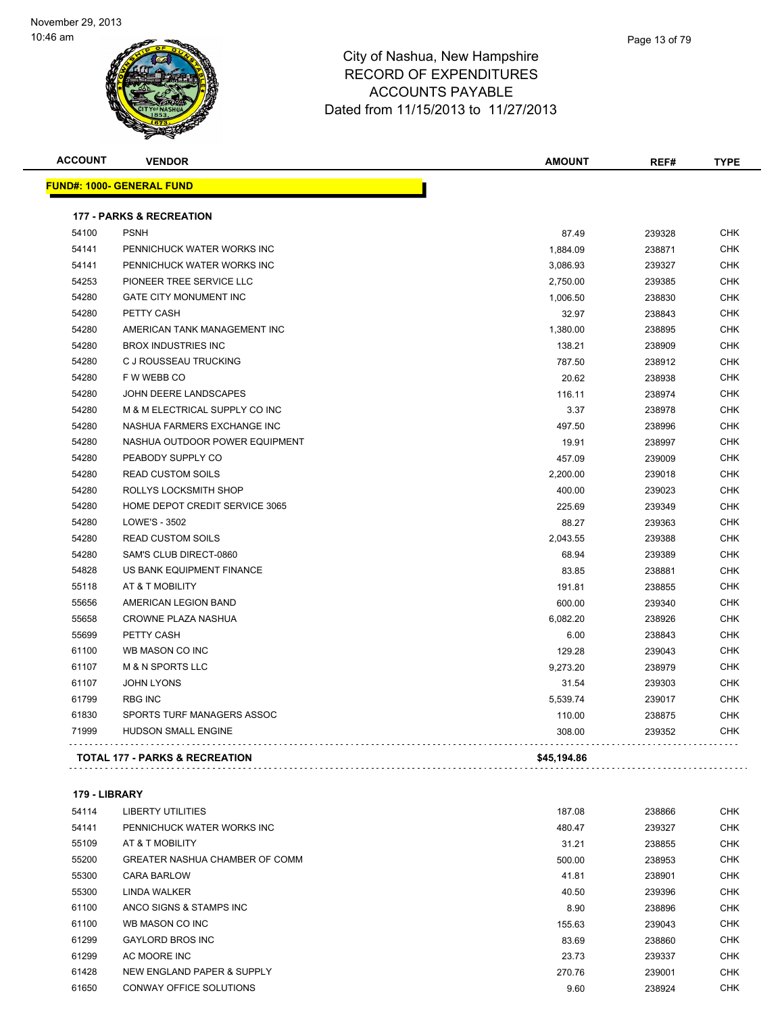

| <b>ACCOUNT</b> | <b>VENDOR</b>                       | <b>AMOUNT</b> | REF#   | <b>TYPE</b> |
|----------------|-------------------------------------|---------------|--------|-------------|
|                | <u> FUND#: 1000- GENERAL FUND</u>   |               |        |             |
|                | <b>177 - PARKS &amp; RECREATION</b> |               |        |             |
| 54100          | <b>PSNH</b>                         | 87.49         | 239328 | <b>CHK</b>  |
| 54141          | PENNICHUCK WATER WORKS INC          | 1,884.09      | 238871 | <b>CHK</b>  |
| 54141          | PENNICHUCK WATER WORKS INC          | 3,086.93      | 239327 | CHK         |
| 54253          | PIONEER TREE SERVICE LLC            | 2,750.00      | 239385 | <b>CHK</b>  |
| 54280          | <b>GATE CITY MONUMENT INC</b>       | 1,006.50      | 238830 | <b>CHK</b>  |
| 54280          | PETTY CASH                          | 32.97         | 238843 | CHK         |
| 54280          | AMERICAN TANK MANAGEMENT INC        | 1,380.00      | 238895 | <b>CHK</b>  |
| 54280          | <b>BROX INDUSTRIES INC</b>          | 138.21        | 238909 | <b>CHK</b>  |
| 54280          | C J ROUSSEAU TRUCKING               | 787.50        | 238912 | CHK         |
| 54280          | F W WEBB CO                         | 20.62         | 238938 | <b>CHK</b>  |
| 54280          | JOHN DEERE LANDSCAPES               | 116.11        | 238974 | <b>CHK</b>  |
| 54280          | M & M ELECTRICAL SUPPLY CO INC      | 3.37          | 238978 | <b>CHK</b>  |
| 54280          | NASHUA FARMERS EXCHANGE INC         | 497.50        | 238996 | <b>CHK</b>  |
| 54280          | NASHUA OUTDOOR POWER EQUIPMENT      | 19.91         | 238997 | CHK         |
| 54280          | PEABODY SUPPLY CO                   | 457.09        | 239009 | CHK         |
| 54280          | <b>READ CUSTOM SOILS</b>            | 2,200.00      | 239018 | <b>CHK</b>  |
| 54280          | ROLLYS LOCKSMITH SHOP               | 400.00        | 239023 | <b>CHK</b>  |
| 54280          | HOME DEPOT CREDIT SERVICE 3065      | 225.69        | 239349 | <b>CHK</b>  |
| 54280          | LOWE'S - 3502                       | 88.27         | 239363 | <b>CHK</b>  |
| 54280          | <b>READ CUSTOM SOILS</b>            | 2,043.55      | 239388 | <b>CHK</b>  |
| 54280          | SAM'S CLUB DIRECT-0860              | 68.94         | 239389 | CHK         |
| 54828          | US BANK EQUIPMENT FINANCE           | 83.85         | 238881 | <b>CHK</b>  |
| 55118          | AT & T MOBILITY                     | 191.81        | 238855 | <b>CHK</b>  |
| 55656          | AMERICAN LEGION BAND                | 600.00        | 239340 | CHK         |
| 55658          | CROWNE PLAZA NASHUA                 | 6,082.20      | 238926 | <b>CHK</b>  |
| 55699          | PETTY CASH                          | 6.00          | 238843 | <b>CHK</b>  |
| 61100          | WB MASON CO INC                     | 129.28        | 239043 | CHK         |
| 61107          | <b>M &amp; N SPORTS LLC</b>         | 9,273.20      | 238979 | CHK         |
| 61107          | <b>JOHN LYONS</b>                   | 31.54         | 239303 | <b>CHK</b>  |
| 61799          | <b>RBG INC</b>                      | 5,539.74      | 239017 | CHK         |
| 61830          | SPORTS TURF MANAGERS ASSOC          | 110.00        | 238875 | CHK         |
| 71999          | HUDSON SMALL ENGINE                 | 308.00        | 239352 | <b>CHK</b>  |

**179 - LIBRARY**

 $\sim$   $\sim$   $\sim$ 

 $\begin{array}{cccccccccccccc} . & . & . & . & . & . & . & . & . & . \end{array}$ 

| 54114 | LIBERTY UTILITIES              | 187.08 | 238866 | <b>CHK</b> |
|-------|--------------------------------|--------|--------|------------|
| 54141 | PENNICHUCK WATER WORKS INC     | 480.47 | 239327 | <b>CHK</b> |
| 55109 | AT & T MOBILITY                | 31.21  | 238855 | <b>CHK</b> |
| 55200 | GREATER NASHUA CHAMBER OF COMM | 500.00 | 238953 | <b>CHK</b> |
| 55300 | <b>CARA BARLOW</b>             | 41.81  | 238901 | <b>CHK</b> |
| 55300 | LINDA WALKER                   | 40.50  | 239396 | <b>CHK</b> |
| 61100 | ANCO SIGNS & STAMPS INC        | 8.90   | 238896 | <b>CHK</b> |
| 61100 | WB MASON CO INC                | 155.63 | 239043 | <b>CHK</b> |
| 61299 | <b>GAYLORD BROS INC</b>        | 83.69  | 238860 | <b>CHK</b> |
| 61299 | AC MOORE INC                   | 23.73  | 239337 | <b>CHK</b> |
| 61428 | NEW ENGLAND PAPER & SUPPLY     | 270.76 | 239001 | <b>CHK</b> |
| 61650 | CONWAY OFFICE SOLUTIONS        | 9.60   | 238924 | <b>CHK</b> |

**TOTAL 177 - PARKS & RECREATION \$45,194.86**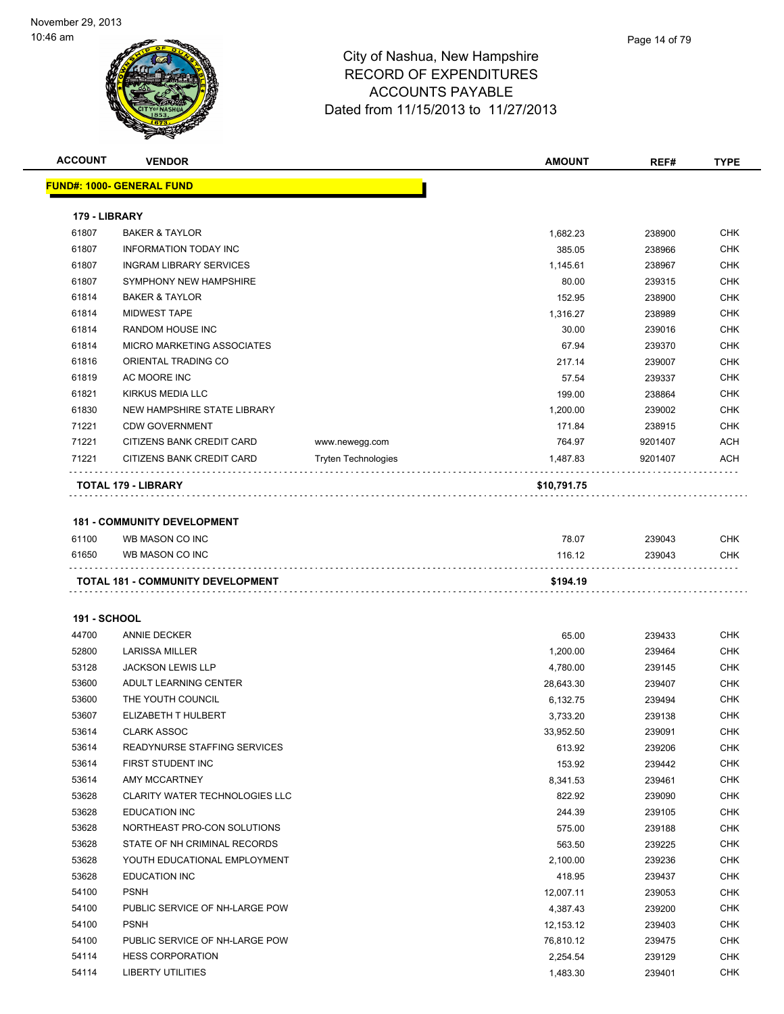

| <b>ACCOUNT</b>      | <b>VENDOR</b>                                         |                            | <b>AMOUNT</b> | REF#    | <b>TYPE</b> |
|---------------------|-------------------------------------------------------|----------------------------|---------------|---------|-------------|
|                     | <b>FUND#: 1000- GENERAL FUND</b>                      |                            |               |         |             |
|                     |                                                       |                            |               |         |             |
| 179 - LIBRARY       |                                                       |                            |               |         |             |
| 61807               | <b>BAKER &amp; TAYLOR</b>                             |                            | 1,682.23      | 238900  | <b>CHK</b>  |
| 61807               | <b>INFORMATION TODAY INC</b>                          |                            | 385.05        | 238966  | <b>CHK</b>  |
| 61807               | <b>INGRAM LIBRARY SERVICES</b>                        |                            | 1,145.61      | 238967  | <b>CHK</b>  |
| 61807               | SYMPHONY NEW HAMPSHIRE                                |                            | 80.00         | 239315  | <b>CHK</b>  |
| 61814               | <b>BAKER &amp; TAYLOR</b>                             |                            | 152.95        | 238900  | <b>CHK</b>  |
| 61814               | <b>MIDWEST TAPE</b>                                   |                            | 1,316.27      | 238989  | <b>CHK</b>  |
| 61814               | <b>RANDOM HOUSE INC</b>                               |                            | 30.00         | 239016  | <b>CHK</b>  |
| 61814               | MICRO MARKETING ASSOCIATES                            |                            | 67.94         | 239370  | <b>CHK</b>  |
| 61816               | ORIENTAL TRADING CO                                   |                            | 217.14        | 239007  | <b>CHK</b>  |
| 61819               | AC MOORE INC                                          |                            | 57.54         | 239337  | <b>CHK</b>  |
| 61821               | KIRKUS MEDIA LLC                                      |                            | 199.00        | 238864  | <b>CHK</b>  |
| 61830               | NEW HAMPSHIRE STATE LIBRARY                           |                            | 1,200.00      | 239002  | <b>CHK</b>  |
| 71221               | <b>CDW GOVERNMENT</b>                                 |                            | 171.84        | 238915  | <b>CHK</b>  |
| 71221               | CITIZENS BANK CREDIT CARD                             | www.newegg.com             | 764.97        | 9201407 | <b>ACH</b>  |
| 71221               | CITIZENS BANK CREDIT CARD                             | <b>Tryten Technologies</b> | 1,487.83      | 9201407 | <b>ACH</b>  |
|                     | TOTAL 179 - LIBRARY                                   |                            | \$10,791.75   |         |             |
|                     |                                                       |                            |               |         |             |
| 61100               | <b>181 - COMMUNITY DEVELOPMENT</b><br>WB MASON CO INC |                            |               |         | <b>CHK</b>  |
|                     |                                                       |                            | 78.07         | 239043  |             |
| 61650               | WB MASON CO INC                                       |                            | 116.12        | 239043  | <b>CHK</b>  |
|                     | <b>TOTAL 181 - COMMUNITY DEVELOPMENT</b>              |                            | \$194.19      |         |             |
|                     |                                                       |                            |               |         |             |
| <b>191 - SCHOOL</b> |                                                       |                            |               |         |             |
| 44700               | <b>ANNIE DECKER</b>                                   |                            | 65.00         | 239433  | <b>CHK</b>  |
| 52800               | <b>LARISSA MILLER</b>                                 |                            | 1,200.00      | 239464  | <b>CHK</b>  |
| 53128               | <b>JACKSON LEWIS LLP</b>                              |                            | 4,780.00      | 239145  | <b>CHK</b>  |
| 53600               | ADULT LEARNING CENTER                                 |                            | 28,643.30     | 239407  | <b>CHK</b>  |
| 53600               | THE YOUTH COUNCIL                                     |                            | 6,132.75      | 239494  | <b>CHK</b>  |
| 53607               | ELIZABETH T HULBERT                                   |                            | 3,733.20      | 239138  | <b>CHK</b>  |
| 53614               | <b>CLARK ASSOC</b>                                    |                            | 33,952.50     | 239091  | CHK         |
| 53614               | READYNURSE STAFFING SERVICES                          |                            | 613.92        | 239206  | <b>CHK</b>  |
| 53614               | FIRST STUDENT INC                                     |                            | 153.92        | 239442  | <b>CHK</b>  |
| 53614               | AMY MCCARTNEY                                         |                            | 8,341.53      | 239461  | <b>CHK</b>  |
| 53628               | <b>CLARITY WATER TECHNOLOGIES LLC</b>                 |                            | 822.92        | 239090  | <b>CHK</b>  |
| 53628               | <b>EDUCATION INC</b>                                  |                            | 244.39        | 239105  | <b>CHK</b>  |
| 53628               | NORTHEAST PRO-CON SOLUTIONS                           |                            | 575.00        | 239188  | <b>CHK</b>  |
| 53628               | STATE OF NH CRIMINAL RECORDS                          |                            | 563.50        | 239225  | <b>CHK</b>  |
| 53628               | YOUTH EDUCATIONAL EMPLOYMENT                          |                            | 2,100.00      | 239236  | <b>CHK</b>  |
| 53628               | <b>EDUCATION INC</b>                                  |                            | 418.95        | 239437  | <b>CHK</b>  |
| 54100               | <b>PSNH</b>                                           |                            | 12,007.11     | 239053  | <b>CHK</b>  |
| 54100               | PUBLIC SERVICE OF NH-LARGE POW                        |                            | 4,387.43      | 239200  | <b>CHK</b>  |
| 54100               | <b>PSNH</b>                                           |                            | 12,153.12     | 239403  | <b>CHK</b>  |
| 54100               | PUBLIC SERVICE OF NH-LARGE POW                        |                            | 76,810.12     | 239475  | <b>CHK</b>  |
| 54114               | <b>HESS CORPORATION</b>                               |                            | 2,254.54      | 239129  | CHK         |
| 54114               | LIBERTY UTILITIES                                     |                            | 1,483.30      | 239401  | <b>CHK</b>  |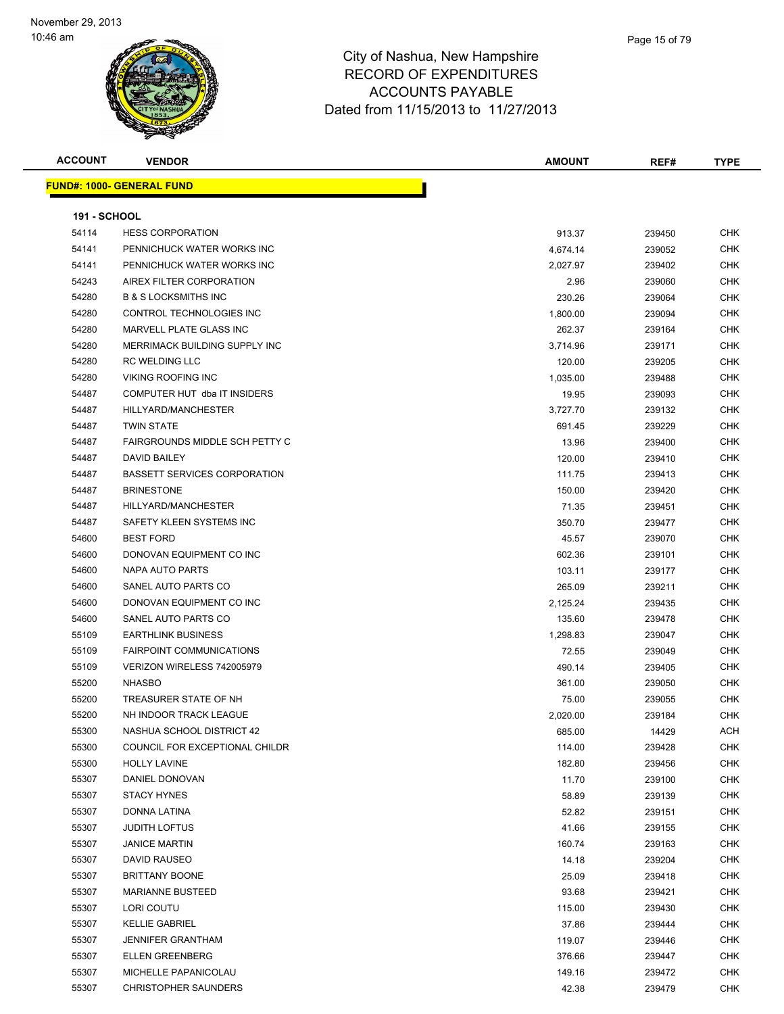

| <b>ACCOUNT</b>      | <b>VENDOR</b>                       | AMOUNT   | REF#   | <b>TYPE</b> |
|---------------------|-------------------------------------|----------|--------|-------------|
|                     | <u> FUND#: 1000- GENERAL FUND</u>   |          |        |             |
|                     |                                     |          |        |             |
| <b>191 - SCHOOL</b> |                                     |          |        |             |
| 54114               | <b>HESS CORPORATION</b>             | 913.37   | 239450 | <b>CHK</b>  |
| 54141               | PENNICHUCK WATER WORKS INC          | 4,674.14 | 239052 | <b>CHK</b>  |
| 54141               | PENNICHUCK WATER WORKS INC          | 2,027.97 | 239402 | <b>CHK</b>  |
| 54243               | AIREX FILTER CORPORATION            | 2.96     | 239060 | <b>CHK</b>  |
| 54280               | <b>B &amp; S LOCKSMITHS INC</b>     | 230.26   | 239064 | <b>CHK</b>  |
| 54280               | CONTROL TECHNOLOGIES INC            | 1,800.00 | 239094 | <b>CHK</b>  |
| 54280               | MARVELL PLATE GLASS INC             | 262.37   | 239164 | <b>CHK</b>  |
| 54280               | MERRIMACK BUILDING SUPPLY INC       | 3,714.96 | 239171 | <b>CHK</b>  |
| 54280               | <b>RC WELDING LLC</b>               | 120.00   | 239205 | <b>CHK</b>  |
| 54280               | <b>VIKING ROOFING INC</b>           | 1,035.00 | 239488 | <b>CHK</b>  |
| 54487               | COMPUTER HUT dba IT INSIDERS        | 19.95    | 239093 | <b>CHK</b>  |
| 54487               | HILLYARD/MANCHESTER                 | 3,727.70 | 239132 | <b>CHK</b>  |
| 54487               | <b>TWIN STATE</b>                   | 691.45   | 239229 | CHK         |
| 54487               | FAIRGROUNDS MIDDLE SCH PETTY C      | 13.96    | 239400 | <b>CHK</b>  |
| 54487               | DAVID BAILEY                        | 120.00   | 239410 | CHK         |
| 54487               | <b>BASSETT SERVICES CORPORATION</b> | 111.75   | 239413 | <b>CHK</b>  |
| 54487               | <b>BRINESTONE</b>                   | 150.00   | 239420 | <b>CHK</b>  |
| 54487               | HILLYARD/MANCHESTER                 | 71.35    | 239451 | <b>CHK</b>  |
| 54487               | SAFETY KLEEN SYSTEMS INC            | 350.70   | 239477 | <b>CHK</b>  |
| 54600               | <b>BEST FORD</b>                    | 45.57    | 239070 | <b>CHK</b>  |
| 54600               | DONOVAN EQUIPMENT CO INC            | 602.36   | 239101 | <b>CHK</b>  |
| 54600               | NAPA AUTO PARTS                     | 103.11   | 239177 | <b>CHK</b>  |
| 54600               | SANEL AUTO PARTS CO                 | 265.09   | 239211 | <b>CHK</b>  |
| 54600               | DONOVAN EQUIPMENT CO INC            | 2,125.24 | 239435 | <b>CHK</b>  |
| 54600               | SANEL AUTO PARTS CO                 | 135.60   | 239478 | <b>CHK</b>  |
| 55109               | <b>EARTHLINK BUSINESS</b>           | 1,298.83 | 239047 | <b>CHK</b>  |
| 55109               | <b>FAIRPOINT COMMUNICATIONS</b>     | 72.55    | 239049 | <b>CHK</b>  |
| 55109               | VERIZON WIRELESS 742005979          | 490.14   | 239405 | <b>CHK</b>  |
| 55200               | <b>NHASBO</b>                       | 361.00   | 239050 | <b>CHK</b>  |
| 55200               | TREASURER STATE OF NH               | 75.00    | 239055 | <b>CHK</b>  |
| 55200               | NH INDOOR TRACK LEAGUE              | 2,020.00 | 239184 | <b>CHK</b>  |
| 55300               | NASHUA SCHOOL DISTRICT 42           | 685.00   | 14429  | <b>ACH</b>  |
| 55300               | COUNCIL FOR EXCEPTIONAL CHILDR      | 114.00   | 239428 | <b>CHK</b>  |
| 55300               | <b>HOLLY LAVINE</b>                 | 182.80   | 239456 | <b>CHK</b>  |
| 55307               | DANIEL DONOVAN                      | 11.70    | 239100 | <b>CHK</b>  |
| 55307               | <b>STACY HYNES</b>                  | 58.89    | 239139 | <b>CHK</b>  |
| 55307               | DONNA LATINA                        | 52.82    | 239151 | <b>CHK</b>  |
| 55307               | <b>JUDITH LOFTUS</b>                | 41.66    | 239155 | <b>CHK</b>  |
| 55307               | <b>JANICE MARTIN</b>                | 160.74   | 239163 | <b>CHK</b>  |
| 55307               | DAVID RAUSEO                        | 14.18    | 239204 | <b>CHK</b>  |
| 55307               | <b>BRITTANY BOONE</b>               | 25.09    | 239418 | CHK         |
| 55307               | <b>MARIANNE BUSTEED</b>             | 93.68    | 239421 | <b>CHK</b>  |
| 55307               | LORI COUTU                          | 115.00   | 239430 | <b>CHK</b>  |
| 55307               | <b>KELLIE GABRIEL</b>               | 37.86    | 239444 | <b>CHK</b>  |
| 55307               | <b>JENNIFER GRANTHAM</b>            | 119.07   | 239446 | <b>CHK</b>  |
| 55307               | <b>ELLEN GREENBERG</b>              | 376.66   | 239447 | <b>CHK</b>  |
| 55307               | MICHELLE PAPANICOLAU                | 149.16   | 239472 | CHK         |
| 55307               | <b>CHRISTOPHER SAUNDERS</b>         | 42.38    | 239479 | <b>CHK</b>  |
|                     |                                     |          |        |             |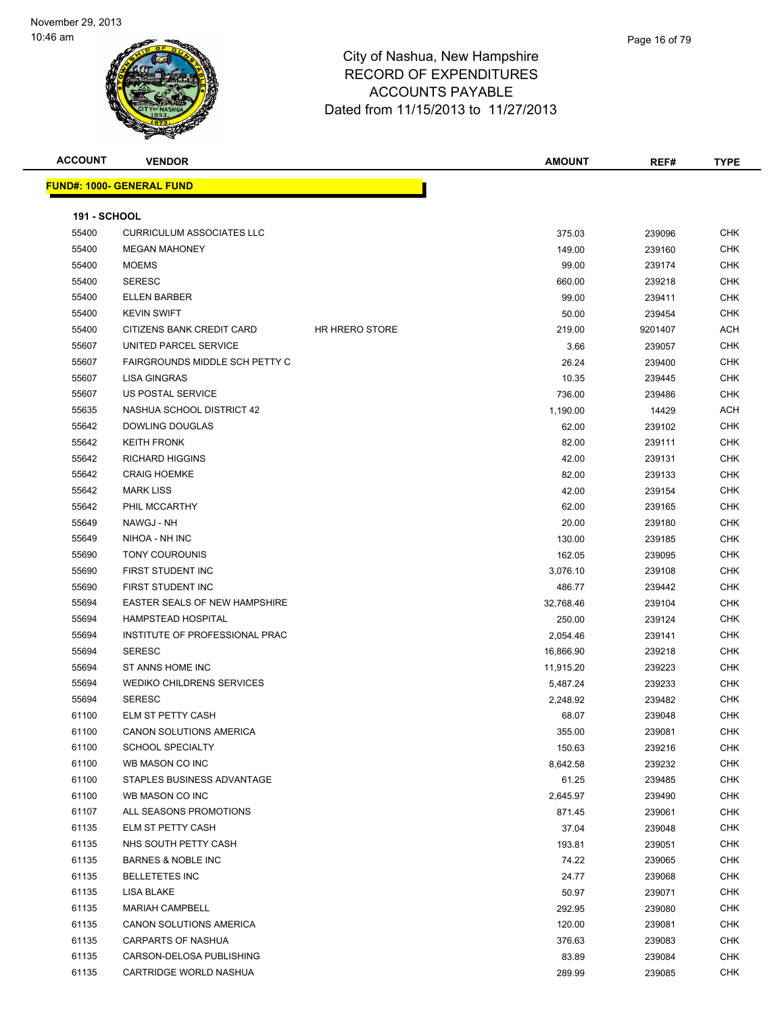

| <b>ACCOUNT</b>      | <b>VENDOR</b>                             |                       | <b>AMOUNT</b>   | REF#             | <b>TYPE</b>              |
|---------------------|-------------------------------------------|-----------------------|-----------------|------------------|--------------------------|
|                     | <b>FUND#: 1000- GENERAL FUND</b>          |                       |                 |                  |                          |
|                     |                                           |                       |                 |                  |                          |
| <b>191 - SCHOOL</b> |                                           |                       |                 |                  |                          |
| 55400               | <b>CURRICULUM ASSOCIATES LLC</b>          |                       | 375.03          | 239096           | <b>CHK</b>               |
| 55400               | <b>MEGAN MAHONEY</b>                      |                       | 149.00          | 239160           | CHK                      |
| 55400               | <b>MOEMS</b>                              |                       | 99.00           | 239174           | <b>CHK</b>               |
| 55400               | <b>SERESC</b>                             |                       | 660.00          | 239218           | CHK                      |
| 55400               | <b>ELLEN BARBER</b>                       |                       | 99.00           | 239411           | <b>CHK</b>               |
| 55400               | <b>KEVIN SWIFT</b>                        |                       | 50.00           | 239454           | <b>CHK</b>               |
| 55400               | CITIZENS BANK CREDIT CARD                 | <b>HR HRERO STORE</b> | 219.00          | 9201407          | ACH                      |
| 55607               | UNITED PARCEL SERVICE                     |                       | 3.66            | 239057           | <b>CHK</b>               |
| 55607               | FAIRGROUNDS MIDDLE SCH PETTY C            |                       | 26.24           | 239400           | CHK                      |
| 55607               | LISA GINGRAS                              |                       | 10.35           | 239445           | CHK                      |
| 55607               | US POSTAL SERVICE                         |                       | 736.00          | 239486           | <b>CHK</b>               |
| 55635               | NASHUA SCHOOL DISTRICT 42                 |                       | 1,190.00        | 14429            | ACH                      |
| 55642               | <b>DOWLING DOUGLAS</b>                    |                       | 62.00           | 239102           | CHK                      |
| 55642               | <b>KEITH FRONK</b>                        |                       | 82.00           | 239111           | CHK                      |
| 55642               | <b>RICHARD HIGGINS</b>                    |                       | 42.00           | 239131           | CHK                      |
| 55642               | <b>CRAIG HOEMKE</b>                       |                       | 82.00           | 239133           | CHK                      |
| 55642               | <b>MARK LISS</b>                          |                       | 42.00           | 239154           | CHK                      |
| 55642               | PHIL MCCARTHY                             |                       | 62.00           | 239165           | CHK                      |
| 55649               | NAWGJ - NH                                |                       | 20.00           | 239180           | <b>CHK</b>               |
| 55649               | NIHOA - NH INC                            |                       | 130.00          | 239185           | CHK                      |
| 55690               | <b>TONY COUROUNIS</b>                     |                       | 162.05          | 239095           | CHK                      |
| 55690               | FIRST STUDENT INC                         |                       | 3,076.10        | 239108           | <b>CHK</b>               |
| 55690               | FIRST STUDENT INC                         |                       | 486.77          | 239442           | CHK                      |
| 55694               | EASTER SEALS OF NEW HAMPSHIRE             |                       | 32,768.46       | 239104           | <b>CHK</b>               |
| 55694               | <b>HAMPSTEAD HOSPITAL</b>                 |                       | 250.00          | 239124           | <b>CHK</b>               |
| 55694               | INSTITUTE OF PROFESSIONAL PRAC            |                       | 2,054.46        | 239141           | CHK                      |
| 55694               | <b>SERESC</b>                             |                       | 16,866.90       | 239218           | <b>CHK</b>               |
| 55694               | ST ANNS HOME INC                          |                       | 11,915.20       | 239223           | CHK                      |
| 55694               | WEDIKO CHILDRENS SERVICES                 |                       | 5,487.24        | 239233           | CHK                      |
| 55694               | <b>SERESC</b>                             |                       | 2,248.92        | 239482           | <b>CHK</b>               |
| 61100               | ELM ST PETTY CASH                         |                       | 68.07           | 239048           | <b>CHK</b>               |
| 61100               | CANON SOLUTIONS AMERICA                   |                       | 355.00          | 239081           | <b>CHK</b>               |
| 61100               | <b>SCHOOL SPECIALTY</b>                   |                       | 150.63          | 239216           | <b>CHK</b>               |
| 61100               | WB MASON CO INC                           |                       | 8,642.58        | 239232           | <b>CHK</b>               |
| 61100               | STAPLES BUSINESS ADVANTAGE                |                       | 61.25           | 239485           | <b>CHK</b>               |
| 61100<br>61107      | WB MASON CO INC<br>ALL SEASONS PROMOTIONS |                       | 2,645.97        | 239490           | <b>CHK</b><br><b>CHK</b> |
| 61135               | ELM ST PETTY CASH                         |                       | 871.45<br>37.04 | 239061<br>239048 | <b>CHK</b>               |
| 61135               | NHS SOUTH PETTY CASH                      |                       |                 |                  | <b>CHK</b>               |
| 61135               | <b>BARNES &amp; NOBLE INC</b>             |                       | 193.81<br>74.22 | 239051<br>239065 | <b>CHK</b>               |
| 61135               | <b>BELLETETES INC</b>                     |                       | 24.77           |                  | <b>CHK</b>               |
| 61135               | LISA BLAKE                                |                       | 50.97           | 239068<br>239071 | <b>CHK</b>               |
| 61135               | <b>MARIAH CAMPBELL</b>                    |                       | 292.95          | 239080           | <b>CHK</b>               |
| 61135               | CANON SOLUTIONS AMERICA                   |                       | 120.00          | 239081           | <b>CHK</b>               |
| 61135               | <b>CARPARTS OF NASHUA</b>                 |                       | 376.63          | 239083           | <b>CHK</b>               |
| 61135               | CARSON-DELOSA PUBLISHING                  |                       | 83.89           | 239084           | <b>CHK</b>               |
| 61135               | CARTRIDGE WORLD NASHUA                    |                       | 289.99          | 239085           | <b>CHK</b>               |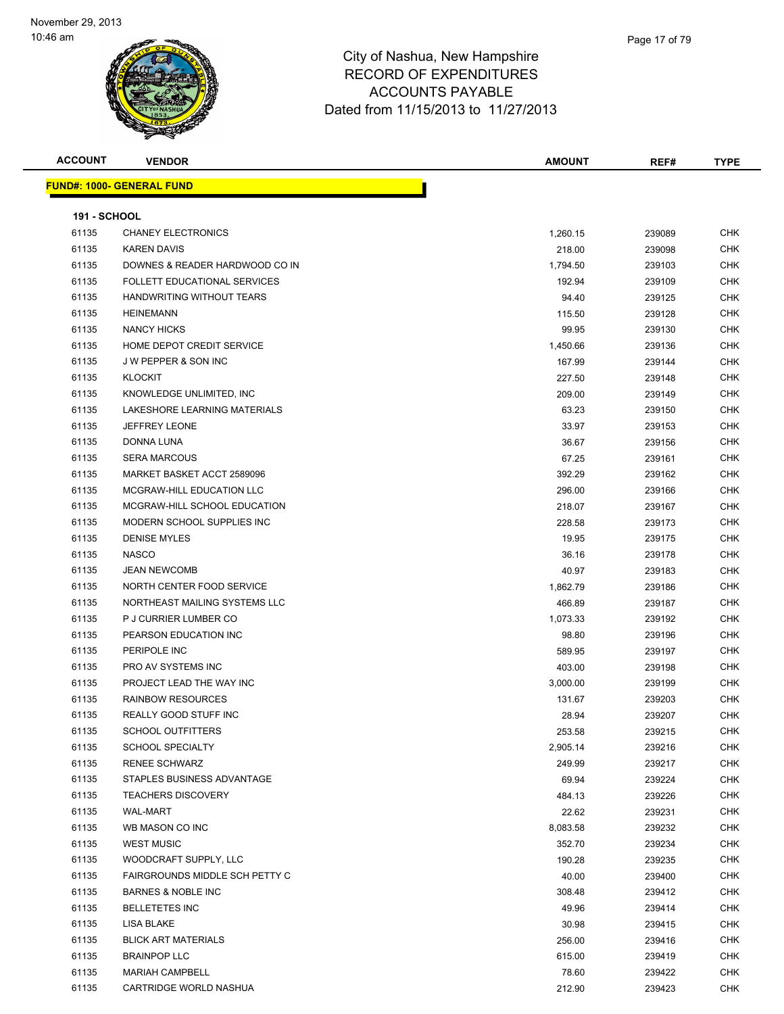

| <b>ACCOUNT</b>      | <b>VENDOR</b>                     | <b>AMOUNT</b> | REF#   | <b>TYPE</b> |
|---------------------|-----------------------------------|---------------|--------|-------------|
|                     | <u> FUND#: 1000- GENERAL FUND</u> |               |        |             |
|                     |                                   |               |        |             |
| <b>191 - SCHOOL</b> |                                   |               |        |             |
| 61135               | <b>CHANEY ELECTRONICS</b>         | 1,260.15      | 239089 | <b>CHK</b>  |
| 61135               | <b>KAREN DAVIS</b>                | 218.00        | 239098 | <b>CHK</b>  |
| 61135               | DOWNES & READER HARDWOOD CO IN    | 1,794.50      | 239103 | <b>CHK</b>  |
| 61135               | FOLLETT EDUCATIONAL SERVICES      | 192.94        | 239109 | <b>CHK</b>  |
| 61135               | HANDWRITING WITHOUT TEARS         | 94.40         | 239125 | <b>CHK</b>  |
| 61135               | <b>HEINEMANN</b>                  | 115.50        | 239128 | <b>CHK</b>  |
| 61135               | <b>NANCY HICKS</b>                | 99.95         | 239130 | <b>CHK</b>  |
| 61135               | HOME DEPOT CREDIT SERVICE         | 1,450.66      | 239136 | <b>CHK</b>  |
| 61135               | <b>JW PEPPER &amp; SON INC</b>    | 167.99        | 239144 | <b>CHK</b>  |
| 61135               | <b>KLOCKIT</b>                    | 227.50        | 239148 | <b>CHK</b>  |
| 61135               | KNOWLEDGE UNLIMITED, INC          | 209.00        | 239149 | CHK         |
| 61135               | LAKESHORE LEARNING MATERIALS      | 63.23         | 239150 | <b>CHK</b>  |
| 61135               | <b>JEFFREY LEONE</b>              | 33.97         | 239153 | <b>CHK</b>  |
| 61135               | DONNA LUNA                        | 36.67         | 239156 | CHK         |
| 61135               | <b>SERA MARCOUS</b>               | 67.25         | 239161 | <b>CHK</b>  |
| 61135               | MARKET BASKET ACCT 2589096        | 392.29        | 239162 | <b>CHK</b>  |
| 61135               | MCGRAW-HILL EDUCATION LLC         | 296.00        | 239166 | <b>CHK</b>  |
| 61135               | MCGRAW-HILL SCHOOL EDUCATION      | 218.07        | 239167 | <b>CHK</b>  |
| 61135               | MODERN SCHOOL SUPPLIES INC        | 228.58        | 239173 | <b>CHK</b>  |
| 61135               | <b>DENISE MYLES</b>               | 19.95         | 239175 | <b>CHK</b>  |
| 61135               | <b>NASCO</b>                      | 36.16         | 239178 | <b>CHK</b>  |
| 61135               | <b>JEAN NEWCOMB</b>               | 40.97         | 239183 | <b>CHK</b>  |
| 61135               | NORTH CENTER FOOD SERVICE         | 1,862.79      | 239186 | <b>CHK</b>  |
| 61135               | NORTHEAST MAILING SYSTEMS LLC     | 466.89        | 239187 | <b>CHK</b>  |
| 61135               | P J CURRIER LUMBER CO             | 1,073.33      | 239192 | <b>CHK</b>  |
| 61135               | PEARSON EDUCATION INC             | 98.80         | 239196 | <b>CHK</b>  |
| 61135               | PERIPOLE INC                      | 589.95        | 239197 | <b>CHK</b>  |
| 61135               | PRO AV SYSTEMS INC                | 403.00        | 239198 | <b>CHK</b>  |
| 61135               | PROJECT LEAD THE WAY INC          | 3,000.00      | 239199 | <b>CHK</b>  |
| 61135               | <b>RAINBOW RESOURCES</b>          | 131.67        | 239203 | <b>CHK</b>  |
| 61135               | REALLY GOOD STUFF INC             | 28.94         | 239207 | <b>CHK</b>  |
| 61135               | <b>SCHOOL OUTFITTERS</b>          | 253.58        | 239215 | <b>CHK</b>  |
| 61135               | <b>SCHOOL SPECIALTY</b>           | 2,905.14      | 239216 | <b>CHK</b>  |
| 61135               | <b>RENEE SCHWARZ</b>              | 249.99        | 239217 | <b>CHK</b>  |
| 61135               | STAPLES BUSINESS ADVANTAGE        | 69.94         | 239224 | <b>CHK</b>  |
| 61135               | <b>TEACHERS DISCOVERY</b>         | 484.13        | 239226 | CHK         |
| 61135               | <b>WAL-MART</b>                   | 22.62         | 239231 | <b>CHK</b>  |
| 61135               | WB MASON CO INC                   | 8,083.58      | 239232 | <b>CHK</b>  |
| 61135               | <b>WEST MUSIC</b>                 | 352.70        | 239234 | <b>CHK</b>  |
| 61135               | WOODCRAFT SUPPLY, LLC             | 190.28        | 239235 | <b>CHK</b>  |
| 61135               | FAIRGROUNDS MIDDLE SCH PETTY C    | 40.00         | 239400 | <b>CHK</b>  |
| 61135               | <b>BARNES &amp; NOBLE INC</b>     | 308.48        | 239412 | <b>CHK</b>  |
| 61135               | <b>BELLETETES INC</b>             | 49.96         | 239414 | <b>CHK</b>  |
| 61135               | LISA BLAKE                        | 30.98         | 239415 | CHK         |
| 61135               | <b>BLICK ART MATERIALS</b>        | 256.00        | 239416 | <b>CHK</b>  |
| 61135               | <b>BRAINPOP LLC</b>               | 615.00        | 239419 | CHK         |
| 61135               | <b>MARIAH CAMPBELL</b>            | 78.60         | 239422 | CHK         |
| 61135               | CARTRIDGE WORLD NASHUA            | 212.90        | 239423 | <b>CHK</b>  |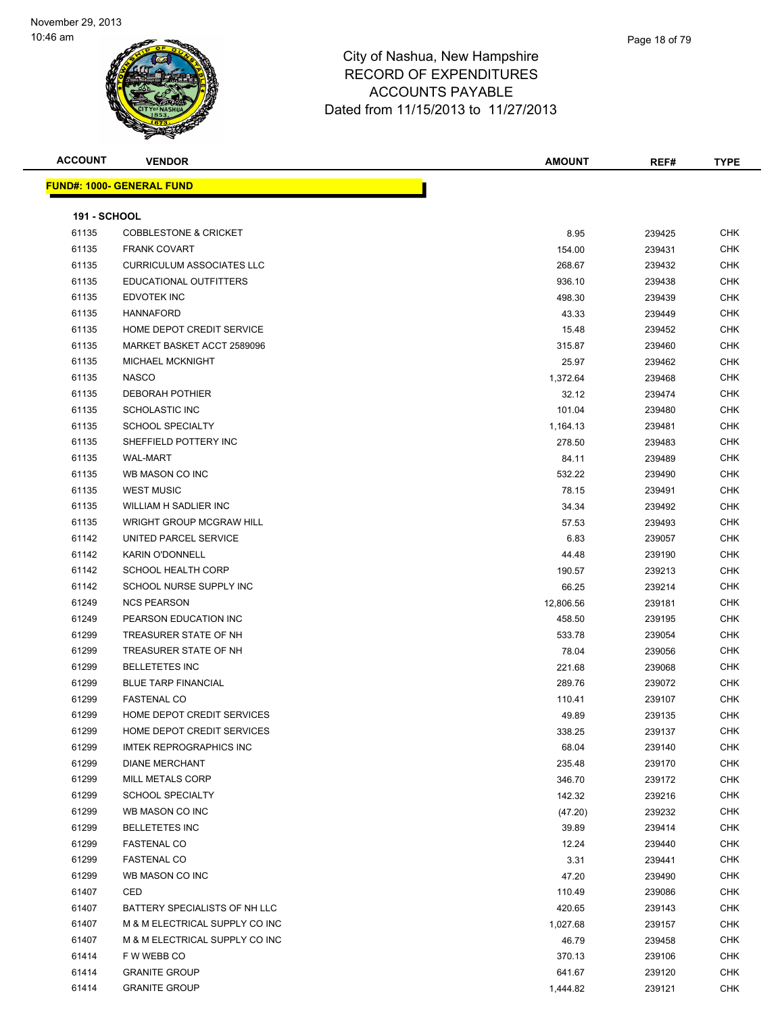| <b>ACCOUNT</b>      | <b>VENDOR</b>                     | <b>AMOUNT</b> | REF#   | <b>TYPE</b> |
|---------------------|-----------------------------------|---------------|--------|-------------|
|                     | <u> FUND#: 1000- GENERAL FUND</u> |               |        |             |
| <b>191 - SCHOOL</b> |                                   |               |        |             |
| 61135               | <b>COBBLESTONE &amp; CRICKET</b>  | 8.95          | 239425 | CHK         |
| 61135               | <b>FRANK COVART</b>               | 154.00        | 239431 | <b>CHK</b>  |
| 61135               | <b>CURRICULUM ASSOCIATES LLC</b>  | 268.67        | 239432 | CHK         |
| 61135               | EDUCATIONAL OUTFITTERS            | 936.10        | 239438 | CHK         |
| 61135               | <b>EDVOTEK INC</b>                | 498.30        | 239439 | CHK         |
| 61135               | <b>HANNAFORD</b>                  | 43.33         | 239449 | <b>CHK</b>  |
| 61135               | HOME DEPOT CREDIT SERVICE         | 15.48         | 239452 | CHK         |
| 61135               | MARKET BASKET ACCT 2589096        | 315.87        | 239460 | <b>CHK</b>  |
| 61135               | MICHAEL MCKNIGHT                  | 25.97         | 239462 | CHK         |
| 61135               | <b>NASCO</b>                      | 1,372.64      | 239468 | <b>CHK</b>  |
| 61135               | <b>DEBORAH POTHIER</b>            | 32.12         | 239474 | <b>CHK</b>  |
| 61135               | SCHOLASTIC INC                    | 101.04        | 239480 | <b>CHK</b>  |
| 61135               | <b>SCHOOL SPECIALTY</b>           | 1,164.13      | 239481 | <b>CHK</b>  |
| 61135               | SHEFFIELD POTTERY INC             | 278.50        | 239483 | CHK         |
| 61135               | <b>WAL-MART</b>                   | 84.11         | 239489 | CHK         |
| 61135               | WB MASON CO INC                   | 532.22        | 239490 | CHK         |
| 61135               | <b>WEST MUSIC</b>                 | 78.15         | 239491 | <b>CHK</b>  |
| 61135               | <b>WILLIAM H SADLIER INC</b>      | 34.34         | 239492 | <b>CHK</b>  |
| 61135               | <b>WRIGHT GROUP MCGRAW HILL</b>   | 57.53         | 239493 | <b>CHK</b>  |
| 61142               | UNITED PARCEL SERVICE             | 6.83          | 239057 | <b>CHK</b>  |
| 61142               | <b>KARIN O'DONNELL</b>            | 44.48         | 239190 | <b>CHK</b>  |
| 61142               | <b>SCHOOL HEALTH CORP</b>         | 190.57        | 239213 | <b>CHK</b>  |
| 61142               | SCHOOL NURSE SUPPLY INC           | 66.25         | 239214 | <b>CHK</b>  |
| 61249               | <b>NCS PEARSON</b>                | 12,806.56     | 239181 | CHK         |
| 61249               | PEARSON EDUCATION INC             | 458.50        | 239195 | <b>CHK</b>  |
| 61299               | TREASURER STATE OF NH             | 533.78        | 239054 | CHK         |
| 61299               | TREASURER STATE OF NH             | 78.04         | 239056 | <b>CHK</b>  |
| 61299               | <b>BELLETETES INC</b>             | 221.68        | 239068 | CHK         |
| 61299               | <b>BLUE TARP FINANCIAL</b>        | 289.76        | 239072 | <b>CHK</b>  |
| 61299               | <b>FASTENAL CO</b>                | 110.41        | 239107 | CHK         |
| 61299               | HOME DEPOT CREDIT SERVICES        | 49.89         | 239135 | CHK         |
| 61299               | HOME DEPOT CREDIT SERVICES        | 338.25        | 239137 | CHK         |
| 61299               | <b>IMTEK REPROGRAPHICS INC</b>    | 68.04         | 239140 | CHK         |
| 61299               | <b>DIANE MERCHANT</b>             | 235.48        | 239170 | CHK         |
| 61299               | MILL METALS CORP                  | 346.70        | 239172 | CHK         |
| 61299               | <b>SCHOOL SPECIALTY</b>           | 142.32        | 239216 | CHK         |
| 61299               | WB MASON CO INC                   | (47.20)       | 239232 | <b>CHK</b>  |
| 61299               | <b>BELLETETES INC</b>             | 39.89         | 239414 | CHK         |
| 61299               | <b>FASTENAL CO</b>                | 12.24         | 239440 | <b>CHK</b>  |
| 61299               | <b>FASTENAL CO</b>                | 3.31          | 239441 | <b>CHK</b>  |
| 61299               | WB MASON CO INC                   | 47.20         | 239490 | CHK         |
| 61407               | CED                               | 110.49        | 239086 | CHK         |
| 61407               | BATTERY SPECIALISTS OF NH LLC     | 420.65        | 239143 | CHK         |
| 61407               | M & M ELECTRICAL SUPPLY CO INC    | 1,027.68      | 239157 | CHK         |
| 61407               | M & M ELECTRICAL SUPPLY CO INC    | 46.79         | 239458 | CHK         |
| 61414               | F W WEBB CO                       | 370.13        | 239106 | CHK         |
| 61414               | <b>GRANITE GROUP</b>              | 641.67        | 239120 | <b>CHK</b>  |
| 61414               | <b>GRANITE GROUP</b>              | 1,444.82      | 239121 | <b>CHK</b>  |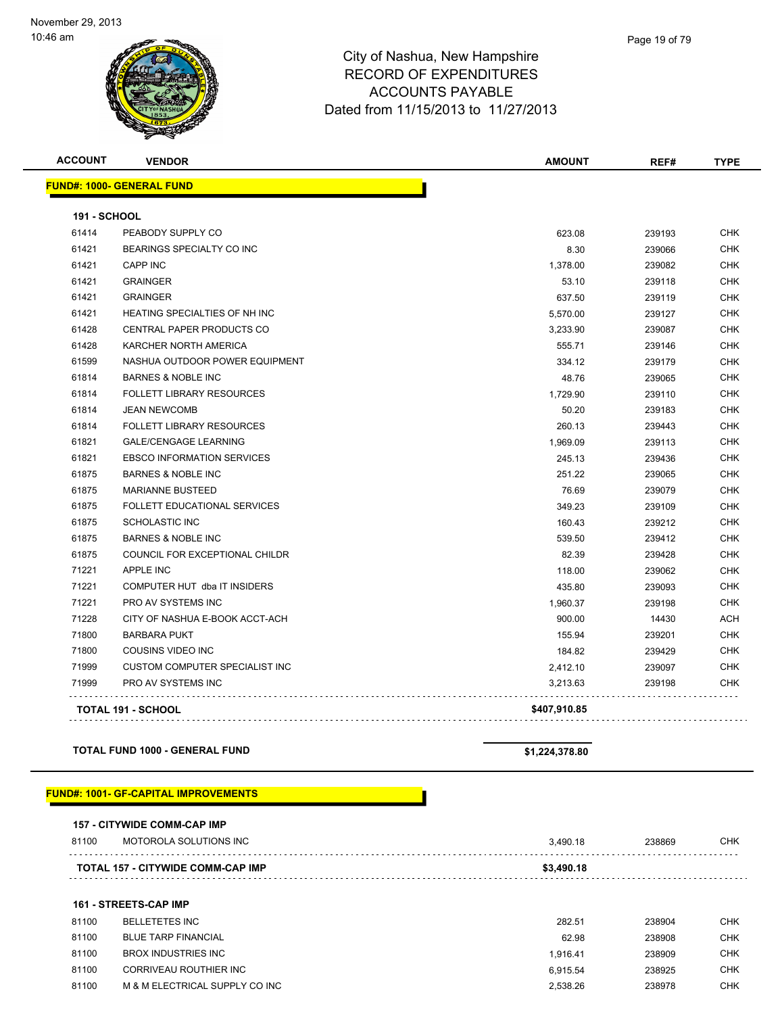

| <b>ACCOUNT</b>      | <b>VENDOR</b>                         | <b>AMOUNT</b> | REF#   | <b>TYPE</b> |
|---------------------|---------------------------------------|---------------|--------|-------------|
|                     | <b>FUND#: 1000- GENERAL FUND</b>      |               |        |             |
| <b>191 - SCHOOL</b> |                                       |               |        |             |
| 61414               | PEABODY SUPPLY CO                     | 623.08        | 239193 | <b>CHK</b>  |
| 61421               | BEARINGS SPECIALTY CO INC             | 8.30          | 239066 | <b>CHK</b>  |
| 61421               | <b>CAPP INC</b>                       | 1,378.00      | 239082 | <b>CHK</b>  |
| 61421               | <b>GRAINGER</b>                       | 53.10         | 239118 | <b>CHK</b>  |
| 61421               | <b>GRAINGER</b>                       | 637.50        | 239119 | <b>CHK</b>  |
| 61421               | HEATING SPECIALTIES OF NH INC         | 5,570.00      | 239127 | CHK         |
| 61428               | <b>CENTRAL PAPER PRODUCTS CO</b>      | 3,233.90      | 239087 | <b>CHK</b>  |
| 61428               | KARCHER NORTH AMERICA                 | 555.71        | 239146 | <b>CHK</b>  |
| 61599               | NASHUA OUTDOOR POWER EQUIPMENT        | 334.12        | 239179 | <b>CHK</b>  |
| 61814               | <b>BARNES &amp; NOBLE INC</b>         | 48.76         | 239065 | <b>CHK</b>  |
| 61814               | <b>FOLLETT LIBRARY RESOURCES</b>      | 1.729.90      | 239110 | CHK         |
| 61814               | <b>JEAN NEWCOMB</b>                   | 50.20         | 239183 | <b>CHK</b>  |
| 61814               | FOLLETT LIBRARY RESOURCES             | 260.13        | 239443 | <b>CHK</b>  |
| 61821               | <b>GALE/CENGAGE LEARNING</b>          | 1,969.09      | 239113 | <b>CHK</b>  |
| 61821               | <b>EBSCO INFORMATION SERVICES</b>     | 245.13        | 239436 | <b>CHK</b>  |
| 61875               | <b>BARNES &amp; NOBLE INC</b>         | 251.22        | 239065 | <b>CHK</b>  |
| 61875               | <b>MARIANNE BUSTEED</b>               | 76.69         | 239079 | <b>CHK</b>  |
| 61875               | FOLLETT EDUCATIONAL SERVICES          | 349.23        | 239109 | <b>CHK</b>  |
| 61875               | SCHOLASTIC INC                        | 160.43        | 239212 | CHK         |
| 61875               | <b>BARNES &amp; NOBLE INC</b>         | 539.50        | 239412 | <b>CHK</b>  |
| 61875               | COUNCIL FOR EXCEPTIONAL CHILDR        | 82.39         | 239428 | <b>CHK</b>  |
| 71221               | <b>APPLE INC</b>                      | 118.00        | 239062 | <b>CHK</b>  |
| 71221               | COMPUTER HUT dba IT INSIDERS          | 435.80        | 239093 | CHK         |
| 71221               | <b>PRO AV SYSTEMS INC</b>             | 1,960.37      | 239198 | <b>CHK</b>  |
| 71228               | CITY OF NASHUA E-BOOK ACCT-ACH        | 900.00        | 14430  | <b>ACH</b>  |
| 71800               | <b>BARBARA PUKT</b>                   | 155.94        | 239201 | <b>CHK</b>  |
| 71800               | COUSINS VIDEO INC                     | 184.82        | 239429 | <b>CHK</b>  |
| 71999               | <b>CUSTOM COMPUTER SPECIALIST INC</b> | 2,412.10      | 239097 | <b>CHK</b>  |
| 71999               | <b>PRO AV SYSTEMS INC</b>             | 3,213.63      | 239198 | <b>CHK</b>  |
|                     | <b>TOTAL 191 - SCHOOL</b>             | \$407,910.85  |        |             |
|                     |                                       |               |        |             |

## **TOTAL FUND 1000 - GENERAL FUND \$1,224,378.80**

### **FUND#: 1001- GF-CAPITAL IMPROVEMENTS**

|                                          | <b>157 - CITYWIDE COMM-CAP IMP</b> |            |        |     |
|------------------------------------------|------------------------------------|------------|--------|-----|
| 81100                                    | MOTOROLA SOLUTIONS INC             | 3.490.18   | 238869 | CHK |
| <b>TOTAL 157 - CITYWIDE COMM-CAP IMP</b> |                                    | \$3,490.18 |        |     |
|                                          | <b>161 - STREETS-CAP IMP</b>       |            |        |     |
| 81100                                    | <b>BELLETETES INC</b>              | 282.51     | 238904 | CHK |

| 81100 | <b>BLUE TARP FINANCIAL</b>     | 62.98    | 238908 | CHK        |
|-------|--------------------------------|----------|--------|------------|
| 81100 | BROX INDUSTRIES INC            | 1.916.41 | 238909 | CHK        |
| 81100 | CORRIVEAU ROUTHIER INC         | 6.915.54 | 238925 | <b>CHK</b> |
| 81100 | M & M ELECTRICAL SUPPLY CO INC | 2.538.26 | 238978 | <b>CHK</b> |
|       |                                |          |        |            |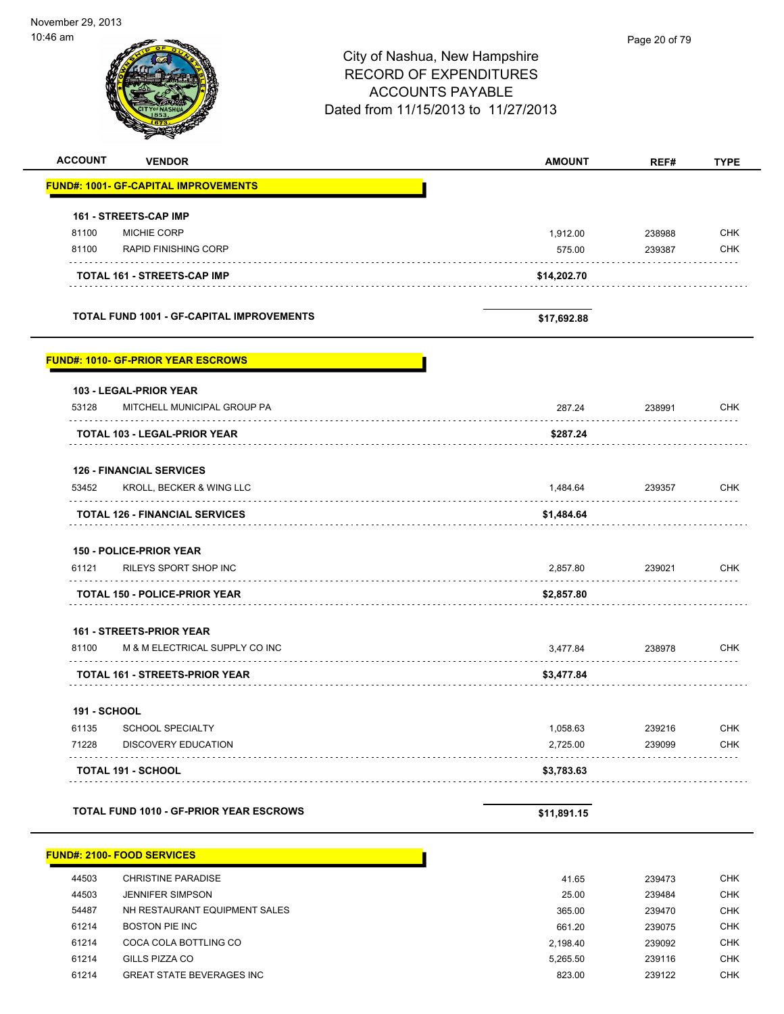*<u>ar man</u>* 

|                                                                      | City of Nashua, New Hampshire<br><b>RECORD OF EXPENDITURES</b><br><b>ACCOUNTS PAYABLE</b><br>Dated from 11/15/2013 to 11/27/2013 | , ago 20 0, 70 |             |
|----------------------------------------------------------------------|----------------------------------------------------------------------------------------------------------------------------------|----------------|-------------|
| <b>ACCOUNT</b><br><b>VENDOR</b>                                      | <b>AMOUNT</b>                                                                                                                    | REF#           | <b>TYPE</b> |
| FUND#: 1001- GF-CAPITAL IMPROVEMENTS                                 |                                                                                                                                  |                |             |
| 161 - STREETS-CAP IMP                                                |                                                                                                                                  |                |             |
| 81100<br><b>MICHIE CORP</b>                                          | 1,912.00                                                                                                                         | 238988         | <b>CHK</b>  |
| 81100<br><b>RAPID FINISHING CORP</b>                                 | 575.00                                                                                                                           | 239387         | <b>CHK</b>  |
| <b>TOTAL 161 - STREETS-CAP IMP</b>                                   | \$14,202.70                                                                                                                      |                |             |
| <b>TOTAL FUND 1001 - GF-CAPITAL IMPROVEMENTS</b>                     | \$17,692.88                                                                                                                      |                |             |
| <u> FUND#: 1010- GF-PRIOR YEAR ESCROWS</u>                           |                                                                                                                                  |                |             |
| 103 - LEGAL-PRIOR YEAR                                               |                                                                                                                                  |                |             |
| 53128<br>MITCHELL MUNICIPAL GROUP PA                                 | 287.24                                                                                                                           | 238991<br>.    | <b>CHK</b>  |
| TOTAL 103 - LEGAL-PRIOR YEAR                                         | \$287.24                                                                                                                         |                |             |
| <b>126 - FINANCIAL SERVICES</b><br>53452<br>KROLL, BECKER & WING LLC | 1,484.64                                                                                                                         | 239357         | <b>CHK</b>  |
| <b>TOTAL 126 - FINANCIAL SERVICES</b>                                | \$1,484.64                                                                                                                       |                |             |
|                                                                      |                                                                                                                                  |                |             |
| <b>150 - POLICE-PRIOR YEAR</b><br>RILEYS SPORT SHOP INC<br>61121     |                                                                                                                                  |                | <b>CHK</b>  |
|                                                                      | 2,857.80                                                                                                                         | 239021         |             |
| <b>TOTAL 150 - POLICE-PRIOR YEAR</b>                                 | \$2,857.80                                                                                                                       |                |             |
| 161 - STREETS-PRIOR YEAR                                             |                                                                                                                                  |                |             |
| 81100<br>M & M ELECTRICAL SUPPLY CO INC                              | 3,477.84                                                                                                                         | 238978         | <b>CHK</b>  |
| TOTAL 161 - STREETS-PRIOR YEAR                                       | \$3,477.84                                                                                                                       |                |             |
| <b>191 - SCHOOL</b>                                                  |                                                                                                                                  |                |             |
| 61135<br><b>SCHOOL SPECIALTY</b>                                     | 1,058.63                                                                                                                         | 239216         | <b>CHK</b>  |
| 71228<br><b>DISCOVERY EDUCATION</b>                                  | 2,725.00                                                                                                                         | 239099         | <b>CHK</b>  |
| TOTAL 191 - SCHOOL                                                   | \$3,783.63                                                                                                                       |                |             |
| <b>TOTAL FUND 1010 - GF-PRIOR YEAR ESCROWS</b>                       | \$11,891.15                                                                                                                      |                |             |
| FUND#: 2100- FOOD SERVICES                                           |                                                                                                                                  |                |             |
| 44503<br>CHRISTINE PARADISE                                          | 41.65                                                                                                                            | 239473         | <b>CHK</b>  |

| 44900 | UTINIO HINE FANADIOE.            | 41.UU    | 209410 | ◡⊓∩        |
|-------|----------------------------------|----------|--------|------------|
| 44503 | <b>JENNIFER SIMPSON</b>          | 25.00    | 239484 | CHK        |
| 54487 | NH RESTAURANT EQUIPMENT SALES    | 365.00   | 239470 | CHK        |
| 61214 | BOSTON PIE INC                   | 661.20   | 239075 | <b>CHK</b> |
| 61214 | COCA COLA BOTTLING CO            | 2.198.40 | 239092 | <b>CHK</b> |
| 61214 | GILLS PIZZA CO                   | 5.265.50 | 239116 | CHK        |
| 61214 | <b>GREAT STATE BEVERAGES INC</b> | 823.00   | 239122 | <b>CHK</b> |
|       |                                  |          |        |            |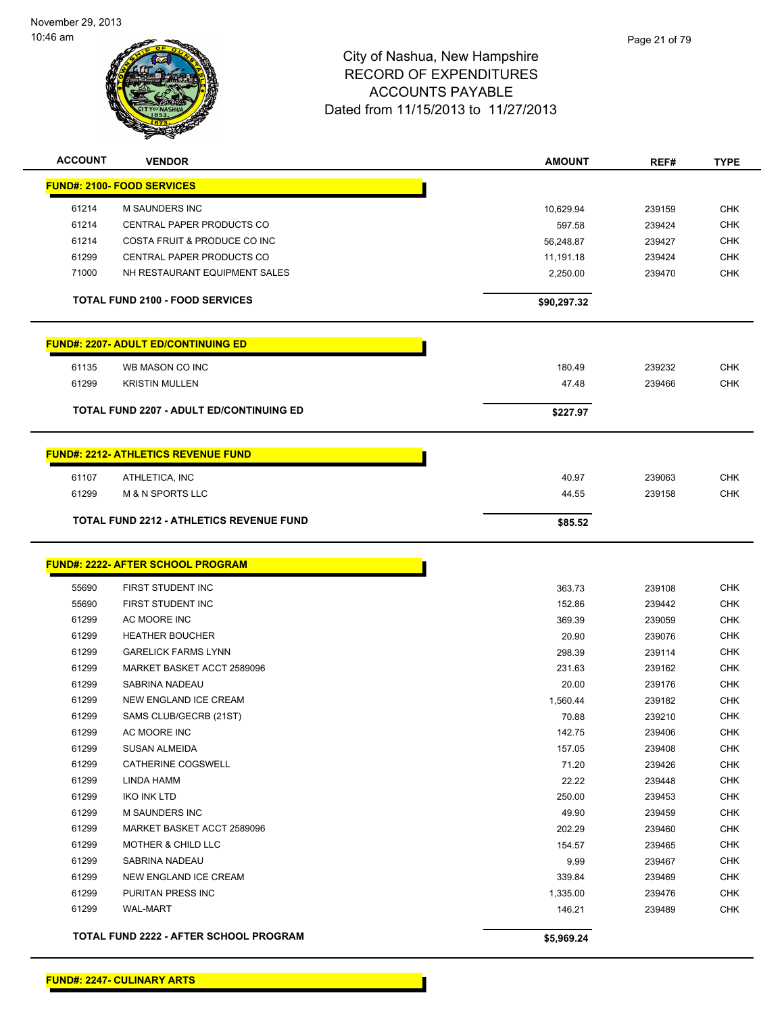

| <b>ACCOUNT</b> | <b>VENDOR</b>                                   | <b>AMOUNT</b> | REF#   | <b>TYPE</b>              |
|----------------|-------------------------------------------------|---------------|--------|--------------------------|
|                | <b>FUND#: 2100- FOOD SERVICES</b>               |               |        |                          |
| 61214          | <b>M SAUNDERS INC</b>                           | 10,629.94     | 239159 | <b>CHK</b>               |
| 61214          | <b>CENTRAL PAPER PRODUCTS CO</b>                | 597.58        | 239424 | <b>CHK</b>               |
| 61214          | COSTA FRUIT & PRODUCE CO INC                    | 56,248.87     | 239427 | <b>CHK</b>               |
| 61299          | CENTRAL PAPER PRODUCTS CO                       | 11,191.18     | 239424 | <b>CHK</b>               |
| 71000          | NH RESTAURANT EQUIPMENT SALES                   | 2,250.00      | 239470 | <b>CHK</b>               |
|                |                                                 |               |        |                          |
|                | <b>TOTAL FUND 2100 - FOOD SERVICES</b>          | \$90,297.32   |        |                          |
|                | <b>FUND#: 2207- ADULT ED/CONTINUING ED</b>      |               |        |                          |
| 61135          | WB MASON CO INC                                 | 180.49        | 239232 | <b>CHK</b>               |
| 61299          | <b>KRISTIN MULLEN</b>                           | 47.48         | 239466 | <b>CHK</b>               |
|                |                                                 |               |        |                          |
|                | <b>TOTAL FUND 2207 - ADULT ED/CONTINUING ED</b> | \$227.97      |        |                          |
|                | <b>FUND#: 2212- ATHLETICS REVENUE FUND</b>      |               |        |                          |
|                |                                                 |               |        |                          |
| 61107<br>61299 | ATHLETICA, INC<br><b>M &amp; N SPORTS LLC</b>   | 40.97         | 239063 | <b>CHK</b><br><b>CHK</b> |
|                |                                                 | 44.55         | 239158 |                          |
|                | <b>TOTAL FUND 2212 - ATHLETICS REVENUE FUND</b> | \$85.52       |        |                          |
|                | <b>FUND#: 2222- AFTER SCHOOL PROGRAM</b>        |               |        |                          |
|                |                                                 |               |        |                          |
| 55690          | FIRST STUDENT INC                               | 363.73        | 239108 | <b>CHK</b>               |
| 55690          | FIRST STUDENT INC                               | 152.86        | 239442 | <b>CHK</b>               |
| 61299          | AC MOORE INC                                    | 369.39        | 239059 | <b>CHK</b>               |
| 61299          | <b>HEATHER BOUCHER</b>                          | 20.90         | 239076 | <b>CHK</b>               |
| 61299          | <b>GARELICK FARMS LYNN</b>                      | 298.39        | 239114 | <b>CHK</b>               |
| 61299          | MARKET BASKET ACCT 2589096                      | 231.63        | 239162 | <b>CHK</b>               |
| 61299          | SABRINA NADEAU                                  | 20.00         | 239176 | <b>CHK</b>               |
| 61299          | NEW ENGLAND ICE CREAM                           | 1,560.44      | 239182 | <b>CHK</b>               |
| 61299          | SAMS CLUB/GECRB (21ST)                          | 70.88         | 239210 | <b>CHK</b>               |
| 61299          | AC MOORE INC                                    | 142.75        | 239406 | <b>CHK</b>               |
| 61299          | SUSAN ALMEIDA                                   | 157.05        | 239408 | <b>CHK</b>               |
| 61299          | CATHERINE COGSWELL                              | 71.20         | 239426 | <b>CHK</b>               |
| 61299          | LINDA HAMM                                      | 22.22         | 239448 | <b>CHK</b>               |
| 61299          | <b>IKO INK LTD</b>                              | 250.00        | 239453 | <b>CHK</b>               |
| 61299          | M SAUNDERS INC                                  | 49.90         | 239459 | <b>CHK</b>               |
| 61299          | MARKET BASKET ACCT 2589096                      | 202.29        | 239460 | <b>CHK</b>               |
| 61299          | MOTHER & CHILD LLC                              | 154.57        | 239465 | <b>CHK</b>               |
| 61299          | SABRINA NADEAU                                  | 9.99          | 239467 | <b>CHK</b>               |
| 61299          | NEW ENGLAND ICE CREAM                           | 339.84        | 239469 | <b>CHK</b>               |
| 61299          | PURITAN PRESS INC                               | 1,335.00      | 239476 | <b>CHK</b>               |
| 61299          | <b>WAL-MART</b>                                 | 146.21        | 239489 | <b>CHK</b>               |
|                | TOTAL FUND 2222 - AFTER SCHOOL PROGRAM          | \$5,969.24    |        |                          |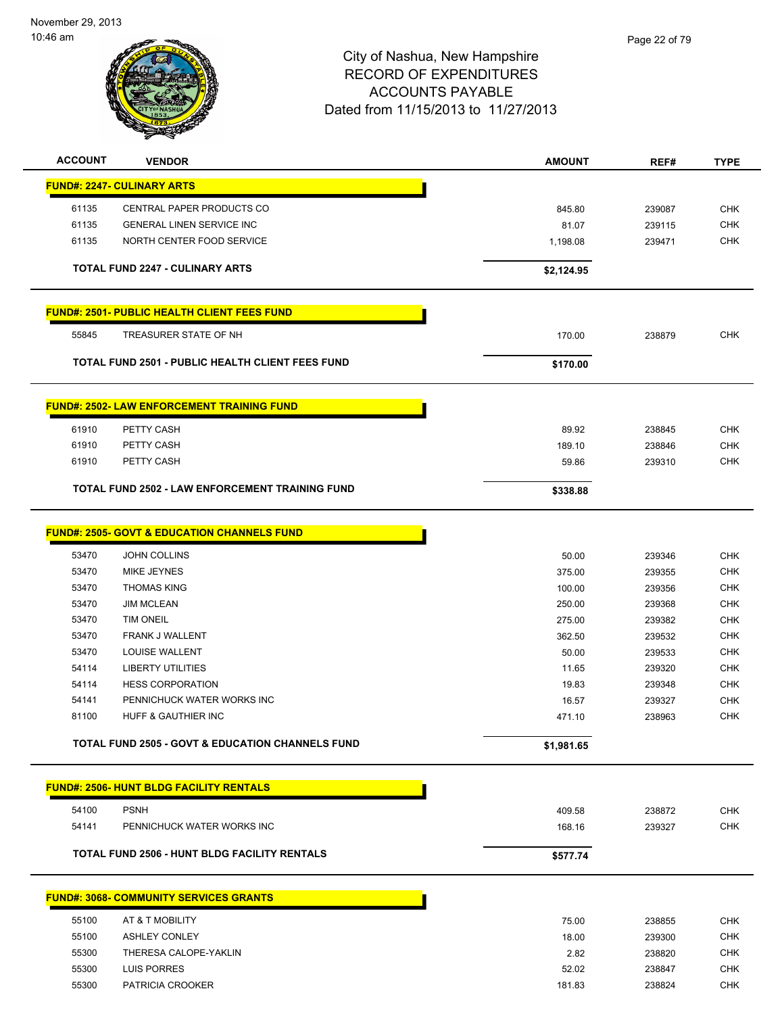

| <b>ACCOUNT</b> | <b>VENDOR</b>                                               | <b>AMOUNT</b> | REF#   | <b>TYPE</b> |
|----------------|-------------------------------------------------------------|---------------|--------|-------------|
|                | <b>FUND#: 2247- CULINARY ARTS</b>                           |               |        |             |
| 61135          | CENTRAL PAPER PRODUCTS CO                                   | 845.80        | 239087 | <b>CHK</b>  |
| 61135          | <b>GENERAL LINEN SERVICE INC</b>                            | 81.07         | 239115 | <b>CHK</b>  |
| 61135          | NORTH CENTER FOOD SERVICE                                   | 1,198.08      | 239471 | <b>CHK</b>  |
|                |                                                             |               |        |             |
|                | <b>TOTAL FUND 2247 - CULINARY ARTS</b>                      | \$2,124.95    |        |             |
|                | <b>FUND#: 2501- PUBLIC HEALTH CLIENT FEES FUND</b>          |               |        |             |
| 55845          | TREASURER STATE OF NH                                       | 170.00        | 238879 | <b>CHK</b>  |
|                | <b>TOTAL FUND 2501 - PUBLIC HEALTH CLIENT FEES FUND</b>     | \$170.00      |        |             |
|                | <b>FUND#: 2502- LAW ENFORCEMENT TRAINING FUND</b>           |               |        |             |
| 61910          | PETTY CASH                                                  | 89.92         | 238845 | <b>CHK</b>  |
| 61910          | PETTY CASH                                                  | 189.10        | 238846 | <b>CHK</b>  |
| 61910          | PETTY CASH                                                  | 59.86         | 239310 | <b>CHK</b>  |
|                | TOTAL FUND 2502 - LAW ENFORCEMENT TRAINING FUND             | \$338.88      |        |             |
|                | <u> FUND#: 2505- GOVT &amp; EDUCATION CHANNELS FUND</u>     |               |        |             |
| 53470          | <b>JOHN COLLINS</b>                                         | 50.00         | 239346 | <b>CHK</b>  |
| 53470          | MIKE JEYNES                                                 | 375.00        | 239355 | <b>CHK</b>  |
| 53470          | <b>THOMAS KING</b>                                          | 100.00        | 239356 | <b>CHK</b>  |
| 53470          | <b>JIM MCLEAN</b>                                           | 250.00        | 239368 | <b>CHK</b>  |
| 53470          | <b>TIM ONEIL</b>                                            | 275.00        | 239382 | <b>CHK</b>  |
| 53470          | <b>FRANK J WALLENT</b>                                      | 362.50        | 239532 | <b>CHK</b>  |
| 53470          | LOUISE WALLENT                                              | 50.00         | 239533 | <b>CHK</b>  |
| 54114          | <b>LIBERTY UTILITIES</b>                                    | 11.65         | 239320 | <b>CHK</b>  |
| 54114          | <b>HESS CORPORATION</b>                                     | 19.83         | 239348 | <b>CHK</b>  |
| 54141          | PENNICHUCK WATER WORKS INC                                  | 16.57         | 239327 | <b>CHK</b>  |
| 81100          | HUFF & GAUTHIER INC                                         | 471.10        | 238963 | <b>CHK</b>  |
|                | <b>TOTAL FUND 2505 - GOVT &amp; EDUCATION CHANNELS FUND</b> | \$1,981.65    |        |             |
|                | <b>FUND#: 2506- HUNT BLDG FACILITY RENTALS</b>              |               |        |             |
| 54100          | <b>PSNH</b>                                                 | 409.58        | 238872 | <b>CHK</b>  |
| 54141          | PENNICHUCK WATER WORKS INC                                  | 168.16        | 239327 | <b>CHK</b>  |
|                | <b>TOTAL FUND 2506 - HUNT BLDG FACILITY RENTALS</b>         | \$577.74      |        |             |
|                | <b>FUND#: 3068- COMMUNITY SERVICES GRANTS</b>               |               |        |             |
|                |                                                             |               |        |             |
| 55100          | AT & T MOBILITY                                             | 75.00         | 238855 | <b>CHK</b>  |
| 55100          | <b>ASHLEY CONLEY</b>                                        | 18.00         | 239300 | <b>CHK</b>  |
| 55300          | THERESA CALOPE-YAKLIN                                       | 2.82          | 238820 | <b>CHK</b>  |
| 55300          | LUIS PORRES                                                 | 52.02         | 238847 | <b>CHK</b>  |
| 55300          | PATRICIA CROOKER                                            | 181.83        | 238824 | <b>CHK</b>  |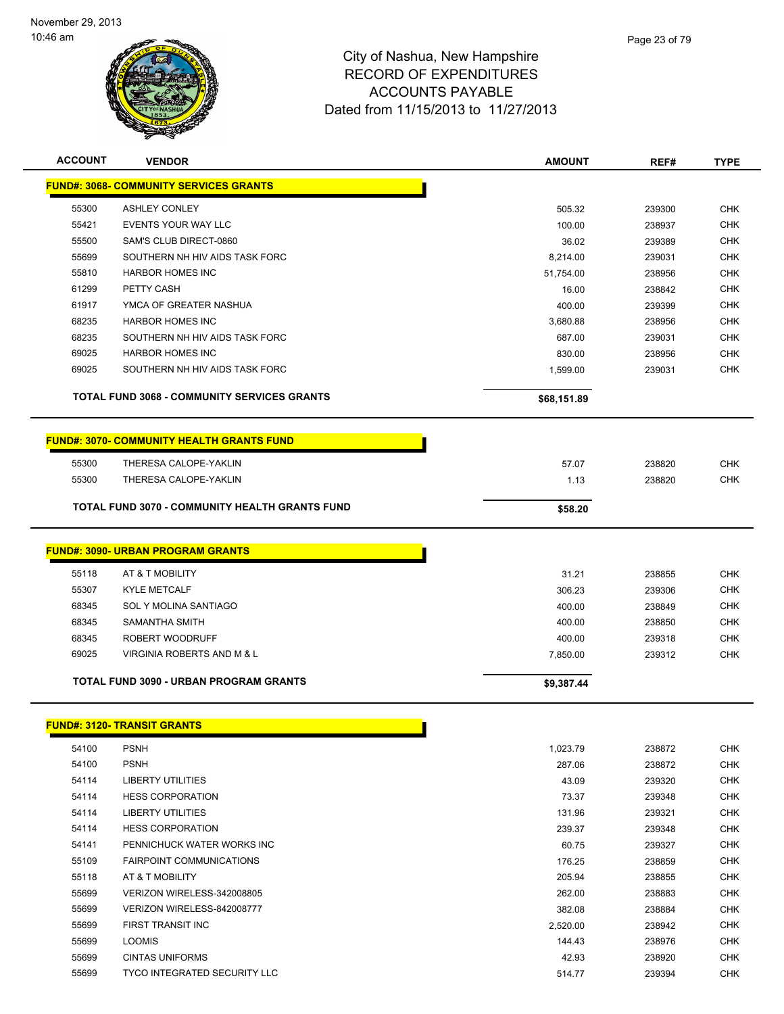÷

 $\overline{a}$ 



| <b>ACCOUNT</b> | <b>VENDOR</b>                                         | <b>AMOUNT</b> | REF#   | <b>TYPE</b> |
|----------------|-------------------------------------------------------|---------------|--------|-------------|
|                | <b>FUND#: 3068- COMMUNITY SERVICES GRANTS</b>         |               |        |             |
| 55300          | <b>ASHLEY CONLEY</b>                                  | 505.32        | 239300 | <b>CHK</b>  |
| 55421          | EVENTS YOUR WAY LLC                                   | 100.00        | 238937 | <b>CHK</b>  |
| 55500          | SAM'S CLUB DIRECT-0860                                | 36.02         | 239389 | <b>CHK</b>  |
| 55699          | SOUTHERN NH HIV AIDS TASK FORC                        | 8,214.00      | 239031 | <b>CHK</b>  |
| 55810          | <b>HARBOR HOMES INC</b>                               | 51,754.00     | 238956 | <b>CHK</b>  |
| 61299          | PETTY CASH                                            | 16.00         | 238842 | <b>CHK</b>  |
| 61917          | YMCA OF GREATER NASHUA                                | 400.00        | 239399 | <b>CHK</b>  |
| 68235          | <b>HARBOR HOMES INC</b>                               | 3,680.88      | 238956 | <b>CHK</b>  |
| 68235          | SOUTHERN NH HIV AIDS TASK FORC                        | 687.00        | 239031 | <b>CHK</b>  |
| 69025          | <b>HARBOR HOMES INC</b>                               | 830.00        | 238956 | <b>CHK</b>  |
| 69025          | SOUTHERN NH HIV AIDS TASK FORC                        | 1,599.00      | 239031 | <b>CHK</b>  |
|                |                                                       |               |        |             |
|                | <b>TOTAL FUND 3068 - COMMUNITY SERVICES GRANTS</b>    | \$68,151.89   |        |             |
|                | <b>FUND#: 3070- COMMUNITY HEALTH GRANTS FUND</b>      |               |        |             |
| 55300          | THERESA CALOPE-YAKLIN                                 | 57.07         | 238820 | <b>CHK</b>  |
| 55300          | THERESA CALOPE-YAKLIN                                 | 1.13          | 238820 | <b>CHK</b>  |
|                | <b>TOTAL FUND 3070 - COMMUNITY HEALTH GRANTS FUND</b> | \$58.20       |        |             |
|                | <b>FUND#: 3090- URBAN PROGRAM GRANTS</b>              |               |        |             |
|                |                                                       |               |        |             |
| 55118          | AT & T MOBILITY                                       | 31.21         | 238855 | <b>CHK</b>  |
| 55307          | <b>KYLE METCALF</b>                                   | 306.23        | 239306 | <b>CHK</b>  |
| 68345          | SOL Y MOLINA SANTIAGO                                 | 400.00        | 238849 | <b>CHK</b>  |
| 68345          | SAMANTHA SMITH                                        | 400.00        | 238850 | <b>CHK</b>  |
| 68345          | ROBERT WOODRUFF                                       | 400.00        | 239318 | <b>CHK</b>  |
| 69025          | VIRGINIA ROBERTS AND M & L                            | 7,850.00      | 239312 | <b>CHK</b>  |
|                | TOTAL FUND 3090 - URBAN PROGRAM GRANTS                | \$9,387.44    |        |             |
|                | <b>FUND#: 3120- TRANSIT GRANTS</b>                    |               |        |             |
| 54100          | <b>PSNH</b>                                           | 1,023.79      | 238872 | <b>CHK</b>  |
| 54100          | <b>PSNH</b>                                           | 287.06        | 238872 | <b>CHK</b>  |
| 54114          | <b>LIBERTY UTILITIES</b>                              | 43.09         | 239320 | <b>CHK</b>  |
| 54114          | <b>HESS CORPORATION</b>                               | 73.37         | 239348 | <b>CHK</b>  |
| 54114          | <b>LIBERTY UTILITIES</b>                              | 131.96        | 239321 | <b>CHK</b>  |
| 54114          | <b>HESS CORPORATION</b>                               | 239.37        | 239348 | <b>CHK</b>  |
| 54141          | PENNICHUCK WATER WORKS INC                            | 60.75         | 239327 | <b>CHK</b>  |
| 55109          | FAIRPOINT COMMUNICATIONS                              | 176.25        | 238859 | <b>CHK</b>  |
| 55118          | AT & T MOBILITY                                       | 205.94        | 238855 | <b>CHK</b>  |
| 55699          | VERIZON WIRELESS-342008805                            | 262.00        | 238883 | <b>CHK</b>  |
| 55699          | VERIZON WIRELESS-842008777                            | 382.08        | 238884 | <b>CHK</b>  |
| 55699          | FIRST TRANSIT INC                                     | 2,520.00      | 238942 | <b>CHK</b>  |
| 55699          | <b>LOOMIS</b>                                         | 144.43        | 238976 | <b>CHK</b>  |
| 55699          | <b>CINTAS UNIFORMS</b>                                | 42.93         | 238920 | <b>CHK</b>  |
| 55699          | <b>TYCO INTEGRATED SECURITY LLC</b>                   | 514.77        | 239394 | <b>CHK</b>  |
|                |                                                       |               |        |             |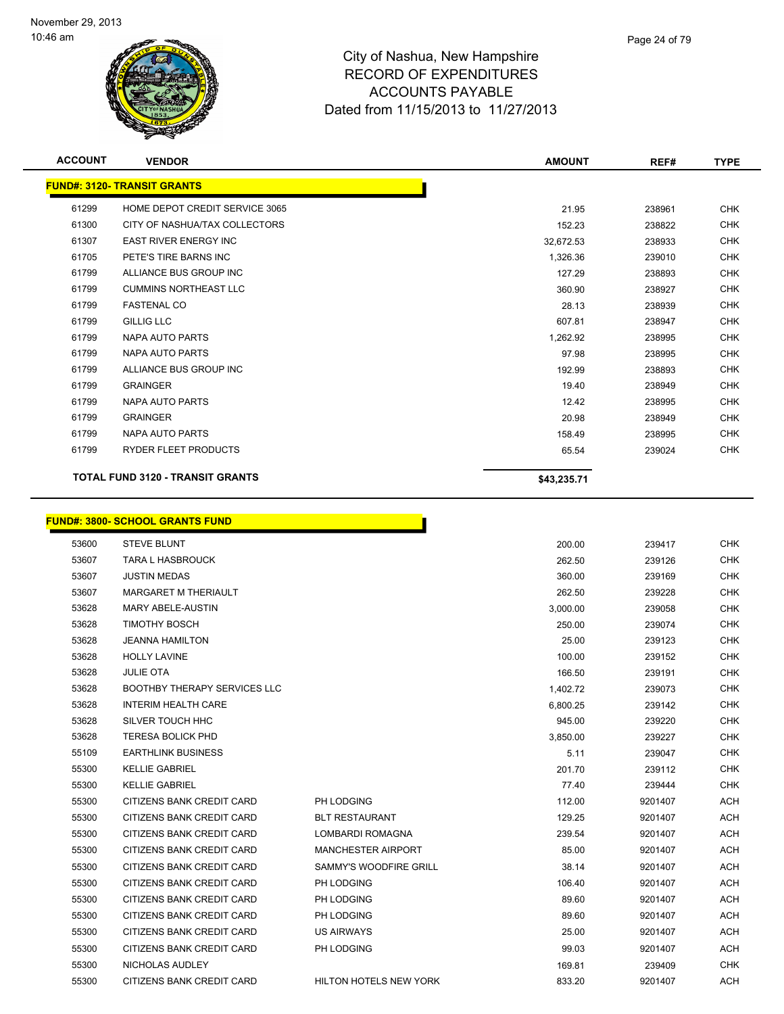

| <b>ACCOUNT</b>                          | <b>VENDOR</b>                          | <b>AMOUNT</b> | REF#   | <b>TYPE</b> |
|-----------------------------------------|----------------------------------------|---------------|--------|-------------|
|                                         | <b>FUND#: 3120- TRANSIT GRANTS</b>     |               |        |             |
| 61299                                   | HOME DEPOT CREDIT SERVICE 3065         | 21.95         | 238961 | <b>CHK</b>  |
| 61300                                   | CITY OF NASHUA/TAX COLLECTORS          | 152.23        | 238822 | <b>CHK</b>  |
| 61307                                   | <b>EAST RIVER ENERGY INC</b>           | 32,672.53     | 238933 | <b>CHK</b>  |
| 61705                                   | PETE'S TIRE BARNS INC                  | 1,326.36      | 239010 | <b>CHK</b>  |
| 61799                                   | ALLIANCE BUS GROUP INC                 | 127.29        | 238893 | <b>CHK</b>  |
| 61799                                   | <b>CUMMINS NORTHEAST LLC</b>           | 360.90        | 238927 | <b>CHK</b>  |
| 61799                                   | <b>FASTENAL CO</b>                     | 28.13         | 238939 | <b>CHK</b>  |
| 61799                                   | <b>GILLIG LLC</b>                      | 607.81        | 238947 | <b>CHK</b>  |
| 61799                                   | NAPA AUTO PARTS                        | 1,262.92      | 238995 | <b>CHK</b>  |
| 61799                                   | NAPA AUTO PARTS                        | 97.98         | 238995 | <b>CHK</b>  |
| 61799                                   | ALLIANCE BUS GROUP INC                 | 192.99        | 238893 | <b>CHK</b>  |
| 61799                                   | <b>GRAINGER</b>                        | 19.40         | 238949 | <b>CHK</b>  |
| 61799                                   | NAPA AUTO PARTS                        | 12.42         | 238995 | <b>CHK</b>  |
| 61799                                   | <b>GRAINGER</b>                        | 20.98         | 238949 | <b>CHK</b>  |
| 61799                                   | NAPA AUTO PARTS                        | 158.49        | 238995 | <b>CHK</b>  |
| 61799                                   | RYDER FLEET PRODUCTS                   | 65.54         | 239024 | <b>CHK</b>  |
| <b>TOTAL FUND 3120 - TRANSIT GRANTS</b> |                                        | \$43,235.71   |        |             |
|                                         | <b>FUND#: 3800- SCHOOL GRANTS FUND</b> |               |        |             |
| 53600                                   | <b>STEVE BLUNT</b>                     | 200.00        | 239417 | <b>CHK</b>  |
| 53607                                   | TARA L HASBROUCK                       | 262.50        | 239126 | <b>CHK</b>  |
| 53607                                   | <b>JUSTIN MEDAS</b>                    | 360.00        | 239169 | <b>CHK</b>  |
| 53607                                   | <b>MARGARET M THERIAULT</b>            | 262.50        | 239228 | <b>CHK</b>  |

| 53607 | <b>JUSTIN MEDAS</b>                 |                               | 360.00   | 239169  | <b>CHK</b> |
|-------|-------------------------------------|-------------------------------|----------|---------|------------|
| 53607 | <b>MARGARET M THERIAULT</b>         |                               | 262.50   | 239228  | <b>CHK</b> |
| 53628 | <b>MARY ABELE-AUSTIN</b>            |                               | 3,000.00 | 239058  | <b>CHK</b> |
| 53628 | <b>TIMOTHY BOSCH</b>                |                               | 250.00   | 239074  | <b>CHK</b> |
| 53628 | <b>JEANNA HAMILTON</b>              |                               | 25.00    | 239123  | <b>CHK</b> |
| 53628 | <b>HOLLY LAVINE</b>                 |                               | 100.00   | 239152  | <b>CHK</b> |
| 53628 | <b>JULIE OTA</b>                    |                               | 166.50   | 239191  | <b>CHK</b> |
| 53628 | <b>BOOTHBY THERAPY SERVICES LLC</b> |                               | 1,402.72 | 239073  | <b>CHK</b> |
| 53628 | <b>INTERIM HEALTH CARE</b>          |                               | 6,800.25 | 239142  | <b>CHK</b> |
| 53628 | SILVER TOUCH HHC                    |                               | 945.00   | 239220  | <b>CHK</b> |
| 53628 | <b>TERESA BOLICK PHD</b>            |                               | 3,850.00 | 239227  | <b>CHK</b> |
| 55109 | <b>EARTHLINK BUSINESS</b>           |                               | 5.11     | 239047  | <b>CHK</b> |
| 55300 | <b>KELLIE GABRIEL</b>               |                               | 201.70   | 239112  | <b>CHK</b> |
| 55300 | <b>KELLIE GABRIEL</b>               |                               | 77.40    | 239444  | <b>CHK</b> |
| 55300 | CITIZENS BANK CREDIT CARD           | PH LODGING                    | 112.00   | 9201407 | <b>ACH</b> |
| 55300 | CITIZENS BANK CREDIT CARD           | <b>BLT RESTAURANT</b>         | 129.25   | 9201407 | <b>ACH</b> |
| 55300 | CITIZENS BANK CREDIT CARD           | <b>LOMBARDI ROMAGNA</b>       | 239.54   | 9201407 | <b>ACH</b> |
| 55300 | CITIZENS BANK CREDIT CARD           | <b>MANCHESTER AIRPORT</b>     | 85.00    | 9201407 | <b>ACH</b> |
| 55300 | CITIZENS BANK CREDIT CARD           | SAMMY'S WOODFIRE GRILL        | 38.14    | 9201407 | ACH        |
| 55300 | CITIZENS BANK CREDIT CARD           | PH LODGING                    | 106.40   | 9201407 | ACH        |
| 55300 | CITIZENS BANK CREDIT CARD           | PH LODGING                    | 89.60    | 9201407 | <b>ACH</b> |
| 55300 | CITIZENS BANK CREDIT CARD           | PH LODGING                    | 89.60    | 9201407 | ACH        |
| 55300 | CITIZENS BANK CREDIT CARD           | <b>US AIRWAYS</b>             | 25.00    | 9201407 | <b>ACH</b> |
| 55300 | CITIZENS BANK CREDIT CARD           | PH LODGING                    | 99.03    | 9201407 | <b>ACH</b> |
| 55300 | NICHOLAS AUDLEY                     |                               | 169.81   | 239409  | <b>CHK</b> |
| 55300 | CITIZENS BANK CREDIT CARD           | <b>HILTON HOTELS NEW YORK</b> | 833.20   | 9201407 | <b>ACH</b> |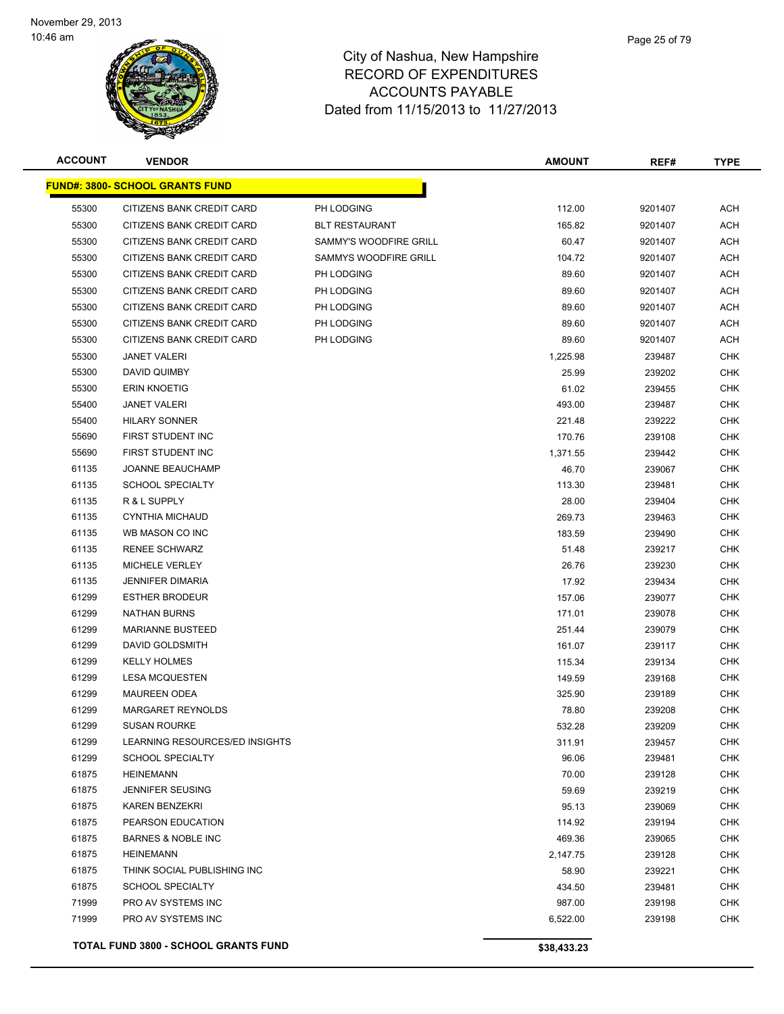| <b>ACCOUNT</b> | <b>VENDOR</b>                               |                        | <b>AMOUNT</b> | REF#    | <b>TYPE</b> |
|----------------|---------------------------------------------|------------------------|---------------|---------|-------------|
|                | <u> FUND#: 3800- SCHOOL GRANTS FUND</u>     |                        |               |         |             |
| 55300          | CITIZENS BANK CREDIT CARD                   | PH LODGING             | 112.00        | 9201407 | ACH         |
| 55300          | CITIZENS BANK CREDIT CARD                   | <b>BLT RESTAURANT</b>  | 165.82        | 9201407 | ACH         |
| 55300          | CITIZENS BANK CREDIT CARD                   | SAMMY'S WOODFIRE GRILL | 60.47         | 9201407 | ACH         |
| 55300          | CITIZENS BANK CREDIT CARD                   | SAMMYS WOODFIRE GRILL  | 104.72        | 9201407 | ACH         |
| 55300          | CITIZENS BANK CREDIT CARD                   | PH LODGING             | 89.60         | 9201407 | ACH         |
| 55300          | CITIZENS BANK CREDIT CARD                   | PH LODGING             | 89.60         | 9201407 | ACH         |
| 55300          | <b>CITIZENS BANK CREDIT CARD</b>            | PH LODGING             | 89.60         | 9201407 | ACH         |
| 55300          | CITIZENS BANK CREDIT CARD                   | PH LODGING             | 89.60         | 9201407 | ACH         |
| 55300          | <b>CITIZENS BANK CREDIT CARD</b>            | PH LODGING             | 89.60         | 9201407 | ACH         |
| 55300          | <b>JANET VALERI</b>                         |                        | 1,225.98      | 239487  | CHK         |
| 55300          | DAVID QUIMBY                                |                        | 25.99         | 239202  | <b>CHK</b>  |
| 55300          | <b>ERIN KNOETIG</b>                         |                        | 61.02         | 239455  | <b>CHK</b>  |
| 55400          | <b>JANET VALERI</b>                         |                        | 493.00        | 239487  | <b>CHK</b>  |
| 55400          | <b>HILARY SONNER</b>                        |                        | 221.48        | 239222  | <b>CHK</b>  |
| 55690          | FIRST STUDENT INC                           |                        | 170.76        | 239108  | <b>CHK</b>  |
| 55690          | FIRST STUDENT INC                           |                        | 1,371.55      | 239442  | <b>CHK</b>  |
| 61135          | <b>JOANNE BEAUCHAMP</b>                     |                        | 46.70         | 239067  | <b>CHK</b>  |
| 61135          | <b>SCHOOL SPECIALTY</b>                     |                        | 113.30        | 239481  | CHK         |
| 61135          | R & L SUPPLY                                |                        | 28.00         | 239404  | <b>CHK</b>  |
| 61135          | <b>CYNTHIA MICHAUD</b>                      |                        | 269.73        | 239463  | <b>CHK</b>  |
| 61135          | WB MASON CO INC                             |                        | 183.59        | 239490  | <b>CHK</b>  |
| 61135          | <b>RENEE SCHWARZ</b>                        |                        | 51.48         | 239217  | CHK         |
| 61135          | MICHELE VERLEY                              |                        | 26.76         | 239230  | CHK         |
| 61135          | <b>JENNIFER DIMARIA</b>                     |                        | 17.92         | 239434  | CHK         |
| 61299          | <b>ESTHER BRODEUR</b>                       |                        | 157.06        | 239077  | CHK         |
| 61299          | <b>NATHAN BURNS</b>                         |                        | 171.01        | 239078  | <b>CHK</b>  |
| 61299          | <b>MARIANNE BUSTEED</b>                     |                        | 251.44        | 239079  | <b>CHK</b>  |
| 61299          | DAVID GOLDSMITH                             |                        | 161.07        | 239117  | CHK         |
| 61299          | <b>KELLY HOLMES</b>                         |                        | 115.34        | 239134  | CHK         |
| 61299          | <b>LESA MCQUESTEN</b>                       |                        | 149.59        | 239168  | <b>CHK</b>  |
| 61299          | <b>MAUREEN ODEA</b>                         |                        | 325.90        | 239189  | CHK         |
| 61299          | <b>MARGARET REYNOLDS</b>                    |                        | 78.80         | 239208  | CHK         |
| 61299          | <b>SUSAN ROURKE</b>                         |                        | 532.28        | 239209  | CHK         |
| 61299          | LEARNING RESOURCES/ED INSIGHTS              |                        | 311.91        | 239457  | CHK         |
| 61299          | <b>SCHOOL SPECIALTY</b>                     |                        | 96.06         | 239481  | <b>CHK</b>  |
| 61875          | <b>HEINEMANN</b>                            |                        | 70.00         | 239128  | CHK         |
| 61875          | <b>JENNIFER SEUSING</b>                     |                        | 59.69         | 239219  | <b>CHK</b>  |
| 61875          | <b>KAREN BENZEKRI</b>                       |                        | 95.13         | 239069  | <b>CHK</b>  |
| 61875          | PEARSON EDUCATION                           |                        | 114.92        | 239194  | CHK         |
| 61875          | <b>BARNES &amp; NOBLE INC</b>               |                        | 469.36        | 239065  | CHK         |
| 61875          | HEINEMANN                                   |                        | 2,147.75      | 239128  | CHK         |
| 61875          | THINK SOCIAL PUBLISHING INC                 |                        | 58.90         | 239221  | CHK         |
| 61875          | <b>SCHOOL SPECIALTY</b>                     |                        | 434.50        | 239481  | <b>CHK</b>  |
| 71999          | PRO AV SYSTEMS INC                          |                        | 987.00        | 239198  | CHK         |
| 71999          | PRO AV SYSTEMS INC                          |                        | 6,522.00      | 239198  | CHK         |
|                |                                             |                        |               |         |             |
|                | <b>TOTAL FUND 3800 - SCHOOL GRANTS FUND</b> |                        | \$38,433.23   |         |             |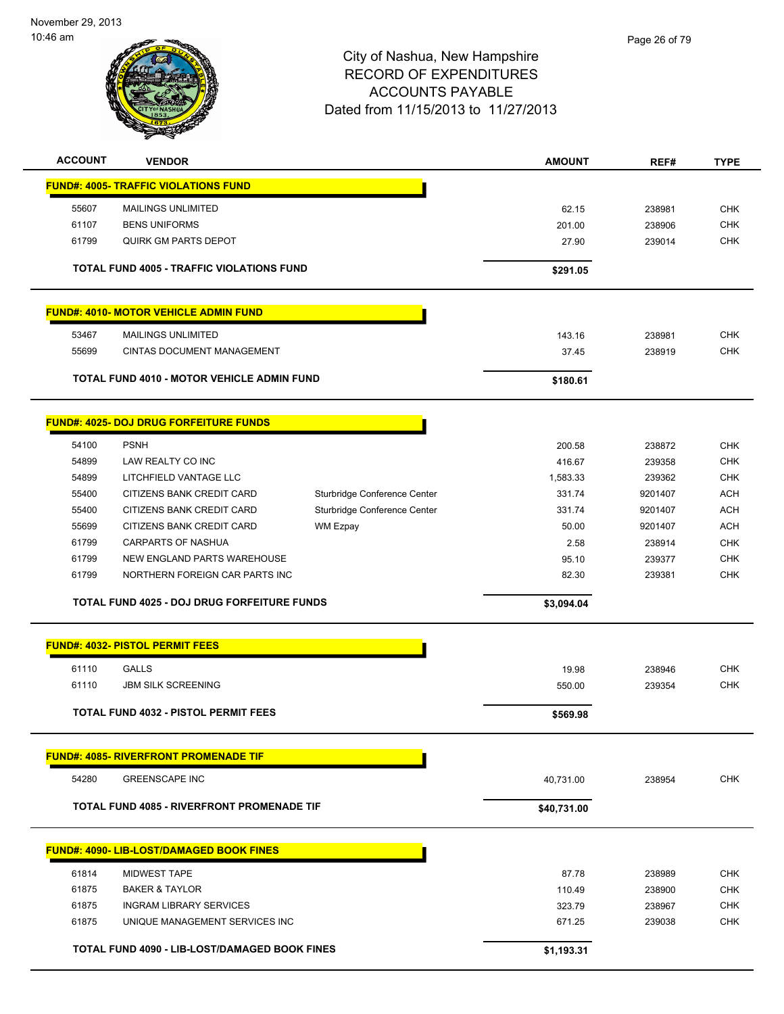# City of Nashua, New Hampshire RECORD OF EXPENDITURES ACCOUNTS PAYABLE Dated from 11/15/2013 to 11/27/2013 10:46 am **ACCOUNT VENDOR AMOUNT REF# TYPE FUND#: 4005- TRAFFIC VIOLATIONS FUND** 55607 MAILINGS UNLIMITED 62.15 238981 CHK 61107 BENS UNIFORMS 201.00 238906 CHK 61799 QUIRK GM PARTS DEPOT 27.90 239014 CHK **TOTAL FUND 4005 - TRAFFIC VIOLATIONS FUND <b>S291.05 \$291.05 FUND#: 4010- MOTOR VEHICLE ADMIN FUND** 53467 MAILINGS UNLIMITED 143.16 238981 CHK 55699 CINTAS DOCUMENT MANAGEMENT 37.45 238919 CHK **TOTAL FUND 4010 - MOTOR VEHICLE ADMIN FUND <b>S180.61 \$180.61 FUND#: 4025- DOJ DRUG FORFEITURE FUNDS** 54100 PSNH 200.58 238872 CHK 54899 LAW REALTY CO INC 416.67 239358 CHK of the state of the state of the state of the state of the state of the state of the state of the state of the state of the state of the state of the state of the state of the state of the state of the state of the state o 55400 CITIZENS BANK CREDIT CARD Sturbridge Conference Center 331.74 9201407 ACH 55400 CITIZENS BANK CREDIT CARD Sturbridge Conference Center 331.74 9201407 ACH 55699 CITIZENS BANK CREDIT CARD WM Ezpay 50.00 9201407 ACH Page 26 of 79

 61799 CARPARTS OF NASHUA 2.58 238914 CHK 61799 NEW ENGLAND PARTS WAREHOUSE 95.10 239377 CHK 61799 NORTHERN FOREIGN CAR PARTS INC 82.30 239381 CHK

 61110 GALLS 19.98 238946 CHK 61110 JBM SILK SCREENING 550.00 239354 CHK

**TOTAL FUND 4025 - DOJ DRUG FORFEITURE FUNDS \$3,094.04** 

**TOTAL FUND 4032 - PISTOL PERMIT FEES \$569.98** 

**FUND#: 4085- RIVERFRONT PROMENADE TIF**

54280 GREENSCAPE INC 40,731.00 238954 CHK

**FUND#: 4032- PISTOL PERMIT FEES**

**TOTAL FUND 4085 - RIVERFRONT PROMENADE TIF \$40,731.00** 

|       | <b>FUND#: 4090- LIB-LOST/DAMAGED BOOK FINES</b>      |            |        |            |
|-------|------------------------------------------------------|------------|--------|------------|
| 61814 | MIDWEST TAPE                                         | 87.78      | 238989 | <b>CHK</b> |
| 61875 | <b>BAKER &amp; TAYLOR</b>                            | 110.49     | 238900 | <b>CHK</b> |
| 61875 | INGRAM LIBRARY SERVICES                              | 323.79     | 238967 | <b>CHK</b> |
| 61875 | UNIQUE MANAGEMENT SERVICES INC                       | 671.25     | 239038 | <b>CHK</b> |
|       | <b>TOTAL FUND 4090 - LIB-LOST/DAMAGED BOOK FINES</b> | \$1,193.31 |        |            |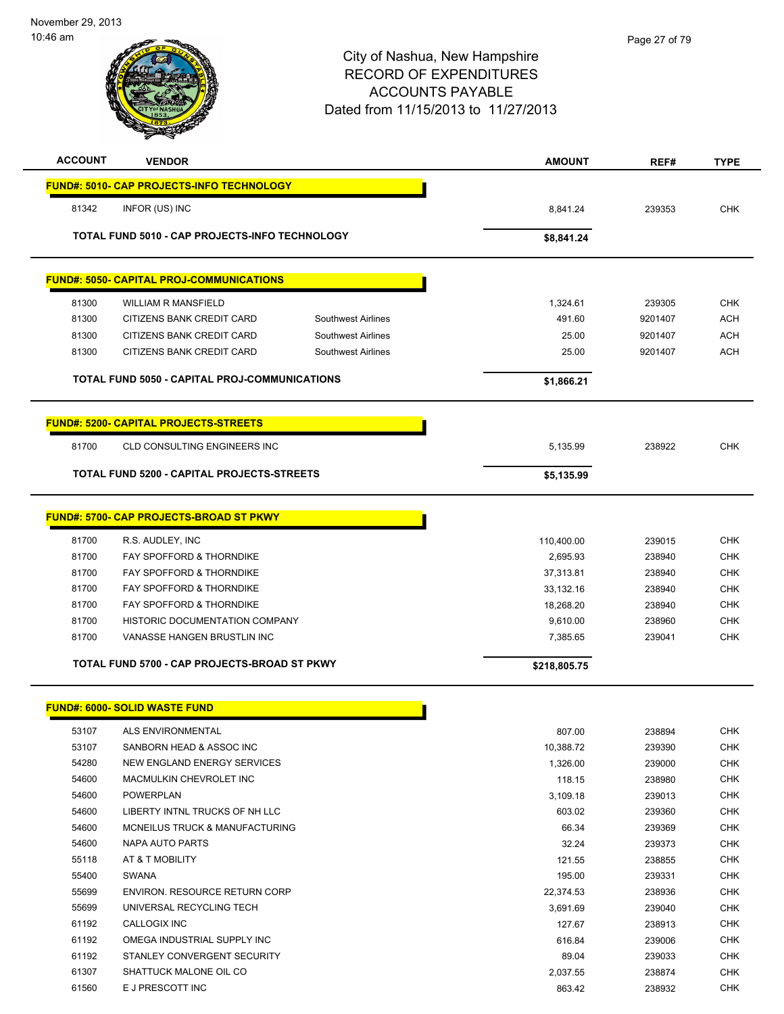# City of Nashua, New Hampshire RECORD OF EXPENDITURES ACCOUNTS PAYABLE Dated from 11/15/2013 to 11/27/2013 **ACCOUNT VENDOR AMOUNT REF# TYPE FUND#: 5010- CAP PROJECTS-INFO TECHNOLOGY** 81342 INFOR (US) INC 8,841.24 239353 CHK

**TOTAL FUND 5010 - CAP PROJECTS-INFO TECHNOLOGY \$8,841.24** 

# **FUND#: 5050- CAPITAL PROJ-COMMUNICATIONS**

|       | <b>TOTAL FUND 5050 - CAPITAL PROJ-COMMUNICATIONS</b> |                    | \$1,866.21 |         |            |
|-------|------------------------------------------------------|--------------------|------------|---------|------------|
| 81300 | CITIZENS BANK CREDIT CARD                            | Southwest Airlines | 25.00      | 9201407 | ACH        |
| 81300 | CITIZENS BANK CREDIT CARD                            | Southwest Airlines | 25.00      | 9201407 | ACH        |
| 81300 | CITIZENS BANK CREDIT CARD                            | Southwest Airlines | 491.60     | 9201407 | ACH        |
| 81300 | WILLIAM R MANSFIELD                                  |                    | 1,324.61   | 239305  | <b>CHK</b> |

# **FUND#: 5200- CAPITAL PROJECTS-STREETS**

| 81700<br>CLD CONSULTING ENGINEERS INC             | 5.135.99   | 238922 | СНК |
|---------------------------------------------------|------------|--------|-----|
| <b>TOTAL FUND 5200 - CAPITAL PROJECTS-STREETS</b> | \$5,135.99 |        |     |

# **FUND#: 5700- CAP PROJECTS-BROAD ST PKWY** 81700 R.S. AUDLEY, INC 110,400.00 239015 CHK 81700 FAY SPOFFORD & THORNDIKE 2,695.93 238940 CHK 81700 FAY SPOFFORD & THORNDIKE A SAME SERIES AND RESERVE THE STATE STATE STATE STATE STATE STATE STATE STATE S 81700 FAY SPOFFORD & THORNDIKE A SAME ASSESSED A STRAIGHT AND RESIDENCE A STRAIGHT AND RESIDENCE A STRAIGHT AN 81700 FAY SPOFFORD & THORNDIKE **18,268.20** 18,268.20 238940 CHK 81700 HISTORIC DOCUMENTATION COMPANY COMPANY COMPANY CHANGER CHANGER AND RESERVE THE SERVER OF STREET AND RESERVE 81700 VANASSE HANGEN BRUSTLIN INC 7,385.65 239041 CHK **TOTAL FUND 5700 - CAP PROJECTS-BROAD ST PKWY \$218,805.75**

|       | <b>FUND#: 6000- SOLID WASTE FUND</b> |           |
|-------|--------------------------------------|-----------|
| 53107 | ALS ENVIRONMENTAL                    | 807.00    |
| 53107 | SANBORN HEAD & ASSOC INC             | 10,388.72 |
| 54280 | NEW ENGLAND ENERGY SERVICES          | 1,326.00  |
| 54600 | MACMULKIN CHEVROLET INC              | 118.15    |
| 54600 | <b>POWERPLAN</b>                     | 3,109.18  |
| 54600 | LIBERTY INTNL TRUCKS OF NH LLC       | 603.02    |
| 54600 | MCNEILUS TRUCK & MANUFACTURING       | 66.34     |
| 54600 | NAPA AUTO PARTS                      | 32.24     |
| 55118 | AT & T MOBILITY                      | 121.55    |
| 55400 | <b>SWANA</b>                         | 195.00    |
| 55699 | ENVIRON, RESOURCE RETURN CORP        | 22,374.53 |
| 55699 | UNIVERSAL RECYCLING TECH             | 3,691.69  |
| 61192 | <b>CALLOGIX INC</b>                  | 127.67    |
| 61192 | OMEGA INDUSTRIAL SUPPLY INC          | 616.84    |
| 61192 | STANLEY CONVERGENT SECURITY          | 89.04     |
| 61307 | SHATTUCK MALONE OIL CO               | 2,037.55  |
| 61560 | E J PRESCOTT INC                     | 863.42    |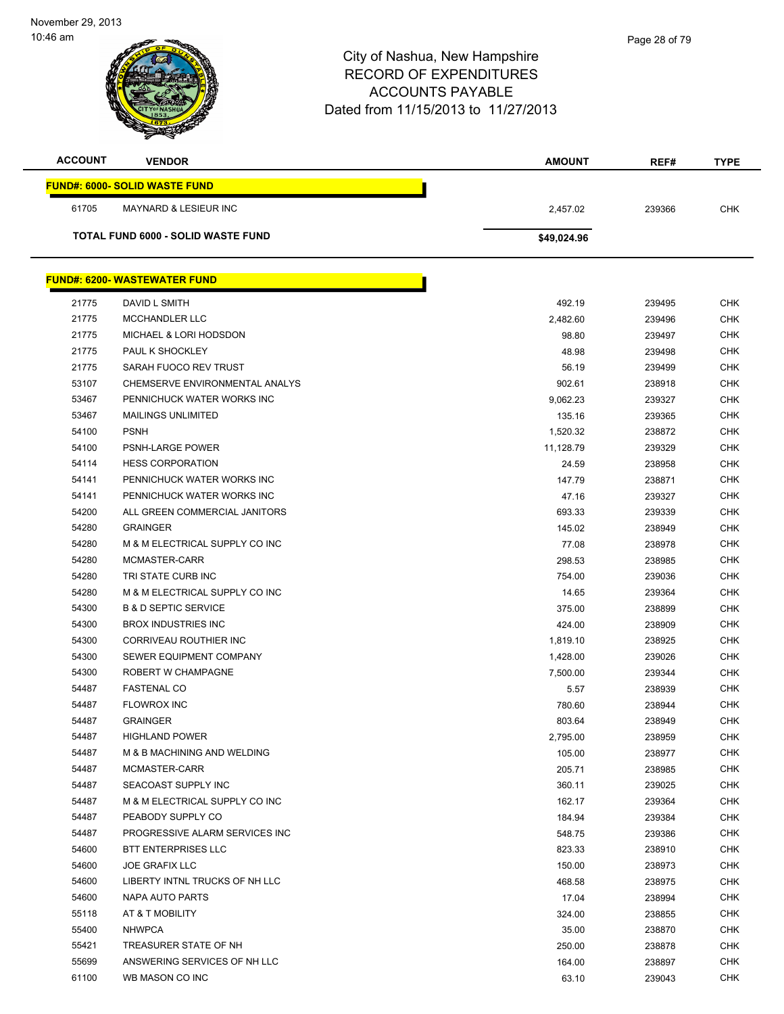| <b>ACCOUNT</b> | <b>VENDOR</b>                             | <b>AMOUNT</b> | REF#   | <b>TYPE</b> |
|----------------|-------------------------------------------|---------------|--------|-------------|
|                | <b>FUND#: 6000- SOLID WASTE FUND</b>      |               |        |             |
| 61705          | <b>MAYNARD &amp; LESIEUR INC</b>          | 2,457.02      | 239366 | <b>CHK</b>  |
|                | <b>TOTAL FUND 6000 - SOLID WASTE FUND</b> | \$49,024.96   |        |             |
|                |                                           |               |        |             |
|                | <b>FUND#: 6200- WASTEWATER FUND</b>       |               |        |             |
| 21775          | DAVID L SMITH                             | 492.19        | 239495 | <b>CHK</b>  |
| 21775          | <b>MCCHANDLER LLC</b>                     | 2,482.60      | 239496 | <b>CHK</b>  |
| 21775          | MICHAEL & LORI HODSDON                    | 98.80         | 239497 | <b>CHK</b>  |
| 21775          | PAUL K SHOCKLEY                           | 48.98         | 239498 | <b>CHK</b>  |
| 21775          | SARAH FUOCO REV TRUST                     | 56.19         | 239499 | <b>CHK</b>  |
| 53107          | CHEMSERVE ENVIRONMENTAL ANALYS            | 902.61        | 238918 | <b>CHK</b>  |
| 53467          | PENNICHUCK WATER WORKS INC                | 9,062.23      | 239327 | <b>CHK</b>  |
| 53467          | <b>MAILINGS UNLIMITED</b>                 | 135.16        | 239365 | <b>CHK</b>  |
| 54100          | <b>PSNH</b>                               | 1,520.32      | 238872 | <b>CHK</b>  |
| 54100          | PSNH-LARGE POWER                          | 11,128.79     | 239329 | CHK         |
| 54114          | <b>HESS CORPORATION</b>                   | 24.59         | 238958 | <b>CHK</b>  |
| 54141          | PENNICHUCK WATER WORKS INC                | 147.79        | 238871 | <b>CHK</b>  |
| 54141          | PENNICHUCK WATER WORKS INC                | 47.16         | 239327 | <b>CHK</b>  |
| 54200          | ALL GREEN COMMERCIAL JANITORS             | 693.33        | 239339 | <b>CHK</b>  |
| 54280          | <b>GRAINGER</b>                           | 145.02        | 238949 | <b>CHK</b>  |
| 54280          | M & M ELECTRICAL SUPPLY CO INC            | 77.08         | 238978 | <b>CHK</b>  |
| 54280          | MCMASTER-CARR                             | 298.53        | 238985 | <b>CHK</b>  |
| 54280          | TRI STATE CURB INC                        | 754.00        | 239036 | <b>CHK</b>  |
| 54280          | M & M ELECTRICAL SUPPLY CO INC            | 14.65         | 239364 | <b>CHK</b>  |
| 54300          | <b>B &amp; D SEPTIC SERVICE</b>           | 375.00        | 238899 | <b>CHK</b>  |
| 54300          | <b>BROX INDUSTRIES INC</b>                | 424.00        | 238909 | <b>CHK</b>  |
| 54300          | CORRIVEAU ROUTHIER INC                    | 1,819.10      | 238925 | <b>CHK</b>  |
| 54300          | SEWER EQUIPMENT COMPANY                   | 1,428.00      | 239026 | <b>CHK</b>  |
| 54300          | ROBERT W CHAMPAGNE                        | 7,500.00      | 239344 | <b>CHK</b>  |
| 54487          | <b>FASTENAL CO</b>                        | 5.57          | 238939 | <b>CHK</b>  |
| 54487          | <b>FLOWROX INC</b>                        | 780.60        | 238944 | <b>CHK</b>  |
| 54487          | <b>GRAINGER</b>                           | 803.64        | 238949 | CHK         |
| 54487          | <b>HIGHLAND POWER</b>                     | 2,795.00      | 238959 | <b>CHK</b>  |
| 54487          | M & B MACHINING AND WELDING               | 105.00        | 238977 | <b>CHK</b>  |
| 54487          | MCMASTER-CARR                             | 205.71        | 238985 | <b>CHK</b>  |
| 54487          | SEACOAST SUPPLY INC                       | 360.11        | 239025 | <b>CHK</b>  |
| 54487          | M & M ELECTRICAL SUPPLY CO INC            | 162.17        | 239364 | CHK         |
| 54487          | PEABODY SUPPLY CO                         | 184.94        | 239384 | <b>CHK</b>  |
| 54487          | PROGRESSIVE ALARM SERVICES INC            | 548.75        | 239386 | <b>CHK</b>  |
| 54600          | <b>BTT ENTERPRISES LLC</b>                | 823.33        | 238910 | <b>CHK</b>  |
| 54600          | <b>JOE GRAFIX LLC</b>                     | 150.00        | 238973 | <b>CHK</b>  |
| 54600          | LIBERTY INTNL TRUCKS OF NH LLC            | 468.58        | 238975 | <b>CHK</b>  |
| 54600          | NAPA AUTO PARTS                           | 17.04         | 238994 | <b>CHK</b>  |
| 55118          | AT & T MOBILITY                           | 324.00        | 238855 | <b>CHK</b>  |
| 55400          | <b>NHWPCA</b>                             | 35.00         | 238870 | <b>CHK</b>  |
| 55421          | TREASURER STATE OF NH                     | 250.00        | 238878 | <b>CHK</b>  |
| 55699          | ANSWERING SERVICES OF NH LLC              | 164.00        | 238897 | <b>CHK</b>  |
| 61100          | WB MASON CO INC                           | 63.10         | 239043 | <b>CHK</b>  |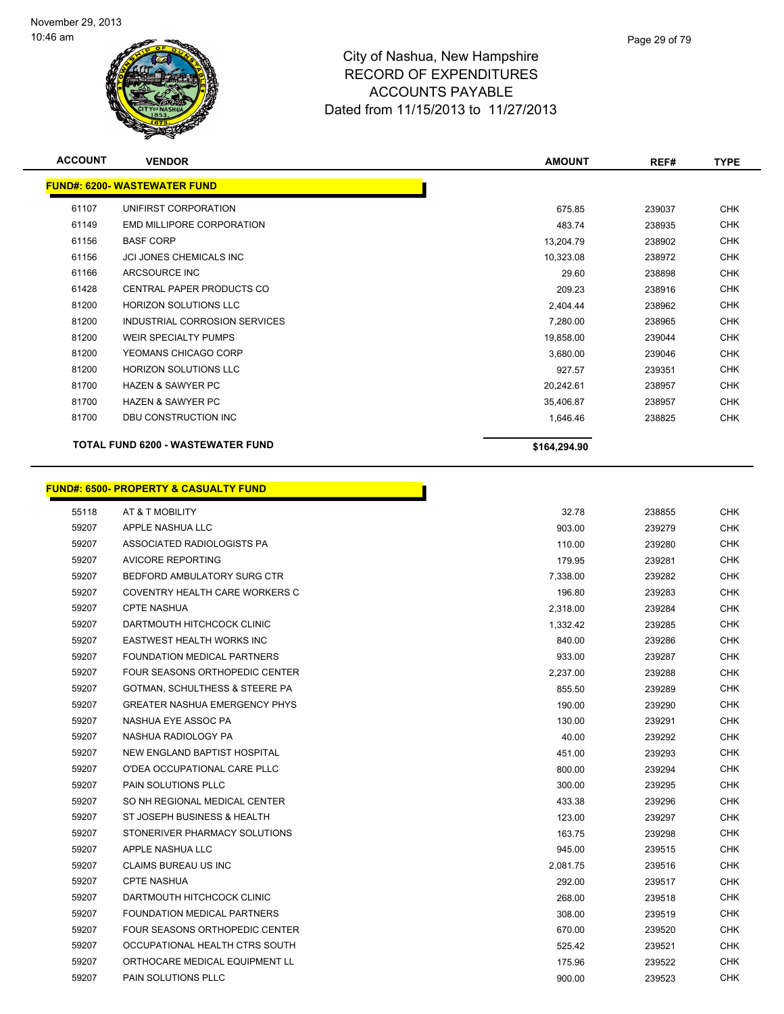

| <b>ACCOUNT</b> | <b>VENDOR</b>                       | <b>AMOUNT</b> | REF#   | <b>TYPE</b> |
|----------------|-------------------------------------|---------------|--------|-------------|
|                | <b>FUND#: 6200- WASTEWATER FUND</b> |               |        |             |
| 61107          | UNIFIRST CORPORATION                | 675.85        | 239037 | <b>CHK</b>  |
| 61149          | EMD MILLIPORE CORPORATION           | 483.74        | 238935 | CHK         |
| 61156          | <b>BASF CORP</b>                    | 13,204.79     | 238902 | CHK         |
| 61156          | JCI JONES CHEMICALS INC             | 10,323.08     | 238972 | <b>CHK</b>  |
| 61166          | ARCSOURCE INC                       | 29.60         | 238898 | CHK         |
| 61428          | <b>CENTRAL PAPER PRODUCTS CO</b>    | 209.23        | 238916 | <b>CHK</b>  |
| 81200          | <b>HORIZON SOLUTIONS LLC</b>        | 2,404.44      | 238962 | CHK         |
| 81200          | INDUSTRIAL CORROSION SERVICES       | 7,280.00      | 238965 | <b>CHK</b>  |
| 81200          | <b>WEIR SPECIALTY PUMPS</b>         | 19,858.00     | 239044 | CHK         |
| 81200          | YEOMANS CHICAGO CORP                | 3,680.00      | 239046 | CHK         |
| 81200          | <b>HORIZON SOLUTIONS LLC</b>        | 927.57        | 239351 | CHK         |
| 81700          | <b>HAZEN &amp; SAWYER PC</b>        | 20,242.61     | 238957 | <b>CHK</b>  |
| 81700          | <b>HAZEN &amp; SAWYER PC</b>        | 35,406.87     | 238957 | CHK         |
| 81700          | DBU CONSTRUCTION INC                | 1,646.46      | 238825 | <b>CHK</b>  |
|                | TOTAL FUND 6200 - WASTEWATER FUND   | \$164,294.90  |        |             |

|       | <b>FUND#: 6500- PROPERTY &amp; CASUALTY FUND</b> |          |        |            |
|-------|--------------------------------------------------|----------|--------|------------|
| 55118 | AT & T MOBILITY                                  | 32.78    | 238855 | <b>CHK</b> |
| 59207 | APPLE NASHUA LLC                                 | 903.00   | 239279 | <b>CHK</b> |
| 59207 | ASSOCIATED RADIOLOGISTS PA                       | 110.00   | 239280 | <b>CHK</b> |
| 59207 | AVICORE REPORTING                                | 179.95   | 239281 | <b>CHK</b> |
| 59207 | BEDFORD AMBULATORY SURG CTR                      | 7,338.00 | 239282 | <b>CHK</b> |
| 59207 | COVENTRY HEALTH CARE WORKERS C                   | 196.80   | 239283 | <b>CHK</b> |
| 59207 | <b>CPTE NASHUA</b>                               | 2,318.00 | 239284 | <b>CHK</b> |
| 59207 | DARTMOUTH HITCHCOCK CLINIC                       | 1,332.42 | 239285 | <b>CHK</b> |
| 59207 | <b>EASTWEST HEALTH WORKS INC</b>                 | 840.00   | 239286 | <b>CHK</b> |
| 59207 | <b>FOUNDATION MEDICAL PARTNERS</b>               | 933.00   | 239287 | <b>CHK</b> |
| 59207 | <b>FOUR SEASONS ORTHOPEDIC CENTER</b>            | 2,237.00 | 239288 | <b>CHK</b> |
| 59207 | <b>GOTMAN, SCHULTHESS &amp; STEERE PA</b>        | 855.50   | 239289 | <b>CHK</b> |
| 59207 | <b>GREATER NASHUA EMERGENCY PHYS</b>             | 190.00   | 239290 | <b>CHK</b> |
| 59207 | NASHUA EYE ASSOC PA                              | 130.00   | 239291 | <b>CHK</b> |
| 59207 | NASHUA RADIOLOGY PA                              | 40.00    | 239292 | <b>CHK</b> |
| 59207 | NEW ENGLAND BAPTIST HOSPITAL                     | 451.00   | 239293 | <b>CHK</b> |
| 59207 | O'DEA OCCUPATIONAL CARE PLLC                     | 800.00   | 239294 | <b>CHK</b> |
| 59207 | <b>PAIN SOLUTIONS PLLC</b>                       | 300.00   | 239295 | <b>CHK</b> |
| 59207 | SO NH REGIONAL MEDICAL CENTER                    | 433.38   | 239296 | <b>CHK</b> |
| 59207 | ST JOSEPH BUSINESS & HEALTH                      | 123.00   | 239297 | <b>CHK</b> |
| 59207 | STONERIVER PHARMACY SOLUTIONS                    | 163.75   | 239298 | <b>CHK</b> |
| 59207 | APPLE NASHUA LLC                                 | 945.00   | 239515 | <b>CHK</b> |
| 59207 | <b>CLAIMS BUREAU US INC</b>                      | 2,081.75 | 239516 | <b>CHK</b> |
| 59207 | <b>CPTE NASHUA</b>                               | 292.00   | 239517 | <b>CHK</b> |
| 59207 | DARTMOUTH HITCHCOCK CLINIC                       | 268.00   | 239518 | <b>CHK</b> |
| 59207 | <b>FOUNDATION MEDICAL PARTNERS</b>               | 308.00   | 239519 | <b>CHK</b> |
| 59207 | FOUR SEASONS ORTHOPEDIC CENTER                   | 670.00   | 239520 | <b>CHK</b> |
| 59207 | OCCUPATIONAL HEALTH CTRS SOUTH                   | 525.42   | 239521 | <b>CHK</b> |
| 59207 | ORTHOCARE MEDICAL EQUIPMENT LL                   | 175.96   | 239522 | CHK        |
| 59207 | <b>PAIN SOLUTIONS PLLC</b>                       | 900.00   | 239523 | <b>CHK</b> |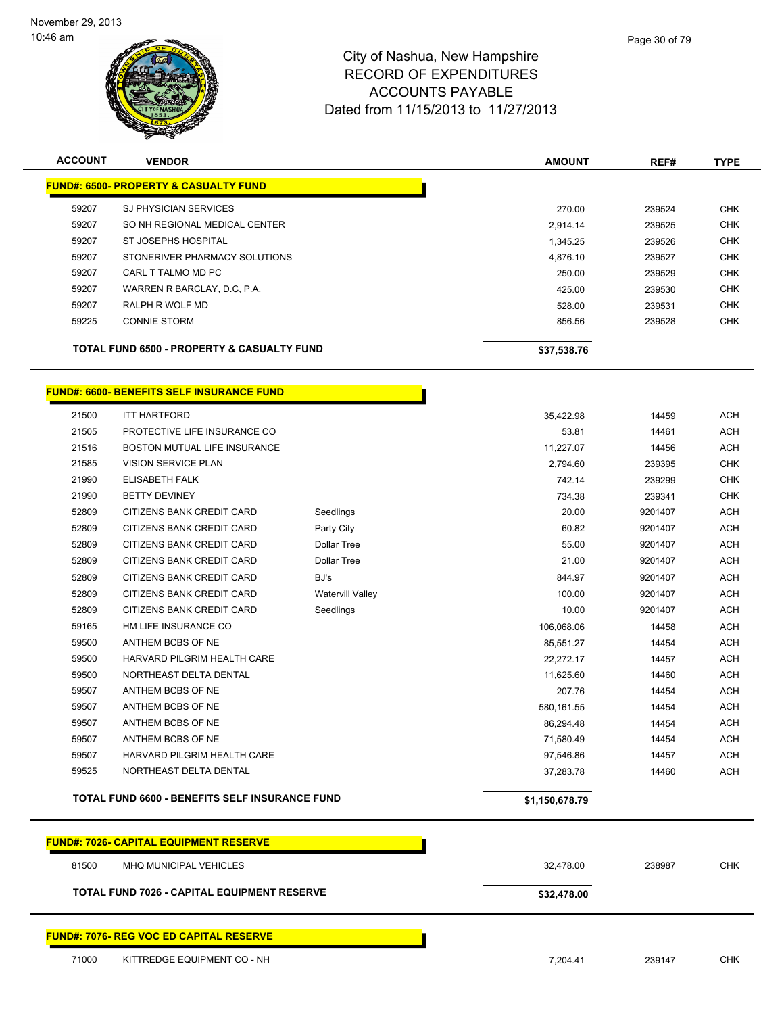

| <b>ACCOUNT</b> | <b>VENDOR</b>                                         | <b>AMOUNT</b> | REF#   | <b>TYPE</b> |
|----------------|-------------------------------------------------------|---------------|--------|-------------|
|                | <b>FUND#: 6500- PROPERTY &amp; CASUALTY FUND</b>      |               |        |             |
| 59207          | <b>SJ PHYSICIAN SERVICES</b>                          | 270.00        | 239524 | <b>CHK</b>  |
| 59207          | SO NH REGIONAL MEDICAL CENTER                         | 2,914.14      | 239525 | <b>CHK</b>  |
| 59207          | ST JOSEPHS HOSPITAL                                   | 1,345.25      | 239526 | <b>CHK</b>  |
| 59207          | STONERIVER PHARMACY SOLUTIONS                         | 4,876.10      | 239527 | <b>CHK</b>  |
| 59207          | CARL T TALMO MD PC                                    | 250.00        | 239529 | <b>CHK</b>  |
| 59207          | WARREN R BARCLAY, D.C. P.A.                           | 425.00        | 239530 | <b>CHK</b>  |
| 59207          | RALPH R WOLF MD                                       | 528.00        | 239531 | <b>CHK</b>  |
| 59225          | <b>CONNIE STORM</b>                                   | 856.56        | 239528 | <b>CHK</b>  |
|                | <b>TOTAL FUND 6500 - PROPERTY &amp; CASUALTY FUND</b> | \$37,538.76   |        |             |

## **FUND#: 6600- BENEFITS SELF INSURANCE FUND**

|       | TOTAL FUND 6600 - BENEFITS SELF INSURANCE FUND |                         | \$1,150,678.79 |         |            |
|-------|------------------------------------------------|-------------------------|----------------|---------|------------|
| 59525 | NORTHEAST DELTA DENTAL                         |                         | 37,283.78      | 14460   | <b>ACH</b> |
| 59507 | HARVARD PILGRIM HEALTH CARE                    |                         | 97,546.86      | 14457   | <b>ACH</b> |
| 59507 | ANTHEM BCBS OF NE                              |                         | 71,580.49      | 14454   | <b>ACH</b> |
| 59507 | ANTHEM BCBS OF NE                              |                         | 86,294.48      | 14454   | <b>ACH</b> |
| 59507 | ANTHEM BCBS OF NE                              |                         | 580,161.55     | 14454   | <b>ACH</b> |
| 59507 | ANTHEM BCBS OF NE                              |                         | 207.76         | 14454   | <b>ACH</b> |
| 59500 | NORTHEAST DELTA DENTAL                         |                         | 11,625.60      | 14460   | <b>ACH</b> |
| 59500 | HARVARD PILGRIM HEALTH CARE                    |                         | 22,272.17      | 14457   | <b>ACH</b> |
| 59500 | ANTHEM BCBS OF NE                              |                         | 85,551.27      | 14454   | <b>ACH</b> |
| 59165 | HM LIFE INSURANCE CO                           |                         | 106.068.06     | 14458   | <b>ACH</b> |
| 52809 | CITIZENS BANK CREDIT CARD                      | Seedlings               | 10.00          | 9201407 | <b>ACH</b> |
| 52809 | CITIZENS BANK CREDIT CARD                      | <b>Watervill Valley</b> | 100.00         | 9201407 | <b>ACH</b> |
| 52809 | <b>CITIZENS BANK CREDIT CARD</b>               | BJ's                    | 844.97         | 9201407 | <b>ACH</b> |
| 52809 | CITIZENS BANK CREDIT CARD                      | <b>Dollar Tree</b>      | 21.00          | 9201407 | <b>ACH</b> |
| 52809 | <b>CITIZENS BANK CREDIT CARD</b>               | <b>Dollar Tree</b>      | 55.00          | 9201407 | <b>ACH</b> |
| 52809 | CITIZENS BANK CREDIT CARD                      | Party City              | 60.82          | 9201407 | <b>ACH</b> |
| 52809 | <b>CITIZENS BANK CREDIT CARD</b>               | Seedlings               | 20.00          | 9201407 | <b>ACH</b> |
| 21990 | <b>BETTY DEVINEY</b>                           |                         | 734.38         | 239341  | <b>CHK</b> |
| 21990 | <b>ELISABETH FALK</b>                          |                         | 742.14         | 239299  | <b>CHK</b> |
| 21585 | <b>VISION SERVICE PLAN</b>                     |                         | 2.794.60       | 239395  | <b>CHK</b> |
| 21516 | <b>BOSTON MUTUAL LIFE INSURANCE</b>            |                         | 11,227.07      | 14456   | <b>ACH</b> |
| 21505 | PROTECTIVE LIFE INSURANCE CO                   |                         | 53.81          | 14461   | <b>ACH</b> |
| 21500 | <b>ITT HARTFORD</b>                            |                         | 35.422.98      | 14459   | <b>ACH</b> |

|       | <b>FUND#: 7026- CAPITAL EQUIPMENT RESERVE</b>      |             |        |            |
|-------|----------------------------------------------------|-------------|--------|------------|
| 81500 | MHQ MUNICIPAL VEHICLES                             | 32,478.00   | 238987 | <b>CHK</b> |
|       | <b>TOTAL FUND 7026 - CAPITAL EQUIPMENT RESERVE</b> | \$32,478.00 |        |            |
|       | <b>FUND#: 7076- REG VOC ED CAPITAL RESERVE</b>     |             |        |            |
| 71000 | KITTREDGE EQUIPMENT CO - NH                        | 7.204.41    | 239147 | CHK        |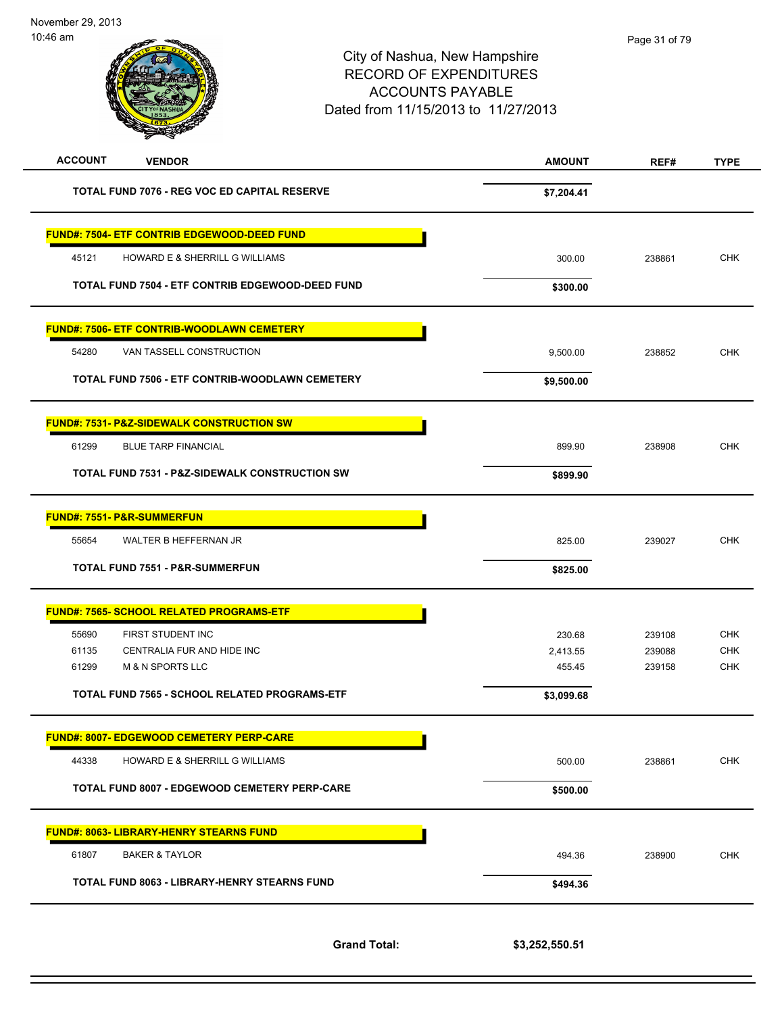-

| יייש שדי טו    |                                                           | City of Nashua, New Hampshire<br><b>RECORD OF EXPENDITURES</b><br><b>ACCOUNTS PAYABLE</b><br>Dated from 11/15/2013 to 11/27/2013 | Page 31 or 79    |                          |
|----------------|-----------------------------------------------------------|----------------------------------------------------------------------------------------------------------------------------------|------------------|--------------------------|
| <b>ACCOUNT</b> | <b>VENDOR</b>                                             | <b>AMOUNT</b>                                                                                                                    | REF#             | <b>TYPE</b>              |
|                | TOTAL FUND 7076 - REG VOC ED CAPITAL RESERVE              | \$7,204.41                                                                                                                       |                  |                          |
|                | <b>FUND#: 7504- ETF CONTRIB EDGEWOOD-DEED FUND</b>        |                                                                                                                                  |                  |                          |
| 45121          | HOWARD E & SHERRILL G WILLIAMS                            | 300.00                                                                                                                           | 238861           | <b>CHK</b>               |
|                | TOTAL FUND 7504 - ETF CONTRIB EDGEWOOD-DEED FUND          | \$300.00                                                                                                                         |                  |                          |
|                | <b>FUND#: 7506- ETF CONTRIB-WOODLAWN CEMETERY</b>         |                                                                                                                                  |                  |                          |
| 54280          | VAN TASSELL CONSTRUCTION                                  | 9,500.00                                                                                                                         | 238852           | <b>CHK</b>               |
|                | TOTAL FUND 7506 - ETF CONTRIB-WOODLAWN CEMETERY           | \$9,500.00                                                                                                                       |                  |                          |
|                | <u> FUND#: 7531- P&amp;Z-SIDEWALK CONSTRUCTION SW</u>     |                                                                                                                                  |                  |                          |
| 61299          | <b>BLUE TARP FINANCIAL</b>                                | 899.90                                                                                                                           | 238908           | <b>CHK</b>               |
|                | <b>TOTAL FUND 7531 - P&amp;Z-SIDEWALK CONSTRUCTION SW</b> | \$899.90                                                                                                                         |                  |                          |
|                | <b>FUND#: 7551- P&amp;R-SUMMERFUN</b>                     |                                                                                                                                  |                  |                          |
| 55654          | WALTER B HEFFERNAN JR                                     | 825.00                                                                                                                           | 239027           | <b>CHK</b>               |
|                | <b>TOTAL FUND 7551 - P&amp;R-SUMMERFUN</b>                | \$825.00                                                                                                                         |                  |                          |
|                | <u> FUND#: 7565- SCHOOL RELATED PROGRAMS-ETF</u>          |                                                                                                                                  |                  |                          |
| 55690          | FIRST STUDENT INC                                         | 230.68                                                                                                                           | 239108           | <b>CHK</b>               |
| 61135<br>61299 | CENTRALIA FUR AND HIDE INC<br><b>M &amp; N SPORTS LLC</b> | 2,413.55<br>455.45                                                                                                               | 239088<br>239158 | <b>CHK</b><br><b>CHK</b> |
|                | TOTAL FUND 7565 - SCHOOL RELATED PROGRAMS-ETF             | \$3,099.68                                                                                                                       |                  |                          |
|                | <b>FUND#: 8007- EDGEWOOD CEMETERY PERP-CARE</b>           |                                                                                                                                  |                  |                          |
| 44338          | HOWARD E & SHERRILL G WILLIAMS                            | 500.00                                                                                                                           | 238861           | <b>CHK</b>               |
|                | TOTAL FUND 8007 - EDGEWOOD CEMETERY PERP-CARE             | \$500.00                                                                                                                         |                  |                          |
|                | <b>FUND#: 8063- LIBRARY-HENRY STEARNS FUND</b>            |                                                                                                                                  |                  |                          |
| 61807          | <b>BAKER &amp; TAYLOR</b>                                 | 494.36                                                                                                                           | 238900           | <b>CHK</b>               |
|                | TOTAL FUND 8063 - LIBRARY-HENRY STEARNS FUND              | \$494.36                                                                                                                         |                  |                          |
|                |                                                           |                                                                                                                                  |                  |                          |

**Grand Total: \$3,252,550.51**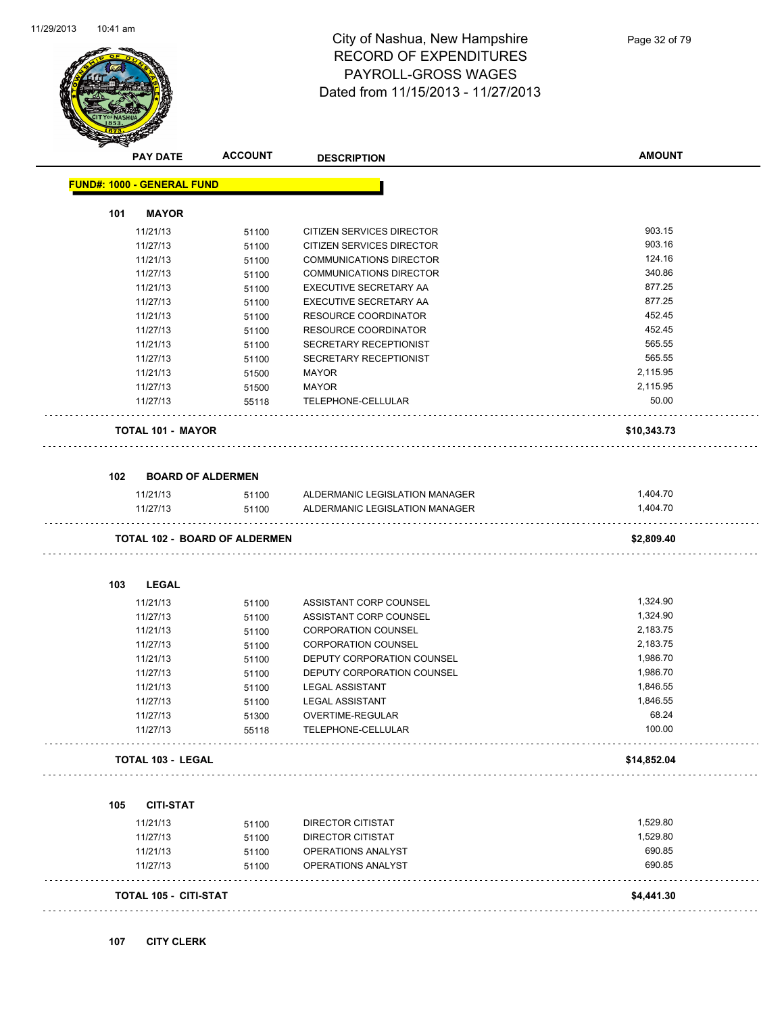

|     | <b>PAY DATE</b>                   | <b>ACCOUNT</b>                       | <b>DESCRIPTION</b>             | <b>AMOUNT</b> |
|-----|-----------------------------------|--------------------------------------|--------------------------------|---------------|
|     | <b>FUND#: 1000 - GENERAL FUND</b> |                                      |                                |               |
| 101 | <b>MAYOR</b>                      |                                      |                                |               |
|     | 11/21/13                          | 51100                                | CITIZEN SERVICES DIRECTOR      | 903.15        |
|     | 11/27/13                          | 51100                                | CITIZEN SERVICES DIRECTOR      | 903.16        |
|     | 11/21/13                          | 51100                                | <b>COMMUNICATIONS DIRECTOR</b> | 124.16        |
|     | 11/27/13                          | 51100                                | COMMUNICATIONS DIRECTOR        | 340.86        |
|     | 11/21/13                          | 51100                                | EXECUTIVE SECRETARY AA         | 877.25        |
|     | 11/27/13                          | 51100                                | EXECUTIVE SECRETARY AA         | 877.25        |
|     | 11/21/13                          | 51100                                | RESOURCE COORDINATOR           | 452.45        |
|     | 11/27/13                          | 51100                                | RESOURCE COORDINATOR           | 452.45        |
|     | 11/21/13                          | 51100                                | SECRETARY RECEPTIONIST         | 565.55        |
|     | 11/27/13                          | 51100                                | SECRETARY RECEPTIONIST         | 565.55        |
|     | 11/21/13                          | 51500                                | MAYOR                          | 2,115.95      |
|     | 11/27/13                          | 51500                                | MAYOR                          | 2,115.95      |
|     | 11/27/13                          | 55118                                | TELEPHONE-CELLULAR             | 50.00         |
|     | <b>TOTAL 101 - MAYOR</b>          |                                      |                                | \$10,343.73   |
| 102 | <b>BOARD OF ALDERMEN</b>          |                                      |                                |               |
|     | 11/21/13                          | 51100                                | ALDERMANIC LEGISLATION MANAGER | 1,404.70      |
|     | 11/27/13                          | 51100                                | ALDERMANIC LEGISLATION MANAGER | 1,404.70      |
|     |                                   | <b>TOTAL 102 - BOARD OF ALDERMEN</b> |                                | \$2,809.40    |
| 103 | <b>LEGAL</b>                      |                                      |                                |               |
|     | 11/21/13                          | 51100                                | ASSISTANT CORP COUNSEL         | 1,324.90      |
|     | 11/27/13                          | 51100                                | ASSISTANT CORP COUNSEL         | 1,324.90      |
|     | 11/21/13                          | 51100                                | <b>CORPORATION COUNSEL</b>     | 2,183.75      |
|     | 11/27/13                          | 51100                                | <b>CORPORATION COUNSEL</b>     | 2,183.75      |
|     | 11/21/13                          | 51100                                | DEPUTY CORPORATION COUNSEL     | 1,986.70      |
|     | 11/27/13                          | 51100                                | DEPUTY CORPORATION COUNSEL     | 1,986.70      |
|     | 11/21/13                          | 51100                                | <b>LEGAL ASSISTANT</b>         | 1,846.55      |
|     | 11/27/13                          | 51100                                | <b>LEGAL ASSISTANT</b>         | 1,846.55      |
|     | 11/27/13                          | 51300                                | OVERTIME-REGULAR               | 68.24         |
|     | 11/27/13                          | 55118                                | TELEPHONE-CELLULAR             | 100.00        |
|     | <b>TOTAL 103 - LEGAL</b>          |                                      |                                | \$14,852.04   |
|     |                                   |                                      |                                |               |
| 105 | <b>CITI-STAT</b>                  |                                      |                                |               |
|     | 11/21/13                          | 51100                                | DIRECTOR CITISTAT              | 1,529.80      |
|     | 11/27/13                          | 51100                                | DIRECTOR CITISTAT              | 1,529.80      |
|     | 11/21/13                          | 51100                                | OPERATIONS ANALYST             | 690.85        |
|     | 11/27/13                          | 51100                                | OPERATIONS ANALYST             | 690.85        |
|     | TOTAL 105 - CITI-STAT             |                                      |                                | \$4,441.30    |
|     |                                   |                                      |                                |               |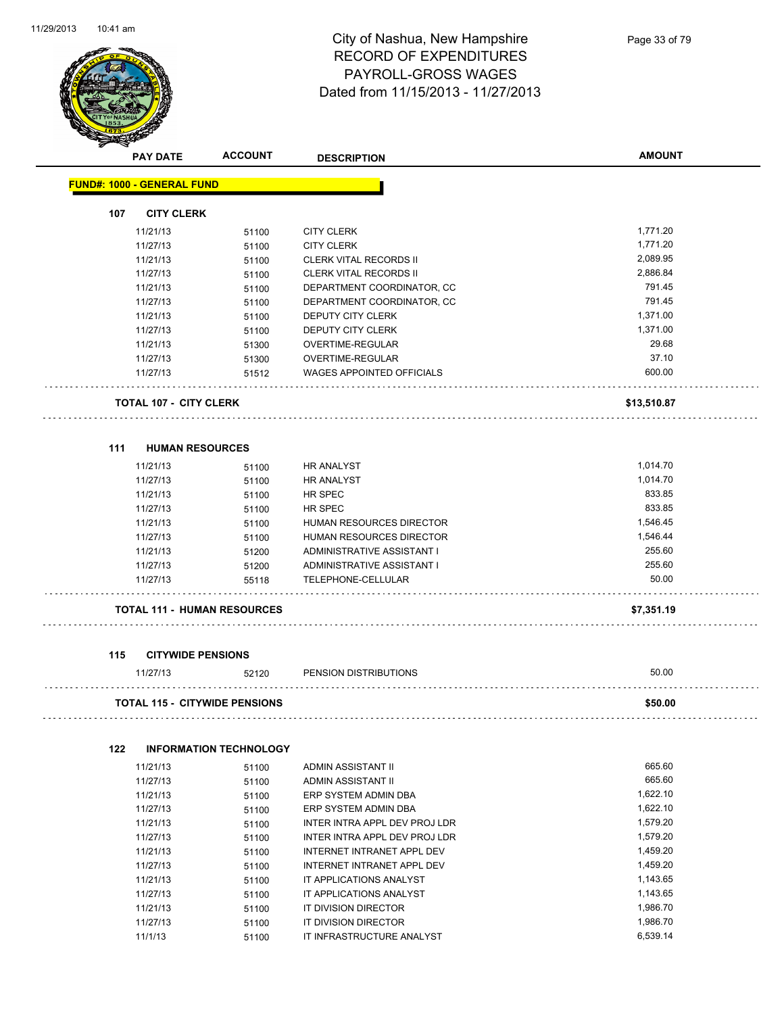

| <b>PAY DATE</b>                   | <b>ACCOUNT</b>                       | <b>DESCRIPTION</b>               | <b>AMOUNT</b> |
|-----------------------------------|--------------------------------------|----------------------------------|---------------|
| <b>FUND#: 1000 - GENERAL FUND</b> |                                      |                                  |               |
| 107<br><b>CITY CLERK</b>          |                                      |                                  |               |
| 11/21/13                          | 51100                                | <b>CITY CLERK</b>                | 1,771.20      |
| 11/27/13                          | 51100                                | <b>CITY CLERK</b>                | 1,771.20      |
| 11/21/13                          | 51100                                | <b>CLERK VITAL RECORDS II</b>    | 2,089.95      |
| 11/27/13                          | 51100                                | <b>CLERK VITAL RECORDS II</b>    | 2,886.84      |
| 11/21/13                          | 51100                                | DEPARTMENT COORDINATOR, CC       | 791.45        |
| 11/27/13                          | 51100                                | DEPARTMENT COORDINATOR, CC       | 791.45        |
| 11/21/13                          | 51100                                | DEPUTY CITY CLERK                | 1,371.00      |
| 11/27/13                          | 51100                                | DEPUTY CITY CLERK                | 1,371.00      |
| 11/21/13                          | 51300                                | OVERTIME-REGULAR                 | 29.68         |
| 11/27/13                          | 51300                                | OVERTIME-REGULAR                 | 37.10         |
| 11/27/13                          | 51512                                | <b>WAGES APPOINTED OFFICIALS</b> | 600.00        |
| <b>TOTAL 107 - CITY CLERK</b>     |                                      |                                  | \$13,510.87   |
| 111                               | <b>HUMAN RESOURCES</b>               |                                  |               |
| 11/21/13                          | 51100                                | HR ANALYST                       | 1,014.70      |
| 11/27/13                          | 51100                                | <b>HR ANALYST</b>                | 1,014.70      |
| 11/21/13                          | 51100                                | HR SPEC                          | 833.85        |
| 11/27/13                          | 51100                                | HR SPEC                          | 833.85        |
| 11/21/13                          | 51100                                | HUMAN RESOURCES DIRECTOR         | 1,546.45      |
| 11/27/13                          | 51100                                | HUMAN RESOURCES DIRECTOR         | 1,546.44      |
| 11/21/13                          | 51200                                | ADMINISTRATIVE ASSISTANT I       | 255.60        |
| 11/27/13                          | 51200                                | ADMINISTRATIVE ASSISTANT I       | 255.60        |
| 11/27/13                          | 55118                                | TELEPHONE-CELLULAR               | 50.00         |
|                                   | <b>TOTAL 111 - HUMAN RESOURCES</b>   |                                  | \$7,351.19    |
|                                   |                                      |                                  |               |
| 115<br>11/27/13                   | <b>CITYWIDE PENSIONS</b><br>52120    | PENSION DISTRIBUTIONS            | 50.00         |
|                                   | <b>TOTAL 115 - CITYWIDE PENSIONS</b> |                                  | \$50.00       |
| 122                               | <b>INFORMATION TECHNOLOGY</b>        |                                  |               |
| 11/21/13                          | 51100                                | ADMIN ASSISTANT II               | 665.60        |
| 11/27/13                          | 51100                                | ADMIN ASSISTANT II               | 665.60        |
| 11/21/13                          | 51100                                | ERP SYSTEM ADMIN DBA             | 1,622.10      |
| 11/27/13                          | 51100                                | ERP SYSTEM ADMIN DBA             | 1,622.10      |
| 11/21/13                          | 51100                                | INTER INTRA APPL DEV PROJ LDR    | 1,579.20      |
| 11/27/13                          | 51100                                | INTER INTRA APPL DEV PROJ LDR    | 1,579.20      |
| 11/21/13                          | 51100                                | INTERNET INTRANET APPL DEV       | 1,459.20      |
| 11/27/13                          | 51100                                | INTERNET INTRANET APPL DEV       | 1,459.20      |
| 11/21/13                          | 51100                                | IT APPLICATIONS ANALYST          | 1,143.65      |
| 11/27/13                          | 51100                                | IT APPLICATIONS ANALYST          | 1,143.65      |
| 11/21/13                          | 51100                                | IT DIVISION DIRECTOR             | 1,986.70      |

11/27/13 51100 IT DIVISION DIRECTOR 1,986.70 11/1/13 51100 IT INFRASTRUCTURE ANALYST 6,539.14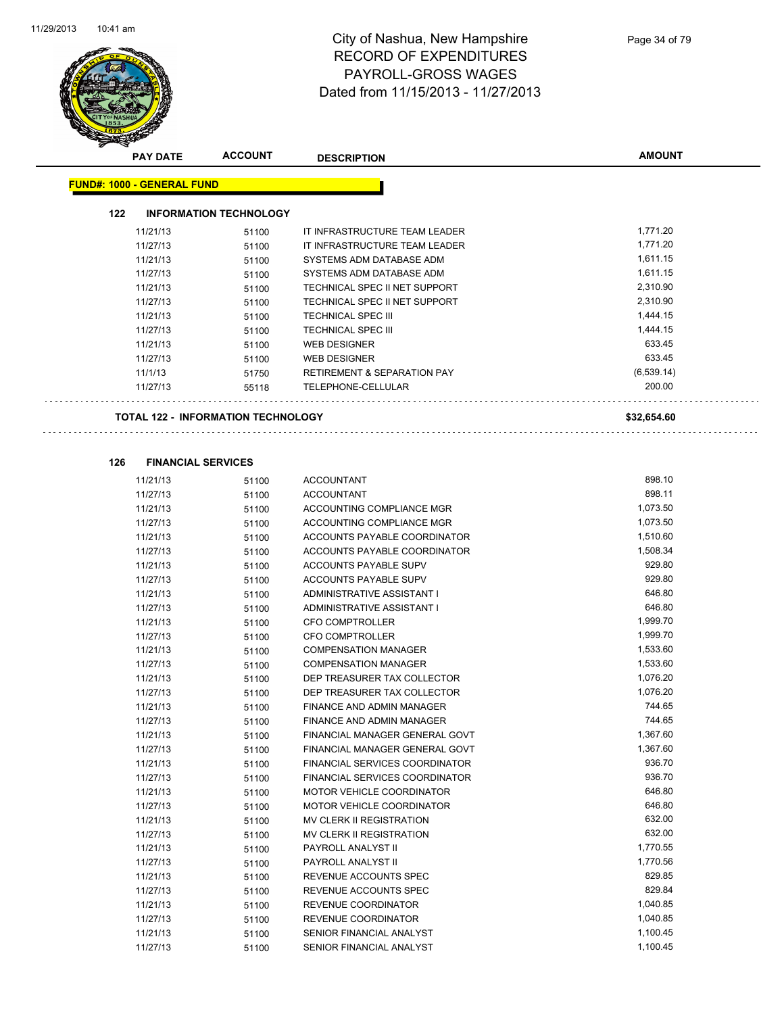

|     | <b>PAY DATE</b>                   | <b>ACCOUNT</b>                            | <b>DESCRIPTION</b>                                               | <b>AMOUNT</b>      |
|-----|-----------------------------------|-------------------------------------------|------------------------------------------------------------------|--------------------|
|     | <b>FUND#: 1000 - GENERAL FUND</b> |                                           |                                                                  |                    |
|     |                                   |                                           |                                                                  |                    |
| 122 |                                   | <b>INFORMATION TECHNOLOGY</b>             |                                                                  |                    |
|     | 11/21/13                          | 51100                                     | IT INFRASTRUCTURE TEAM LEADER                                    | 1,771.20           |
|     | 11/27/13                          | 51100                                     | IT INFRASTRUCTURE TEAM LEADER                                    | 1,771.20           |
|     | 11/21/13                          | 51100                                     | SYSTEMS ADM DATABASE ADM                                         | 1,611.15           |
|     | 11/27/13                          | 51100                                     | SYSTEMS ADM DATABASE ADM                                         | 1,611.15           |
|     | 11/21/13                          | 51100                                     | TECHNICAL SPEC II NET SUPPORT                                    | 2,310.90           |
|     | 11/27/13                          | 51100                                     | TECHNICAL SPEC II NET SUPPORT                                    | 2,310.90           |
|     | 11/21/13                          | 51100                                     | <b>TECHNICAL SPEC III</b>                                        | 1,444.15           |
|     | 11/27/13                          | 51100                                     | <b>TECHNICAL SPEC III</b>                                        | 1,444.15           |
|     | 11/21/13                          | 51100                                     | <b>WEB DESIGNER</b>                                              | 633.45             |
|     | 11/27/13                          | 51100                                     | <b>WEB DESIGNER</b>                                              | 633.45             |
|     | 11/1/13                           | 51750                                     | <b>RETIREMENT &amp; SEPARATION PAY</b>                           | (6, 539.14)        |
|     | 11/27/13                          | 55118                                     | TELEPHONE-CELLULAR                                               | 200.00             |
|     |                                   | <b>TOTAL 122 - INFORMATION TECHNOLOGY</b> |                                                                  | \$32,654.60        |
|     |                                   |                                           |                                                                  |                    |
|     |                                   |                                           |                                                                  |                    |
| 126 |                                   | <b>FINANCIAL SERVICES</b>                 |                                                                  |                    |
|     | 11/21/13                          | 51100                                     | <b>ACCOUNTANT</b>                                                | 898.10             |
|     | 11/27/13                          | 51100                                     | <b>ACCOUNTANT</b>                                                | 898.11             |
|     | 11/21/13                          | 51100                                     | ACCOUNTING COMPLIANCE MGR                                        | 1,073.50           |
|     | 11/27/13                          | 51100                                     | ACCOUNTING COMPLIANCE MGR                                        | 1,073.50           |
|     | 11/21/13                          | 51100                                     | ACCOUNTS PAYABLE COORDINATOR                                     | 1,510.60           |
|     | 11/27/13                          | 51100                                     | ACCOUNTS PAYABLE COORDINATOR                                     | 1,508.34           |
|     | 11/21/13                          | 51100                                     | ACCOUNTS PAYABLE SUPV                                            | 929.80             |
|     | 11/27/13                          | 51100                                     | ACCOUNTS PAYABLE SUPV                                            | 929.80             |
|     | 11/21/13                          | 51100                                     | ADMINISTRATIVE ASSISTANT I                                       | 646.80             |
|     | 11/27/13                          | 51100                                     | ADMINISTRATIVE ASSISTANT I                                       | 646.80             |
|     | 11/21/13                          | 51100                                     | <b>CFO COMPTROLLER</b>                                           | 1,999.70           |
|     | 11/27/13                          | 51100                                     | <b>CFO COMPTROLLER</b>                                           | 1,999.70           |
|     | 11/21/13                          | 51100                                     | <b>COMPENSATION MANAGER</b>                                      | 1,533.60           |
|     | 11/27/13                          | 51100                                     | <b>COMPENSATION MANAGER</b>                                      | 1,533.60           |
|     | 11/21/13                          | 51100                                     | DEP TREASURER TAX COLLECTOR                                      | 1,076.20           |
|     | 11/27/13                          | 51100                                     | DEP TREASURER TAX COLLECTOR                                      | 1,076.20<br>744.65 |
|     | 11/21/13                          | 51100                                     | FINANCE AND ADMIN MANAGER<br><b>FINANCE AND ADMIN MANAGER</b>    | 744.65             |
|     | 11/27/13                          | 51100                                     |                                                                  | 1,367.60           |
|     | 11/21/13                          | 51100                                     | FINANCIAL MANAGER GENERAL GOVT                                   | 1,367.60           |
|     | 11/27/13                          | 51100                                     | FINANCIAL MANAGER GENERAL GOVT<br>FINANCIAL SERVICES COORDINATOR | 936.70             |
|     | 11/21/13                          | 51100                                     |                                                                  | 936.70             |
|     | 11/27/13<br>11/21/13              | 51100                                     | FINANCIAL SERVICES COORDINATOR                                   | 646.80             |
|     | 11/27/13                          | 51100                                     | MOTOR VEHICLE COORDINATOR<br>MOTOR VEHICLE COORDINATOR           | 646.80             |
|     | 11/21/13                          | 51100                                     | MV CLERK II REGISTRATION                                         | 632.00             |
|     | 11/27/13                          | 51100<br>51100                            | MV CLERK II REGISTRATION                                         | 632.00             |
|     |                                   |                                           | PAYROLL ANALYST II                                               | 1,770.55           |
|     | 11/21/13<br>11/27/13              | 51100                                     | PAYROLL ANALYST II                                               | 1,770.56           |
|     | 11/21/13                          | 51100                                     | REVENUE ACCOUNTS SPEC                                            | 829.85             |
|     | 11/27/13                          | 51100                                     | REVENUE ACCOUNTS SPEC                                            | 829.84             |
|     | 11/21/13                          | 51100<br>51100                            | REVENUE COORDINATOR                                              | 1,040.85           |
|     | 11/27/13                          | 51100                                     | REVENUE COORDINATOR                                              | 1,040.85           |
|     | 11/21/13                          | 51100                                     | SENIOR FINANCIAL ANALYST                                         | 1,100.45           |
|     |                                   |                                           |                                                                  |                    |

11/27/13 51100 SENIOR FINANCIAL ANALYST 51100 55 1,100.45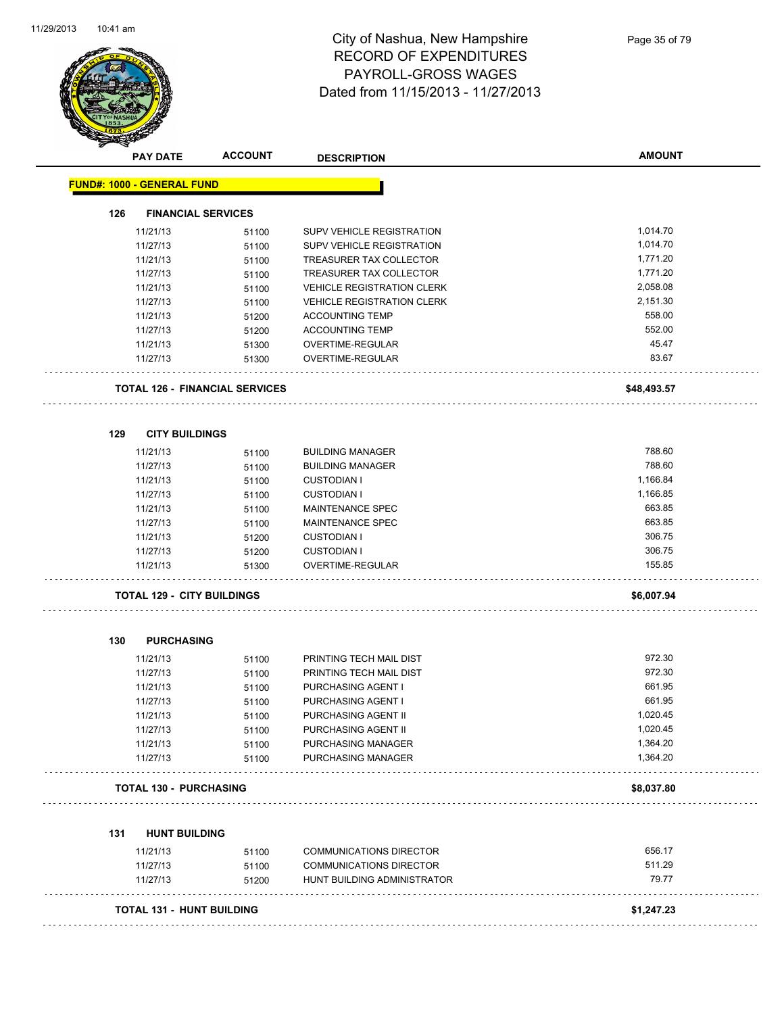

|                                   | <b>PAY DATE</b>                   | <b>ACCOUNT</b>                        | <b>DESCRIPTION</b>                     | <b>AMOUNT</b> |
|-----------------------------------|-----------------------------------|---------------------------------------|----------------------------------------|---------------|
| <b>FUND#: 1000 - GENERAL FUND</b> |                                   |                                       |                                        |               |
| 126                               | <b>FINANCIAL SERVICES</b>         |                                       |                                        |               |
|                                   | 11/21/13                          | 51100                                 | SUPV VEHICLE REGISTRATION              | 1,014.70      |
|                                   | 11/27/13                          | 51100                                 | SUPV VEHICLE REGISTRATION              | 1,014.70      |
|                                   | 11/21/13                          | 51100                                 | TREASURER TAX COLLECTOR                | 1,771.20      |
|                                   | 11/27/13                          | 51100                                 | TREASURER TAX COLLECTOR                | 1,771.20      |
|                                   | 11/21/13                          | 51100                                 | <b>VEHICLE REGISTRATION CLERK</b>      | 2,058.08      |
|                                   | 11/27/13                          | 51100                                 | <b>VEHICLE REGISTRATION CLERK</b>      | 2,151.30      |
|                                   | 11/21/13                          | 51200                                 | <b>ACCOUNTING TEMP</b>                 | 558.00        |
|                                   | 11/27/13                          | 51200                                 | <b>ACCOUNTING TEMP</b>                 | 552.00        |
|                                   | 11/21/13                          | 51300                                 | OVERTIME-REGULAR                       | 45.47         |
|                                   | 11/27/13                          | 51300                                 | OVERTIME-REGULAR                       | 83.67         |
|                                   |                                   | <b>TOTAL 126 - FINANCIAL SERVICES</b> | .                                      | \$48,493.57   |
| 129                               | <b>CITY BUILDINGS</b>             |                                       |                                        |               |
|                                   | 11/21/13                          | 51100                                 | <b>BUILDING MANAGER</b>                | 788.60        |
|                                   | 11/27/13                          | 51100                                 | <b>BUILDING MANAGER</b>                | 788.60        |
|                                   | 11/21/13                          |                                       | <b>CUSTODIAN I</b>                     | 1,166.84      |
|                                   | 11/27/13                          | 51100                                 | <b>CUSTODIAN I</b>                     | 1,166.85      |
|                                   | 11/21/13                          | 51100<br>51100                        | MAINTENANCE SPEC                       | 663.85        |
|                                   |                                   |                                       | MAINTENANCE SPEC                       | 663.85        |
|                                   | 11/27/13                          | 51100                                 |                                        | 306.75        |
|                                   | 11/21/13                          | 51200                                 | <b>CUSTODIAN I</b>                     | 306.75        |
|                                   | 11/27/13<br>11/21/13              | 51200<br>51300                        | <b>CUSTODIAN I</b><br>OVERTIME-REGULAR | 155.85        |
|                                   |                                   |                                       |                                        |               |
|                                   | <b>TOTAL 129 - CITY BUILDINGS</b> |                                       |                                        | \$6,007.94    |
| 130                               | <b>PURCHASING</b>                 |                                       |                                        |               |
|                                   | 11/21/13                          | 51100                                 | PRINTING TECH MAIL DIST                | 972.30        |
|                                   | 11/27/13                          | 51100                                 | PRINTING TECH MAIL DIST                | 972.30        |
|                                   | 11/21/13                          | 51100                                 | <b>PURCHASING AGENT I</b>              | 661.95        |
|                                   | 11/27/13                          | 51100                                 | PURCHASING AGENT I                     | 661.95        |
|                                   | 11/21/13                          | 51100                                 | PURCHASING AGENT II                    | 1,020.45      |
|                                   | 11/27/13                          | 51100                                 | PURCHASING AGENT II                    | 1,020.45      |
|                                   | 11/21/13                          | 51100                                 | PURCHASING MANAGER                     | 1,364.20      |
|                                   | 11/27/13                          | 51100                                 | PURCHASING MANAGER                     | 1,364.20      |
|                                   | <b>TOTAL 130 - PURCHASING</b>     |                                       |                                        | \$8,037.80    |
|                                   |                                   |                                       |                                        |               |
| 131                               | <b>HUNT BUILDING</b>              |                                       |                                        |               |
|                                   | 11/21/13                          | 51100                                 | <b>COMMUNICATIONS DIRECTOR</b>         | 656.17        |
|                                   | 11/27/13                          | 51100                                 | <b>COMMUNICATIONS DIRECTOR</b>         | 511.29        |
|                                   | 11/27/13                          | 51200                                 | HUNT BUILDING ADMINISTRATOR            | 79.77         |
|                                   | <b>TOTAL 131 - HUNT BUILDING</b>  |                                       |                                        | \$1,247.23    |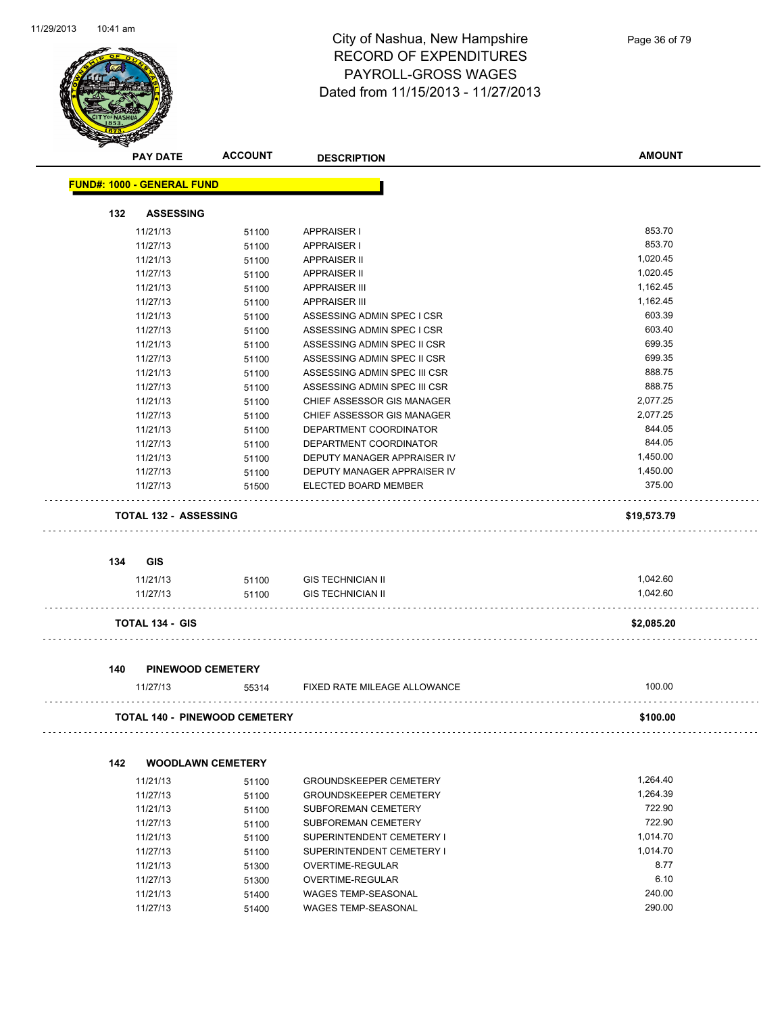

|     | <b>PAY DATE</b>                   | <b>ACCOUNT</b>                | <b>DESCRIPTION</b>            | <b>AMOUNT</b> |
|-----|-----------------------------------|-------------------------------|-------------------------------|---------------|
|     | <b>FUND#: 1000 - GENERAL FUND</b> |                               |                               |               |
| 132 | <b>ASSESSING</b>                  |                               |                               |               |
|     | 11/21/13                          | 51100                         | <b>APPRAISER I</b>            | 853.70        |
|     | 11/27/13                          | 51100                         | <b>APPRAISER I</b>            | 853.70        |
|     | 11/21/13                          | 51100                         | <b>APPRAISER II</b>           | 1,020.45      |
|     | 11/27/13                          | 51100                         | <b>APPRAISER II</b>           | 1,020.45      |
|     | 11/21/13                          | 51100                         | <b>APPRAISER III</b>          | 1,162.45      |
|     | 11/27/13                          | 51100                         | <b>APPRAISER III</b>          | 1,162.45      |
|     | 11/21/13                          | 51100                         | ASSESSING ADMIN SPEC I CSR    | 603.39        |
|     | 11/27/13                          | 51100                         | ASSESSING ADMIN SPEC I CSR    | 603.40        |
|     | 11/21/13                          | 51100                         | ASSESSING ADMIN SPEC II CSR   | 699.35        |
|     | 11/27/13                          | 51100                         | ASSESSING ADMIN SPEC II CSR   | 699.35        |
|     | 11/21/13                          | 51100                         | ASSESSING ADMIN SPEC III CSR  | 888.75        |
|     | 11/27/13                          | 51100                         | ASSESSING ADMIN SPEC III CSR  | 888.75        |
|     | 11/21/13                          | 51100                         | CHIEF ASSESSOR GIS MANAGER    | 2,077.25      |
|     | 11/27/13                          | 51100                         | CHIEF ASSESSOR GIS MANAGER    | 2,077.25      |
|     | 11/21/13                          | 51100                         | DEPARTMENT COORDINATOR        | 844.05        |
|     | 11/27/13                          | 51100                         | DEPARTMENT COORDINATOR        | 844.05        |
|     | 11/21/13                          | 51100                         | DEPUTY MANAGER APPRAISER IV   | 1,450.00      |
|     | 11/27/13                          | 51100                         | DEPUTY MANAGER APPRAISER IV   | 1,450.00      |
|     | 11/27/13                          | 51500                         | ELECTED BOARD MEMBER          | 375.00        |
|     |                                   |                               |                               |               |
|     | <b>TOTAL 132 - ASSESSING</b>      |                               |                               | \$19,573.79   |
|     |                                   |                               |                               |               |
| 134 | <b>GIS</b>                        |                               |                               |               |
|     | 11/21/13                          | 51100                         | <b>GIS TECHNICIAN II</b>      | 1,042.60      |
|     | 11/27/13                          | 51100                         | <b>GIS TECHNICIAN II</b>      | 1,042.60      |
|     |                                   |                               |                               |               |
|     | <b>TOTAL 134 - GIS</b>            |                               |                               | \$2,085.20    |
|     |                                   |                               |                               |               |
| 140 | <b>PINEWOOD CEMETERY</b>          |                               |                               |               |
|     | 11/27/13                          | 55314                         | FIXED RATE MILEAGE ALLOWANCE  | 100.00        |
|     |                                   | TOTAL 140 - PINEWOOD CEMETERY |                               | \$100.00      |
|     |                                   |                               |                               |               |
| 142 | <b>WOODLAWN CEMETERY</b>          |                               |                               |               |
|     | 11/21/13                          | 51100                         | <b>GROUNDSKEEPER CEMETERY</b> | 1,264.40      |
|     | 11/27/13                          | 51100                         | <b>GROUNDSKEEPER CEMETERY</b> | 1,264.39      |
|     | 11/21/13                          | 51100                         | SUBFOREMAN CEMETERY           | 722.90        |
|     | 11/27/13                          | 51100                         | SUBFOREMAN CEMETERY           | 722.90        |
|     | 11/21/13                          | 51100                         | SUPERINTENDENT CEMETERY I     | 1,014.70      |
|     | 11/27/13                          | 51100                         | SUPERINTENDENT CEMETERY I     | 1,014.70      |
|     | 11/21/13                          | 51300                         | OVERTIME-REGULAR              | 8.77          |
|     | 11/27/13                          | 51300                         | OVERTIME-REGULAR              | 6.10          |
|     | 11/21/13                          | 51400                         | WAGES TEMP-SEASONAL           | 240.00        |
|     | 11/27/13                          | 51400                         | <b>WAGES TEMP-SEASONAL</b>    | 290.00        |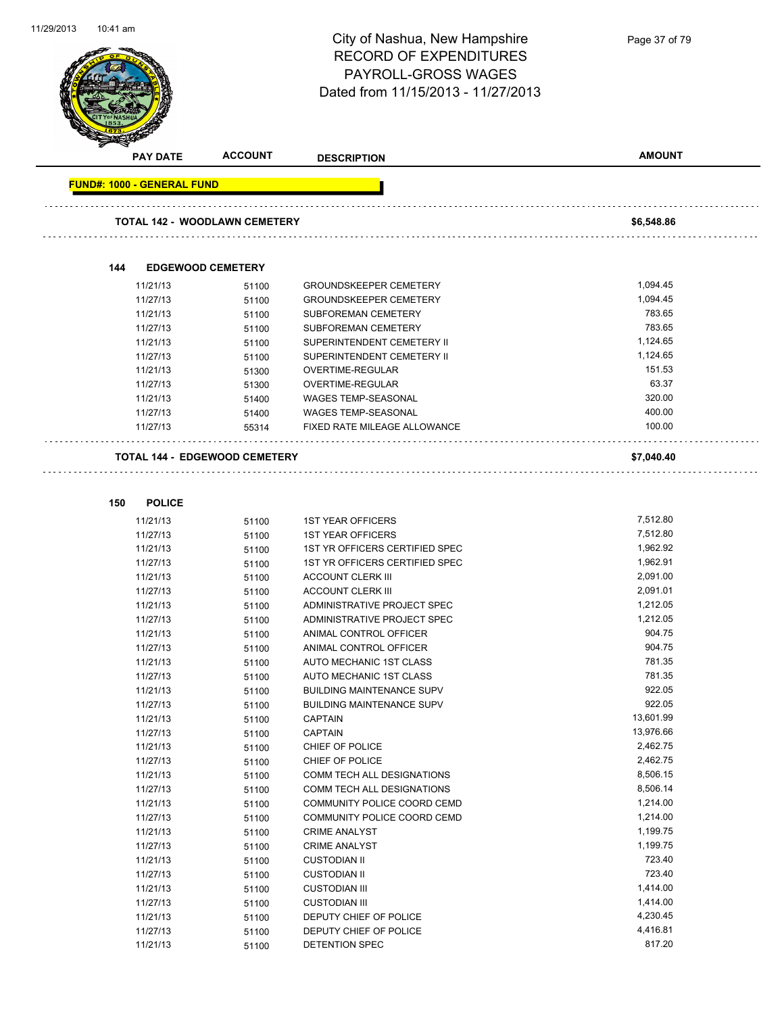

**150 POLICE**

#### City of Nashua, New Hampshire RECORD OF EXPENDITURES PAYROLL-GROSS WAGES Dated from 11/15/2013 - 11/27/2013

**PAY DATE ACCOUNT DESCRIPTION AMOUNT FUND#: 1000 - GENERAL FUND TOTAL 142 - WOODLAWN CEMETERY \$6,548.86 144 EDGEWOOD CEMETERY** 11/21/13 51100 GROUNDSKEEPER CEMETERY 51,094.45 11/27/13 51100 GROUNDSKEEPER CEMETERY 51094.45 11/21/13 51100 SUBFOREMAN CEMETERY 783.65 11/27/13 51100 SUBFOREMAN CEMETERY 783.65 11/21/13 51100 SUPERINTENDENT CEMETERY II 1,124.65 11/27/13 51100 SUPERINTENDENT CEMETERY II 1,124.65 11/21/13 51300 OVERTIME-REGULAR 151.53 51300 51300 11/27/13 51300 OVERTIME-REGULAR 63.37 11/21/13 51400 WAGES TEMP-SEASONAL 320.00 11/27/13 51400 WAGES TEMP-SEASONAL 400.00 11/27/13 55314 FIXED RATE MILEAGE ALLOWANCE 100.00 **TOTAL 144 - EDGEWOOD CEMETERY \$7,040.40** 11/21/13 51100 1ST YEAR OFFICERS 7,512.80<br>11/27/13 51100 1ST YEAR OFFICERS 7,512.80 11/27/13 51100 1ST YEAR OFFICERS 6 1991 11/27/13 7,512.80

| 11/2//13 | 51100 | 1ST YEAR OFFICERS                 | 1,512.80  |
|----------|-------|-----------------------------------|-----------|
| 11/21/13 | 51100 | 1ST YR OFFICERS CERTIFIED SPEC    | 1,962.92  |
| 11/27/13 | 51100 | 1ST YR OFFICERS CERTIFIED SPEC    | 1,962.91  |
| 11/21/13 | 51100 | <b>ACCOUNT CLERK III</b>          | 2,091.00  |
| 11/27/13 | 51100 | <b>ACCOUNT CLERK III</b>          | 2,091.01  |
| 11/21/13 | 51100 | ADMINISTRATIVE PROJECT SPEC       | 1,212.05  |
| 11/27/13 | 51100 | ADMINISTRATIVE PROJECT SPEC       | 1,212.05  |
| 11/21/13 | 51100 | ANIMAL CONTROL OFFICER            | 904.75    |
| 11/27/13 | 51100 | ANIMAL CONTROL OFFICER            | 904.75    |
| 11/21/13 | 51100 | <b>AUTO MECHANIC 1ST CLASS</b>    | 781.35    |
| 11/27/13 | 51100 | AUTO MECHANIC 1ST CLASS           | 781.35    |
| 11/21/13 | 51100 | <b>BUILDING MAINTENANCE SUPV</b>  | 922.05    |
| 11/27/13 | 51100 | <b>BUILDING MAINTENANCE SUPV</b>  | 922.05    |
| 11/21/13 | 51100 | <b>CAPTAIN</b>                    | 13,601.99 |
| 11/27/13 | 51100 | <b>CAPTAIN</b>                    | 13,976.66 |
| 11/21/13 | 51100 | CHIEF OF POLICE                   | 2,462.75  |
| 11/27/13 | 51100 | CHIEF OF POLICE                   | 2,462.75  |
| 11/21/13 | 51100 | <b>COMM TECH ALL DESIGNATIONS</b> | 8,506.15  |
| 11/27/13 | 51100 | COMM TECH ALL DESIGNATIONS        | 8,506.14  |
| 11/21/13 | 51100 | COMMUNITY POLICE COORD CEMD       | 1,214.00  |
| 11/27/13 | 51100 | COMMUNITY POLICE COORD CEMD       | 1,214.00  |
| 11/21/13 | 51100 | <b>CRIME ANALYST</b>              | 1,199.75  |
| 11/27/13 | 51100 | <b>CRIME ANALYST</b>              | 1,199.75  |
| 11/21/13 | 51100 | <b>CUSTODIAN II</b>               | 723.40    |
| 11/27/13 | 51100 | <b>CUSTODIAN II</b>               | 723.40    |
| 11/21/13 | 51100 | <b>CUSTODIAN III</b>              | 1,414.00  |
| 11/27/13 | 51100 | <b>CUSTODIAN III</b>              | 1,414.00  |
| 11/21/13 | 51100 | DEPUTY CHIEF OF POLICE            | 4,230.45  |
| 11/27/13 | 51100 | DEPUTY CHIEF OF POLICE            | 4,416.81  |
| 11/21/13 | 51100 | <b>DETENTION SPEC</b>             | 817.20    |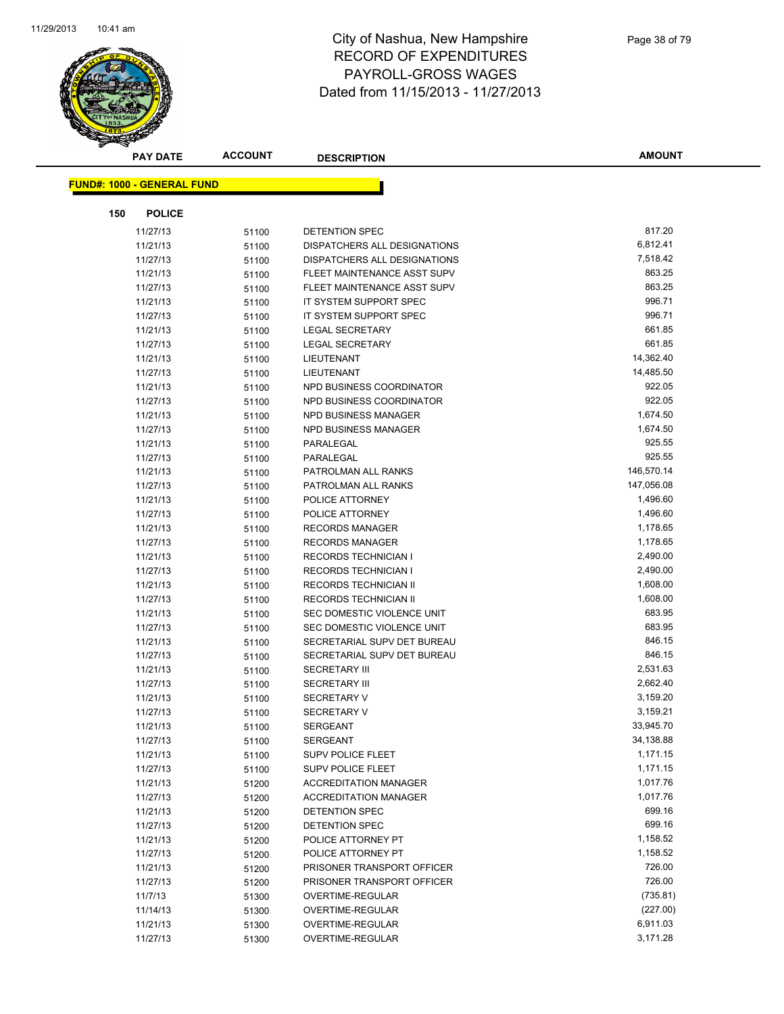

|     | <b>PAY DATE</b>                   | <b>ACCOUNT</b> | <b>DESCRIPTION</b>           | <b>AMOUNT</b> |
|-----|-----------------------------------|----------------|------------------------------|---------------|
|     |                                   |                |                              |               |
|     | <b>FUND#: 1000 - GENERAL FUND</b> |                |                              |               |
| 150 | <b>POLICE</b>                     |                |                              |               |
|     | 11/27/13                          | 51100          | DETENTION SPEC               | 817.20        |
|     | 11/21/13                          | 51100          | DISPATCHERS ALL DESIGNATIONS | 6,812.41      |
|     | 11/27/13                          | 51100          | DISPATCHERS ALL DESIGNATIONS | 7,518.42      |
|     | 11/21/13                          | 51100          | FLEET MAINTENANCE ASST SUPV  | 863.25        |
|     | 11/27/13                          | 51100          | FLEET MAINTENANCE ASST SUPV  | 863.25        |
|     | 11/21/13                          | 51100          | IT SYSTEM SUPPORT SPEC       | 996.71        |
|     | 11/27/13                          | 51100          | IT SYSTEM SUPPORT SPEC       | 996.71        |
|     | 11/21/13                          | 51100          | LEGAL SECRETARY              | 661.85        |
|     | 11/27/13                          | 51100          | <b>LEGAL SECRETARY</b>       | 661.85        |
|     | 11/21/13                          | 51100          | LIEUTENANT                   | 14,362.40     |
|     | 11/27/13                          | 51100          | LIEUTENANT                   | 14,485.50     |
|     | 11/21/13                          | 51100          | NPD BUSINESS COORDINATOR     | 922.05        |
|     | 11/27/13                          | 51100          | NPD BUSINESS COORDINATOR     | 922.05        |
|     | 11/21/13                          | 51100          | NPD BUSINESS MANAGER         | 1,674.50      |
|     | 11/27/13                          | 51100          | NPD BUSINESS MANAGER         | 1,674.50      |
|     | 11/21/13                          | 51100          | PARALEGAL                    | 925.55        |
|     | 11/27/13                          | 51100          | PARALEGAL                    | 925.55        |
|     | 11/21/13                          | 51100          | PATROLMAN ALL RANKS          | 146,570.14    |
|     | 11/27/13                          | 51100          | PATROLMAN ALL RANKS          | 147,056.08    |
|     | 11/21/13                          | 51100          | POLICE ATTORNEY              | 1,496.60      |
|     | 11/27/13                          | 51100          | POLICE ATTORNEY              | 1,496.60      |
|     | 11/21/13                          | 51100          | <b>RECORDS MANAGER</b>       | 1,178.65      |
|     | 11/27/13                          | 51100          | <b>RECORDS MANAGER</b>       | 1,178.65      |
|     | 11/21/13                          | 51100          | <b>RECORDS TECHNICIAN I</b>  | 2,490.00      |
|     | 11/27/13                          | 51100          | <b>RECORDS TECHNICIAN I</b>  | 2,490.00      |
|     | 11/21/13                          | 51100          | RECORDS TECHNICIAN II        | 1,608.00      |
|     | 11/27/13                          | 51100          | RECORDS TECHNICIAN II        | 1,608.00      |
|     | 11/21/13                          | 51100          | SEC DOMESTIC VIOLENCE UNIT   | 683.95        |
|     | 11/27/13                          | 51100          | SEC DOMESTIC VIOLENCE UNIT   | 683.95        |
|     | 11/21/13                          | 51100          | SECRETARIAL SUPV DET BUREAU  | 846.15        |
|     | 11/27/13                          | 51100          | SECRETARIAL SUPV DET BUREAU  | 846.15        |
|     | 11/21/13                          | 51100          | <b>SECRETARY III</b>         | 2,531.63      |
|     | 11/27/13                          | 51100          | <b>SECRETARY III</b>         | 2,662.40      |
|     | 11/21/13                          | 51100          | <b>SECRETARY V</b>           | 3,159.20      |
|     | 11/27/13                          | 51100          | <b>SECRETARY V</b>           | 3,159.21      |
|     | 11/21/13                          | 51100          | <b>SERGEANT</b>              | 33,945.70     |
|     | 11/27/13                          | 51100          | <b>SERGEANT</b>              | 34,138.88     |
|     | 11/21/13                          | 51100          | <b>SUPV POLICE FLEET</b>     | 1,171.15      |
|     | 11/27/13                          | 51100          | <b>SUPV POLICE FLEET</b>     | 1,171.15      |
|     | 11/21/13                          | 51200          | <b>ACCREDITATION MANAGER</b> | 1,017.76      |
|     | 11/27/13                          | 51200          | <b>ACCREDITATION MANAGER</b> | 1,017.76      |
|     | 11/21/13                          | 51200          | DETENTION SPEC               | 699.16        |
|     | 11/27/13                          | 51200          | DETENTION SPEC               | 699.16        |
|     | 11/21/13                          | 51200          | POLICE ATTORNEY PT           | 1,158.52      |
|     | 11/27/13                          | 51200          | POLICE ATTORNEY PT           | 1,158.52      |
|     | 11/21/13                          | 51200          | PRISONER TRANSPORT OFFICER   | 726.00        |
|     | 11/27/13                          | 51200          | PRISONER TRANSPORT OFFICER   | 726.00        |
|     | 11/7/13                           | 51300          | OVERTIME-REGULAR             | (735.81)      |
|     | 11/14/13                          | 51300          | OVERTIME-REGULAR             | (227.00)      |
|     | 11/21/13                          | 51300          | OVERTIME-REGULAR             | 6,911.03      |
|     | 11/27/13                          | 51300          | OVERTIME-REGULAR             | 3,171.28      |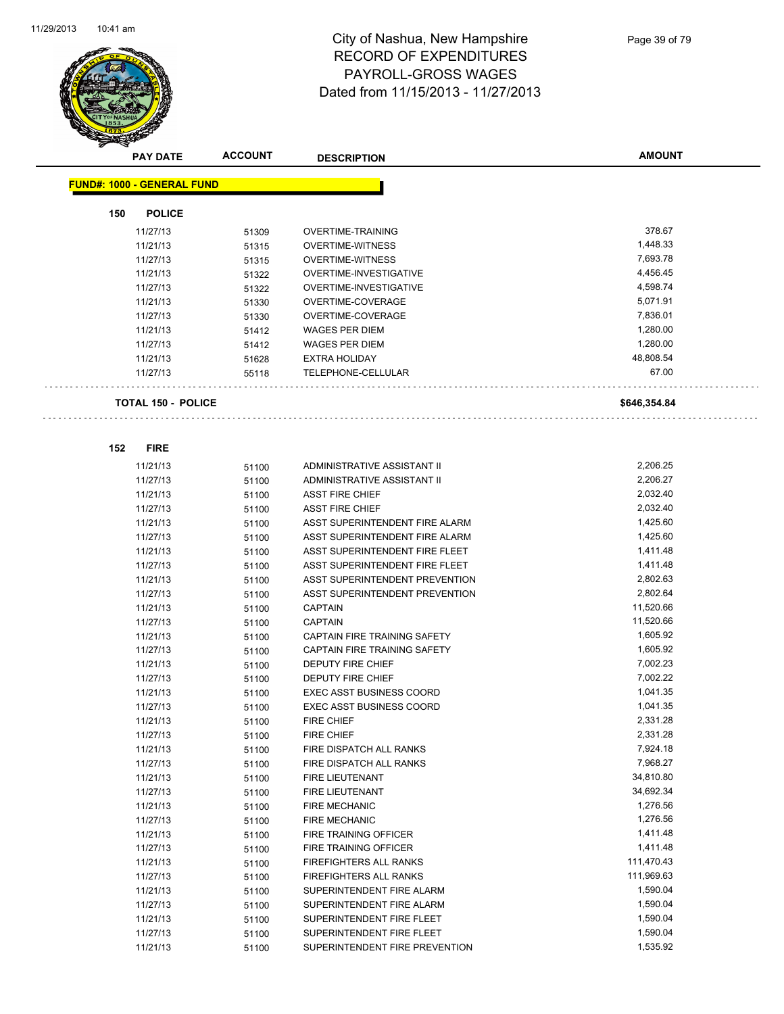

| <b>PAY DATE</b>                   | <b>ACCOUNT</b> | <b>DESCRIPTION</b>              | <b>AMOUNT</b> |
|-----------------------------------|----------------|---------------------------------|---------------|
| <b>FUND#: 1000 - GENERAL FUND</b> |                |                                 |               |
|                                   |                |                                 |               |
| 150<br><b>POLICE</b>              |                |                                 |               |
| 11/27/13                          | 51309          | <b>OVERTIME-TRAINING</b>        | 378.67        |
| 11/21/13                          | 51315          | <b>OVERTIME-WITNESS</b>         | 1,448.33      |
| 11/27/13                          | 51315          | <b>OVERTIME-WITNESS</b>         | 7,693.78      |
| 11/21/13                          | 51322          | OVERTIME-INVESTIGATIVE          | 4,456.45      |
| 11/27/13                          | 51322          | OVERTIME-INVESTIGATIVE          | 4,598.74      |
| 11/21/13                          | 51330          | OVERTIME-COVERAGE               | 5,071.91      |
| 11/27/13                          | 51330          | OVERTIME-COVERAGE               | 7,836.01      |
| 11/21/13                          | 51412          | <b>WAGES PER DIEM</b>           | 1,280.00      |
| 11/27/13                          | 51412          | <b>WAGES PER DIEM</b>           | 1,280.00      |
| 11/21/13                          | 51628          | <b>EXTRA HOLIDAY</b>            | 48,808.54     |
| 11/27/13                          | 55118          | TELEPHONE-CELLULAR              | 67.00         |
|                                   |                |                                 |               |
| <b>TOTAL 150 - POLICE</b>         |                |                                 | \$646,354.84  |
|                                   |                |                                 |               |
| 152<br><b>FIRE</b>                |                |                                 |               |
| 11/21/13                          | 51100          | ADMINISTRATIVE ASSISTANT II     | 2,206.25      |
| 11/27/13                          | 51100          | ADMINISTRATIVE ASSISTANT II     | 2,206.27      |
| 11/21/13                          | 51100          | <b>ASST FIRE CHIEF</b>          | 2,032.40      |
| 11/27/13                          | 51100          | <b>ASST FIRE CHIEF</b>          | 2,032.40      |
| 11/21/13                          | 51100          | ASST SUPERINTENDENT FIRE ALARM  | 1,425.60      |
| 11/27/13                          | 51100          | ASST SUPERINTENDENT FIRE ALARM  | 1,425.60      |
| 11/21/13                          | 51100          | ASST SUPERINTENDENT FIRE FLEET  | 1,411.48      |
| 11/27/13                          | 51100          | ASST SUPERINTENDENT FIRE FLEET  | 1,411.48      |
| 11/21/13                          | 51100          | ASST SUPERINTENDENT PREVENTION  | 2,802.63      |
| 11/27/13                          | 51100          | ASST SUPERINTENDENT PREVENTION  | 2,802.64      |
| 11/21/13                          | 51100          | <b>CAPTAIN</b>                  | 11,520.66     |
| 11/27/13                          | 51100          | <b>CAPTAIN</b>                  | 11,520.66     |
| 11/21/13                          | 51100          | CAPTAIN FIRE TRAINING SAFETY    | 1,605.92      |
| 11/27/13                          | 51100          | CAPTAIN FIRE TRAINING SAFETY    | 1,605.92      |
| 11/21/13                          | 51100          | <b>DEPUTY FIRE CHIEF</b>        | 7,002.23      |
| 11/27/13                          | 51100          | <b>DEPUTY FIRE CHIEF</b>        | 7,002.22      |
| 11/21/13                          | 51100          | <b>EXEC ASST BUSINESS COORD</b> | 1,041.35      |
| 11/27/13                          | 51100          | <b>EXEC ASST BUSINESS COORD</b> | 1,041.35      |
| 11/21/13                          | 51100          | <b>FIRE CHIEF</b>               | 2,331.28      |
| 11/27/13                          | 51100          | <b>FIRE CHIEF</b>               | 2,331.28      |
| 11/21/13                          | 51100          | FIRE DISPATCH ALL RANKS         | 7,924.18      |
| 11/27/13                          | 51100          | FIRE DISPATCH ALL RANKS         | 7,968.27      |
| 11/21/13                          | 51100          | FIRE LIEUTENANT                 | 34,810.80     |
| 11/27/13                          | 51100          | FIRE LIEUTENANT                 | 34,692.34     |
| 11/21/13                          | 51100          | <b>FIRE MECHANIC</b>            | 1,276.56      |
| 11/27/13                          | 51100          | FIRE MECHANIC                   | 1,276.56      |
| 11/21/13                          | 51100          | FIRE TRAINING OFFICER           | 1,411.48      |
| 11/27/13                          | 51100          | FIRE TRAINING OFFICER           | 1,411.48      |
| 11/21/13                          | 51100          | FIREFIGHTERS ALL RANKS          | 111,470.43    |
| 11/27/13                          | 51100          | FIREFIGHTERS ALL RANKS          | 111,969.63    |
| 11/21/13                          | 51100          | SUPERINTENDENT FIRE ALARM       | 1,590.04      |
| 11/27/13                          | 51100          | SUPERINTENDENT FIRE ALARM       | 1,590.04      |
| 11/21/13                          | 51100          | SUPERINTENDENT FIRE FLEET       | 1,590.04      |
| 11/27/13                          | 51100          | SUPERINTENDENT FIRE FLEET       | 1,590.04      |
| 11/21/13                          | 51100          | SUPERINTENDENT FIRE PREVENTION  | 1,535.92      |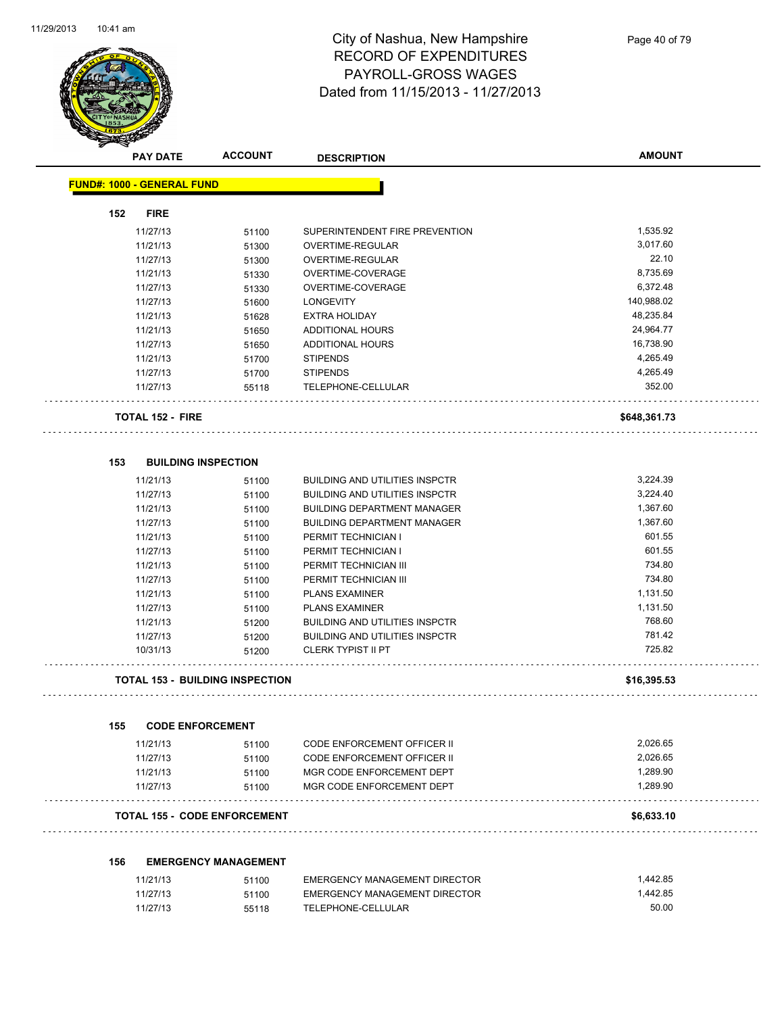

|     | <b>PAY DATE</b>                   | <b>ACCOUNT</b>                         | <b>DESCRIPTION</b>                                                             | <b>AMOUNT</b> |
|-----|-----------------------------------|----------------------------------------|--------------------------------------------------------------------------------|---------------|
|     | <b>FUND#: 1000 - GENERAL FUND</b> |                                        |                                                                                |               |
|     |                                   |                                        |                                                                                |               |
| 152 | <b>FIRE</b><br>11/27/13           |                                        | SUPERINTENDENT FIRE PREVENTION                                                 | 1,535.92      |
|     | 11/21/13                          | 51100                                  | OVERTIME-REGULAR                                                               | 3,017.60      |
|     | 11/27/13                          | 51300<br>51300                         | OVERTIME-REGULAR                                                               | 22.10         |
|     | 11/21/13                          |                                        | OVERTIME-COVERAGE                                                              | 8,735.69      |
|     | 11/27/13                          | 51330<br>51330                         | OVERTIME-COVERAGE                                                              | 6,372.48      |
|     | 11/27/13                          |                                        | <b>LONGEVITY</b>                                                               | 140,988.02    |
|     | 11/21/13                          | 51600<br>51628                         | <b>EXTRA HOLIDAY</b>                                                           | 48,235.84     |
|     | 11/21/13                          | 51650                                  | ADDITIONAL HOURS                                                               | 24,964.77     |
|     | 11/27/13                          | 51650                                  | ADDITIONAL HOURS                                                               | 16,738.90     |
|     | 11/21/13                          | 51700                                  | <b>STIPENDS</b>                                                                | 4,265.49      |
|     | 11/27/13                          | 51700                                  | <b>STIPENDS</b>                                                                | 4,265.49      |
|     | 11/27/13                          | 55118                                  | TELEPHONE-CELLULAR                                                             | 352.00        |
|     |                                   |                                        |                                                                                |               |
|     | <b>TOTAL 152 - FIRE</b>           |                                        |                                                                                | \$648,361.73  |
| 153 |                                   | <b>BUILDING INSPECTION</b>             |                                                                                |               |
|     | 11/21/13                          |                                        | <b>BUILDING AND UTILITIES INSPCTR</b>                                          | 3,224.39      |
|     | 11/27/13                          | 51100                                  | <b>BUILDING AND UTILITIES INSPCTR</b>                                          | 3,224.40      |
|     | 11/21/13                          | 51100                                  | <b>BUILDING DEPARTMENT MANAGER</b>                                             | 1,367.60      |
|     | 11/27/13                          | 51100                                  | <b>BUILDING DEPARTMENT MANAGER</b>                                             | 1,367.60      |
|     |                                   | 51100                                  |                                                                                | 601.55        |
|     | 11/21/13                          | 51100                                  | PERMIT TECHNICIAN I<br>PERMIT TECHNICIAN I                                     | 601.55        |
|     | 11/27/13                          | 51100                                  |                                                                                | 734.80        |
|     | 11/21/13                          | 51100                                  | PERMIT TECHNICIAN III                                                          | 734.80        |
|     | 11/27/13                          | 51100                                  | PERMIT TECHNICIAN III                                                          | 1,131.50      |
|     | 11/21/13                          | 51100                                  | <b>PLANS EXAMINER</b>                                                          | 1,131.50      |
|     | 11/27/13                          | 51100                                  | <b>PLANS EXAMINER</b>                                                          | 768.60        |
|     | 11/21/13                          | 51200                                  | <b>BUILDING AND UTILITIES INSPCTR</b><br><b>BUILDING AND UTILITIES INSPCTR</b> | 781.42        |
|     | 11/27/13<br>10/31/13              | 51200<br>51200                         | <b>CLERK TYPIST II PT</b>                                                      | 725.82        |
|     |                                   | <b>TOTAL 153 - BUILDING INSPECTION</b> |                                                                                | \$16,395.53   |
|     |                                   |                                        |                                                                                |               |
| 155 | <b>CODE ENFORCEMENT</b>           |                                        |                                                                                |               |
|     | 11/21/13                          | 51100                                  | CODE ENFORCEMENT OFFICER II                                                    | 2,026.65      |
|     | 11/27/13                          | 51100                                  | CODE ENFORCEMENT OFFICER II                                                    | 2,026.65      |
|     | 11/21/13                          | 51100                                  | MGR CODE ENFORCEMENT DEPT                                                      | 1,289.90      |
|     | 11/27/13                          | 51100                                  | MGR CODE ENFORCEMENT DEPT                                                      | 1,289.90      |
|     |                                   | <b>TOTAL 155 - CODE ENFORCEMENT</b>    |                                                                                | \$6,633.10    |
|     |                                   |                                        |                                                                                |               |
| 156 |                                   | <b>EMERGENCY MANAGEMENT</b>            |                                                                                | 1,442.85      |
|     | 11/21/13                          | 51100                                  | <b>EMERGENCY MANAGEMENT DIRECTOR</b>                                           |               |
|     | 11/27/13                          | 51100                                  | EMERGENCY MANAGEMENT DIRECTOR                                                  | 1,442.85      |

11/27/13 55118 TELEPHONE-CELLULAR 50.00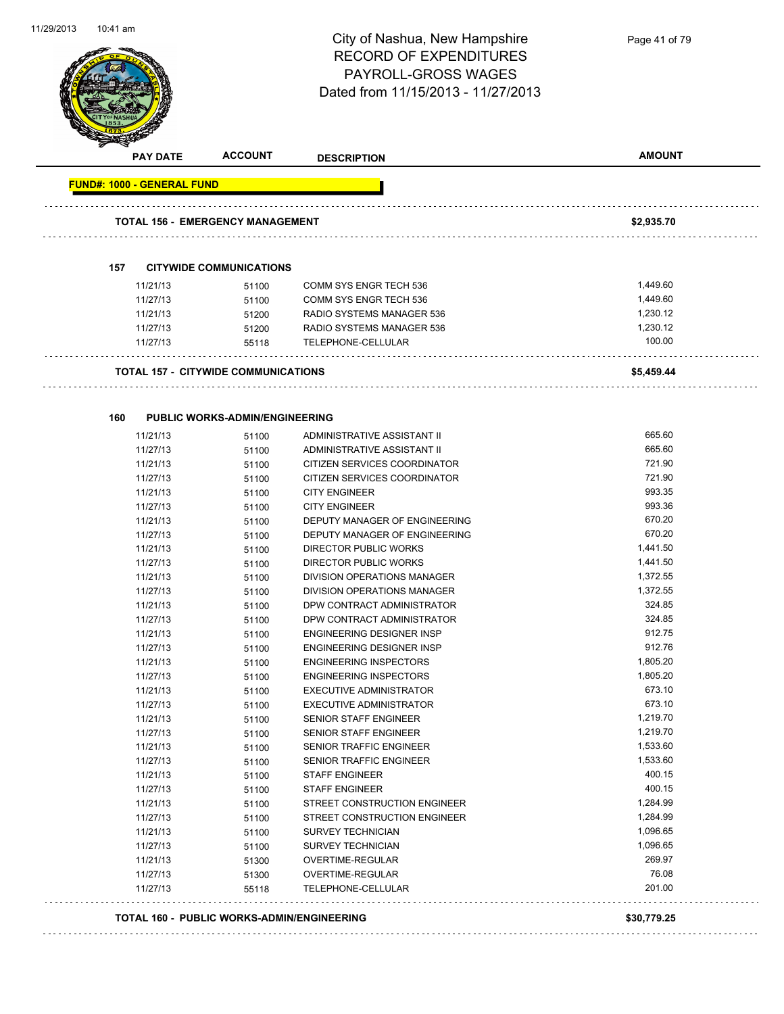

|                                   | <b>PAY DATE</b>      | <b>ACCOUNT</b>                             | <b>DESCRIPTION</b>                                         | <b>AMOUNT</b> |
|-----------------------------------|----------------------|--------------------------------------------|------------------------------------------------------------|---------------|
| <b>FUND#: 1000 - GENERAL FUND</b> |                      |                                            |                                                            |               |
|                                   |                      | <b>TOTAL 156 - EMERGENCY MANAGEMENT</b>    |                                                            | \$2,935.70    |
|                                   |                      |                                            |                                                            |               |
| 157                               |                      | <b>CITYWIDE COMMUNICATIONS</b>             |                                                            |               |
|                                   | 11/21/13             | 51100                                      | COMM SYS ENGR TECH 536                                     | 1,449.60      |
|                                   | 11/27/13             | 51100                                      | COMM SYS ENGR TECH 536                                     | 1,449.60      |
|                                   | 11/21/13             | 51200                                      | RADIO SYSTEMS MANAGER 536                                  | 1,230.12      |
|                                   | 11/27/13             | 51200                                      | RADIO SYSTEMS MANAGER 536                                  | 1,230.12      |
|                                   | 11/27/13             | 55118                                      | TELEPHONE-CELLULAR                                         | 100.00        |
|                                   |                      | <b>TOTAL 157 - CITYWIDE COMMUNICATIONS</b> |                                                            | \$5,459.44    |
| 160                               |                      | <b>PUBLIC WORKS-ADMIN/ENGINEERING</b>      |                                                            |               |
|                                   |                      |                                            |                                                            | 665.60        |
|                                   | 11/21/13<br>11/27/13 | 51100                                      | ADMINISTRATIVE ASSISTANT II<br>ADMINISTRATIVE ASSISTANT II | 665.60        |
|                                   | 11/21/13             | 51100<br>51100                             | CITIZEN SERVICES COORDINATOR                               | 721.90        |
|                                   | 11/27/13             |                                            | CITIZEN SERVICES COORDINATOR                               | 721.90        |
|                                   | 11/21/13             | 51100<br>51100                             | <b>CITY ENGINEER</b>                                       | 993.35        |
|                                   | 11/27/13             | 51100                                      | <b>CITY ENGINEER</b>                                       | 993.36        |
|                                   | 11/21/13             | 51100                                      | DEPUTY MANAGER OF ENGINEERING                              | 670.20        |
|                                   | 11/27/13             | 51100                                      | DEPUTY MANAGER OF ENGINEERING                              | 670.20        |
|                                   | 11/21/13             | 51100                                      | <b>DIRECTOR PUBLIC WORKS</b>                               | 1,441.50      |
|                                   | 11/27/13             | 51100                                      | DIRECTOR PUBLIC WORKS                                      | 1,441.50      |
|                                   | 11/21/13             | 51100                                      | DIVISION OPERATIONS MANAGER                                | 1,372.55      |
|                                   | 11/27/13             | 51100                                      | DIVISION OPERATIONS MANAGER                                | 1,372.55      |
|                                   | 11/21/13             | 51100                                      | DPW CONTRACT ADMINISTRATOR                                 | 324.85        |
|                                   | 11/27/13             | 51100                                      | DPW CONTRACT ADMINISTRATOR                                 | 324.85        |
|                                   | 11/21/13             | 51100                                      | ENGINEERING DESIGNER INSP                                  | 912.75        |
|                                   | 11/27/13             | 51100                                      | ENGINEERING DESIGNER INSP                                  | 912.76        |
|                                   | 11/21/13             | 51100                                      | <b>ENGINEERING INSPECTORS</b>                              | 1,805.20      |
|                                   | 11/27/13             | 51100                                      | <b>ENGINEERING INSPECTORS</b>                              | 1,805.20      |
|                                   | 11/21/13             | 51100                                      | EXECUTIVE ADMINISTRATOR                                    | 673.10        |
|                                   | 11/27/13             | 51100                                      | <b>EXECUTIVE ADMINISTRATOR</b>                             | 673.10        |
|                                   | 11/21/13             | 51100                                      | <b>SENIOR STAFF ENGINEER</b>                               | 1,219.70      |
|                                   | 11/27/13             | 51100                                      | SENIOR STAFF ENGINEER                                      | 1,219.70      |
|                                   | 11/21/13             | 51100                                      | SENIOR TRAFFIC ENGINEER                                    | 1,533.60      |
|                                   | 11/27/13             | 51100                                      | SENIOR TRAFFIC ENGINEER                                    | 1,533.60      |
|                                   | 11/21/13             | 51100                                      | <b>STAFF ENGINEER</b>                                      | 400.15        |
|                                   | 11/27/13             | 51100                                      | STAFF ENGINEER                                             | 400.15        |
|                                   | 11/21/13             | 51100                                      | STREET CONSTRUCTION ENGINEER                               | 1,284.99      |
|                                   | 11/27/13             | 51100                                      | STREET CONSTRUCTION ENGINEER                               | 1,284.99      |
|                                   | 11/21/13             | 51100                                      | <b>SURVEY TECHNICIAN</b>                                   | 1,096.65      |
|                                   | 11/27/13             | 51100                                      | SURVEY TECHNICIAN                                          | 1,096.65      |
|                                   | 11/21/13             | 51300                                      | OVERTIME-REGULAR                                           | 269.97        |
|                                   | 11/27/13             | 51300                                      | OVERTIME-REGULAR                                           | 76.08         |
|                                   | 11/27/13             | 55118                                      | TELEPHONE-CELLULAR                                         | 201.00        |

**TOTAL 160 - PUBLIC WORKS-ADMIN/ENGINEERING \$30,779.25**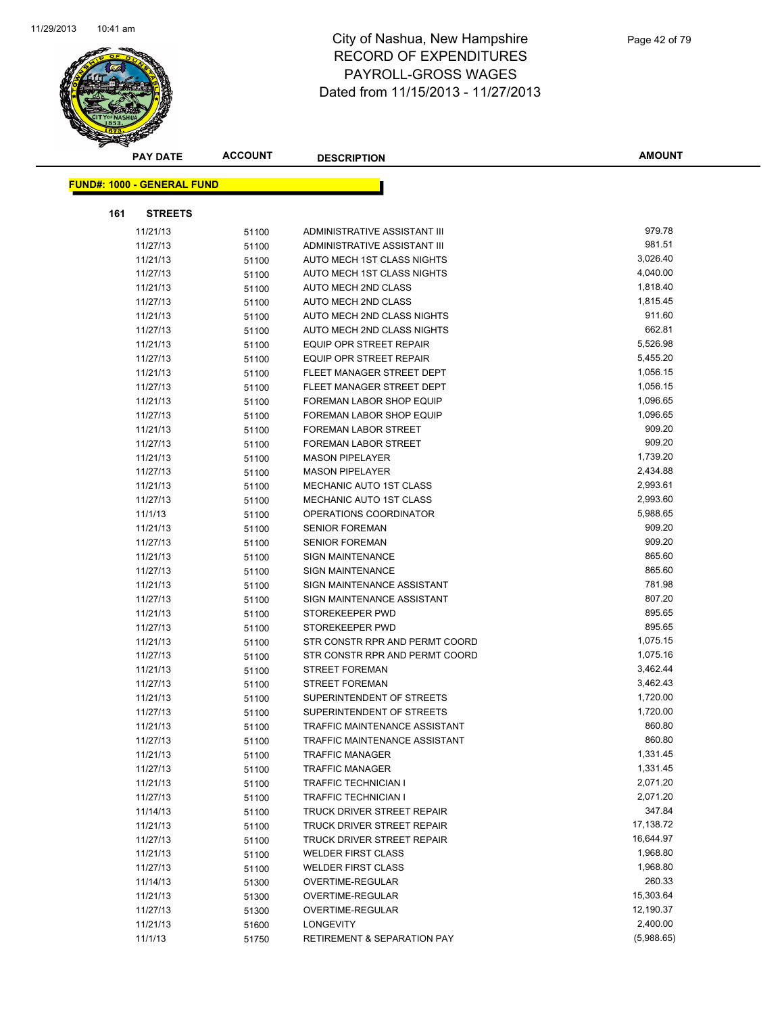

| <b>PAY DATE</b>                   | <b>ACCOUNT</b> | <b>DESCRIPTION</b>                                      | <b>AMOUNT</b>          |
|-----------------------------------|----------------|---------------------------------------------------------|------------------------|
|                                   |                |                                                         |                        |
| <b>FUND#: 1000 - GENERAL FUND</b> |                |                                                         |                        |
| <b>STREETS</b><br>161             |                |                                                         |                        |
| 11/21/13                          | 51100          | ADMINISTRATIVE ASSISTANT III                            | 979.78                 |
| 11/27/13                          | 51100          | ADMINISTRATIVE ASSISTANT III                            | 981.51                 |
| 11/21/13                          | 51100          | AUTO MECH 1ST CLASS NIGHTS                              | 3,026.40               |
| 11/27/13                          | 51100          | AUTO MECH 1ST CLASS NIGHTS                              | 4,040.00               |
| 11/21/13                          | 51100          | AUTO MECH 2ND CLASS                                     | 1,818.40               |
| 11/27/13                          | 51100          | AUTO MECH 2ND CLASS                                     | 1,815.45               |
| 11/21/13                          | 51100          | AUTO MECH 2ND CLASS NIGHTS                              | 911.60                 |
| 11/27/13                          | 51100          | AUTO MECH 2ND CLASS NIGHTS                              | 662.81                 |
| 11/21/13                          | 51100          | <b>EQUIP OPR STREET REPAIR</b>                          | 5,526.98               |
| 11/27/13                          | 51100          | EQUIP OPR STREET REPAIR                                 | 5,455.20               |
| 11/21/13                          | 51100          | FLEET MANAGER STREET DEPT                               | 1,056.15               |
| 11/27/13                          | 51100          | FLEET MANAGER STREET DEPT                               | 1,056.15               |
| 11/21/13                          | 51100          | FOREMAN LABOR SHOP EQUIP                                | 1,096.65               |
| 11/27/13                          | 51100          | FOREMAN LABOR SHOP EQUIP                                | 1,096.65               |
| 11/21/13                          | 51100          | <b>FOREMAN LABOR STREET</b>                             | 909.20                 |
| 11/27/13                          | 51100          | FOREMAN LABOR STREET                                    | 909.20                 |
| 11/21/13                          | 51100          | <b>MASON PIPELAYER</b>                                  | 1,739.20               |
| 11/27/13                          | 51100          | <b>MASON PIPELAYER</b>                                  | 2,434.88               |
| 11/21/13                          | 51100          | MECHANIC AUTO 1ST CLASS                                 | 2,993.61               |
| 11/27/13                          | 51100          | MECHANIC AUTO 1ST CLASS                                 | 2,993.60               |
| 11/1/13                           | 51100          | OPERATIONS COORDINATOR                                  | 5,988.65               |
| 11/21/13                          | 51100          | <b>SENIOR FOREMAN</b>                                   | 909.20                 |
| 11/27/13                          | 51100          | <b>SENIOR FOREMAN</b>                                   | 909.20                 |
| 11/21/13                          | 51100          | SIGN MAINTENANCE                                        | 865.60                 |
| 11/27/13                          | 51100          | <b>SIGN MAINTENANCE</b>                                 | 865.60                 |
| 11/21/13                          | 51100          | SIGN MAINTENANCE ASSISTANT                              | 781.98                 |
| 11/27/13                          | 51100          | SIGN MAINTENANCE ASSISTANT                              | 807.20                 |
| 11/21/13                          | 51100          | STOREKEEPER PWD                                         | 895.65                 |
| 11/27/13                          | 51100          | STOREKEEPER PWD                                         | 895.65                 |
| 11/21/13                          | 51100          | STR CONSTR RPR AND PERMT COORD                          | 1,075.15               |
| 11/27/13                          | 51100          | STR CONSTR RPR AND PERMT COORD                          | 1,075.16               |
| 11/21/13                          | 51100          | <b>STREET FOREMAN</b>                                   | 3,462.44               |
| 11/27/13                          | 51100          | <b>STREET FOREMAN</b>                                   | 3,462.43               |
| 11/21/13                          | 51100          | SUPERINTENDENT OF STREETS                               | 1,720.00               |
| 11/27/13                          | 51100          | SUPERINTENDENT OF STREETS                               | 1,720.00               |
| 11/21/13                          | 51100          | TRAFFIC MAINTENANCE ASSISTANT                           | 860.80                 |
| 11/27/13                          | 51100          | <b>TRAFFIC MAINTENANCE ASSISTANT</b>                    | 860.80                 |
| 11/21/13                          | 51100          | <b>TRAFFIC MANAGER</b>                                  | 1,331.45               |
| 11/27/13                          | 51100          | <b>TRAFFIC MANAGER</b>                                  | 1,331.45               |
| 11/21/13                          | 51100          | TRAFFIC TECHNICIAN I                                    | 2,071.20               |
| 11/27/13                          | 51100          | TRAFFIC TECHNICIAN I                                    | 2,071.20<br>347.84     |
| 11/14/13                          | 51100          | TRUCK DRIVER STREET REPAIR                              |                        |
| 11/21/13                          | 51100          | TRUCK DRIVER STREET REPAIR                              | 17,138.72<br>16,644.97 |
| 11/27/13<br>11/21/13              | 51100          | TRUCK DRIVER STREET REPAIR<br><b>WELDER FIRST CLASS</b> | 1,968.80               |
|                                   | 51100          | <b>WELDER FIRST CLASS</b>                               | 1,968.80               |
| 11/27/13<br>11/14/13              | 51100          | <b>OVERTIME-REGULAR</b>                                 | 260.33                 |
| 11/21/13                          | 51300          | OVERTIME-REGULAR                                        | 15,303.64              |
| 11/27/13                          | 51300          | OVERTIME-REGULAR                                        | 12,190.37              |
| 11/21/13                          | 51300          | LONGEVITY                                               | 2,400.00               |
| 11/1/13                           | 51600<br>51750 | RETIREMENT & SEPARATION PAY                             | (5,988.65)             |
|                                   |                |                                                         |                        |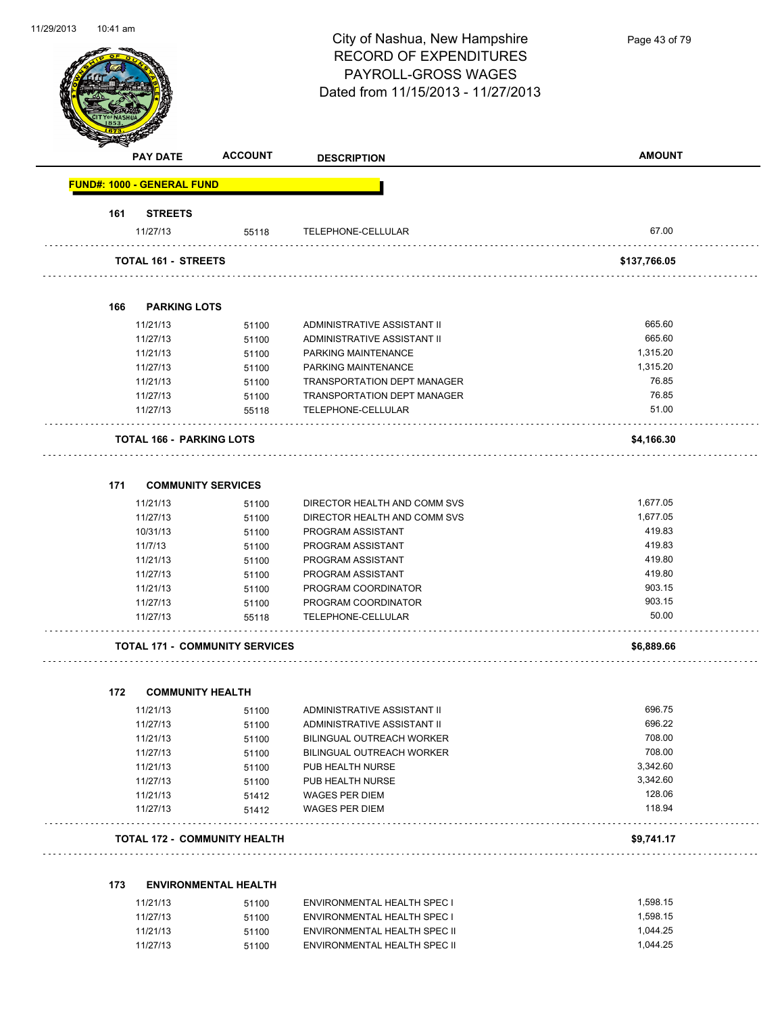Page 43 of 79

|                                   | <b>PAY DATE</b>                 | <b>ACCOUNT</b>                        | <b>DESCRIPTION</b>                 | <b>AMOUNT</b> |
|-----------------------------------|---------------------------------|---------------------------------------|------------------------------------|---------------|
| <b>FUND#: 1000 - GENERAL FUND</b> |                                 |                                       |                                    |               |
| 161                               | <b>STREETS</b>                  |                                       |                                    |               |
|                                   | 11/27/13                        | 55118                                 | TELEPHONE-CELLULAR                 | 67.00         |
|                                   | <b>TOTAL 161 - STREETS</b>      |                                       |                                    | \$137,766.05  |
| 166                               | <b>PARKING LOTS</b>             |                                       |                                    |               |
|                                   | 11/21/13                        | 51100                                 | ADMINISTRATIVE ASSISTANT II        | 665.60        |
|                                   | 11/27/13                        | 51100                                 | ADMINISTRATIVE ASSISTANT II        | 665.60        |
|                                   | 11/21/13                        | 51100                                 | PARKING MAINTENANCE                | 1,315.20      |
|                                   | 11/27/13                        | 51100                                 | PARKING MAINTENANCE                | 1,315.20      |
|                                   | 11/21/13                        | 51100                                 | <b>TRANSPORTATION DEPT MANAGER</b> | 76.85         |
|                                   | 11/27/13                        | 51100                                 | <b>TRANSPORTATION DEPT MANAGER</b> | 76.85         |
|                                   | 11/27/13                        | 55118                                 | TELEPHONE-CELLULAR                 | 51.00         |
|                                   | <b>TOTAL 166 - PARKING LOTS</b> |                                       |                                    | \$4,166.30    |
| 171                               |                                 | <b>COMMUNITY SERVICES</b>             |                                    |               |
|                                   | 11/21/13                        | 51100                                 | DIRECTOR HEALTH AND COMM SVS       | 1,677.05      |
|                                   | 11/27/13                        | 51100                                 | DIRECTOR HEALTH AND COMM SVS       | 1,677.05      |
|                                   | 10/31/13                        | 51100                                 | PROGRAM ASSISTANT                  | 419.83        |
| 11/7/13                           |                                 | 51100                                 | PROGRAM ASSISTANT                  | 419.83        |
|                                   | 11/21/13                        | 51100                                 | PROGRAM ASSISTANT                  | 419.80        |
|                                   | 11/27/13                        | 51100                                 | PROGRAM ASSISTANT                  | 419.80        |
|                                   | 11/21/13                        | 51100                                 | PROGRAM COORDINATOR                | 903.15        |
|                                   | 11/27/13                        | 51100                                 | PROGRAM COORDINATOR                | 903.15        |
|                                   | 11/27/13                        | 55118                                 | TELEPHONE-CELLULAR                 | 50.00         |
|                                   |                                 | <b>TOTAL 171 - COMMUNITY SERVICES</b> |                                    | \$6,889.66    |
| 172                               | <b>COMMUNITY HEALTH</b>         |                                       |                                    |               |
|                                   | 11/21/13                        | 51100                                 | ADMINISTRATIVE ASSISTANT II        | 696.75        |
|                                   | 11/27/13                        | 51100                                 | ADMINISTRATIVE ASSISTANT II        | 696.22        |
|                                   | 11/21/13                        | 51100                                 | BILINGUAL OUTREACH WORKER          | 708.00        |
|                                   | 11/27/13                        | 51100                                 | BILINGUAL OUTREACH WORKER          | 708.00        |
|                                   | 11/21/13                        | 51100                                 | PUB HEALTH NURSE                   | 3,342.60      |
|                                   | 11/27/13                        | 51100                                 | PUB HEALTH NURSE                   | 3,342.60      |
|                                   | 11/21/13                        | 51412                                 | <b>WAGES PER DIEM</b>              | 128.06        |
|                                   | 11/27/13                        | 51412                                 | <b>WAGES PER DIEM</b>              | 118.94        |
|                                   |                                 | <b>TOTAL 172 - COMMUNITY HEALTH</b>   |                                    | \$9,741.17    |
| 173                               |                                 | <b>ENVIRONMENTAL HEALTH</b>           |                                    |               |
|                                   | 11/21/13                        | 51100                                 | ENVIRONMENTAL HEALTH SPEC I        | 1,598.15      |
|                                   | 11/27/13                        | 51100                                 | ENVIRONMENTAL HEALTH SPEC I        | 1,598.15      |
|                                   | 11/21/13                        | 51100                                 | ENVIRONMENTAL HEALTH SPEC II       | 1,044.25      |
|                                   | 11/27/13                        | 51100                                 | ENVIRONMENTAL HEALTH SPEC II       | 1,044.25      |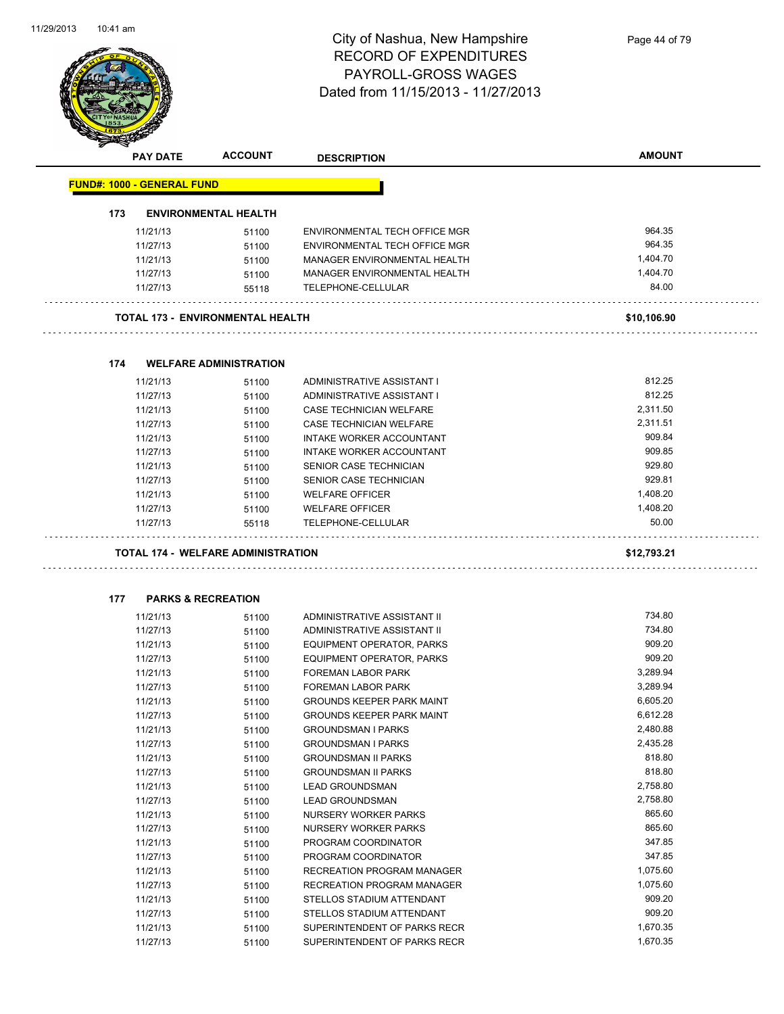

|     | PAY DATE                          | <b>ACCOUNT</b>                            | <b>DESCRIPTION</b>                                  | <b>AMOUNT</b>      |
|-----|-----------------------------------|-------------------------------------------|-----------------------------------------------------|--------------------|
|     | <b>FUND#: 1000 - GENERAL FUND</b> |                                           |                                                     |                    |
|     |                                   |                                           |                                                     |                    |
| 173 |                                   | <b>ENVIRONMENTAL HEALTH</b>               |                                                     |                    |
|     | 11/21/13                          | 51100                                     | ENVIRONMENTAL TECH OFFICE MGR                       | 964.35             |
|     | 11/27/13                          | 51100                                     | ENVIRONMENTAL TECH OFFICE MGR                       | 964.35             |
|     | 11/21/13                          | 51100                                     | MANAGER ENVIRONMENTAL HEALTH                        | 1,404.70           |
|     | 11/27/13                          | 51100                                     | MANAGER ENVIRONMENTAL HEALTH                        | 1,404.70           |
|     | 11/27/13                          | 55118                                     | TELEPHONE-CELLULAR                                  | 84.00              |
|     |                                   | <b>TOTAL 173 - ENVIRONMENTAL HEALTH</b>   |                                                     | \$10,106.90        |
|     |                                   |                                           |                                                     |                    |
| 174 |                                   | <b>WELFARE ADMINISTRATION</b>             |                                                     |                    |
|     | 11/21/13                          | 51100                                     | ADMINISTRATIVE ASSISTANT I                          | 812.25             |
|     | 11/27/13                          | 51100                                     | ADMINISTRATIVE ASSISTANT I                          | 812.25             |
|     | 11/21/13                          | 51100                                     | CASE TECHNICIAN WELFARE                             | 2,311.50           |
|     | 11/27/13                          | 51100                                     | CASE TECHNICIAN WELFARE                             | 2,311.51           |
|     | 11/21/13                          | 51100                                     | INTAKE WORKER ACCOUNTANT                            | 909.84             |
|     | 11/27/13                          | 51100                                     | INTAKE WORKER ACCOUNTANT                            | 909.85             |
|     | 11/21/13                          | 51100                                     | SENIOR CASE TECHNICIAN                              | 929.80             |
|     | 11/27/13                          | 51100                                     | SENIOR CASE TECHNICIAN                              | 929.81             |
|     | 11/21/13                          | 51100                                     | <b>WELFARE OFFICER</b>                              | 1,408.20           |
|     | 11/27/13                          | 51100                                     | <b>WELFARE OFFICER</b>                              | 1,408.20           |
|     | 11/27/13                          | 55118                                     | TELEPHONE-CELLULAR                                  | 50.00              |
|     |                                   | <b>TOTAL 174 - WELFARE ADMINISTRATION</b> |                                                     | \$12,793.21        |
|     |                                   |                                           |                                                     |                    |
| 177 |                                   | <b>PARKS &amp; RECREATION</b>             |                                                     |                    |
|     | 11/21/13                          | 51100                                     | ADMINISTRATIVE ASSISTANT II                         | 734.80             |
|     | 11/27/13                          | 51100                                     | ADMINISTRATIVE ASSISTANT II                         | 734.80             |
|     | 11/21/13                          | 51100                                     | EQUIPMENT OPERATOR, PARKS                           | 909.20             |
|     | 11/27/13                          | 51100                                     | <b>EQUIPMENT OPERATOR, PARKS</b>                    | 909.20             |
|     | 11/21/13                          | 51100                                     | FOREMAN LABOR PARK                                  | 3,289.94           |
|     | 11/27/13                          | 51100                                     | <b>FOREMAN LABOR PARK</b>                           | 3,289.94           |
|     | 11/21/13                          | 51100                                     | <b>GROUNDS KEEPER PARK MAINT</b>                    | 6,605.20           |
|     | 11/27/13                          | 51100                                     | <b>GROUNDS KEEPER PARK MAINT</b>                    | 6,612.28           |
|     | 11/21/13                          | 51100                                     | <b>GROUNDSMAN I PARKS</b>                           | 2,480.88           |
|     | 11/27/13                          | 51100                                     | <b>GROUNDSMAN I PARKS</b>                           | 2,435.28           |
|     | 11/21/13                          | 51100                                     | <b>GROUNDSMAN II PARKS</b>                          | 818.80             |
|     | 11/27/13                          | 51100                                     | <b>GROUNDSMAN II PARKS</b>                          | 818.80             |
|     | 11/21/13                          | 51100                                     | <b>LEAD GROUNDSMAN</b>                              | 2,758.80           |
|     | 11/27/13                          | 51100                                     | <b>LEAD GROUNDSMAN</b>                              | 2,758.80<br>865.60 |
|     | 11/21/13<br>11/27/13              | 51100                                     | NURSERY WORKER PARKS<br><b>NURSERY WORKER PARKS</b> | 865.60             |
|     | 11/21/13                          | 51100<br>51100                            | PROGRAM COORDINATOR                                 | 347.85             |
|     | 11/27/13                          | 51100                                     | PROGRAM COORDINATOR                                 | 347.85             |
|     | 11/21/13                          | 51100                                     | RECREATION PROGRAM MANAGER                          | 1,075.60           |
|     | 11/27/13                          | 51100                                     | RECREATION PROGRAM MANAGER                          | 1,075.60           |
|     | 11/21/13                          | 51100                                     | STELLOS STADIUM ATTENDANT                           | 909.20             |

11/27/13 51100 STELLOS STADIUM ATTENDANT<br>11/21/13 51100 SUPERINTENDENT OF PARKS RECR 1/670.35

11/27/13 51100 SUPERINTENDENT OF PARKS RECR 1,670.35

11/21/13 51100 SUPERINTENDENT OF PARKS RECR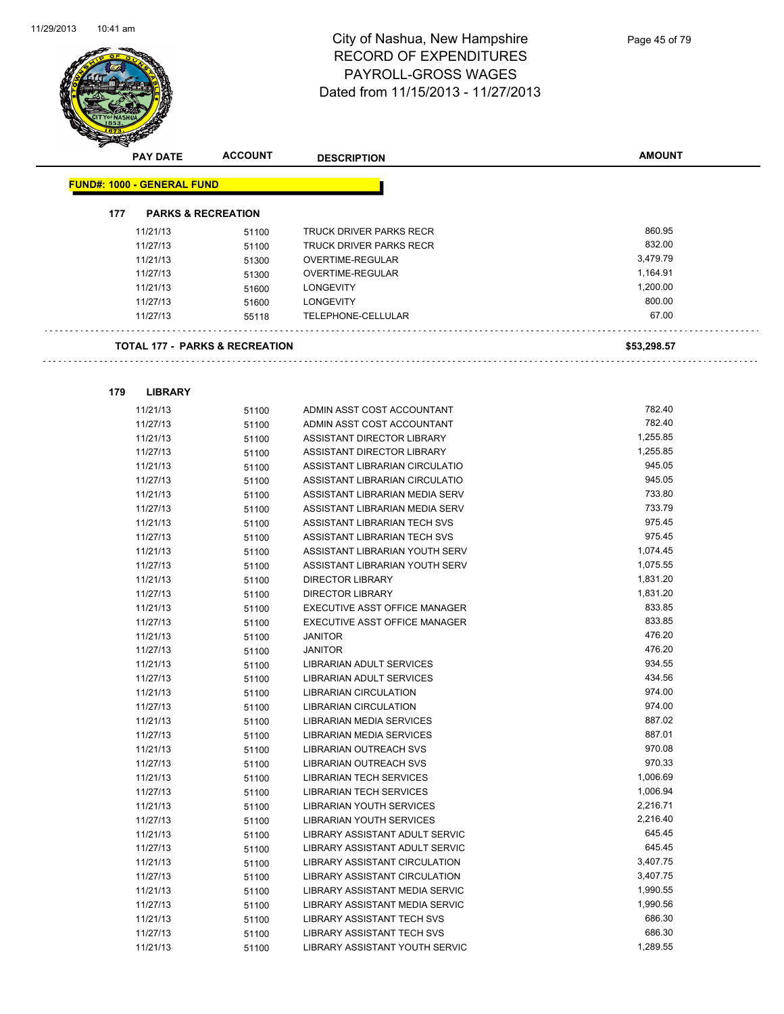

| <b>PAY DATE</b>                   | <b>ACCOUNT</b>                            | <b>DESCRIPTION</b>                | <b>AMOUNT</b> |
|-----------------------------------|-------------------------------------------|-----------------------------------|---------------|
| <b>FUND#: 1000 - GENERAL FUND</b> |                                           |                                   |               |
|                                   |                                           |                                   |               |
| 177                               | <b>PARKS &amp; RECREATION</b>             |                                   |               |
| 11/21/13                          | 51100                                     | TRUCK DRIVER PARKS RECR           | 860.95        |
| 11/27/13                          | 51100                                     | TRUCK DRIVER PARKS RECR           | 832.00        |
| 11/21/13                          | 51300                                     | OVERTIME-REGULAR                  | 3,479.79      |
| 11/27/13                          | 51300                                     | OVERTIME-REGULAR                  | 1,164.91      |
| 11/21/13                          | 51600                                     | <b>LONGEVITY</b>                  | 1,200.00      |
| 11/27/13                          | 51600                                     | <b>LONGEVITY</b>                  | 800.00        |
| 11/27/13                          | 55118                                     | TELEPHONE-CELLULAR                | 67.00         |
|                                   | <b>TOTAL 177 - PARKS &amp; RECREATION</b> |                                   | \$53,298.57   |
|                                   |                                           |                                   |               |
| 179<br><b>LIBRARY</b>             |                                           |                                   |               |
| 11/21/13                          | 51100                                     | ADMIN ASST COST ACCOUNTANT        | 782.40        |
| 11/27/13                          | 51100                                     | ADMIN ASST COST ACCOUNTANT        | 782.40        |
| 11/21/13                          | 51100                                     | ASSISTANT DIRECTOR LIBRARY        | 1,255.85      |
| 11/27/13                          | 51100                                     | ASSISTANT DIRECTOR LIBRARY        | 1,255.85      |
| 11/21/13                          | 51100                                     | ASSISTANT LIBRARIAN CIRCULATIO    | 945.05        |
| 11/27/13                          | 51100                                     | ASSISTANT LIBRARIAN CIRCULATIO    | 945.05        |
| 11/21/13                          | 51100                                     | ASSISTANT LIBRARIAN MEDIA SERV    | 733.80        |
| 11/27/13                          | 51100                                     | ASSISTANT LIBRARIAN MEDIA SERV    | 733.79        |
| 11/21/13                          | 51100                                     | ASSISTANT LIBRARIAN TECH SVS      | 975.45        |
| 11/27/13                          | 51100                                     | ASSISTANT LIBRARIAN TECH SVS      | 975.45        |
| 11/21/13                          | 51100                                     | ASSISTANT LIBRARIAN YOUTH SERV    | 1,074.45      |
| 11/27/13                          | 51100                                     | ASSISTANT LIBRARIAN YOUTH SERV    | 1,075.55      |
| 11/21/13                          | 51100                                     | <b>DIRECTOR LIBRARY</b>           | 1,831.20      |
| 11/27/13                          | 51100                                     | <b>DIRECTOR LIBRARY</b>           | 1,831.20      |
| 11/21/13                          | 51100                                     | EXECUTIVE ASST OFFICE MANAGER     | 833.85        |
| 11/27/13                          | 51100                                     | EXECUTIVE ASST OFFICE MANAGER     | 833.85        |
| 11/21/13                          | 51100                                     | <b>JANITOR</b>                    | 476.20        |
| 11/27/13                          | 51100                                     | <b>JANITOR</b>                    | 476.20        |
| 11/21/13                          | 51100                                     | LIBRARIAN ADULT SERVICES          | 934.55        |
| 11/27/13                          | 51100                                     | LIBRARIAN ADULT SERVICES          | 434.56        |
| 11/21/13                          | 51100                                     | <b>LIBRARIAN CIRCULATION</b>      | 974.00        |
| 11/27/13                          | 51100                                     | <b>LIBRARIAN CIRCULATION</b>      | 974.00        |
| 11/21/13                          | 51100                                     | <b>LIBRARIAN MEDIA SERVICES</b>   | 887.02        |
| 11/27/13                          | 51100                                     | LIBRARIAN MEDIA SERVICES          | 887.01        |
| 11/21/13                          | 51100                                     | <b>LIBRARIAN OUTREACH SVS</b>     | 970.08        |
| 11/27/13                          | 51100                                     | LIBRARIAN OUTREACH SVS            | 970.33        |
| 11/21/13                          | 51100                                     | <b>LIBRARIAN TECH SERVICES</b>    | 1,006.69      |
| 11/27/13                          | 51100                                     | <b>LIBRARIAN TECH SERVICES</b>    | 1,006.94      |
| 11/21/13                          | 51100                                     | LIBRARIAN YOUTH SERVICES          | 2,216.71      |
| 11/27/13                          | 51100                                     | LIBRARIAN YOUTH SERVICES          | 2,216.40      |
| 11/21/13                          | 51100                                     | LIBRARY ASSISTANT ADULT SERVIC    | 645.45        |
| 11/27/13                          | 51100                                     | LIBRARY ASSISTANT ADULT SERVIC    | 645.45        |
| 11/21/13                          | 51100                                     | LIBRARY ASSISTANT CIRCULATION     | 3,407.75      |
| 11/27/13                          | 51100                                     | LIBRARY ASSISTANT CIRCULATION     | 3,407.75      |
| 11/21/13                          | 51100                                     | LIBRARY ASSISTANT MEDIA SERVIC    | 1,990.55      |
| 11/27/13                          | 51100                                     | LIBRARY ASSISTANT MEDIA SERVIC    | 1,990.56      |
| 11/21/13                          | 51100                                     | LIBRARY ASSISTANT TECH SVS        | 686.30        |
| 11/27/13                          | 51100                                     | <b>LIBRARY ASSISTANT TECH SVS</b> | 686.30        |
| 11/21/13                          | 51100                                     | LIBRARY ASSISTANT YOUTH SERVIC    | 1.289.55      |
|                                   |                                           |                                   |               |

11/21/13 51100 LIBRARY ASSISTANT YOUTH SERVIC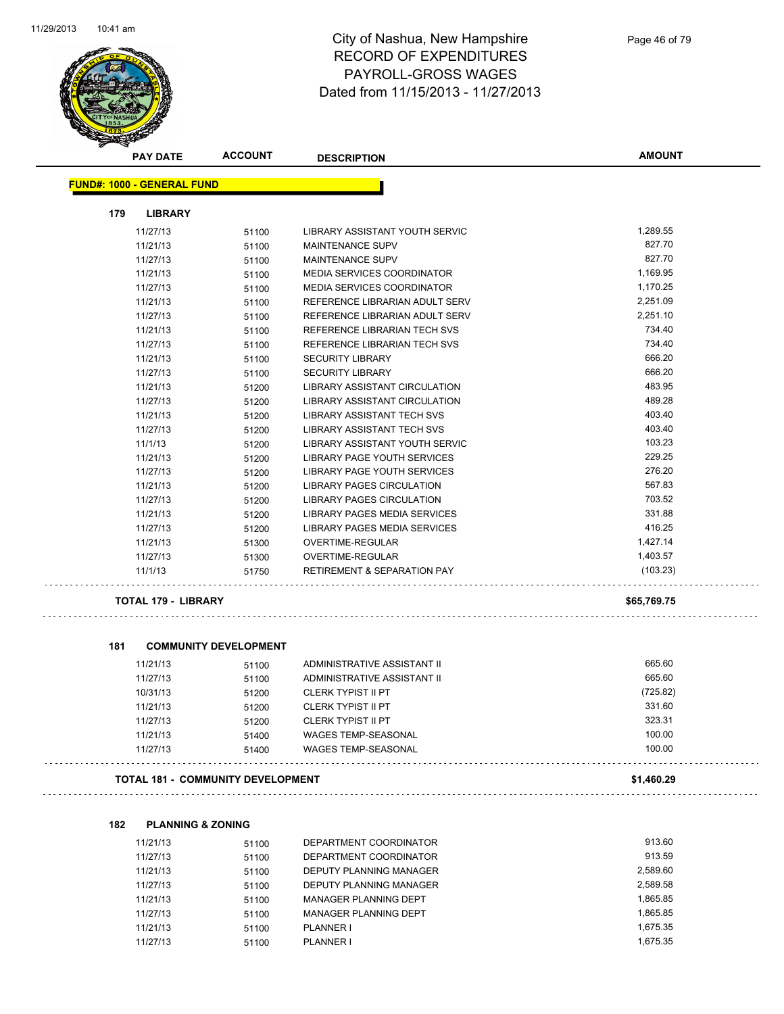

| <b>PAY DATE</b>                   | <b>ACCOUNT</b>                           | <b>DESCRIPTION</b>                     | <b>AMOUNT</b> |
|-----------------------------------|------------------------------------------|----------------------------------------|---------------|
| <b>FUND#: 1000 - GENERAL FUND</b> |                                          |                                        |               |
| 179<br><b>LIBRARY</b>             |                                          |                                        |               |
| 11/27/13                          | 51100                                    | LIBRARY ASSISTANT YOUTH SERVIC         | 1,289.55      |
| 11/21/13                          | 51100                                    | MAINTENANCE SUPV                       | 827.70        |
| 11/27/13                          | 51100                                    | <b>MAINTENANCE SUPV</b>                | 827.70        |
| 11/21/13                          | 51100                                    | MEDIA SERVICES COORDINATOR             | 1,169.95      |
| 11/27/13                          | 51100                                    | MEDIA SERVICES COORDINATOR             | 1,170.25      |
| 11/21/13                          | 51100                                    | REFERENCE LIBRARIAN ADULT SERV         | 2,251.09      |
| 11/27/13                          | 51100                                    | REFERENCE LIBRARIAN ADULT SERV         | 2,251.10      |
| 11/21/13                          | 51100                                    | REFERENCE LIBRARIAN TECH SVS           | 734.40        |
| 11/27/13                          | 51100                                    | REFERENCE LIBRARIAN TECH SVS           | 734.40        |
| 11/21/13                          | 51100                                    | <b>SECURITY LIBRARY</b>                | 666.20        |
| 11/27/13                          | 51100                                    | <b>SECURITY LIBRARY</b>                | 666.20        |
| 11/21/13                          | 51200                                    | <b>LIBRARY ASSISTANT CIRCULATION</b>   | 483.95        |
| 11/27/13                          | 51200                                    | <b>LIBRARY ASSISTANT CIRCULATION</b>   | 489.28        |
| 11/21/13                          | 51200                                    | <b>LIBRARY ASSISTANT TECH SVS</b>      | 403.40        |
| 11/27/13                          | 51200                                    | LIBRARY ASSISTANT TECH SVS             | 403.40        |
| 11/1/13                           | 51200                                    | <b>LIBRARY ASSISTANT YOUTH SERVIC</b>  | 103.23        |
| 11/21/13                          | 51200                                    | LIBRARY PAGE YOUTH SERVICES            | 229.25        |
| 11/27/13                          | 51200                                    | LIBRARY PAGE YOUTH SERVICES            | 276.20        |
| 11/21/13                          | 51200                                    | <b>LIBRARY PAGES CIRCULATION</b>       | 567.83        |
| 11/27/13                          | 51200                                    | <b>LIBRARY PAGES CIRCULATION</b>       | 703.52        |
| 11/21/13                          | 51200                                    | LIBRARY PAGES MEDIA SERVICES           | 331.88        |
| 11/27/13                          | 51200                                    | LIBRARY PAGES MEDIA SERVICES           | 416.25        |
| 11/21/13                          | 51300                                    | OVERTIME-REGULAR                       | 1,427.14      |
| 11/27/13                          | 51300                                    | OVERTIME-REGULAR                       | 1,403.57      |
| 11/1/13                           | 51750                                    | <b>RETIREMENT &amp; SEPARATION PAY</b> | (103.23)      |
| <b>TOTAL 179 - LIBRARY</b>        |                                          |                                        | \$65,769.75   |
| 181                               | <b>COMMUNITY DEVELOPMENT</b>             |                                        |               |
| 11/21/13                          | 51100                                    | ADMINISTRATIVE ASSISTANT II            | 665.60        |
| 11/27/13                          | 51100                                    | ADMINISTRATIVE ASSISTANT II            | 665.60        |
| 10/31/13                          | 51200                                    | <b>CLERK TYPIST II PT</b>              | (725.82)      |
| 11/21/13                          | 51200                                    | <b>CLERK TYPIST II PT</b>              | 331.60        |
| 11/27/13                          | 51200                                    | <b>CLERK TYPIST II PT</b>              | 323.31        |
| 11/21/13                          | 51400                                    | WAGES TEMP-SEASONAL                    | 100.00        |
| 11/27/13                          | 51400                                    | <b>WAGES TEMP-SEASONAL</b>             | 100.00        |
|                                   | <b>TOTAL 181 - COMMUNITY DEVELOPMENT</b> |                                        | \$1,460.29    |

| <b>PLANNING &amp; ZONING</b><br>182 |  |
|-------------------------------------|--|
|-------------------------------------|--|

| 11/21/13 | 51100 | DEPARTMENT COORDINATOR       | 913.60   |
|----------|-------|------------------------------|----------|
| 11/27/13 | 51100 | DEPARTMENT COORDINATOR       | 913.59   |
| 11/21/13 | 51100 | DEPUTY PLANNING MANAGER      | 2.589.60 |
| 11/27/13 | 51100 | DEPUTY PLANNING MANAGER      | 2.589.58 |
| 11/21/13 | 51100 | <b>MANAGER PLANNING DEPT</b> | 1.865.85 |
| 11/27/13 | 51100 | MANAGER PLANNING DEPT        | 1.865.85 |
| 11/21/13 | 51100 | <b>PLANNER I</b>             | 1.675.35 |
| 11/27/13 | 51100 | <b>PLANNER I</b>             | 1.675.35 |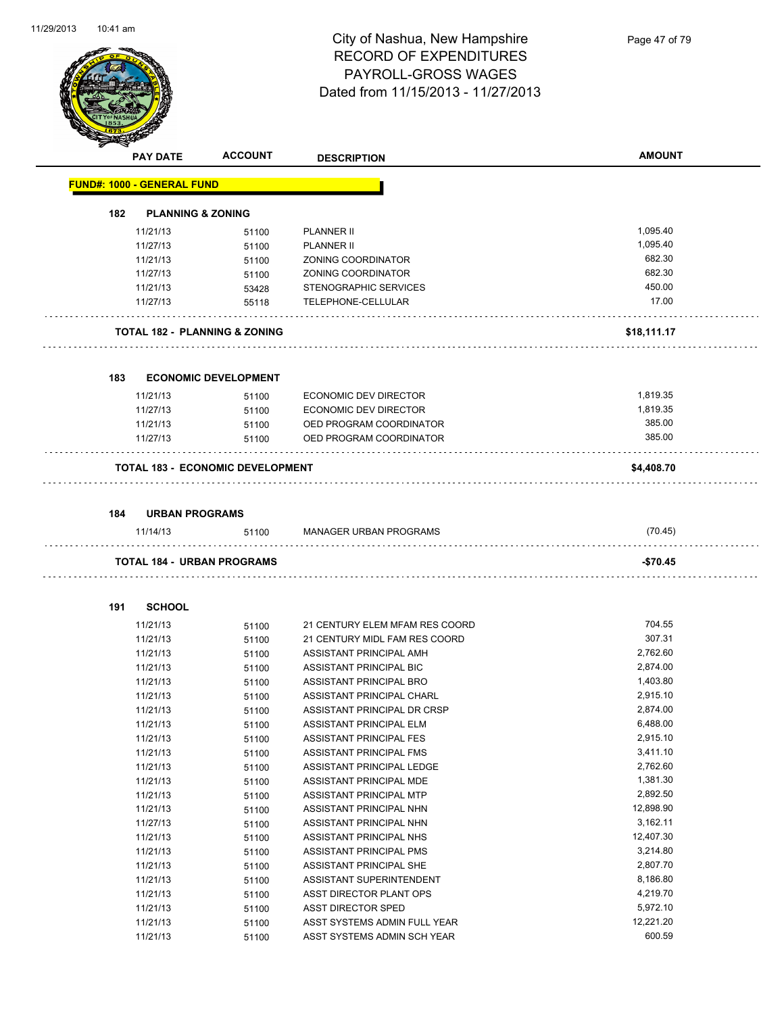

Page 47 of 79

|     | <b>PAY DATE</b>                    | <b>ACCOUNT</b>                           | <b>DESCRIPTION</b>             | <b>AMOUNT</b> |
|-----|------------------------------------|------------------------------------------|--------------------------------|---------------|
|     | <u> FUND#: 1000 - GENERAL FUND</u> |                                          |                                |               |
| 182 | <b>PLANNING &amp; ZONING</b>       |                                          |                                |               |
|     | 11/21/13                           | 51100                                    | <b>PLANNER II</b>              | 1,095.40      |
|     | 11/27/13                           | 51100                                    | <b>PLANNER II</b>              | 1,095.40      |
|     | 11/21/13                           | 51100                                    | ZONING COORDINATOR             | 682.30        |
|     | 11/27/13                           | 51100                                    | ZONING COORDINATOR             | 682.30        |
|     | 11/21/13                           | 53428                                    | STENOGRAPHIC SERVICES          | 450.00        |
|     | 11/27/13                           | 55118                                    | TELEPHONE-CELLULAR             | 17.00         |
|     |                                    | <b>TOTAL 182 - PLANNING &amp; ZONING</b> |                                | \$18,111.17   |
|     |                                    |                                          |                                |               |
| 183 |                                    | <b>ECONOMIC DEVELOPMENT</b>              |                                |               |
|     | 11/21/13                           | 51100                                    | ECONOMIC DEV DIRECTOR          | 1,819.35      |
|     | 11/27/13                           | 51100                                    | <b>ECONOMIC DEV DIRECTOR</b>   | 1,819.35      |
|     | 11/21/13                           | 51100                                    | OED PROGRAM COORDINATOR        | 385.00        |
|     | 11/27/13                           | 51100                                    | OED PROGRAM COORDINATOR        | 385.00        |
|     |                                    | <b>TOTAL 183 - ECONOMIC DEVELOPMENT</b>  |                                | \$4,408.70    |
|     |                                    |                                          |                                |               |
| 184 | <b>URBAN PROGRAMS</b>              |                                          |                                |               |
|     | 11/14/13                           | 51100                                    | <b>MANAGER URBAN PROGRAMS</b>  | (70.45)       |
|     |                                    | <b>TOTAL 184 - URBAN PROGRAMS</b>        |                                | -\$70.45      |
| 191 | <b>SCHOOL</b>                      |                                          |                                |               |
|     | 11/21/13                           | 51100                                    | 21 CENTURY ELEM MFAM RES COORD | 704.55        |
|     | 11/21/13                           | 51100                                    | 21 CENTURY MIDL FAM RES COORD  | 307.31        |
|     | 11/21/13                           | 51100                                    | ASSISTANT PRINCIPAL AMH        | 2,762.60      |
|     | 11/21/13                           | 51100                                    | ASSISTANT PRINCIPAL BIC        | 2,874.00      |
|     | 11/21/13                           | 51100                                    | ASSISTANT PRINCIPAL BRO        | 1,403.80      |
|     | 11/21/13                           | 51100                                    | ASSISTANT PRINCIPAL CHARL      | 2,915.10      |
|     | 11/21/13                           | 51100                                    | ASSISTANT PRINCIPAL DR CRSP    | 2,874.00      |
|     | 11/21/13                           | 51100                                    | ASSISTANT PRINCIPAL ELM        | 6,488.00      |
|     | 11/21/13                           | 51100                                    | ASSISTANT PRINCIPAL FES        | 2,915.10      |
|     | 11/21/13                           | 51100                                    | ASSISTANT PRINCIPAL FMS        | 3,411.10      |
|     | 11/21/13                           | 51100                                    | ASSISTANT PRINCIPAL LEDGE      | 2,762.60      |
|     | 11/21/13                           | 51100                                    | ASSISTANT PRINCIPAL MDE        | 1,381.30      |
|     | 11/21/13                           | 51100                                    | ASSISTANT PRINCIPAL MTP        | 2,892.50      |
|     | 11/21/13                           | 51100                                    | ASSISTANT PRINCIPAL NHN        | 12,898.90     |
|     | 11/27/13                           | 51100                                    | ASSISTANT PRINCIPAL NHN        | 3,162.11      |
|     | 11/21/13                           | 51100                                    | ASSISTANT PRINCIPAL NHS        | 12,407.30     |
|     | 11/21/13                           | 51100                                    | ASSISTANT PRINCIPAL PMS        | 3,214.80      |
|     | 11/21/13                           | 51100                                    | ASSISTANT PRINCIPAL SHE        | 2,807.70      |
|     | 11/21/13                           | 51100                                    | ASSISTANT SUPERINTENDENT       | 8,186.80      |
|     | 11/21/13                           | 51100                                    | ASST DIRECTOR PLANT OPS        | 4,219.70      |
|     | 11/21/13                           | 51100                                    | ASST DIRECTOR SPED             | 5,972.10      |
|     | 11/21/13                           | 51100                                    | ASST SYSTEMS ADMIN FULL YEAR   | 12,221.20     |
|     | 11/21/13                           | 51100                                    | ASST SYSTEMS ADMIN SCH YEAR    | 600.59        |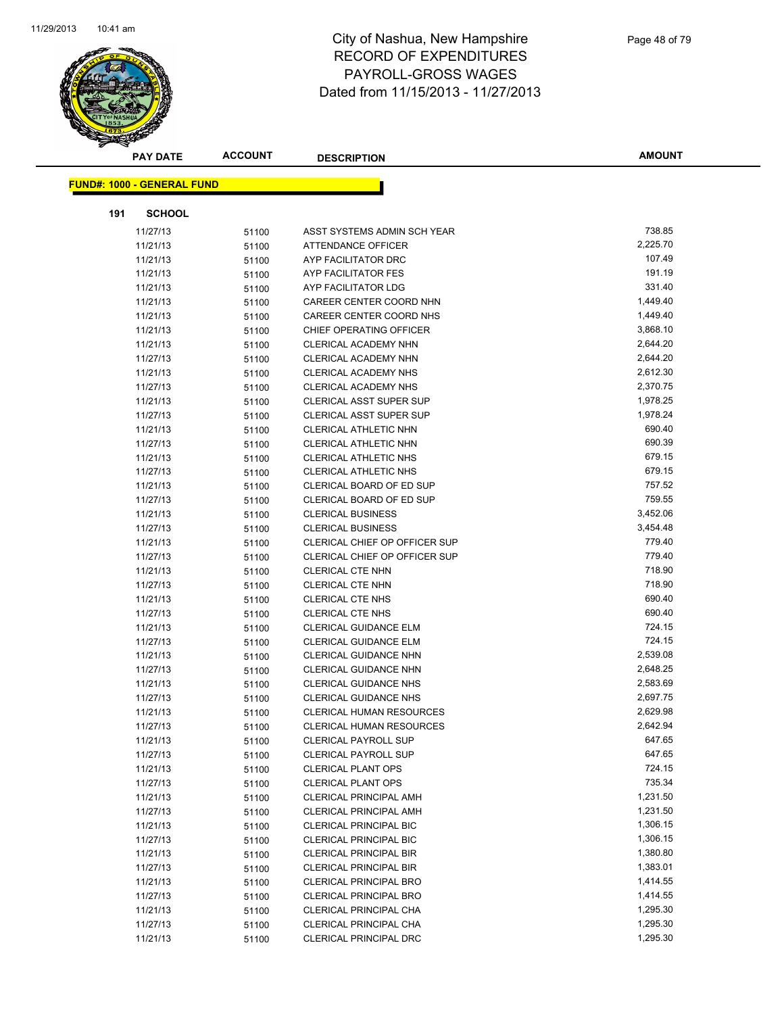

|     | <b>PAY DATE</b>                   | <b>ACCOUNT</b> | <b>DESCRIPTION</b>                                             | <b>AMOUNT</b>        |
|-----|-----------------------------------|----------------|----------------------------------------------------------------|----------------------|
|     | <b>FUND#: 1000 - GENERAL FUND</b> |                |                                                                |                      |
|     |                                   |                |                                                                |                      |
| 191 | <b>SCHOOL</b>                     |                |                                                                |                      |
|     | 11/27/13                          | 51100          | ASST SYSTEMS ADMIN SCH YEAR                                    | 738.85               |
|     | 11/21/13                          | 51100          | <b>ATTENDANCE OFFICER</b>                                      | 2,225.70             |
|     | 11/21/13                          | 51100          | AYP FACILITATOR DRC                                            | 107.49               |
|     | 11/21/13                          | 51100          | AYP FACILITATOR FES                                            | 191.19               |
|     | 11/21/13                          | 51100          | AYP FACILITATOR LDG                                            | 331.40               |
|     | 11/21/13                          | 51100          | CAREER CENTER COORD NHN                                        | 1,449.40             |
|     | 11/21/13                          | 51100          | CAREER CENTER COORD NHS                                        | 1,449.40             |
|     | 11/21/13                          | 51100          | CHIEF OPERATING OFFICER                                        | 3,868.10             |
|     | 11/21/13                          | 51100          | CLERICAL ACADEMY NHN                                           | 2,644.20             |
|     | 11/27/13                          | 51100          | CLERICAL ACADEMY NHN                                           | 2,644.20             |
|     | 11/21/13                          | 51100          | <b>CLERICAL ACADEMY NHS</b>                                    | 2,612.30             |
|     | 11/27/13                          | 51100          | CLERICAL ACADEMY NHS                                           | 2,370.75             |
|     | 11/21/13                          | 51100          | <b>CLERICAL ASST SUPER SUP</b>                                 | 1,978.25             |
|     | 11/27/13                          | 51100          | <b>CLERICAL ASST SUPER SUP</b>                                 | 1,978.24             |
|     | 11/21/13                          | 51100          | CLERICAL ATHLETIC NHN                                          | 690.40               |
|     | 11/27/13                          | 51100          | CLERICAL ATHLETIC NHN                                          | 690.39               |
|     | 11/21/13                          | 51100          | CLERICAL ATHLETIC NHS                                          | 679.15               |
|     | 11/27/13                          | 51100          | CLERICAL ATHLETIC NHS                                          | 679.15               |
|     | 11/21/13                          | 51100          | CLERICAL BOARD OF ED SUP                                       | 757.52               |
|     | 11/27/13                          | 51100          | CLERICAL BOARD OF ED SUP                                       | 759.55               |
|     | 11/21/13                          | 51100          | <b>CLERICAL BUSINESS</b>                                       | 3,452.06             |
|     | 11/27/13                          | 51100          | <b>CLERICAL BUSINESS</b>                                       | 3,454.48             |
|     | 11/21/13                          | 51100          | CLERICAL CHIEF OP OFFICER SUP                                  | 779.40               |
|     | 11/27/13                          | 51100          | CLERICAL CHIEF OP OFFICER SUP                                  | 779.40               |
|     | 11/21/13                          | 51100          | <b>CLERICAL CTE NHN</b>                                        | 718.90               |
|     | 11/27/13                          | 51100          | <b>CLERICAL CTE NHN</b>                                        | 718.90               |
|     | 11/21/13                          | 51100          | CLERICAL CTE NHS                                               | 690.40               |
|     | 11/27/13                          | 51100          | <b>CLERICAL CTE NHS</b>                                        | 690.40               |
|     | 11/21/13                          | 51100          | <b>CLERICAL GUIDANCE ELM</b>                                   | 724.15               |
|     | 11/27/13                          | 51100          | <b>CLERICAL GUIDANCE ELM</b>                                   | 724.15               |
|     | 11/21/13                          | 51100          | CLERICAL GUIDANCE NHN                                          | 2,539.08             |
|     | 11/27/13                          | 51100          | <b>CLERICAL GUIDANCE NHN</b>                                   | 2,648.25             |
|     | 11/21/13                          | 51100          | <b>CLERICAL GUIDANCE NHS</b>                                   | 2,583.69             |
|     | 11/27/13                          | 51100          | <b>CLERICAL GUIDANCE NHS</b>                                   | 2,697.75             |
|     | 11/21/13                          | 51100          | <b>CLERICAL HUMAN RESOURCES</b>                                | 2,629.98             |
|     | 11/27/13                          | 51100          | CLERICAL HUMAN RESOURCES                                       | 2,642.94             |
|     | 11/21/13                          | 51100          | <b>CLERICAL PAYROLL SUP</b>                                    | 647.65<br>647.65     |
|     | 11/27/13                          | 51100          | <b>CLERICAL PAYROLL SUP</b>                                    |                      |
|     | 11/21/13                          | 51100          | <b>CLERICAL PLANT OPS</b>                                      | 724.15<br>735.34     |
|     | 11/27/13                          | 51100          | <b>CLERICAL PLANT OPS</b>                                      |                      |
|     | 11/21/13                          | 51100          | <b>CLERICAL PRINCIPAL AMH</b>                                  | 1,231.50<br>1,231.50 |
|     | 11/27/13                          | 51100          | <b>CLERICAL PRINCIPAL AMH</b>                                  |                      |
|     | 11/21/13<br>11/27/13              | 51100          | <b>CLERICAL PRINCIPAL BIC</b><br><b>CLERICAL PRINCIPAL BIC</b> | 1,306.15<br>1,306.15 |
|     |                                   | 51100          | <b>CLERICAL PRINCIPAL BIR</b>                                  | 1,380.80             |
|     | 11/21/13<br>11/27/13              | 51100          |                                                                | 1,383.01             |
|     | 11/21/13                          | 51100          | <b>CLERICAL PRINCIPAL BIR</b><br><b>CLERICAL PRINCIPAL BRO</b> | 1,414.55             |
|     |                                   | 51100          |                                                                | 1,414.55             |
|     | 11/27/13                          | 51100          | <b>CLERICAL PRINCIPAL BRO</b><br>CLERICAL PRINCIPAL CHA        | 1,295.30             |
|     | 11/21/13<br>11/27/13              | 51100          | CLERICAL PRINCIPAL CHA                                         | 1,295.30             |
|     | 11/21/13                          | 51100<br>51100 | CLERICAL PRINCIPAL DRC                                         | 1,295.30             |
|     |                                   |                |                                                                |                      |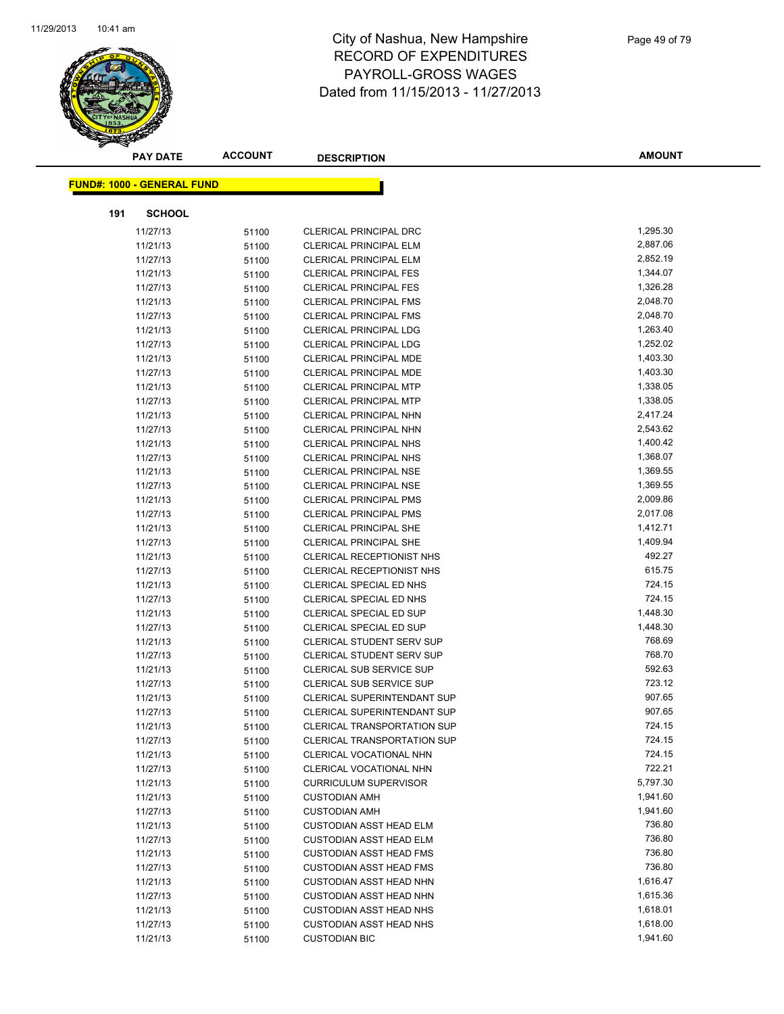

|     | <b>PAY DATE</b>                   | <b>ACCOUNT</b> | <b>DESCRIPTION</b>                 | <b>AMOUNT</b> |
|-----|-----------------------------------|----------------|------------------------------------|---------------|
|     | <b>FUND#: 1000 - GENERAL FUND</b> |                |                                    |               |
|     |                                   |                |                                    |               |
| 191 | <b>SCHOOL</b>                     |                |                                    |               |
|     | 11/27/13                          | 51100          | <b>CLERICAL PRINCIPAL DRC</b>      | 1,295.30      |
|     | 11/21/13                          | 51100          | <b>CLERICAL PRINCIPAL ELM</b>      | 2,887.06      |
|     | 11/27/13                          | 51100          | <b>CLERICAL PRINCIPAL ELM</b>      | 2,852.19      |
|     | 11/21/13                          | 51100          | <b>CLERICAL PRINCIPAL FES</b>      | 1,344.07      |
|     | 11/27/13                          | 51100          | <b>CLERICAL PRINCIPAL FES</b>      | 1,326.28      |
|     | 11/21/13                          | 51100          | <b>CLERICAL PRINCIPAL FMS</b>      | 2,048.70      |
|     | 11/27/13                          | 51100          | <b>CLERICAL PRINCIPAL FMS</b>      | 2,048.70      |
|     | 11/21/13                          | 51100          | <b>CLERICAL PRINCIPAL LDG</b>      | 1,263.40      |
|     | 11/27/13                          | 51100          | <b>CLERICAL PRINCIPAL LDG</b>      | 1,252.02      |
|     | 11/21/13                          | 51100          | <b>CLERICAL PRINCIPAL MDE</b>      | 1,403.30      |
|     | 11/27/13                          | 51100          | <b>CLERICAL PRINCIPAL MDE</b>      | 1,403.30      |
|     | 11/21/13                          | 51100          | <b>CLERICAL PRINCIPAL MTP</b>      | 1,338.05      |
|     | 11/27/13                          | 51100          | <b>CLERICAL PRINCIPAL MTP</b>      | 1,338.05      |
|     | 11/21/13                          | 51100          | <b>CLERICAL PRINCIPAL NHN</b>      | 2,417.24      |
|     | 11/27/13                          | 51100          | <b>CLERICAL PRINCIPAL NHN</b>      | 2,543.62      |
|     | 11/21/13                          | 51100          | <b>CLERICAL PRINCIPAL NHS</b>      | 1,400.42      |
|     | 11/27/13                          | 51100          | <b>CLERICAL PRINCIPAL NHS</b>      | 1,368.07      |
|     | 11/21/13                          | 51100          | <b>CLERICAL PRINCIPAL NSE</b>      | 1,369.55      |
|     | 11/27/13                          | 51100          | <b>CLERICAL PRINCIPAL NSE</b>      | 1,369.55      |
|     | 11/21/13                          | 51100          | <b>CLERICAL PRINCIPAL PMS</b>      | 2,009.86      |
|     | 11/27/13                          | 51100          | <b>CLERICAL PRINCIPAL PMS</b>      | 2,017.08      |
|     | 11/21/13                          | 51100          | <b>CLERICAL PRINCIPAL SHE</b>      | 1,412.71      |
|     | 11/27/13                          | 51100          | CLERICAL PRINCIPAL SHE             | 1,409.94      |
|     | 11/21/13                          | 51100          | <b>CLERICAL RECEPTIONIST NHS</b>   | 492.27        |
|     | 11/27/13                          | 51100          | <b>CLERICAL RECEPTIONIST NHS</b>   | 615.75        |
|     | 11/21/13                          | 51100          | CLERICAL SPECIAL ED NHS            | 724.15        |
|     | 11/27/13                          | 51100          | CLERICAL SPECIAL ED NHS            | 724.15        |
|     | 11/21/13                          | 51100          | CLERICAL SPECIAL ED SUP            | 1,448.30      |
|     | 11/27/13                          | 51100          | CLERICAL SPECIAL ED SUP            | 1,448.30      |
|     | 11/21/13                          | 51100          | <b>CLERICAL STUDENT SERV SUP</b>   | 768.69        |
|     | 11/27/13                          | 51100          | <b>CLERICAL STUDENT SERV SUP</b>   | 768.70        |
|     | 11/21/13                          | 51100          | CLERICAL SUB SERVICE SUP           | 592.63        |
|     | 11/27/13                          | 51100          | <b>CLERICAL SUB SERVICE SUP</b>    | 723.12        |
|     | 11/21/13                          | 51100          | CLERICAL SUPERINTENDANT SUP        | 907.65        |
|     | 11/27/13                          | 51100          | CLERICAL SUPERINTENDANT SUP        | 907.65        |
|     | 11/21/13                          | 51100          | <b>CLERICAL TRANSPORTATION SUP</b> | 724.15        |
|     | 11/27/13                          | 51100          | <b>CLERICAL TRANSPORTATION SUP</b> | 724.15        |
|     | 11/21/13                          | 51100          | CLERICAL VOCATIONAL NHN            | 724.15        |
|     | 11/27/13                          | 51100          | CLERICAL VOCATIONAL NHN            | 722.21        |
|     | 11/21/13                          | 51100          | <b>CURRICULUM SUPERVISOR</b>       | 5,797.30      |
|     | 11/21/13                          | 51100          | <b>CUSTODIAN AMH</b>               | 1,941.60      |
|     | 11/27/13                          | 51100          | <b>CUSTODIAN AMH</b>               | 1,941.60      |
|     | 11/21/13                          | 51100          | <b>CUSTODIAN ASST HEAD ELM</b>     | 736.80        |
|     | 11/27/13                          | 51100          | <b>CUSTODIAN ASST HEAD ELM</b>     | 736.80        |
|     | 11/21/13                          | 51100          | <b>CUSTODIAN ASST HEAD FMS</b>     | 736.80        |
|     | 11/27/13                          | 51100          | <b>CUSTODIAN ASST HEAD FMS</b>     | 736.80        |
|     | 11/21/13                          | 51100          | <b>CUSTODIAN ASST HEAD NHN</b>     | 1,616.47      |
|     | 11/27/13                          | 51100          | CUSTODIAN ASST HEAD NHN            | 1,615.36      |
|     | 11/21/13                          | 51100          | <b>CUSTODIAN ASST HEAD NHS</b>     | 1,618.01      |
|     | 11/27/13                          | 51100          | <b>CUSTODIAN ASST HEAD NHS</b>     | 1,618.00      |
|     | 11/21/13                          | 51100          | <b>CUSTODIAN BIC</b>               | 1,941.60      |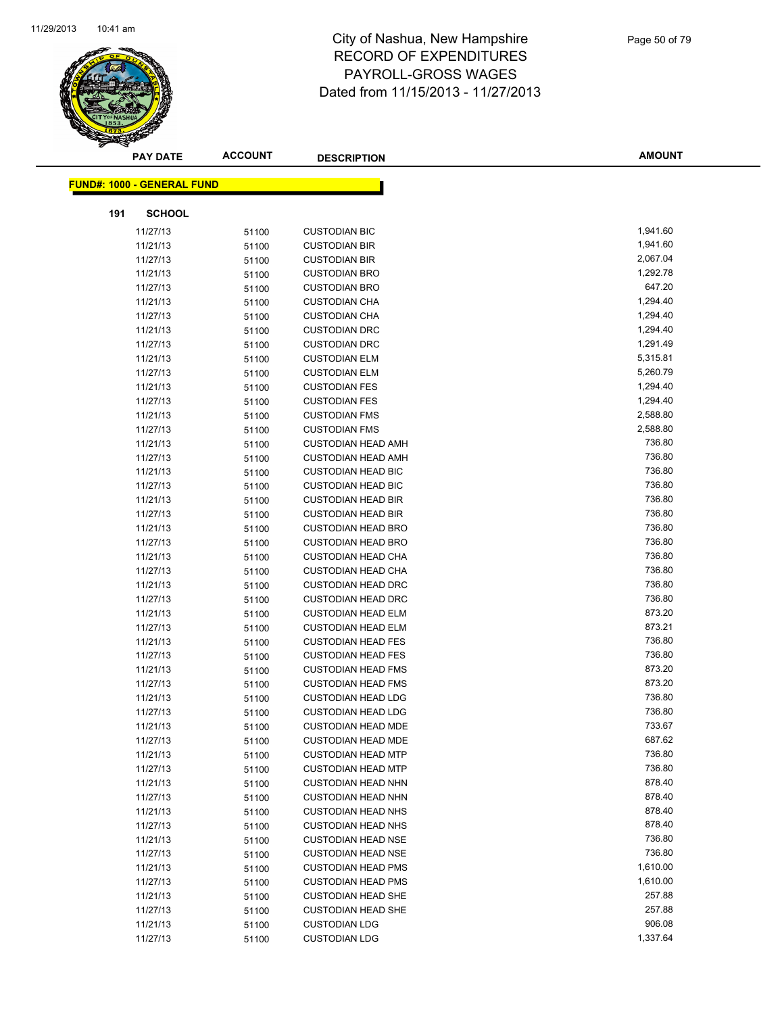

| <b>PAY DATE</b>                   | <b>ACCOUNT</b> | <b>DESCRIPTION</b>        | AMOUNT   |
|-----------------------------------|----------------|---------------------------|----------|
| <b>FUND#: 1000 - GENERAL FUND</b> |                |                           |          |
|                                   |                |                           |          |
| 191<br><b>SCHOOL</b>              |                |                           |          |
| 11/27/13                          | 51100          | <b>CUSTODIAN BIC</b>      | 1,941.60 |
| 11/21/13                          | 51100          | <b>CUSTODIAN BIR</b>      | 1,941.60 |
| 11/27/13                          | 51100          | <b>CUSTODIAN BIR</b>      | 2,067.04 |
| 11/21/13                          | 51100          | <b>CUSTODIAN BRO</b>      | 1,292.78 |
| 11/27/13                          | 51100          | <b>CUSTODIAN BRO</b>      | 647.20   |
| 11/21/13                          | 51100          | <b>CUSTODIAN CHA</b>      | 1,294.40 |
| 11/27/13                          | 51100          | <b>CUSTODIAN CHA</b>      | 1,294.40 |
| 11/21/13                          | 51100          | <b>CUSTODIAN DRC</b>      | 1,294.40 |
| 11/27/13                          | 51100          | <b>CUSTODIAN DRC</b>      | 1,291.49 |
| 11/21/13                          | 51100          | <b>CUSTODIAN ELM</b>      | 5,315.81 |
| 11/27/13                          | 51100          | <b>CUSTODIAN ELM</b>      | 5,260.79 |
| 11/21/13                          | 51100          | <b>CUSTODIAN FES</b>      | 1,294.40 |
| 11/27/13                          | 51100          | <b>CUSTODIAN FES</b>      | 1,294.40 |
| 11/21/13                          | 51100          | <b>CUSTODIAN FMS</b>      | 2,588.80 |
| 11/27/13                          | 51100          | <b>CUSTODIAN FMS</b>      | 2,588.80 |
| 11/21/13                          | 51100          | <b>CUSTODIAN HEAD AMH</b> | 736.80   |
| 11/27/13                          | 51100          | <b>CUSTODIAN HEAD AMH</b> | 736.80   |
| 11/21/13                          | 51100          | <b>CUSTODIAN HEAD BIC</b> | 736.80   |
| 11/27/13                          | 51100          | <b>CUSTODIAN HEAD BIC</b> | 736.80   |
| 11/21/13                          | 51100          | <b>CUSTODIAN HEAD BIR</b> | 736.80   |
| 11/27/13                          | 51100          | <b>CUSTODIAN HEAD BIR</b> | 736.80   |
| 11/21/13                          | 51100          | <b>CUSTODIAN HEAD BRO</b> | 736.80   |
| 11/27/13                          | 51100          | <b>CUSTODIAN HEAD BRO</b> | 736.80   |
| 11/21/13                          | 51100          | <b>CUSTODIAN HEAD CHA</b> | 736.80   |
| 11/27/13                          | 51100          | <b>CUSTODIAN HEAD CHA</b> | 736.80   |
| 11/21/13                          | 51100          | <b>CUSTODIAN HEAD DRC</b> | 736.80   |
| 11/27/13                          | 51100          | <b>CUSTODIAN HEAD DRC</b> | 736.80   |
| 11/21/13                          | 51100          | <b>CUSTODIAN HEAD ELM</b> | 873.20   |
| 11/27/13                          | 51100          | <b>CUSTODIAN HEAD ELM</b> | 873.21   |
| 11/21/13                          | 51100          | <b>CUSTODIAN HEAD FES</b> | 736.80   |
| 11/27/13                          | 51100          | <b>CUSTODIAN HEAD FES</b> | 736.80   |
| 11/21/13                          | 51100          | <b>CUSTODIAN HEAD FMS</b> | 873.20   |
| 11/27/13                          | 51100          | <b>CUSTODIAN HEAD FMS</b> | 873.20   |
| 11/21/13                          | 51100          | <b>CUSTODIAN HEAD LDG</b> | 736.80   |
| 11/27/13                          | 51100          | <b>CUSTODIAN HEAD LDG</b> | 736.80   |
| 11/21/13                          | 51100          | <b>CUSTODIAN HEAD MDE</b> | 733.67   |
| 11/27/13                          | 51100          | <b>CUSTODIAN HEAD MDE</b> | 687.62   |
| 11/21/13                          | 51100          | <b>CUSTODIAN HEAD MTP</b> | 736.80   |
| 11/27/13                          | 51100          | <b>CUSTODIAN HEAD MTP</b> | 736.80   |
| 11/21/13                          | 51100          | <b>CUSTODIAN HEAD NHN</b> | 878.40   |
| 11/27/13                          | 51100          | <b>CUSTODIAN HEAD NHN</b> | 878.40   |
| 11/21/13                          | 51100          | <b>CUSTODIAN HEAD NHS</b> | 878.40   |
| 11/27/13                          | 51100          | <b>CUSTODIAN HEAD NHS</b> | 878.40   |
| 11/21/13                          | 51100          | <b>CUSTODIAN HEAD NSE</b> | 736.80   |
| 11/27/13                          | 51100          | <b>CUSTODIAN HEAD NSE</b> | 736.80   |
| 11/21/13                          | 51100          | <b>CUSTODIAN HEAD PMS</b> | 1,610.00 |
| 11/27/13                          | 51100          | <b>CUSTODIAN HEAD PMS</b> | 1,610.00 |
| 11/21/13                          | 51100          | <b>CUSTODIAN HEAD SHE</b> | 257.88   |
| 11/27/13                          | 51100          | <b>CUSTODIAN HEAD SHE</b> | 257.88   |
| 11/21/13                          | 51100          | <b>CUSTODIAN LDG</b>      | 906.08   |
| 11/27/13                          | 51100          | <b>CUSTODIAN LDG</b>      | 1,337.64 |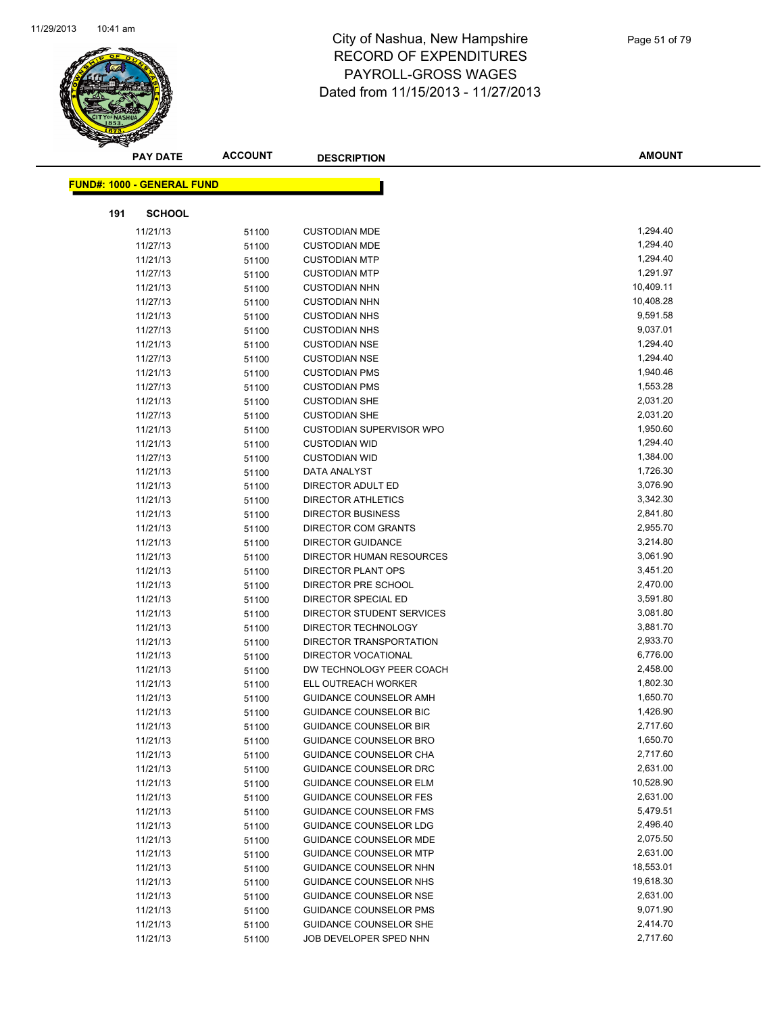

|     | <b>PAY DATE</b>                   | <b>ACCOUNT</b> | <b>DESCRIPTION</b>              | <b>AMOUNT</b> |
|-----|-----------------------------------|----------------|---------------------------------|---------------|
|     |                                   |                |                                 |               |
|     | <b>FUND#: 1000 - GENERAL FUND</b> |                |                                 |               |
| 191 | <b>SCHOOL</b>                     |                |                                 |               |
|     | 11/21/13                          | 51100          | <b>CUSTODIAN MDE</b>            | 1,294.40      |
|     | 11/27/13                          | 51100          | <b>CUSTODIAN MDE</b>            | 1,294.40      |
|     | 11/21/13                          | 51100          | <b>CUSTODIAN MTP</b>            | 1,294.40      |
|     | 11/27/13                          | 51100          | <b>CUSTODIAN MTP</b>            | 1,291.97      |
|     | 11/21/13                          | 51100          | <b>CUSTODIAN NHN</b>            | 10,409.11     |
|     | 11/27/13                          | 51100          | <b>CUSTODIAN NHN</b>            | 10,408.28     |
|     | 11/21/13                          | 51100          | <b>CUSTODIAN NHS</b>            | 9,591.58      |
|     | 11/27/13                          | 51100          | <b>CUSTODIAN NHS</b>            | 9,037.01      |
|     | 11/21/13                          | 51100          | <b>CUSTODIAN NSE</b>            | 1,294.40      |
|     | 11/27/13                          | 51100          | <b>CUSTODIAN NSE</b>            | 1,294.40      |
|     | 11/21/13                          | 51100          | <b>CUSTODIAN PMS</b>            | 1,940.46      |
|     | 11/27/13                          | 51100          | <b>CUSTODIAN PMS</b>            | 1,553.28      |
|     | 11/21/13                          | 51100          | <b>CUSTODIAN SHE</b>            | 2,031.20      |
|     | 11/27/13                          | 51100          | <b>CUSTODIAN SHE</b>            | 2,031.20      |
|     | 11/21/13                          | 51100          | <b>CUSTODIAN SUPERVISOR WPO</b> | 1,950.60      |
|     | 11/21/13                          | 51100          | <b>CUSTODIAN WID</b>            | 1,294.40      |
|     | 11/27/13                          | 51100          | <b>CUSTODIAN WID</b>            | 1,384.00      |
|     | 11/21/13                          | 51100          | DATA ANALYST                    | 1,726.30      |
|     | 11/21/13                          | 51100          | DIRECTOR ADULT ED               | 3,076.90      |
|     | 11/21/13                          | 51100          | DIRECTOR ATHLETICS              | 3,342.30      |
|     | 11/21/13                          | 51100          | <b>DIRECTOR BUSINESS</b>        | 2,841.80      |
|     | 11/21/13                          | 51100          | <b>DIRECTOR COM GRANTS</b>      | 2,955.70      |
|     | 11/21/13                          | 51100          | <b>DIRECTOR GUIDANCE</b>        | 3,214.80      |
|     | 11/21/13                          | 51100          | DIRECTOR HUMAN RESOURCES        | 3,061.90      |
|     | 11/21/13                          | 51100          | <b>DIRECTOR PLANT OPS</b>       | 3,451.20      |
|     | 11/21/13                          | 51100          | DIRECTOR PRE SCHOOL             | 2,470.00      |
|     | 11/21/13                          | 51100          | DIRECTOR SPECIAL ED             | 3,591.80      |
|     | 11/21/13                          | 51100          | DIRECTOR STUDENT SERVICES       | 3,081.80      |
|     | 11/21/13                          | 51100          | DIRECTOR TECHNOLOGY             | 3,881.70      |
|     | 11/21/13                          | 51100          | DIRECTOR TRANSPORTATION         | 2,933.70      |
|     | 11/21/13                          | 51100          | DIRECTOR VOCATIONAL             | 6,776.00      |
|     | 11/21/13                          | 51100          | DW TECHNOLOGY PEER COACH        | 2,458.00      |
|     | 11/21/13                          | 51100          | <b>ELL OUTREACH WORKER</b>      | 1,802.30      |
|     | 11/21/13                          | 51100          | GUIDANCE COUNSELOR AMH          | 1,650.70      |
|     | 11/21/13                          | 51100          | <b>GUIDANCE COUNSELOR BIC</b>   | 1,426.90      |
|     | 11/21/13                          | 51100          | <b>GUIDANCE COUNSELOR BIR</b>   | 2,717.60      |
|     | 11/21/13                          | 51100          | <b>GUIDANCE COUNSELOR BRO</b>   | 1,650.70      |
|     | 11/21/13                          | 51100          | GUIDANCE COUNSELOR CHA          | 2,717.60      |
|     | 11/21/13                          | 51100          | GUIDANCE COUNSELOR DRC          | 2,631.00      |
|     | 11/21/13                          | 51100          | <b>GUIDANCE COUNSELOR ELM</b>   | 10,528.90     |
|     | 11/21/13                          | 51100          | <b>GUIDANCE COUNSELOR FES</b>   | 2,631.00      |
|     | 11/21/13                          | 51100          | GUIDANCE COUNSELOR FMS          | 5,479.51      |
|     | 11/21/13                          | 51100          | GUIDANCE COUNSELOR LDG          | 2,496.40      |
|     | 11/21/13                          | 51100          | <b>GUIDANCE COUNSELOR MDE</b>   | 2,075.50      |
|     | 11/21/13                          | 51100          | <b>GUIDANCE COUNSELOR MTP</b>   | 2,631.00      |
|     | 11/21/13                          | 51100          | GUIDANCE COUNSELOR NHN          | 18,553.01     |
|     | 11/21/13                          | 51100          | GUIDANCE COUNSELOR NHS          | 19,618.30     |
|     | 11/21/13                          | 51100          | GUIDANCE COUNSELOR NSE          | 2,631.00      |
|     | 11/21/13                          | 51100          | <b>GUIDANCE COUNSELOR PMS</b>   | 9,071.90      |
|     | 11/21/13                          | 51100          | GUIDANCE COUNSELOR SHE          | 2,414.70      |
|     | 11/21/13                          | 51100          | JOB DEVELOPER SPED NHN          | 2,717.60      |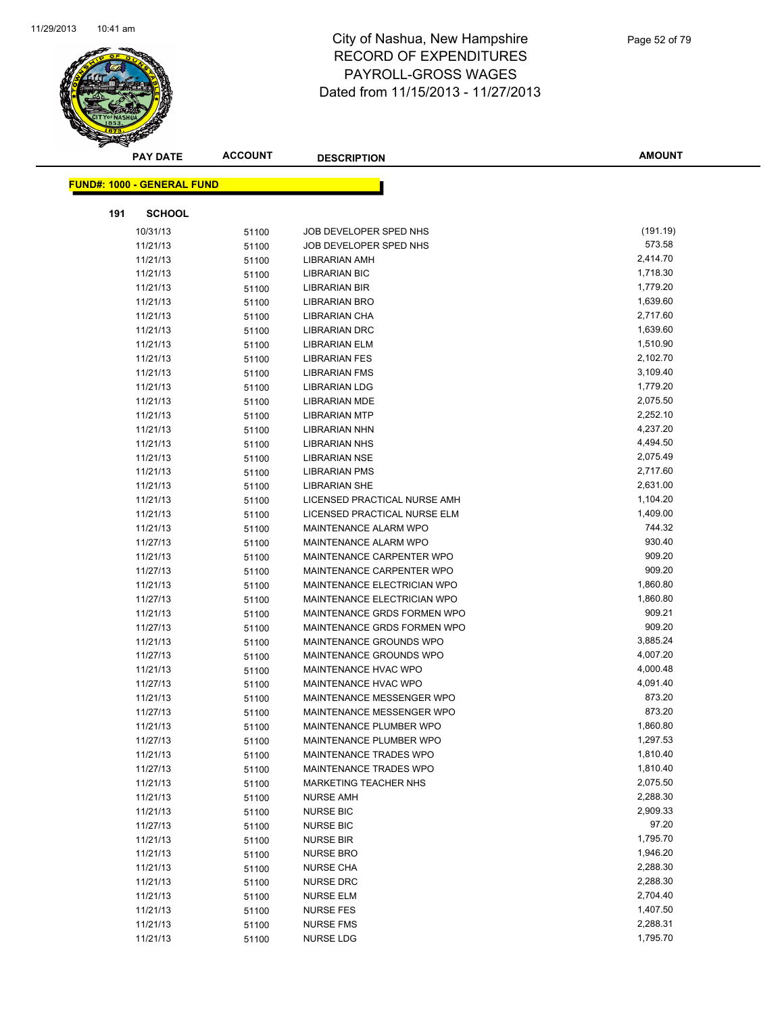

|     | <b>PAY DATE</b>                   | <b>ACCOUNT</b> | <b>DESCRIPTION</b>           | <b>AMOUNT</b> |
|-----|-----------------------------------|----------------|------------------------------|---------------|
|     | <b>FUND#: 1000 - GENERAL FUND</b> |                |                              |               |
|     |                                   |                |                              |               |
| 191 | <b>SCHOOL</b>                     |                |                              |               |
|     | 10/31/13                          | 51100          | JOB DEVELOPER SPED NHS       | (191.19)      |
|     | 11/21/13                          | 51100          | JOB DEVELOPER SPED NHS       | 573.58        |
|     | 11/21/13                          | 51100          | <b>LIBRARIAN AMH</b>         | 2,414.70      |
|     | 11/21/13                          | 51100          | <b>LIBRARIAN BIC</b>         | 1,718.30      |
|     | 11/21/13                          | 51100          | <b>LIBRARIAN BIR</b>         | 1,779.20      |
|     | 11/21/13                          | 51100          | <b>LIBRARIAN BRO</b>         | 1,639.60      |
|     | 11/21/13                          | 51100          | LIBRARIAN CHA                | 2,717.60      |
|     | 11/21/13                          | 51100          | <b>LIBRARIAN DRC</b>         | 1,639.60      |
|     | 11/21/13                          | 51100          | <b>LIBRARIAN ELM</b>         | 1,510.90      |
|     | 11/21/13                          | 51100          | <b>LIBRARIAN FES</b>         | 2,102.70      |
|     | 11/21/13                          | 51100          | <b>LIBRARIAN FMS</b>         | 3,109.40      |
|     | 11/21/13                          | 51100          | <b>LIBRARIAN LDG</b>         | 1,779.20      |
|     | 11/21/13                          | 51100          | <b>LIBRARIAN MDE</b>         | 2,075.50      |
|     | 11/21/13                          | 51100          | <b>LIBRARIAN MTP</b>         | 2,252.10      |
|     | 11/21/13                          | 51100          | <b>LIBRARIAN NHN</b>         | 4,237.20      |
|     | 11/21/13                          | 51100          | <b>LIBRARIAN NHS</b>         | 4,494.50      |
|     | 11/21/13                          | 51100          | <b>LIBRARIAN NSE</b>         | 2,075.49      |
|     | 11/21/13                          | 51100          | <b>LIBRARIAN PMS</b>         | 2,717.60      |
|     | 11/21/13                          | 51100          | <b>LIBRARIAN SHE</b>         | 2,631.00      |
|     | 11/21/13                          | 51100          | LICENSED PRACTICAL NURSE AMH | 1,104.20      |
|     | 11/21/13                          | 51100          | LICENSED PRACTICAL NURSE ELM | 1,409.00      |
|     | 11/21/13                          | 51100          | MAINTENANCE ALARM WPO        | 744.32        |
|     | 11/27/13                          | 51100          | MAINTENANCE ALARM WPO        | 930.40        |
|     | 11/21/13                          | 51100          | MAINTENANCE CARPENTER WPO    | 909.20        |
|     | 11/27/13                          | 51100          | MAINTENANCE CARPENTER WPO    | 909.20        |
|     | 11/21/13                          | 51100          | MAINTENANCE ELECTRICIAN WPO  | 1,860.80      |
|     | 11/27/13                          | 51100          | MAINTENANCE ELECTRICIAN WPO  | 1,860.80      |
|     | 11/21/13                          | 51100          | MAINTENANCE GRDS FORMEN WPO  | 909.21        |
|     | 11/27/13                          | 51100          | MAINTENANCE GRDS FORMEN WPO  | 909.20        |
|     | 11/21/13                          | 51100          | MAINTENANCE GROUNDS WPO      | 3,885.24      |
|     | 11/27/13                          | 51100          | MAINTENANCE GROUNDS WPO      | 4,007.20      |
|     | 11/21/13                          | 51100          | MAINTENANCE HVAC WPO         | 4,000.48      |
|     | 11/27/13                          | 51100          | MAINTENANCE HVAC WPO         | 4,091.40      |
|     | 11/21/13                          | 51100          | MAINTENANCE MESSENGER WPO    | 873.20        |
|     | 11/27/13                          | 51100          | MAINTENANCE MESSENGER WPO    | 873.20        |
|     | 11/21/13                          | 51100          | MAINTENANCE PLUMBER WPO      | 1,860.80      |
|     | 11/27/13                          | 51100          | MAINTENANCE PLUMBER WPO      | 1,297.53      |
|     | 11/21/13                          | 51100          | MAINTENANCE TRADES WPO       | 1,810.40      |
|     | 11/27/13                          | 51100          | MAINTENANCE TRADES WPO       | 1,810.40      |
|     | 11/21/13                          | 51100          | MARKETING TEACHER NHS        | 2,075.50      |
|     | 11/21/13                          | 51100          | <b>NURSE AMH</b>             | 2,288.30      |
|     | 11/21/13                          | 51100          | <b>NURSE BIC</b>             | 2,909.33      |
|     | 11/27/13                          | 51100          | <b>NURSE BIC</b>             | 97.20         |
|     | 11/21/13                          | 51100          | <b>NURSE BIR</b>             | 1,795.70      |
|     | 11/21/13                          | 51100          | <b>NURSE BRO</b>             | 1,946.20      |
|     | 11/21/13                          | 51100          | <b>NURSE CHA</b>             | 2,288.30      |
|     | 11/21/13                          | 51100          | <b>NURSE DRC</b>             | 2,288.30      |
|     | 11/21/13                          | 51100          | <b>NURSE ELM</b>             | 2,704.40      |
|     | 11/21/13                          | 51100          | <b>NURSE FES</b>             | 1,407.50      |
|     | 11/21/13                          | 51100          | <b>NURSE FMS</b>             | 2,288.31      |
|     | 11/21/13                          | 51100          | <b>NURSE LDG</b>             | 1,795.70      |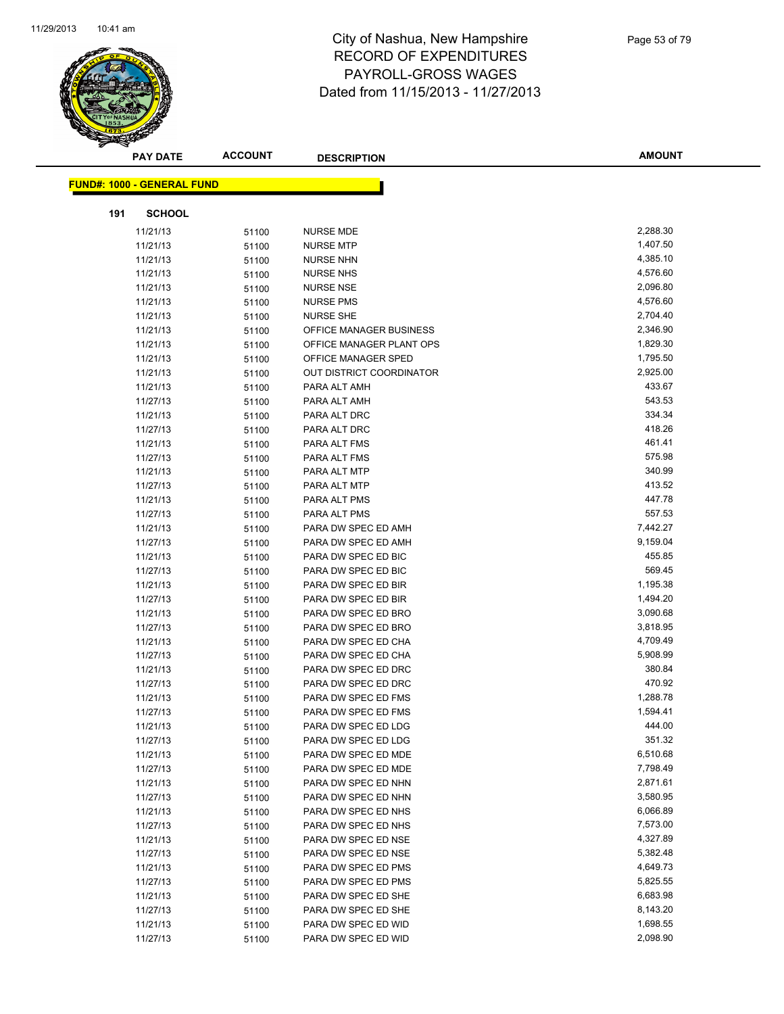

|     | <b>PAY DATE</b>                   | <b>ACCOUNT</b> | <b>DESCRIPTION</b>                         | <b>AMOUNT</b>        |
|-----|-----------------------------------|----------------|--------------------------------------------|----------------------|
|     | <b>FUND#: 1000 - GENERAL FUND</b> |                |                                            |                      |
|     |                                   |                |                                            |                      |
| 191 | <b>SCHOOL</b>                     |                |                                            |                      |
|     | 11/21/13                          | 51100          | <b>NURSE MDE</b>                           | 2,288.30             |
|     | 11/21/13                          | 51100          | <b>NURSE MTP</b>                           | 1,407.50             |
|     | 11/21/13                          | 51100          | <b>NURSE NHN</b>                           | 4,385.10             |
|     | 11/21/13                          | 51100          | <b>NURSE NHS</b>                           | 4,576.60             |
|     | 11/21/13                          | 51100          | <b>NURSE NSE</b>                           | 2,096.80             |
|     | 11/21/13                          | 51100          | <b>NURSE PMS</b>                           | 4,576.60             |
|     | 11/21/13                          | 51100          | <b>NURSE SHE</b>                           | 2,704.40             |
|     | 11/21/13                          | 51100          | OFFICE MANAGER BUSINESS                    | 2,346.90             |
|     | 11/21/13                          | 51100          | OFFICE MANAGER PLANT OPS                   | 1,829.30             |
|     | 11/21/13                          | 51100          | OFFICE MANAGER SPED                        | 1,795.50             |
|     | 11/21/13                          | 51100          | OUT DISTRICT COORDINATOR                   | 2,925.00             |
|     | 11/21/13                          | 51100          | PARA ALT AMH                               | 433.67               |
|     | 11/27/13                          | 51100          | PARA ALT AMH                               | 543.53               |
|     | 11/21/13                          | 51100          | PARA ALT DRC                               | 334.34               |
|     | 11/27/13                          | 51100          | PARA ALT DRC                               | 418.26               |
|     | 11/21/13                          | 51100          | PARA ALT FMS                               | 461.41               |
|     | 11/27/13                          | 51100          | PARA ALT FMS                               | 575.98               |
|     | 11/21/13                          | 51100          | PARA ALT MTP                               | 340.99               |
|     | 11/27/13                          | 51100          | PARA ALT MTP                               | 413.52               |
|     | 11/21/13                          | 51100          | PARA ALT PMS                               | 447.78               |
|     | 11/27/13                          | 51100          | PARA ALT PMS                               | 557.53               |
|     | 11/21/13                          | 51100          | PARA DW SPEC ED AMH                        | 7,442.27             |
|     | 11/27/13                          | 51100          | PARA DW SPEC ED AMH                        | 9,159.04             |
|     | 11/21/13                          | 51100          | PARA DW SPEC ED BIC                        | 455.85               |
|     | 11/27/13                          | 51100          | PARA DW SPEC ED BIC                        | 569.45               |
|     | 11/21/13                          | 51100          | PARA DW SPEC ED BIR                        | 1,195.38             |
|     | 11/27/13                          | 51100          | PARA DW SPEC ED BIR                        | 1,494.20             |
|     | 11/21/13                          | 51100          | PARA DW SPEC ED BRO                        | 3,090.68             |
|     | 11/27/13                          | 51100          | PARA DW SPEC ED BRO                        | 3,818.95             |
|     | 11/21/13                          | 51100          | PARA DW SPEC ED CHA                        | 4,709.49             |
|     | 11/27/13                          | 51100          | PARA DW SPEC ED CHA                        | 5,908.99             |
|     | 11/21/13                          | 51100          | PARA DW SPEC ED DRC                        | 380.84               |
|     | 11/27/13                          | 51100          | PARA DW SPEC ED DRC                        | 470.92               |
|     | 11/21/13                          | 51100          | PARA DW SPEC ED FMS                        | 1,288.78             |
|     | 11/27/13                          | 51100          | PARA DW SPEC ED FMS                        | 1,594.41             |
|     | 11/21/13                          | 51100          | PARA DW SPEC ED LDG                        | 444.00               |
|     | 11/27/13                          | 51100          | PARA DW SPEC ED LDG                        | 351.32               |
|     | 11/21/13                          | 51100          | PARA DW SPEC ED MDE                        | 6,510.68             |
|     | 11/27/13                          | 51100          | PARA DW SPEC ED MDE                        | 7,798.49             |
|     | 11/21/13                          | 51100          | PARA DW SPEC ED NHN<br>PARA DW SPEC ED NHN | 2,871.61             |
|     | 11/27/13                          | 51100          |                                            | 3,580.95<br>6,066.89 |
|     | 11/21/13                          | 51100          | PARA DW SPEC ED NHS<br>PARA DW SPEC ED NHS |                      |
|     | 11/27/13<br>11/21/13              | 51100          | PARA DW SPEC ED NSE                        | 7,573.00<br>4,327.89 |
|     | 11/27/13                          | 51100          | PARA DW SPEC ED NSE                        | 5,382.48             |
|     | 11/21/13                          | 51100          | PARA DW SPEC ED PMS                        | 4,649.73             |
|     | 11/27/13                          | 51100          | PARA DW SPEC ED PMS                        | 5,825.55             |
|     | 11/21/13                          | 51100          | PARA DW SPEC ED SHE                        | 6,683.98             |
|     | 11/27/13                          | 51100<br>51100 | PARA DW SPEC ED SHE                        | 8,143.20             |
|     | 11/21/13                          | 51100          | PARA DW SPEC ED WID                        | 1,698.55             |
|     | 11/27/13                          | 51100          | PARA DW SPEC ED WID                        | 2,098.90             |
|     |                                   |                |                                            |                      |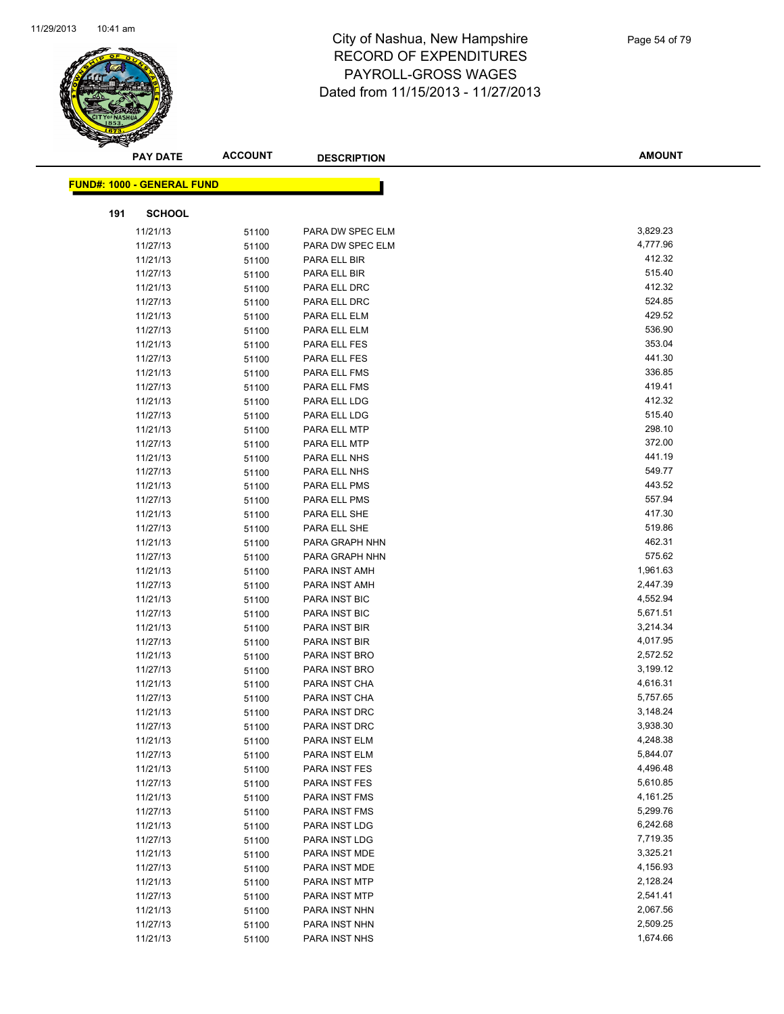

| <b>PAY DATE</b>                   | <b>ACCOUNT</b> | <b>DESCRIPTION</b> | <b>AMOUNT</b> |
|-----------------------------------|----------------|--------------------|---------------|
| <b>FUND#: 1000 - GENERAL FUND</b> |                |                    |               |
|                                   |                |                    |               |
| <b>SCHOOL</b><br>191              |                |                    |               |
| 11/21/13                          | 51100          | PARA DW SPEC ELM   | 3,829.23      |
| 11/27/13                          | 51100          | PARA DW SPEC ELM   | 4,777.96      |
| 11/21/13                          | 51100          | PARA ELL BIR       | 412.32        |
| 11/27/13                          | 51100          | PARA ELL BIR       | 515.40        |
| 11/21/13                          | 51100          | PARA ELL DRC       | 412.32        |
| 11/27/13                          | 51100          | PARA ELL DRC       | 524.85        |
| 11/21/13                          | 51100          | PARA ELL ELM       | 429.52        |
| 11/27/13                          | 51100          | PARA ELL ELM       | 536.90        |
| 11/21/13                          | 51100          | PARA ELL FES       | 353.04        |
| 11/27/13                          | 51100          | PARA ELL FES       | 441.30        |
| 11/21/13                          | 51100          | PARA ELL FMS       | 336.85        |
| 11/27/13                          | 51100          | PARA ELL FMS       | 419.41        |
| 11/21/13                          | 51100          | PARA ELL LDG       | 412.32        |
| 11/27/13                          | 51100          | PARA ELL LDG       | 515.40        |
| 11/21/13                          | 51100          | PARA ELL MTP       | 298.10        |
| 11/27/13                          | 51100          | PARA ELL MTP       | 372.00        |
| 11/21/13                          | 51100          | PARA ELL NHS       | 441.19        |
| 11/27/13                          | 51100          | PARA ELL NHS       | 549.77        |
| 11/21/13                          | 51100          | PARA ELL PMS       | 443.52        |
| 11/27/13                          | 51100          | PARA ELL PMS       | 557.94        |
| 11/21/13                          | 51100          | PARA ELL SHE       | 417.30        |
| 11/27/13                          | 51100          | PARA ELL SHE       | 519.86        |
| 11/21/13                          | 51100          | PARA GRAPH NHN     | 462.31        |
| 11/27/13                          | 51100          | PARA GRAPH NHN     | 575.62        |
| 11/21/13                          | 51100          | PARA INST AMH      | 1,961.63      |
| 11/27/13                          | 51100          | PARA INST AMH      | 2,447.39      |
| 11/21/13                          | 51100          | PARA INST BIC      | 4,552.94      |
| 11/27/13                          | 51100          | PARA INST BIC      | 5,671.51      |
| 11/21/13                          | 51100          | PARA INST BIR      | 3,214.34      |
| 11/27/13                          | 51100          | PARA INST BIR      | 4,017.95      |
| 11/21/13                          | 51100          | PARA INST BRO      | 2,572.52      |
| 11/27/13                          | 51100          | PARA INST BRO      | 3,199.12      |
| 11/21/13                          | 51100          | PARA INST CHA      | 4,616.31      |
| 11/27/13                          | 51100          | PARA INST CHA      | 5,757.65      |
| 11/21/13                          | 51100          | PARA INST DRC      | 3,148.24      |
| 11/27/13                          | 51100          | PARA INST DRC      | 3,938.30      |
| 11/21/13                          | 51100          | PARA INST ELM      | 4,248.38      |
| 11/27/13                          | 51100          | PARA INST ELM      | 5,844.07      |
| 11/21/13                          | 51100          | PARA INST FES      | 4,496.48      |
| 11/27/13                          | 51100          | PARA INST FES      | 5,610.85      |
| 11/21/13                          | 51100          | PARA INST FMS      | 4,161.25      |
| 11/27/13                          | 51100          | PARA INST FMS      | 5,299.76      |
| 11/21/13                          | 51100          | PARA INST LDG      | 6,242.68      |
| 11/27/13                          | 51100          | PARA INST LDG      | 7,719.35      |
| 11/21/13                          | 51100          | PARA INST MDE      | 3,325.21      |
| 11/27/13                          | 51100          | PARA INST MDE      | 4,156.93      |
| 11/21/13                          | 51100          | PARA INST MTP      | 2,128.24      |
| 11/27/13                          | 51100          | PARA INST MTP      | 2,541.41      |
| 11/21/13                          | 51100          | PARA INST NHN      | 2,067.56      |
| 11/27/13                          | 51100          | PARA INST NHN      | 2,509.25      |
| 11/21/13                          | 51100          | PARA INST NHS      | 1,674.66      |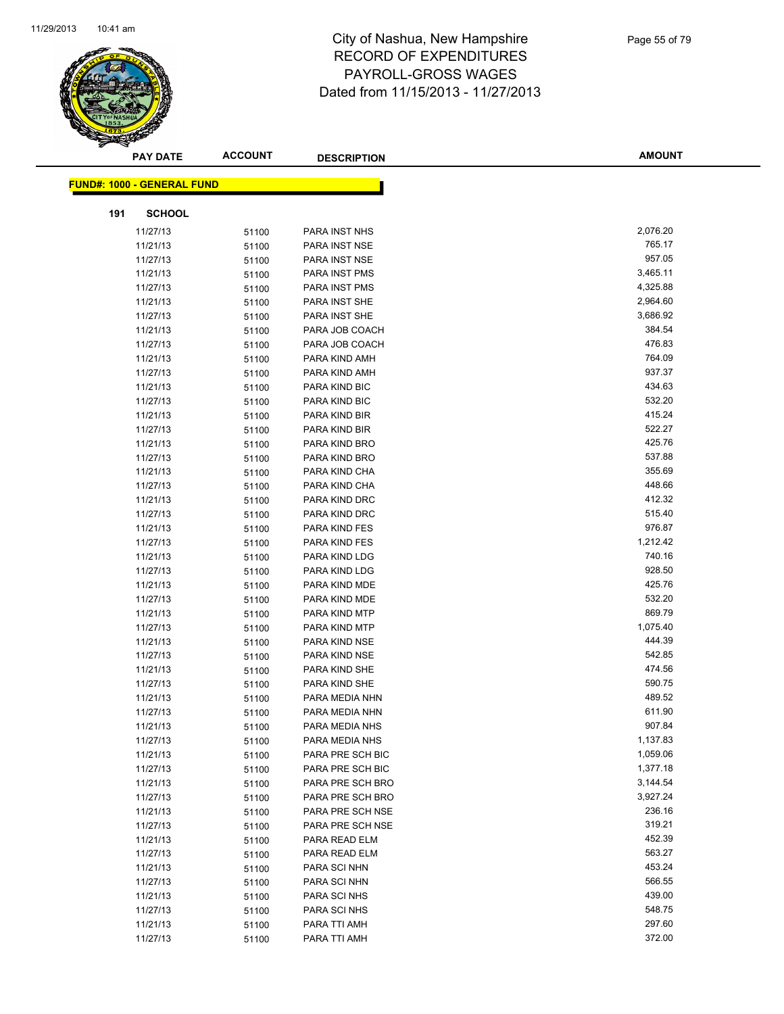

| <b>PAY DATE</b>                   | <b>ACCOUNT</b> | <b>DESCRIPTION</b>             | <b>AMOUNT</b>      |
|-----------------------------------|----------------|--------------------------------|--------------------|
| <b>FUND#: 1000 - GENERAL FUND</b> |                |                                |                    |
|                                   |                |                                |                    |
| 191<br><b>SCHOOL</b>              |                |                                |                    |
| 11/27/13                          | 51100          | PARA INST NHS                  | 2,076.20           |
| 11/21/13                          | 51100          | PARA INST NSE                  | 765.17             |
| 11/27/13                          | 51100          | PARA INST NSE                  | 957.05             |
| 11/21/13                          | 51100          | PARA INST PMS                  | 3,465.11           |
| 11/27/13                          | 51100          | PARA INST PMS                  | 4,325.88           |
| 11/21/13                          | 51100          | PARA INST SHE                  | 2,964.60           |
| 11/27/13                          | 51100          | PARA INST SHE                  | 3,686.92           |
| 11/21/13                          | 51100          | PARA JOB COACH                 | 384.54             |
| 11/27/13                          | 51100          | PARA JOB COACH                 | 476.83             |
| 11/21/13                          | 51100          | PARA KIND AMH                  | 764.09             |
| 11/27/13                          | 51100          | PARA KIND AMH                  | 937.37             |
| 11/21/13                          | 51100          | PARA KIND BIC                  | 434.63             |
| 11/27/13                          | 51100          | PARA KIND BIC                  | 532.20             |
| 11/21/13                          | 51100          | PARA KIND BIR                  | 415.24             |
| 11/27/13                          | 51100          | PARA KIND BIR                  | 522.27             |
| 11/21/13                          | 51100          | PARA KIND BRO                  | 425.76             |
| 11/27/13                          | 51100          | PARA KIND BRO                  | 537.88             |
| 11/21/13                          | 51100          | PARA KIND CHA                  | 355.69             |
| 11/27/13                          | 51100          | PARA KIND CHA                  | 448.66             |
| 11/21/13                          | 51100          | PARA KIND DRC                  | 412.32             |
| 11/27/13                          | 51100          | PARA KIND DRC                  | 515.40             |
| 11/21/13                          | 51100          | PARA KIND FES                  | 976.87             |
| 11/27/13                          | 51100          | PARA KIND FES                  | 1,212.42           |
| 11/21/13                          | 51100          | PARA KIND LDG                  | 740.16             |
| 11/27/13                          | 51100          | PARA KIND LDG                  | 928.50             |
| 11/21/13                          | 51100          | PARA KIND MDE                  | 425.76             |
| 11/27/13                          | 51100          | PARA KIND MDE                  | 532.20             |
| 11/21/13                          | 51100          | PARA KIND MTP                  | 869.79<br>1,075.40 |
| 11/27/13<br>11/21/13              | 51100          | PARA KIND MTP<br>PARA KIND NSE | 444.39             |
| 11/27/13                          | 51100<br>51100 | PARA KIND NSE                  | 542.85             |
| 11/21/13                          | 51100          | PARA KIND SHE                  | 474.56             |
| 11/27/13                          | 51100          | PARA KIND SHE                  | 590.75             |
| 11/21/13                          | 51100          | PARA MEDIA NHN                 | 489.52             |
| 11/27/13                          | 51100          | PARA MEDIA NHN                 | 611.90             |
| 11/21/13                          | 51100          | PARA MEDIA NHS                 | 907.84             |
| 11/27/13                          | 51100          | PARA MEDIA NHS                 | 1,137.83           |
| 11/21/13                          | 51100          | PARA PRE SCH BIC               | 1,059.06           |
| 11/27/13                          | 51100          | PARA PRE SCH BIC               | 1,377.18           |
| 11/21/13                          | 51100          | PARA PRE SCH BRO               | 3,144.54           |
| 11/27/13                          | 51100          | PARA PRE SCH BRO               | 3,927.24           |
| 11/21/13                          | 51100          | PARA PRE SCH NSE               | 236.16             |
| 11/27/13                          | 51100          | PARA PRE SCH NSE               | 319.21             |
| 11/21/13                          | 51100          | PARA READ ELM                  | 452.39             |
| 11/27/13                          | 51100          | PARA READ ELM                  | 563.27             |
| 11/21/13                          | 51100          | PARA SCI NHN                   | 453.24             |
| 11/27/13                          | 51100          | PARA SCI NHN                   | 566.55             |
| 11/21/13                          | 51100          | PARA SCI NHS                   | 439.00             |
| 11/27/13                          | 51100          | PARA SCI NHS                   | 548.75             |
| 11/21/13                          | 51100          | PARA TTI AMH                   | 297.60             |
| 11/27/13                          | 51100          | PARA TTI AMH                   | 372.00             |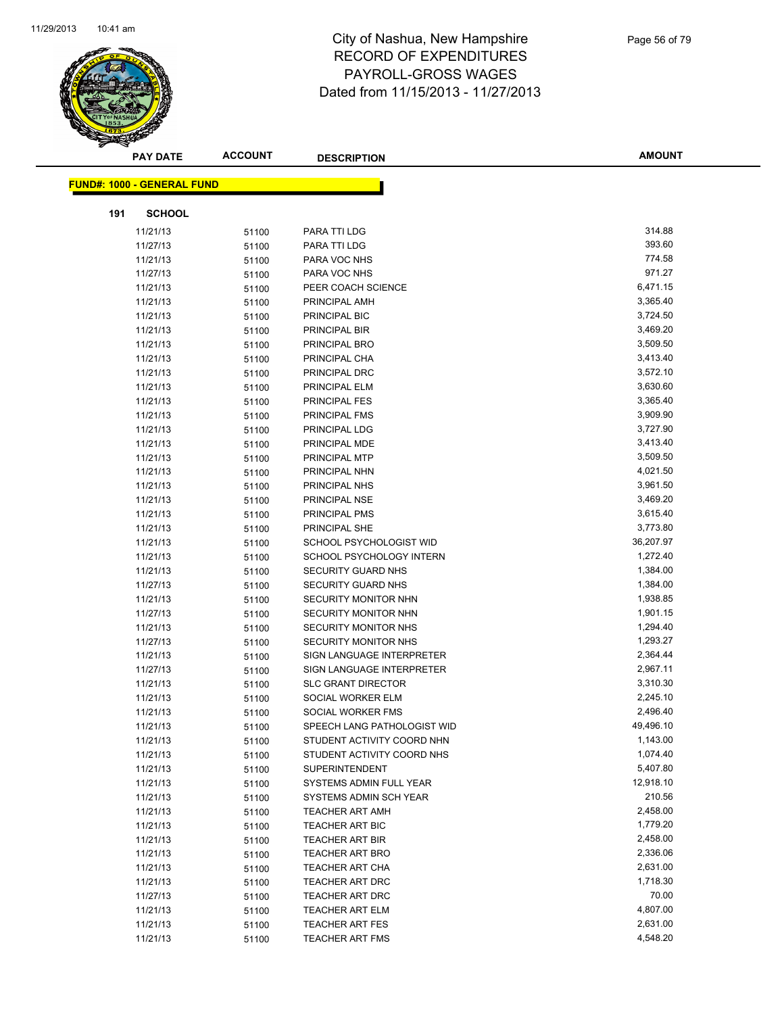

| <b>PAY DATE</b>                   | <b>ACCOUNT</b> | <b>DESCRIPTION</b>          | <b>AMOUNT</b> |
|-----------------------------------|----------------|-----------------------------|---------------|
|                                   |                |                             |               |
| <b>FUND#: 1000 - GENERAL FUND</b> |                |                             |               |
| <b>SCHOOL</b><br>191              |                |                             |               |
| 11/21/13                          | 51100          | PARA TTI LDG                | 314.88        |
| 11/27/13                          | 51100          | PARA TTI LDG                | 393.60        |
| 11/21/13                          | 51100          | PARA VOC NHS                | 774.58        |
| 11/27/13                          | 51100          | PARA VOC NHS                | 971.27        |
| 11/21/13                          | 51100          | PEER COACH SCIENCE          | 6,471.15      |
| 11/21/13                          | 51100          | PRINCIPAL AMH               | 3,365.40      |
| 11/21/13                          | 51100          | PRINCIPAL BIC               | 3,724.50      |
| 11/21/13                          | 51100          | PRINCIPAL BIR               | 3,469.20      |
| 11/21/13                          | 51100          | <b>PRINCIPAL BRO</b>        | 3,509.50      |
| 11/21/13                          | 51100          | PRINCIPAL CHA               | 3,413.40      |
| 11/21/13                          | 51100          | PRINCIPAL DRC               | 3,572.10      |
| 11/21/13                          | 51100          | PRINCIPAL ELM               | 3,630.60      |
| 11/21/13                          | 51100          | PRINCIPAL FES               | 3,365.40      |
| 11/21/13                          | 51100          | PRINCIPAL FMS               | 3,909.90      |
| 11/21/13                          | 51100          | PRINCIPAL LDG               | 3,727.90      |
| 11/21/13                          | 51100          | PRINCIPAL MDE               | 3,413.40      |
| 11/21/13                          | 51100          | PRINCIPAL MTP               | 3,509.50      |
| 11/21/13                          | 51100          | PRINCIPAL NHN               | 4,021.50      |
| 11/21/13                          | 51100          | PRINCIPAL NHS               | 3,961.50      |
| 11/21/13                          | 51100          | PRINCIPAL NSE               | 3,469.20      |
| 11/21/13                          | 51100          | PRINCIPAL PMS               | 3,615.40      |
| 11/21/13                          | 51100          | PRINCIPAL SHE               | 3,773.80      |
| 11/21/13                          | 51100          | SCHOOL PSYCHOLOGIST WID     | 36,207.97     |
| 11/21/13                          | 51100          | SCHOOL PSYCHOLOGY INTERN    | 1,272.40      |
| 11/21/13                          | 51100          | SECURITY GUARD NHS          | 1,384.00      |
| 11/27/13                          | 51100          | <b>SECURITY GUARD NHS</b>   | 1,384.00      |
| 11/21/13                          | 51100          | SECURITY MONITOR NHN        | 1,938.85      |
| 11/27/13                          | 51100          | <b>SECURITY MONITOR NHN</b> | 1,901.15      |
| 11/21/13                          | 51100          | SECURITY MONITOR NHS        | 1,294.40      |
| 11/27/13                          | 51100          | <b>SECURITY MONITOR NHS</b> | 1,293.27      |
| 11/21/13                          | 51100          | SIGN LANGUAGE INTERPRETER   | 2,364.44      |
| 11/27/13                          | 51100          | SIGN LANGUAGE INTERPRETER   | 2,967.11      |
| 11/21/13                          | 51100          | <b>SLC GRANT DIRECTOR</b>   | 3,310.30      |
| 11/21/13                          | 51100          | SOCIAL WORKER ELM           | 2,245.10      |
| 11/21/13                          | 51100          | SOCIAL WORKER FMS           | 2,496.40      |
| 11/21/13                          | 51100          | SPEECH LANG PATHOLOGIST WID | 49,496.10     |
| 11/21/13                          | 51100          | STUDENT ACTIVITY COORD NHN  | 1,143.00      |
| 11/21/13                          | 51100          | STUDENT ACTIVITY COORD NHS  | 1,074.40      |
| 11/21/13                          | 51100          | <b>SUPERINTENDENT</b>       | 5,407.80      |
| 11/21/13                          | 51100          | SYSTEMS ADMIN FULL YEAR     | 12,918.10     |
| 11/21/13                          | 51100          | SYSTEMS ADMIN SCH YEAR      | 210.56        |
| 11/21/13                          | 51100          | <b>TEACHER ART AMH</b>      | 2,458.00      |
| 11/21/13                          | 51100          | TEACHER ART BIC             | 1,779.20      |
| 11/21/13                          | 51100          | <b>TEACHER ART BIR</b>      | 2,458.00      |
| 11/21/13                          | 51100          | <b>TEACHER ART BRO</b>      | 2,336.06      |
| 11/21/13                          | 51100          | TEACHER ART CHA             | 2,631.00      |
| 11/21/13                          | 51100          | TEACHER ART DRC             | 1,718.30      |
| 11/27/13                          | 51100          | TEACHER ART DRC             | 70.00         |
| 11/21/13                          | 51100          | TEACHER ART ELM             | 4,807.00      |
| 11/21/13                          | 51100          | <b>TEACHER ART FES</b>      | 2,631.00      |
| 11/21/13                          | 51100          | TEACHER ART FMS             | 4,548.20      |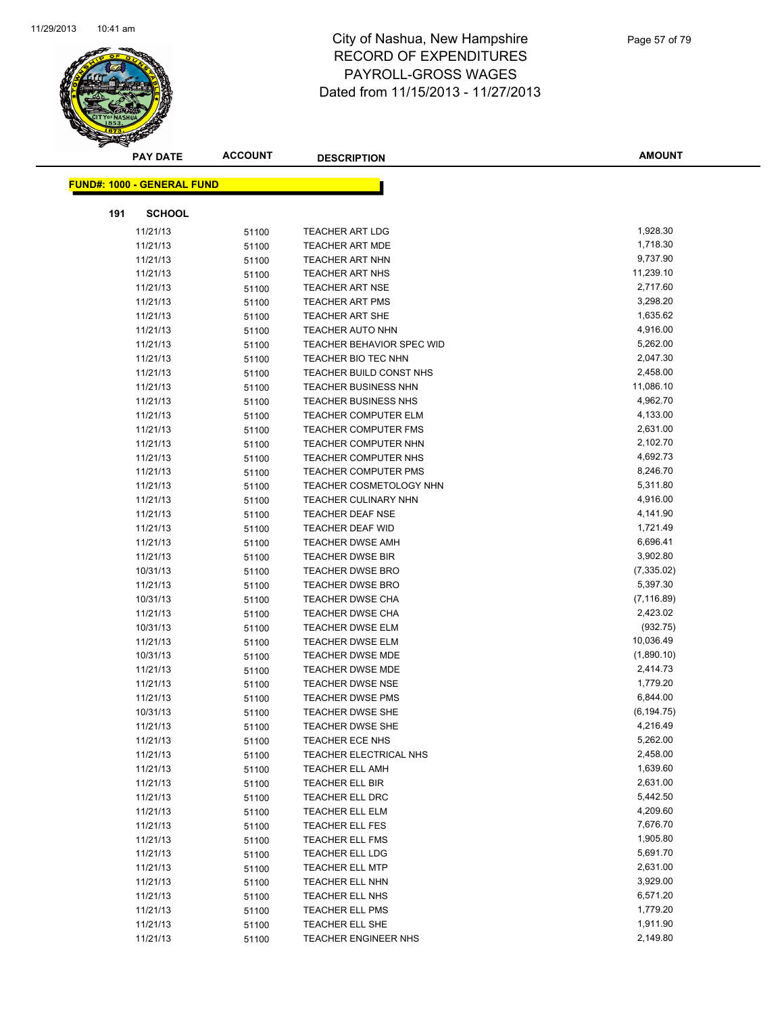

|     | <b>PAY DATE</b>                   | <b>ACCOUNT</b> | <b>DESCRIPTION</b>             | <b>AMOUNT</b> |
|-----|-----------------------------------|----------------|--------------------------------|---------------|
|     | <b>FUND#: 1000 - GENERAL FUND</b> |                |                                |               |
|     |                                   |                |                                |               |
| 191 | <b>SCHOOL</b>                     |                |                                |               |
|     | 11/21/13                          | 51100          | <b>TEACHER ART LDG</b>         | 1,928.30      |
|     | 11/21/13                          | 51100          | <b>TEACHER ART MDE</b>         | 1,718.30      |
|     | 11/21/13                          | 51100          | <b>TEACHER ART NHN</b>         | 9,737.90      |
|     | 11/21/13                          | 51100          | <b>TEACHER ART NHS</b>         | 11,239.10     |
|     | 11/21/13                          | 51100          | <b>TEACHER ART NSE</b>         | 2,717.60      |
|     | 11/21/13                          | 51100          | <b>TEACHER ART PMS</b>         | 3,298.20      |
|     | 11/21/13                          | 51100          | <b>TEACHER ART SHE</b>         | 1,635.62      |
|     | 11/21/13                          | 51100          | <b>TEACHER AUTO NHN</b>        | 4,916.00      |
|     | 11/21/13                          | 51100          | TEACHER BEHAVIOR SPEC WID      | 5,262.00      |
|     | 11/21/13                          | 51100          | TEACHER BIO TEC NHN            | 2,047.30      |
|     | 11/21/13                          | 51100          | TEACHER BUILD CONST NHS        | 2,458.00      |
|     | 11/21/13                          | 51100          | <b>TEACHER BUSINESS NHN</b>    | 11,086.10     |
|     | 11/21/13                          | 51100          | <b>TEACHER BUSINESS NHS</b>    | 4,962.70      |
|     | 11/21/13                          | 51100          | <b>TEACHER COMPUTER ELM</b>    | 4,133.00      |
|     | 11/21/13                          | 51100          | <b>TEACHER COMPUTER FMS</b>    | 2,631.00      |
|     | 11/21/13                          | 51100          | TEACHER COMPUTER NHN           | 2,102.70      |
|     | 11/21/13                          | 51100          | TEACHER COMPUTER NHS           | 4,692.73      |
|     | 11/21/13                          | 51100          | <b>TEACHER COMPUTER PMS</b>    | 8,246.70      |
|     | 11/21/13                          | 51100          | <b>TEACHER COSMETOLOGY NHN</b> | 5,311.80      |
|     | 11/21/13                          | 51100          | <b>TEACHER CULINARY NHN</b>    | 4,916.00      |
|     | 11/21/13                          | 51100          | <b>TEACHER DEAF NSE</b>        | 4,141.90      |
|     | 11/21/13                          | 51100          | <b>TEACHER DEAF WID</b>        | 1,721.49      |
|     | 11/21/13                          | 51100          | <b>TEACHER DWSE AMH</b>        | 6,696.41      |
|     | 11/21/13                          | 51100          | <b>TEACHER DWSE BIR</b>        | 3,902.80      |
|     | 10/31/13                          | 51100          | <b>TEACHER DWSE BRO</b>        | (7, 335.02)   |
|     | 11/21/13                          | 51100          | <b>TEACHER DWSE BRO</b>        | 5,397.30      |
|     | 10/31/13                          | 51100          | <b>TEACHER DWSE CHA</b>        | (7, 116.89)   |
|     | 11/21/13                          | 51100          | <b>TEACHER DWSE CHA</b>        | 2,423.02      |
|     | 10/31/13                          | 51100          | TEACHER DWSE ELM               | (932.75)      |
|     | 11/21/13                          | 51100          | <b>TEACHER DWSE ELM</b>        | 10,036.49     |
|     | 10/31/13                          | 51100          | <b>TEACHER DWSE MDE</b>        | (1,890.10)    |
|     | 11/21/13                          | 51100          | <b>TEACHER DWSE MDE</b>        | 2,414.73      |
|     | 11/21/13                          | 51100          | <b>TEACHER DWSE NSE</b>        | 1,779.20      |
|     | 11/21/13                          | 51100          | <b>TEACHER DWSE PMS</b>        | 6,844.00      |
|     | 10/31/13                          | 51100          | <b>TEACHER DWSE SHE</b>        | (6, 194.75)   |
|     | 11/21/13                          | 51100          | TEACHER DWSE SHE               | 4,216.49      |
|     | 11/21/13                          | 51100          | TEACHER ECE NHS                | 5,262.00      |
|     | 11/21/13                          | 51100          | TEACHER ELECTRICAL NHS         | 2,458.00      |
|     | 11/21/13                          | 51100          | <b>TEACHER ELL AMH</b>         | 1,639.60      |
|     | 11/21/13                          | 51100          | TEACHER ELL BIR                | 2,631.00      |
|     | 11/21/13                          | 51100          | <b>TEACHER ELL DRC</b>         | 5,442.50      |
|     | 11/21/13                          | 51100          | <b>TEACHER ELL ELM</b>         | 4,209.60      |
|     | 11/21/13                          | 51100          | <b>TEACHER ELL FES</b>         | 7,676.70      |
|     | 11/21/13                          | 51100          | <b>TEACHER ELL FMS</b>         | 1,905.80      |
|     | 11/21/13                          | 51100          | TEACHER ELL LDG                | 5,691.70      |
|     | 11/21/13                          | 51100          | <b>TEACHER ELL MTP</b>         | 2,631.00      |
|     | 11/21/13                          | 51100          | TEACHER ELL NHN                | 3,929.00      |
|     | 11/21/13                          | 51100          | TEACHER ELL NHS                | 6,571.20      |
|     | 11/21/13                          | 51100          | <b>TEACHER ELL PMS</b>         | 1,779.20      |
|     | 11/21/13                          | 51100          | TEACHER ELL SHE                | 1,911.90      |
|     | 11/21/13                          | 51100          | TEACHER ENGINEER NHS           | 2,149.80      |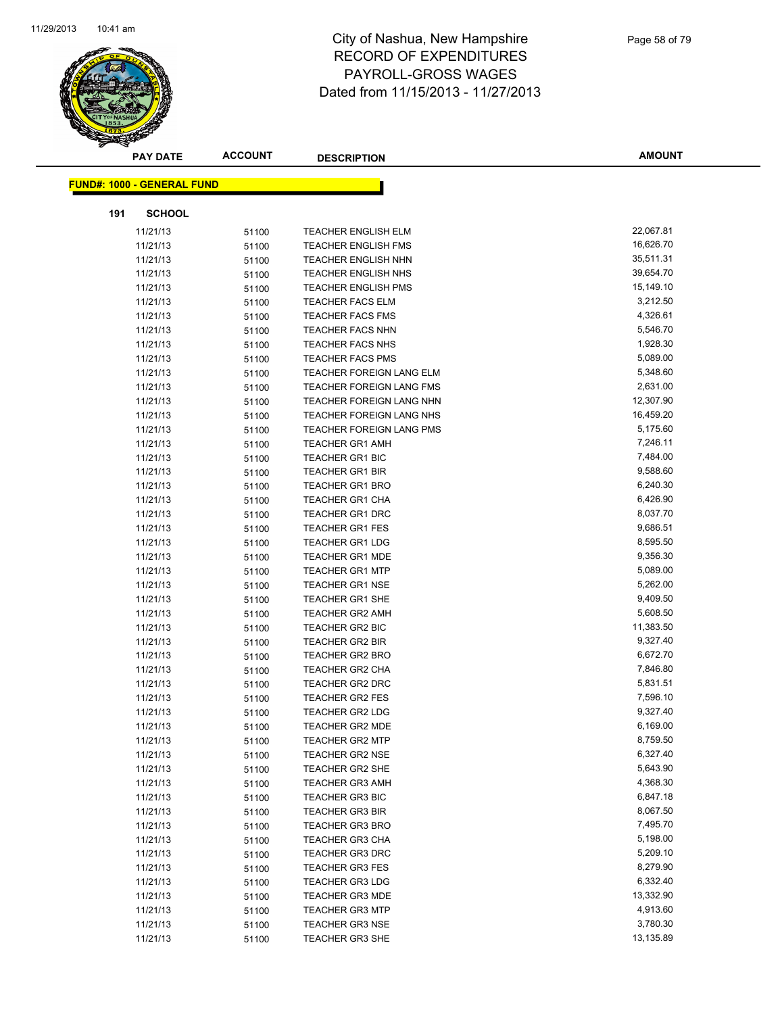

| <b>PAY DATE</b>                   | <b>ACCOUNT</b> | <b>DESCRIPTION</b>              | <b>AMOUNT</b> |
|-----------------------------------|----------------|---------------------------------|---------------|
| <b>FUND#: 1000 - GENERAL FUND</b> |                |                                 |               |
|                                   |                |                                 |               |
| 191<br><b>SCHOOL</b>              |                |                                 |               |
| 11/21/13                          | 51100          | <b>TEACHER ENGLISH ELM</b>      | 22,067.81     |
| 11/21/13                          | 51100          | <b>TEACHER ENGLISH FMS</b>      | 16,626.70     |
| 11/21/13                          | 51100          | <b>TEACHER ENGLISH NHN</b>      | 35,511.31     |
| 11/21/13                          | 51100          | <b>TEACHER ENGLISH NHS</b>      | 39,654.70     |
| 11/21/13                          | 51100          | <b>TEACHER ENGLISH PMS</b>      | 15,149.10     |
| 11/21/13                          | 51100          | <b>TEACHER FACS ELM</b>         | 3,212.50      |
| 11/21/13                          | 51100          | <b>TEACHER FACS FMS</b>         | 4,326.61      |
| 11/21/13                          | 51100          | <b>TEACHER FACS NHN</b>         | 5,546.70      |
| 11/21/13                          | 51100          | <b>TEACHER FACS NHS</b>         | 1,928.30      |
| 11/21/13                          | 51100          | <b>TEACHER FACS PMS</b>         | 5,089.00      |
| 11/21/13                          | 51100          | TEACHER FOREIGN LANG ELM        | 5,348.60      |
| 11/21/13                          | 51100          | TEACHER FOREIGN LANG FMS        | 2,631.00      |
| 11/21/13                          | 51100          | <b>TEACHER FOREIGN LANG NHN</b> | 12,307.90     |
| 11/21/13                          | 51100          | TEACHER FOREIGN LANG NHS        | 16,459.20     |
| 11/21/13                          | 51100          | <b>TEACHER FOREIGN LANG PMS</b> | 5,175.60      |
| 11/21/13                          | 51100          | <b>TEACHER GR1 AMH</b>          | 7,246.11      |
| 11/21/13                          | 51100          | TEACHER GR1 BIC                 | 7,484.00      |
| 11/21/13                          | 51100          | <b>TEACHER GR1 BIR</b>          | 9,588.60      |
| 11/21/13                          | 51100          | <b>TEACHER GR1 BRO</b>          | 6,240.30      |
| 11/21/13                          | 51100          | <b>TEACHER GR1 CHA</b>          | 6,426.90      |
| 11/21/13                          | 51100          | <b>TEACHER GR1 DRC</b>          | 8,037.70      |
| 11/21/13                          | 51100          | TEACHER GR1 FES                 | 9,686.51      |
| 11/21/13                          | 51100          | <b>TEACHER GR1 LDG</b>          | 8,595.50      |
| 11/21/13                          | 51100          | <b>TEACHER GR1 MDE</b>          | 9,356.30      |
| 11/21/13                          | 51100          | <b>TEACHER GR1 MTP</b>          | 5,089.00      |
| 11/21/13                          | 51100          | <b>TEACHER GR1 NSE</b>          | 5,262.00      |
| 11/21/13                          | 51100          | <b>TEACHER GR1 SHE</b>          | 9,409.50      |
| 11/21/13                          | 51100          | <b>TEACHER GR2 AMH</b>          | 5,608.50      |
| 11/21/13                          | 51100          | <b>TEACHER GR2 BIC</b>          | 11,383.50     |
| 11/21/13                          | 51100          | <b>TEACHER GR2 BIR</b>          | 9,327.40      |
| 11/21/13                          | 51100          | <b>TEACHER GR2 BRO</b>          | 6,672.70      |
| 11/21/13                          | 51100          | <b>TEACHER GR2 CHA</b>          | 7,846.80      |
| 11/21/13                          | 51100          | TEACHER GR2 DRC                 | 5,831.51      |
| 11/21/13                          | 51100          | <b>TEACHER GR2 FES</b>          | 7,596.10      |
| 11/21/13                          | 51100          | <b>TEACHER GR2 LDG</b>          | 9,327.40      |
| 11/21/13                          | 51100          | TEACHER GR2 MDE                 | 6,169.00      |
| 11/21/13                          | 51100          | <b>TEACHER GR2 MTP</b>          | 8,759.50      |
| 11/21/13                          | 51100          | <b>TEACHER GR2 NSE</b>          | 6,327.40      |
| 11/21/13                          | 51100          | <b>TEACHER GR2 SHE</b>          | 5,643.90      |
| 11/21/13                          | 51100          | <b>TEACHER GR3 AMH</b>          | 4,368.30      |
| 11/21/13                          | 51100          | <b>TEACHER GR3 BIC</b>          | 6,847.18      |
| 11/21/13                          | 51100          | <b>TEACHER GR3 BIR</b>          | 8,067.50      |
| 11/21/13                          | 51100          | <b>TEACHER GR3 BRO</b>          | 7,495.70      |
| 11/21/13                          | 51100          | TEACHER GR3 CHA                 | 5,198.00      |
| 11/21/13                          | 51100          | <b>TEACHER GR3 DRC</b>          | 5,209.10      |
| 11/21/13                          | 51100          | TEACHER GR3 FES                 | 8,279.90      |
| 11/21/13                          | 51100          | <b>TEACHER GR3 LDG</b>          | 6,332.40      |
| 11/21/13                          | 51100          | <b>TEACHER GR3 MDE</b>          | 13,332.90     |
| 11/21/13                          | 51100          | <b>TEACHER GR3 MTP</b>          | 4,913.60      |
| 11/21/13                          | 51100          | <b>TEACHER GR3 NSE</b>          | 3,780.30      |
| 11/21/13                          | 51100          | <b>TEACHER GR3 SHE</b>          | 13,135.89     |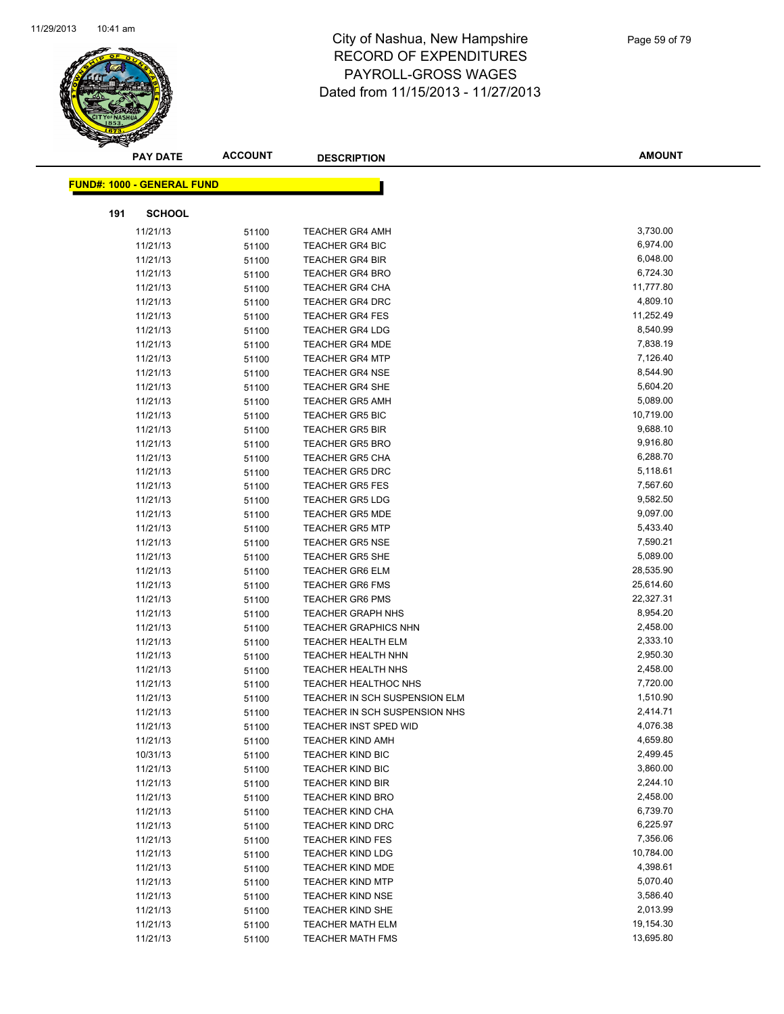

| <b>PAY DATE</b>            | <b>ACCOUNT</b> | <b>DESCRIPTION</b>            | <b>AMOUNT</b> |
|----------------------------|----------------|-------------------------------|---------------|
| FUND#: 1000 - GENERAL FUND |                |                               |               |
|                            |                |                               |               |
| 191<br><b>SCHOOL</b>       |                |                               |               |
| 11/21/13                   | 51100          | <b>TEACHER GR4 AMH</b>        | 3,730.00      |
| 11/21/13                   | 51100          | <b>TEACHER GR4 BIC</b>        | 6,974.00      |
| 11/21/13                   | 51100          | <b>TEACHER GR4 BIR</b>        | 6,048.00      |
| 11/21/13                   | 51100          | <b>TEACHER GR4 BRO</b>        | 6,724.30      |
| 11/21/13                   | 51100          | <b>TEACHER GR4 CHA</b>        | 11,777.80     |
| 11/21/13                   | 51100          | TEACHER GR4 DRC               | 4,809.10      |
| 11/21/13                   | 51100          | <b>TEACHER GR4 FES</b>        | 11,252.49     |
| 11/21/13                   | 51100          | <b>TEACHER GR4 LDG</b>        | 8,540.99      |
| 11/21/13                   | 51100          | <b>TEACHER GR4 MDE</b>        | 7,838.19      |
| 11/21/13                   | 51100          | <b>TEACHER GR4 MTP</b>        | 7,126.40      |
| 11/21/13                   | 51100          | <b>TEACHER GR4 NSE</b>        | 8,544.90      |
| 11/21/13                   | 51100          | <b>TEACHER GR4 SHE</b>        | 5,604.20      |
| 11/21/13                   | 51100          | <b>TEACHER GR5 AMH</b>        | 5,089.00      |
| 11/21/13                   | 51100          | <b>TEACHER GR5 BIC</b>        | 10,719.00     |
| 11/21/13                   | 51100          | <b>TEACHER GR5 BIR</b>        | 9,688.10      |
| 11/21/13                   | 51100          | <b>TEACHER GR5 BRO</b>        | 9,916.80      |
| 11/21/13                   | 51100          | <b>TEACHER GR5 CHA</b>        | 6,288.70      |
| 11/21/13                   | 51100          | <b>TEACHER GR5 DRC</b>        | 5,118.61      |
| 11/21/13                   | 51100          | <b>TEACHER GR5 FES</b>        | 7,567.60      |
| 11/21/13                   | 51100          | <b>TEACHER GR5 LDG</b>        | 9,582.50      |
| 11/21/13                   | 51100          | <b>TEACHER GR5 MDE</b>        | 9,097.00      |
| 11/21/13                   | 51100          | <b>TEACHER GR5 MTP</b>        | 5,433.40      |
| 11/21/13                   | 51100          | <b>TEACHER GR5 NSE</b>        | 7,590.21      |
| 11/21/13                   | 51100          | <b>TEACHER GR5 SHE</b>        | 5,089.00      |
| 11/21/13                   | 51100          | <b>TEACHER GR6 ELM</b>        | 28,535.90     |
| 11/21/13                   | 51100          | <b>TEACHER GR6 FMS</b>        | 25,614.60     |
| 11/21/13                   | 51100          | <b>TEACHER GR6 PMS</b>        | 22,327.31     |
| 11/21/13                   | 51100          | <b>TEACHER GRAPH NHS</b>      | 8,954.20      |
| 11/21/13                   | 51100          | <b>TEACHER GRAPHICS NHN</b>   | 2,458.00      |
| 11/21/13                   | 51100          | TEACHER HEALTH ELM            | 2,333.10      |
| 11/21/13                   | 51100          | TEACHER HEALTH NHN            | 2,950.30      |
| 11/21/13                   | 51100          | <b>TEACHER HEALTH NHS</b>     | 2,458.00      |
| 11/21/13                   | 51100          | TEACHER HEALTHOC NHS          | 7,720.00      |
| 11/21/13                   | 51100          | TEACHER IN SCH SUSPENSION ELM | 1,510.90      |
| 11/21/13                   | 51100          | TEACHER IN SCH SUSPENSION NHS | 2,414.71      |
| 11/21/13                   | 51100          | TEACHER INST SPED WID         | 4,076.38      |
| 11/21/13                   | 51100          | <b>TEACHER KIND AMH</b>       | 4,659.80      |
| 10/31/13                   | 51100          | <b>TEACHER KIND BIC</b>       | 2,499.45      |
| 11/21/13                   | 51100          | <b>TEACHER KIND BIC</b>       | 3,860.00      |
| 11/21/13                   | 51100          | <b>TEACHER KIND BIR</b>       | 2,244.10      |
| 11/21/13                   | 51100          | <b>TEACHER KIND BRO</b>       | 2,458.00      |
| 11/21/13                   | 51100          | <b>TEACHER KIND CHA</b>       | 6,739.70      |
| 11/21/13                   | 51100          | <b>TEACHER KIND DRC</b>       | 6,225.97      |
| 11/21/13                   | 51100          | <b>TEACHER KIND FES</b>       | 7,356.06      |
| 11/21/13                   | 51100          | <b>TEACHER KIND LDG</b>       | 10,784.00     |
| 11/21/13                   | 51100          | TEACHER KIND MDE              | 4,398.61      |
| 11/21/13                   | 51100          | <b>TEACHER KIND MTP</b>       | 5,070.40      |
| 11/21/13                   | 51100          | <b>TEACHER KIND NSE</b>       | 3,586.40      |
| 11/21/13                   | 51100          | TEACHER KIND SHE              | 2,013.99      |
| 11/21/13                   | 51100          | <b>TEACHER MATH ELM</b>       | 19,154.30     |
| 11/21/13                   | 51100          | <b>TEACHER MATH FMS</b>       | 13,695.80     |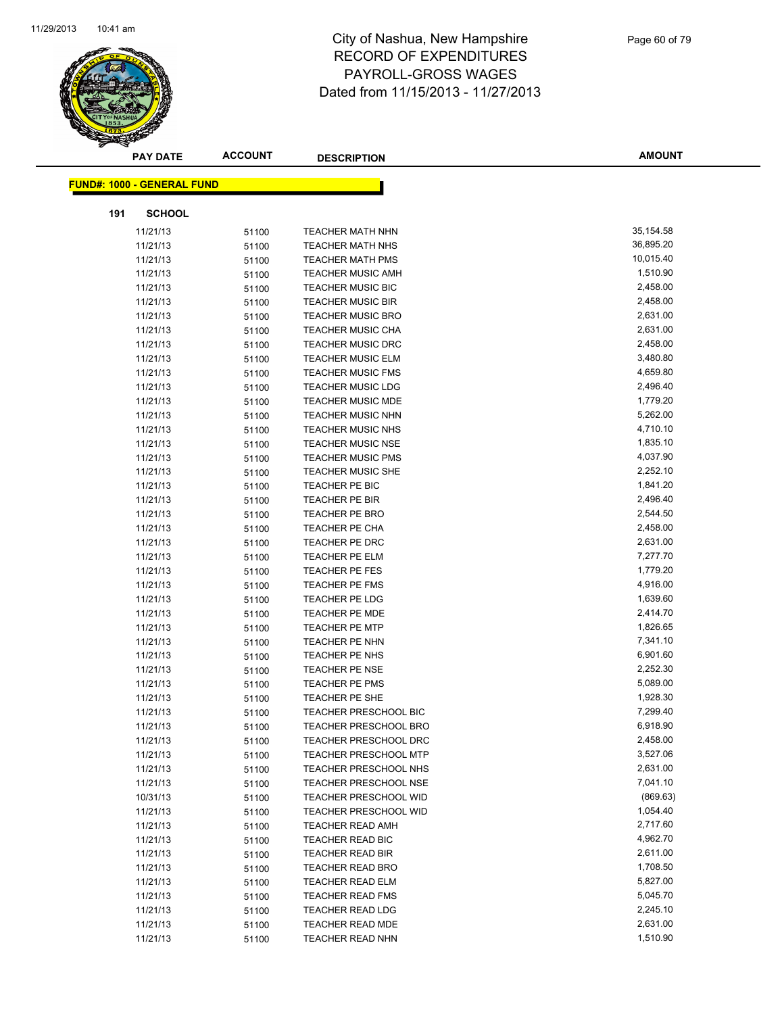

| <b>PAY DATE</b>                   | <b>ACCOUNT</b> | <b>DESCRIPTION</b>                   | <b>AMOUNT</b>        |
|-----------------------------------|----------------|--------------------------------------|----------------------|
| <b>FUND#: 1000 - GENERAL FUND</b> |                |                                      |                      |
|                                   |                |                                      |                      |
| <b>SCHOOL</b><br>191              |                |                                      |                      |
| 11/21/13                          | 51100          | <b>TEACHER MATH NHN</b>              | 35,154.58            |
| 11/21/13                          | 51100          | <b>TEACHER MATH NHS</b>              | 36,895.20            |
| 11/21/13                          | 51100          | <b>TEACHER MATH PMS</b>              | 10,015.40            |
| 11/21/13                          | 51100          | <b>TEACHER MUSIC AMH</b>             | 1,510.90             |
| 11/21/13                          | 51100          | <b>TEACHER MUSIC BIC</b>             | 2,458.00             |
| 11/21/13                          | 51100          | <b>TEACHER MUSIC BIR</b>             | 2,458.00             |
| 11/21/13                          | 51100          | <b>TEACHER MUSIC BRO</b>             | 2,631.00             |
| 11/21/13                          | 51100          | <b>TEACHER MUSIC CHA</b>             | 2,631.00             |
| 11/21/13                          | 51100          | TEACHER MUSIC DRC                    | 2,458.00             |
| 11/21/13                          | 51100          | <b>TEACHER MUSIC ELM</b>             | 3,480.80             |
| 11/21/13                          | 51100          | <b>TEACHER MUSIC FMS</b>             | 4,659.80             |
| 11/21/13                          | 51100          | <b>TEACHER MUSIC LDG</b>             | 2,496.40             |
| 11/21/13                          | 51100          | <b>TEACHER MUSIC MDE</b>             | 1,779.20             |
| 11/21/13                          | 51100          | <b>TEACHER MUSIC NHN</b>             | 5,262.00             |
| 11/21/13                          | 51100          | <b>TEACHER MUSIC NHS</b>             | 4,710.10             |
| 11/21/13                          | 51100          | <b>TEACHER MUSIC NSE</b>             | 1,835.10             |
| 11/21/13                          | 51100          | <b>TEACHER MUSIC PMS</b>             | 4,037.90             |
| 11/21/13                          | 51100          | <b>TEACHER MUSIC SHE</b>             | 2,252.10             |
| 11/21/13                          | 51100          | TEACHER PE BIC                       | 1,841.20             |
| 11/21/13                          | 51100          | <b>TEACHER PE BIR</b>                | 2,496.40             |
| 11/21/13                          | 51100          | <b>TEACHER PE BRO</b>                | 2,544.50             |
| 11/21/13                          | 51100          | TEACHER PE CHA                       | 2,458.00             |
| 11/21/13                          | 51100          | <b>TEACHER PE DRC</b>                | 2,631.00             |
| 11/21/13                          | 51100          | TEACHER PE ELM                       | 7,277.70             |
| 11/21/13                          | 51100          | TEACHER PE FES                       | 1,779.20             |
| 11/21/13                          | 51100          | <b>TEACHER PE FMS</b>                | 4,916.00             |
| 11/21/13                          | 51100          | TEACHER PE LDG                       | 1,639.60             |
| 11/21/13                          | 51100          | <b>TEACHER PE MDE</b>                | 2,414.70             |
| 11/21/13                          | 51100          | <b>TEACHER PE MTP</b>                | 1,826.65             |
| 11/21/13                          | 51100          | <b>TEACHER PE NHN</b>                | 7,341.10             |
| 11/21/13                          | 51100          | TEACHER PE NHS                       | 6,901.60             |
| 11/21/13                          | 51100          | <b>TEACHER PE NSE</b>                | 2,252.30             |
| 11/21/13                          | 51100          | <b>TEACHER PE PMS</b>                | 5,089.00             |
| 11/21/13                          | 51100          | <b>TEACHER PE SHE</b>                | 1,928.30             |
| 11/21/13                          | 51100          | <b>TEACHER PRESCHOOL BIC</b>         | 7,299.40             |
| 11/21/13                          | 51100          | <b>TEACHER PRESCHOOL BRO</b>         | 6,918.90             |
| 11/21/13                          | 51100          | <b>TEACHER PRESCHOOL DRC</b>         | 2,458.00             |
| 11/21/13                          | 51100          | <b>TEACHER PRESCHOOL MTP</b>         | 3,527.06             |
| 11/21/13                          | 51100          | TEACHER PRESCHOOL NHS                | 2,631.00             |
| 11/21/13                          | 51100          | TEACHER PRESCHOOL NSE                | 7,041.10             |
| 10/31/13                          | 51100          | <b>TEACHER PRESCHOOL WID</b>         | (869.63)             |
| 11/21/13                          | 51100          | TEACHER PRESCHOOL WID                | 1,054.40             |
| 11/21/13                          | 51100          | TEACHER READ AMH                     | 2,717.60<br>4,962.70 |
| 11/21/13                          | 51100          | TEACHER READ BIC                     |                      |
| 11/21/13                          | 51100          | <b>TEACHER READ BIR</b>              | 2,611.00<br>1,708.50 |
| 11/21/13                          | 51100          | <b>TEACHER READ BRO</b>              |                      |
| 11/21/13                          | 51100          | <b>TEACHER READ ELM</b>              | 5,827.00<br>5,045.70 |
| 11/21/13                          | 51100          | <b>TEACHER READ FMS</b>              | 2,245.10             |
| 11/21/13                          | 51100          | <b>TEACHER READ LDG</b>              | 2,631.00             |
| 11/21/13<br>11/21/13              | 51100          | TEACHER READ MDE<br>TEACHER READ NHN | 1,510.90             |
|                                   | 51100          |                                      |                      |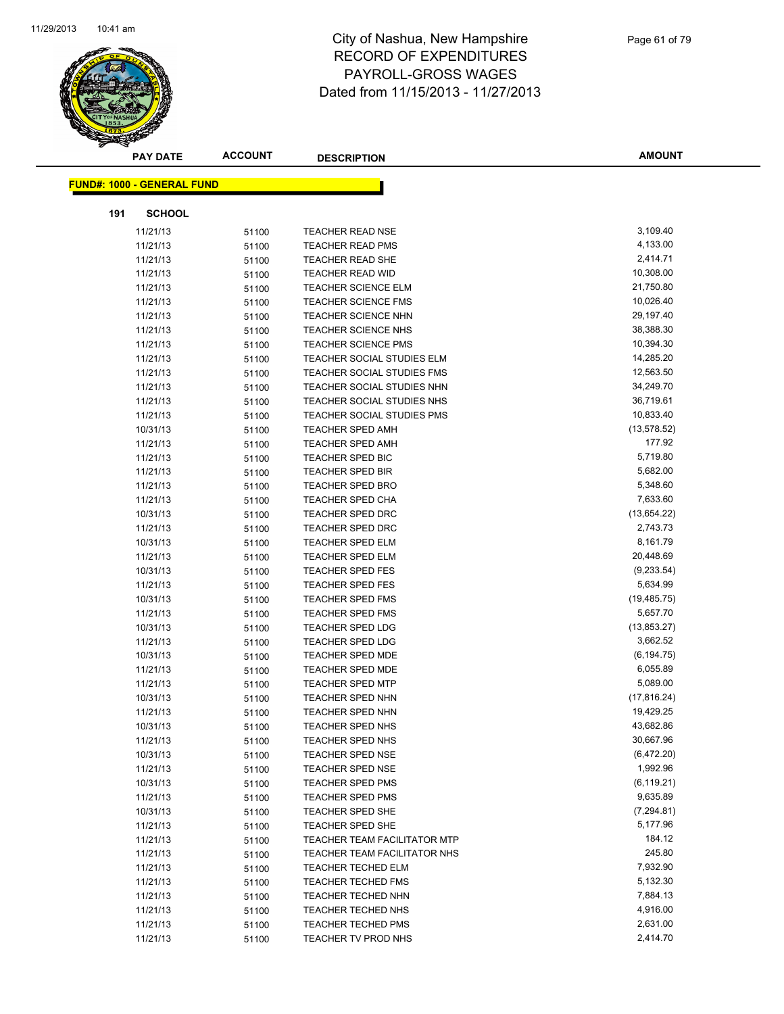

|     | <b>PAY DATE</b>                   | <b>ACCOUNT</b> | <b>DESCRIPTION</b>                  | <b>AMOUNT</b> |
|-----|-----------------------------------|----------------|-------------------------------------|---------------|
|     |                                   |                |                                     |               |
|     | <b>FUND#: 1000 - GENERAL FUND</b> |                |                                     |               |
| 191 | <b>SCHOOL</b>                     |                |                                     |               |
|     | 11/21/13                          | 51100          | <b>TEACHER READ NSE</b>             | 3,109.40      |
|     | 11/21/13                          | 51100          | <b>TEACHER READ PMS</b>             | 4,133.00      |
|     | 11/21/13                          | 51100          | <b>TEACHER READ SHE</b>             | 2,414.71      |
|     | 11/21/13                          | 51100          | TEACHER READ WID                    | 10,308.00     |
|     | 11/21/13                          | 51100          | <b>TEACHER SCIENCE ELM</b>          | 21,750.80     |
|     | 11/21/13                          | 51100          | <b>TEACHER SCIENCE FMS</b>          | 10,026.40     |
|     | 11/21/13                          | 51100          | <b>TEACHER SCIENCE NHN</b>          | 29,197.40     |
|     | 11/21/13                          | 51100          | <b>TEACHER SCIENCE NHS</b>          | 38,388.30     |
|     | 11/21/13                          | 51100          | <b>TEACHER SCIENCE PMS</b>          | 10,394.30     |
|     | 11/21/13                          | 51100          | TEACHER SOCIAL STUDIES ELM          | 14,285.20     |
|     | 11/21/13                          | 51100          | TEACHER SOCIAL STUDIES FMS          | 12,563.50     |
|     | 11/21/13                          | 51100          | TEACHER SOCIAL STUDIES NHN          | 34,249.70     |
|     | 11/21/13                          | 51100          | TEACHER SOCIAL STUDIES NHS          | 36,719.61     |
|     | 11/21/13                          | 51100          | TEACHER SOCIAL STUDIES PMS          | 10,833.40     |
|     | 10/31/13                          | 51100          | <b>TEACHER SPED AMH</b>             | (13, 578.52)  |
|     | 11/21/13                          | 51100          | TEACHER SPED AMH                    | 177.92        |
|     | 11/21/13                          | 51100          | <b>TEACHER SPED BIC</b>             | 5,719.80      |
|     | 11/21/13                          | 51100          | <b>TEACHER SPED BIR</b>             | 5,682.00      |
|     | 11/21/13                          | 51100          | <b>TEACHER SPED BRO</b>             | 5,348.60      |
|     | 11/21/13                          | 51100          | <b>TEACHER SPED CHA</b>             | 7,633.60      |
|     | 10/31/13                          | 51100          | <b>TEACHER SPED DRC</b>             | (13,654.22)   |
|     | 11/21/13                          | 51100          | <b>TEACHER SPED DRC</b>             | 2,743.73      |
|     | 10/31/13                          | 51100          | TEACHER SPED ELM                    | 8,161.79      |
|     | 11/21/13                          | 51100          | TEACHER SPED ELM                    | 20,448.69     |
|     | 10/31/13                          | 51100          | <b>TEACHER SPED FES</b>             | (9,233.54)    |
|     | 11/21/13                          | 51100          | <b>TEACHER SPED FES</b>             | 5,634.99      |
|     | 10/31/13                          | 51100          | <b>TEACHER SPED FMS</b>             | (19, 485.75)  |
|     | 11/21/13                          | 51100          | <b>TEACHER SPED FMS</b>             | 5,657.70      |
|     | 10/31/13                          | 51100          | TEACHER SPED LDG                    | (13, 853.27)  |
|     | 11/21/13                          | 51100          | <b>TEACHER SPED LDG</b>             | 3,662.52      |
|     | 10/31/13                          | 51100          | TEACHER SPED MDE                    | (6, 194.75)   |
|     | 11/21/13                          | 51100          | <b>TEACHER SPED MDE</b>             | 6,055.89      |
|     | 11/21/13                          | 51100          | <b>TEACHER SPED MTP</b>             | 5,089.00      |
|     | 10/31/13                          | 51100          | TEACHER SPED NHN                    | (17, 816.24)  |
|     | 11/21/13                          | 51100          | TEACHER SPED NHN                    | 19,429.25     |
|     | 10/31/13                          | 51100          | TEACHER SPED NHS                    | 43,682.86     |
|     | 11/21/13                          | 51100          | TEACHER SPED NHS                    | 30,667.96     |
|     | 10/31/13                          | 51100          | <b>TEACHER SPED NSE</b>             | (6,472.20)    |
|     | 11/21/13                          | 51100          | <b>TEACHER SPED NSE</b>             | 1,992.96      |
|     | 10/31/13                          | 51100          | <b>TEACHER SPED PMS</b>             | (6, 119.21)   |
|     | 11/21/13                          | 51100          | <b>TEACHER SPED PMS</b>             | 9,635.89      |
|     | 10/31/13                          | 51100          | TEACHER SPED SHE                    | (7, 294.81)   |
|     | 11/21/13                          | 51100          | <b>TEACHER SPED SHE</b>             | 5,177.96      |
|     | 11/21/13                          | 51100          | <b>TEACHER TEAM FACILITATOR MTP</b> | 184.12        |
|     | 11/21/13                          | 51100          | TEACHER TEAM FACILITATOR NHS        | 245.80        |
|     | 11/21/13                          | 51100          | TEACHER TECHED ELM                  | 7,932.90      |
|     | 11/21/13                          | 51100          | <b>TEACHER TECHED FMS</b>           | 5,132.30      |
|     | 11/21/13                          | 51100          | <b>TEACHER TECHED NHN</b>           | 7,884.13      |
|     | 11/21/13                          | 51100          | <b>TEACHER TECHED NHS</b>           | 4,916.00      |
|     | 11/21/13                          | 51100          | <b>TEACHER TECHED PMS</b>           | 2,631.00      |
|     | 11/21/13                          | 51100          | TEACHER TV PROD NHS                 | 2,414.70      |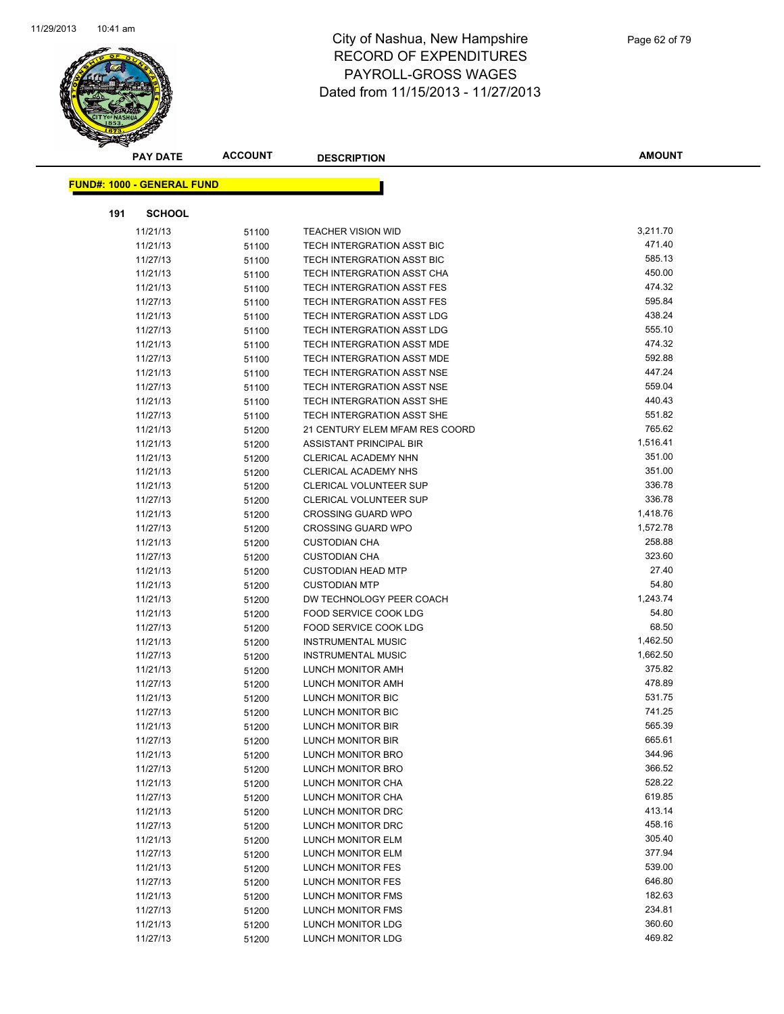

| <b>PAY DATE</b>                   | <b>ACCOUNT</b> | <b>DESCRIPTION</b>                | <b>AMOUNT</b> |
|-----------------------------------|----------------|-----------------------------------|---------------|
| <b>FUND#: 1000 - GENERAL FUND</b> |                |                                   |               |
|                                   |                |                                   |               |
| 191<br><b>SCHOOL</b>              |                |                                   |               |
| 11/21/13                          | 51100          | <b>TEACHER VISION WID</b>         | 3,211.70      |
| 11/21/13                          | 51100          | TECH INTERGRATION ASST BIC        | 471.40        |
| 11/27/13                          | 51100          | TECH INTERGRATION ASST BIC        | 585.13        |
| 11/21/13                          | 51100          | TECH INTERGRATION ASST CHA        | 450.00        |
| 11/21/13                          | 51100          | <b>TECH INTERGRATION ASST FES</b> | 474.32        |
| 11/27/13                          | 51100          | <b>TECH INTERGRATION ASST FES</b> | 595.84        |
| 11/21/13                          | 51100          | TECH INTERGRATION ASST LDG        | 438.24        |
| 11/27/13                          | 51100          | TECH INTERGRATION ASST LDG        | 555.10        |
| 11/21/13                          | 51100          | TECH INTERGRATION ASST MDE        | 474.32        |
| 11/27/13                          | 51100          | TECH INTERGRATION ASST MDE        | 592.88        |
| 11/21/13                          | 51100          | TECH INTERGRATION ASST NSE        | 447.24        |
| 11/27/13                          | 51100          | TECH INTERGRATION ASST NSE        | 559.04        |
| 11/21/13                          | 51100          | TECH INTERGRATION ASST SHE        | 440.43        |
| 11/27/13                          | 51100          | TECH INTERGRATION ASST SHE        | 551.82        |
| 11/21/13                          | 51200          | 21 CENTURY ELEM MFAM RES COORD    | 765.62        |
| 11/21/13                          | 51200          | ASSISTANT PRINCIPAL BIR           | 1,516.41      |
| 11/21/13                          | 51200          | <b>CLERICAL ACADEMY NHN</b>       | 351.00        |
| 11/21/13                          | 51200          | CLERICAL ACADEMY NHS              | 351.00        |
| 11/21/13                          | 51200          | CLERICAL VOLUNTEER SUP            | 336.78        |
| 11/27/13                          | 51200          | CLERICAL VOLUNTEER SUP            | 336.78        |
| 11/21/13                          | 51200          | <b>CROSSING GUARD WPO</b>         | 1,418.76      |
| 11/27/13                          | 51200          | <b>CROSSING GUARD WPO</b>         | 1,572.78      |
| 11/21/13                          | 51200          | <b>CUSTODIAN CHA</b>              | 258.88        |
| 11/27/13                          | 51200          | <b>CUSTODIAN CHA</b>              | 323.60        |
| 11/21/13                          | 51200          | <b>CUSTODIAN HEAD MTP</b>         | 27.40         |
| 11/21/13                          | 51200          | <b>CUSTODIAN MTP</b>              | 54.80         |
| 11/21/13                          | 51200          | DW TECHNOLOGY PEER COACH          | 1,243.74      |
| 11/21/13                          | 51200          | FOOD SERVICE COOK LDG             | 54.80         |
| 11/27/13                          | 51200          | FOOD SERVICE COOK LDG             | 68.50         |
| 11/21/13                          | 51200          | <b>INSTRUMENTAL MUSIC</b>         | 1,462.50      |
| 11/27/13                          | 51200          | <b>INSTRUMENTAL MUSIC</b>         | 1,662.50      |
| 11/21/13                          | 51200          | LUNCH MONITOR AMH                 | 375.82        |
| 11/27/13                          | 51200          | LUNCH MONITOR AMH                 | 478.89        |
| 11/21/13                          | 51200          | LUNCH MONITOR BIC                 | 531.75        |
| 11/27/13                          | 51200          | LUNCH MONITOR BIC                 | 741.25        |
| 11/21/13                          | 51200          | LUNCH MONITOR BIR                 | 565.39        |
| 11/27/13                          | 51200          | LUNCH MONITOR BIR                 | 665.61        |
| 11/21/13                          | 51200          | LUNCH MONITOR BRO                 | 344.96        |
| 11/27/13                          | 51200          | LUNCH MONITOR BRO                 | 366.52        |
| 11/21/13                          | 51200          | LUNCH MONITOR CHA                 | 528.22        |
| 11/27/13                          | 51200          | LUNCH MONITOR CHA                 | 619.85        |
| 11/21/13                          | 51200          | LUNCH MONITOR DRC                 | 413.14        |
| 11/27/13                          | 51200          | LUNCH MONITOR DRC                 | 458.16        |
| 11/21/13                          | 51200          | <b>LUNCH MONITOR ELM</b>          | 305.40        |
| 11/27/13                          | 51200          | <b>LUNCH MONITOR ELM</b>          | 377.94        |
| 11/21/13                          | 51200          | <b>LUNCH MONITOR FES</b>          | 539.00        |
| 11/27/13                          | 51200          | LUNCH MONITOR FES                 | 646.80        |
| 11/21/13                          | 51200          | LUNCH MONITOR FMS                 | 182.63        |
| 11/27/13                          | 51200          | LUNCH MONITOR FMS                 | 234.81        |
| 11/21/13                          | 51200          | <b>LUNCH MONITOR LDG</b>          | 360.60        |
| 11/27/13                          | 51200          | <b>LUNCH MONITOR LDG</b>          | 469.82        |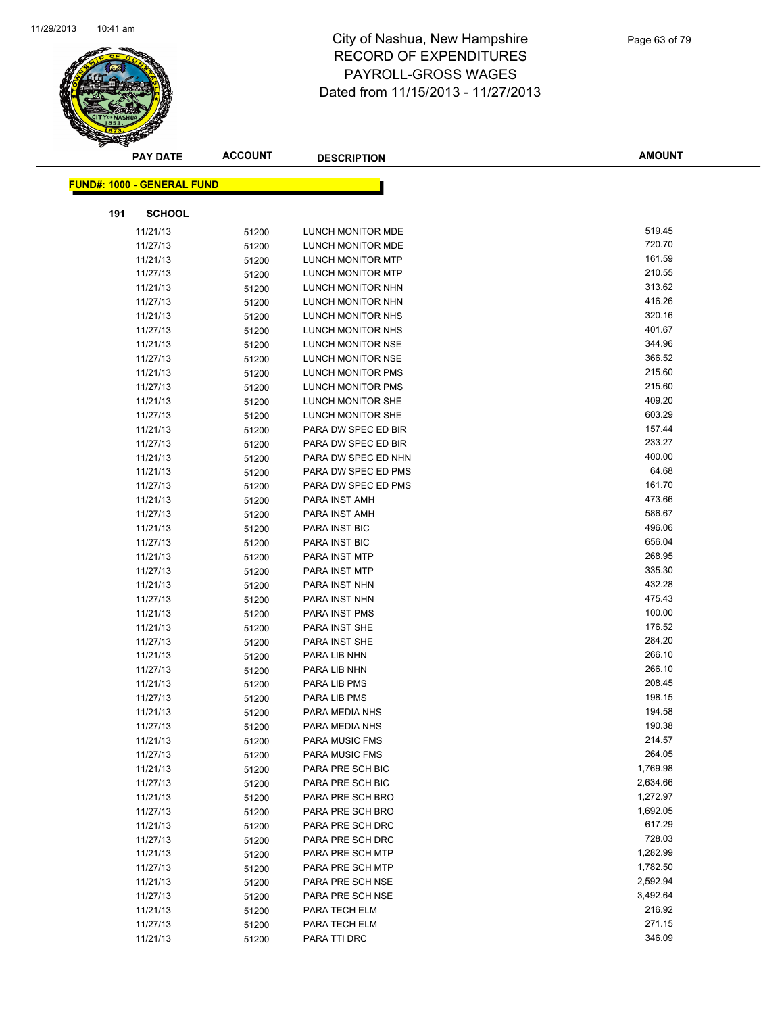

| <b>PAY DATE</b>                   | <b>ACCOUNT</b> | <b>DESCRIPTION</b>       | <b>AMOUNT</b> |
|-----------------------------------|----------------|--------------------------|---------------|
| <b>FUND#: 1000 - GENERAL FUND</b> |                |                          |               |
|                                   |                |                          |               |
| <b>SCHOOL</b><br>191              |                |                          |               |
| 11/21/13                          | 51200          | <b>LUNCH MONITOR MDE</b> | 519.45        |
| 11/27/13                          | 51200          | LUNCH MONITOR MDE        | 720.70        |
| 11/21/13                          | 51200          | LUNCH MONITOR MTP        | 161.59        |
| 11/27/13                          | 51200          | LUNCH MONITOR MTP        | 210.55        |
| 11/21/13                          | 51200          | LUNCH MONITOR NHN        | 313.62        |
| 11/27/13                          | 51200          | LUNCH MONITOR NHN        | 416.26        |
| 11/21/13                          | 51200          | LUNCH MONITOR NHS        | 320.16        |
| 11/27/13                          | 51200          | LUNCH MONITOR NHS        | 401.67        |
| 11/21/13                          | 51200          | LUNCH MONITOR NSE        | 344.96        |
| 11/27/13                          | 51200          | LUNCH MONITOR NSE        | 366.52        |
| 11/21/13                          | 51200          | LUNCH MONITOR PMS        | 215.60        |
| 11/27/13                          | 51200          | LUNCH MONITOR PMS        | 215.60        |
| 11/21/13                          | 51200          | LUNCH MONITOR SHE        | 409.20        |
| 11/27/13                          | 51200          | LUNCH MONITOR SHE        | 603.29        |
| 11/21/13                          | 51200          | PARA DW SPEC ED BIR      | 157.44        |
| 11/27/13                          | 51200          | PARA DW SPEC ED BIR      | 233.27        |
| 11/21/13                          | 51200          | PARA DW SPEC ED NHN      | 400.00        |
| 11/21/13                          | 51200          | PARA DW SPEC ED PMS      | 64.68         |
| 11/27/13                          | 51200          | PARA DW SPEC ED PMS      | 161.70        |
| 11/21/13                          | 51200          | PARA INST AMH            | 473.66        |
| 11/27/13                          | 51200          | PARA INST AMH            | 586.67        |
| 11/21/13                          | 51200          | PARA INST BIC            | 496.06        |
| 11/27/13                          | 51200          | PARA INST BIC            | 656.04        |
| 11/21/13                          | 51200          | PARA INST MTP            | 268.95        |
| 11/27/13                          | 51200          | PARA INST MTP            | 335.30        |
| 11/21/13                          | 51200          | PARA INST NHN            | 432.28        |
| 11/27/13                          | 51200          | PARA INST NHN            | 475.43        |
| 11/21/13                          | 51200          | PARA INST PMS            | 100.00        |
| 11/21/13                          | 51200          | PARA INST SHE            | 176.52        |
| 11/27/13                          | 51200          | PARA INST SHE            | 284.20        |
| 11/21/13                          | 51200          | PARA LIB NHN             | 266.10        |
| 11/27/13                          | 51200          | PARA LIB NHN             | 266.10        |
| 11/21/13                          | 51200          | PARA LIB PMS             | 208.45        |
| 11/27/13                          | 51200          | PARA LIB PMS             | 198.15        |
| 11/21/13                          | 51200          | PARA MEDIA NHS           | 194.58        |
| 11/27/13                          | 51200          | PARA MEDIA NHS           | 190.38        |
| 11/21/13                          | 51200          | <b>PARA MUSIC FMS</b>    | 214.57        |
| 11/27/13                          | 51200          | PARA MUSIC FMS           | 264.05        |
| 11/21/13                          | 51200          | PARA PRE SCH BIC         | 1,769.98      |
| 11/27/13                          | 51200          | PARA PRE SCH BIC         | 2,634.66      |
| 11/21/13                          | 51200          | PARA PRE SCH BRO         | 1,272.97      |
| 11/27/13                          | 51200          | PARA PRE SCH BRO         | 1,692.05      |
| 11/21/13                          | 51200          | PARA PRE SCH DRC         | 617.29        |
| 11/27/13                          | 51200          | PARA PRE SCH DRC         | 728.03        |
| 11/21/13                          | 51200          | PARA PRE SCH MTP         | 1,282.99      |
| 11/27/13                          | 51200          | PARA PRE SCH MTP         | 1,782.50      |
| 11/21/13                          | 51200          | PARA PRE SCH NSE         | 2,592.94      |
| 11/27/13                          | 51200          | PARA PRE SCH NSE         | 3,492.64      |
| 11/21/13                          | 51200          | PARA TECH ELM            | 216.92        |
| 11/27/13                          | 51200          | PARA TECH ELM            | 271.15        |
| 11/21/13                          | 51200          | PARA TTI DRC             | 346.09        |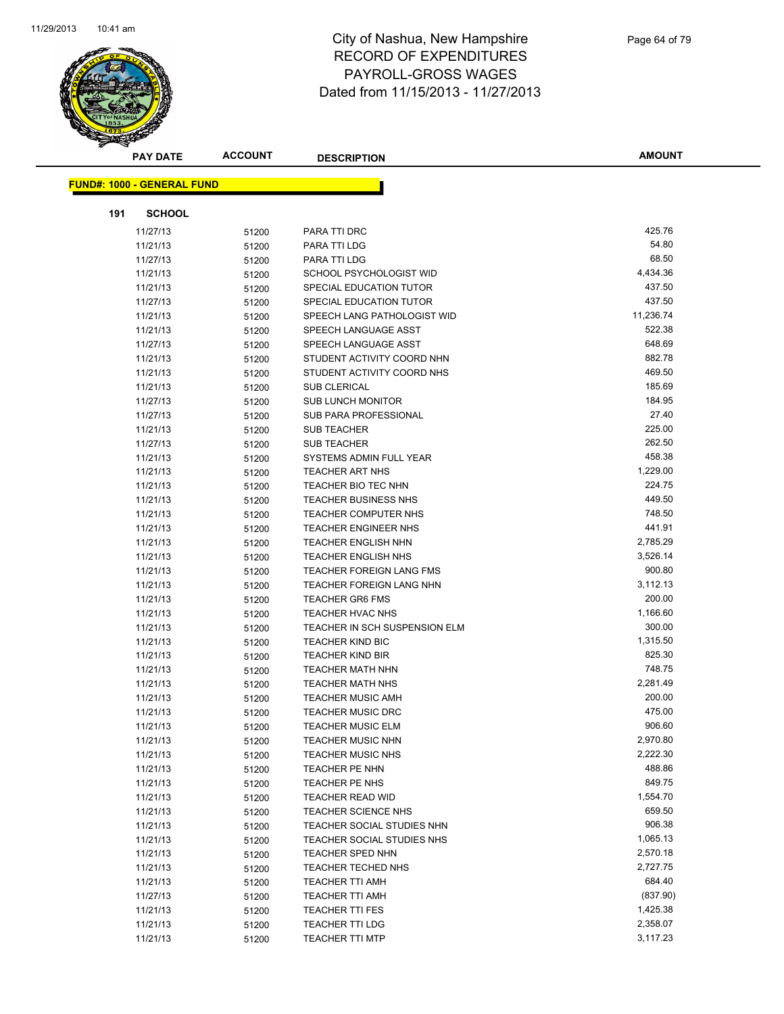

| <b>PAY DATE</b>                   | <b>ACCOUNT</b> | <b>DESCRIPTION</b>                            | <b>AMOUNT</b>      |
|-----------------------------------|----------------|-----------------------------------------------|--------------------|
|                                   |                |                                               |                    |
| <b>FUND#: 1000 - GENERAL FUND</b> |                |                                               |                    |
| 191<br><b>SCHOOL</b>              |                |                                               |                    |
| 11/27/13                          | 51200          | PARA TTI DRC                                  | 425.76             |
| 11/21/13                          | 51200          | PARA TTI LDG                                  | 54.80              |
| 11/27/13                          | 51200          | PARA TTI LDG                                  | 68.50              |
| 11/21/13                          | 51200          | SCHOOL PSYCHOLOGIST WID                       | 4,434.36           |
| 11/21/13                          | 51200          | SPECIAL EDUCATION TUTOR                       | 437.50             |
| 11/27/13                          | 51200          | SPECIAL EDUCATION TUTOR                       | 437.50             |
| 11/21/13                          | 51200          | SPEECH LANG PATHOLOGIST WID                   | 11,236.74          |
| 11/21/13                          | 51200          | SPEECH LANGUAGE ASST                          | 522.38             |
| 11/27/13                          | 51200          | SPEECH LANGUAGE ASST                          | 648.69             |
| 11/21/13                          | 51200          | STUDENT ACTIVITY COORD NHN                    | 882.78             |
| 11/21/13                          | 51200          | STUDENT ACTIVITY COORD NHS                    | 469.50             |
| 11/21/13                          | 51200          | <b>SUB CLERICAL</b>                           | 185.69             |
| 11/27/13                          | 51200          | SUB LUNCH MONITOR                             | 184.95             |
| 11/27/13                          | 51200          | SUB PARA PROFESSIONAL                         | 27.40              |
| 11/21/13                          | 51200          | <b>SUB TEACHER</b>                            | 225.00             |
| 11/27/13                          | 51200          | <b>SUB TEACHER</b>                            | 262.50             |
| 11/21/13                          | 51200          | SYSTEMS ADMIN FULL YEAR                       | 458.38             |
| 11/21/13                          | 51200          | TEACHER ART NHS                               | 1,229.00           |
| 11/21/13                          | 51200          | <b>TEACHER BIO TEC NHN</b>                    | 224.75             |
| 11/21/13                          | 51200          | <b>TEACHER BUSINESS NHS</b>                   | 449.50             |
| 11/21/13                          | 51200          | <b>TEACHER COMPUTER NHS</b>                   | 748.50             |
| 11/21/13                          | 51200          | TEACHER ENGINEER NHS                          | 441.91             |
| 11/21/13                          | 51200          | <b>TEACHER ENGLISH NHN</b>                    | 2,785.29           |
| 11/21/13                          | 51200          | <b>TEACHER ENGLISH NHS</b>                    | 3,526.14           |
| 11/21/13                          | 51200          | <b>TEACHER FOREIGN LANG FMS</b>               | 900.80             |
| 11/21/13                          | 51200          | TEACHER FOREIGN LANG NHN                      | 3,112.13           |
| 11/21/13                          | 51200          | <b>TEACHER GR6 FMS</b>                        | 200.00             |
| 11/21/13                          | 51200          | <b>TEACHER HVAC NHS</b>                       | 1,166.60           |
| 11/21/13                          | 51200          | TEACHER IN SCH SUSPENSION ELM                 | 300.00             |
| 11/21/13                          | 51200          | <b>TEACHER KIND BIC</b>                       | 1,315.50           |
| 11/21/13                          | 51200          | <b>TEACHER KIND BIR</b>                       | 825.30             |
| 11/21/13                          | 51200          | <b>TEACHER MATH NHN</b>                       | 748.75             |
| 11/21/13                          | 51200          | <b>TEACHER MATH NHS</b>                       | 2,281.49           |
| 11/21/13                          | 51200          | <b>TEACHER MUSIC AMH</b>                      | 200.00<br>475.00   |
| 11/21/13<br>11/21/13              | 51200          | <b>TEACHER MUSIC DRC</b>                      |                    |
| 11/21/13                          | 51200          | TEACHER MUSIC ELM<br><b>TEACHER MUSIC NHN</b> | 906.60<br>2,970.80 |
| 11/21/13                          | 51200          | <b>TEACHER MUSIC NHS</b>                      | 2,222.30           |
| 11/21/13                          | 51200<br>51200 | TEACHER PE NHN                                | 488.86             |
| 11/21/13                          | 51200          | TEACHER PE NHS                                | 849.75             |
| 11/21/13                          | 51200          | TEACHER READ WID                              | 1,554.70           |
| 11/21/13                          | 51200          | TEACHER SCIENCE NHS                           | 659.50             |
| 11/21/13                          | 51200          | TEACHER SOCIAL STUDIES NHN                    | 906.38             |
| 11/21/13                          | 51200          | TEACHER SOCIAL STUDIES NHS                    | 1,065.13           |
| 11/21/13                          | 51200          | <b>TEACHER SPED NHN</b>                       | 2,570.18           |
| 11/21/13                          | 51200          | TEACHER TECHED NHS                            | 2,727.75           |
| 11/21/13                          | 51200          | <b>TEACHER TTI AMH</b>                        | 684.40             |
| 11/27/13                          | 51200          | <b>TEACHER TTI AMH</b>                        | (837.90)           |
| 11/21/13                          | 51200          | TEACHER TTI FES                               | 1,425.38           |
| 11/21/13                          | 51200          | <b>TEACHER TTI LDG</b>                        | 2,358.07           |
| 11/21/13                          | 51200          | <b>TEACHER TTI MTP</b>                        | 3,117.23           |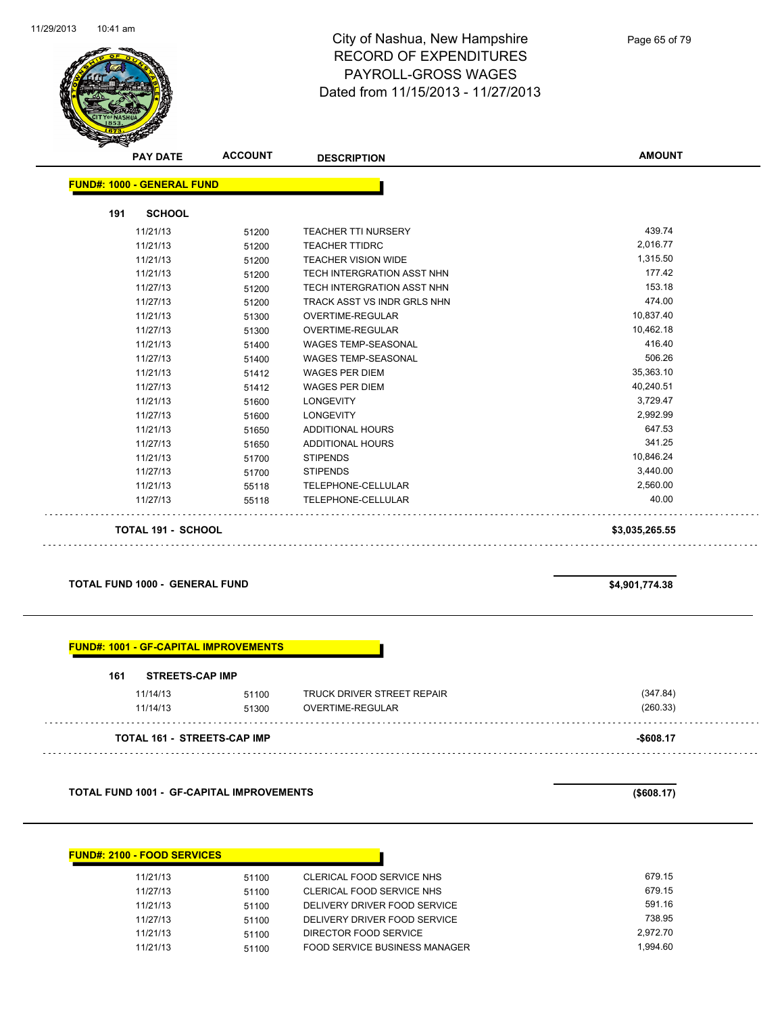

Page 65 of 79

| <b>PAY DATE</b>                   | <b>ACCOUNT</b> | <b>DESCRIPTION</b>                | <b>AMOUNT</b>  |
|-----------------------------------|----------------|-----------------------------------|----------------|
| <b>FUND#: 1000 - GENERAL FUND</b> |                |                                   |                |
|                                   |                |                                   |                |
| 191<br><b>SCHOOL</b>              |                |                                   |                |
| 11/21/13                          | 51200          | <b>TEACHER TTI NURSERY</b>        | 439.74         |
| 11/21/13                          | 51200          | <b>TEACHER TTIDRC</b>             | 2,016.77       |
| 11/21/13                          | 51200          | <b>TEACHER VISION WIDE</b>        | 1,315.50       |
| 11/21/13                          | 51200          | <b>TECH INTERGRATION ASST NHN</b> | 177.42         |
| 11/27/13                          | 51200          | TECH INTERGRATION ASST NHN        | 153.18         |
| 11/27/13                          | 51200          | TRACK ASST VS INDR GRLS NHN       | 474.00         |
| 11/21/13                          | 51300          | OVERTIME-REGULAR                  | 10,837.40      |
| 11/27/13                          | 51300          | <b>OVERTIME-REGULAR</b>           | 10,462.18      |
| 11/21/13                          | 51400          | <b>WAGES TEMP-SEASONAL</b>        | 416.40         |
| 11/27/13                          | 51400          | <b>WAGES TEMP-SEASONAL</b>        | 506.26         |
| 11/21/13                          | 51412          | <b>WAGES PER DIEM</b>             | 35,363.10      |
| 11/27/13                          | 51412          | <b>WAGES PER DIEM</b>             | 40,240.51      |
| 11/21/13                          | 51600          | <b>LONGEVITY</b>                  | 3,729.47       |
| 11/27/13                          | 51600          | <b>LONGEVITY</b>                  | 2,992.99       |
| 11/21/13                          | 51650          | ADDITIONAL HOURS                  | 647.53         |
| 11/27/13                          | 51650          | ADDITIONAL HOURS                  | 341.25         |
| 11/21/13                          | 51700          | <b>STIPENDS</b>                   | 10,846.24      |
| 11/27/13                          | 51700          | <b>STIPENDS</b>                   | 3,440.00       |
| 11/21/13                          | 55118          | TELEPHONE-CELLULAR                | 2,560.00       |
| 11/27/13                          | 55118          | TELEPHONE-CELLULAR                | 40.00          |
| <b>TOTAL 191 - SCHOOL</b>         |                |                                   | \$3,035,265.55 |

#### **TOTAL FUND 1000 - GENERAL FUND \$4,901,774.38**

| <b>STREETS-CAP IMP</b><br>161 |       |                            |          |
|-------------------------------|-------|----------------------------|----------|
| 11/14/13                      | 51100 | TRUCK DRIVER STREET REPAIR | (347.84) |
| 11/14/13                      | 51300 | OVERTIME-REGULAR           | (260.33) |

**TOTAL FUND 1001 - GF-CAPITAL IMPROVEMENTS (\$608.17)**

| <b>FUND#: 2100 - FOOD SERVICES</b> |       |                                      |          |
|------------------------------------|-------|--------------------------------------|----------|
| 11/21/13                           | 51100 | CLERICAL FOOD SERVICE NHS            | 679.15   |
| 11/27/13                           | 51100 | CLERICAL FOOD SERVICE NHS            | 679.15   |
| 11/21/13                           | 51100 | DELIVERY DRIVER FOOD SERVICE         | 591.16   |
| 11/27/13                           | 51100 | DELIVERY DRIVER FOOD SERVICE         | 738.95   |
| 11/21/13                           | 51100 | DIRECTOR FOOD SERVICE                | 2.972.70 |
| 11/21/13                           | 51100 | <b>FOOD SERVICE BUSINESS MANAGER</b> | 1.994.60 |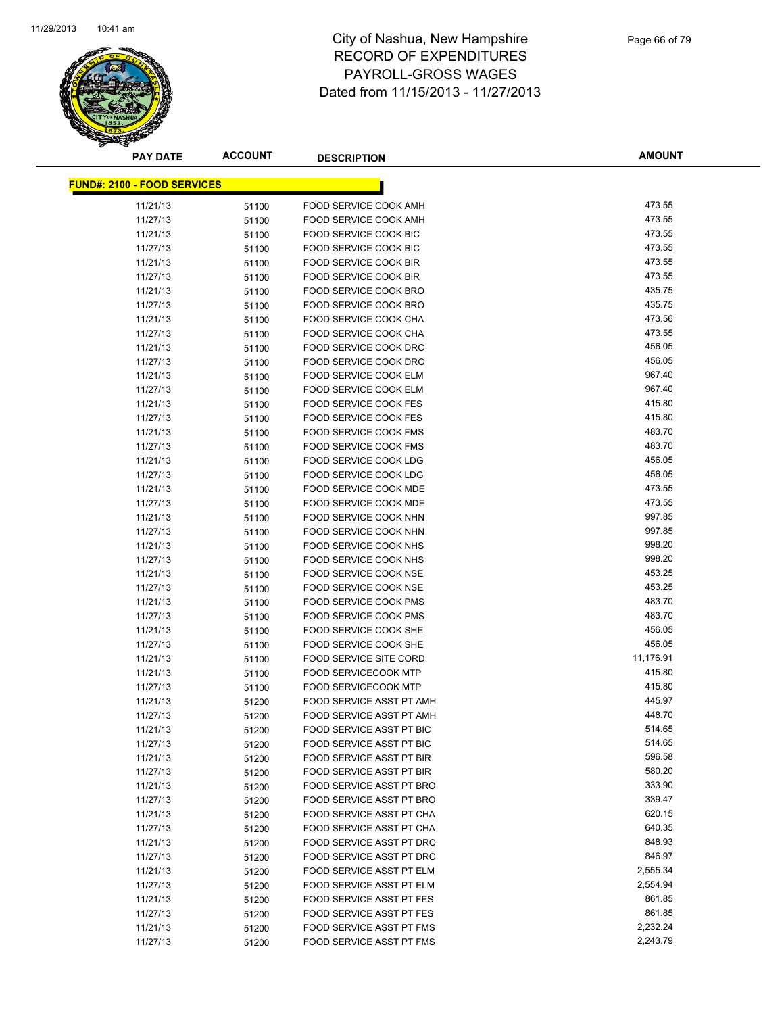

| <b>PAY DATE</b>                    | <b>ACCOUNT</b> | <b>DESCRIPTION</b>              | <b>AMOUNT</b> |
|------------------------------------|----------------|---------------------------------|---------------|
| <b>FUND#: 2100 - FOOD SERVICES</b> |                |                                 |               |
|                                    |                |                                 |               |
| 11/21/13                           | 51100          | FOOD SERVICE COOK AMH           | 473.55        |
| 11/27/13                           | 51100          | FOOD SERVICE COOK AMH           | 473.55        |
| 11/21/13                           | 51100          | FOOD SERVICE COOK BIC           | 473.55        |
| 11/27/13                           | 51100          | FOOD SERVICE COOK BIC           | 473.55        |
| 11/21/13                           | 51100          | FOOD SERVICE COOK BIR           | 473.55        |
| 11/27/13                           | 51100          | <b>FOOD SERVICE COOK BIR</b>    | 473.55        |
| 11/21/13                           | 51100          | <b>FOOD SERVICE COOK BRO</b>    | 435.75        |
| 11/27/13                           | 51100          | FOOD SERVICE COOK BRO           | 435.75        |
| 11/21/13                           | 51100          | FOOD SERVICE COOK CHA           | 473.56        |
| 11/27/13                           | 51100          | FOOD SERVICE COOK CHA           | 473.55        |
| 11/21/13                           | 51100          | FOOD SERVICE COOK DRC           | 456.05        |
| 11/27/13                           | 51100          | FOOD SERVICE COOK DRC           | 456.05        |
| 11/21/13                           | 51100          | FOOD SERVICE COOK ELM           | 967.40        |
| 11/27/13                           | 51100          | FOOD SERVICE COOK ELM           | 967.40        |
| 11/21/13                           | 51100          | <b>FOOD SERVICE COOK FES</b>    | 415.80        |
| 11/27/13                           | 51100          | <b>FOOD SERVICE COOK FES</b>    | 415.80        |
| 11/21/13                           | 51100          | FOOD SERVICE COOK FMS           | 483.70        |
| 11/27/13                           | 51100          | <b>FOOD SERVICE COOK FMS</b>    | 483.70        |
| 11/21/13                           | 51100          | FOOD SERVICE COOK LDG           | 456.05        |
| 11/27/13                           | 51100          | FOOD SERVICE COOK LDG           | 456.05        |
| 11/21/13                           | 51100          | FOOD SERVICE COOK MDE           | 473.55        |
| 11/27/13                           | 51100          | FOOD SERVICE COOK MDE           | 473.55        |
| 11/21/13                           | 51100          | FOOD SERVICE COOK NHN           | 997.85        |
| 11/27/13                           | 51100          | FOOD SERVICE COOK NHN           | 997.85        |
| 11/21/13                           | 51100          | FOOD SERVICE COOK NHS           | 998.20        |
| 11/27/13                           | 51100          | FOOD SERVICE COOK NHS           | 998.20        |
| 11/21/13                           | 51100          | FOOD SERVICE COOK NSE           | 453.25        |
| 11/27/13                           | 51100          | FOOD SERVICE COOK NSE           | 453.25        |
| 11/21/13                           | 51100          | FOOD SERVICE COOK PMS           | 483.70        |
| 11/27/13                           | 51100          | FOOD SERVICE COOK PMS           | 483.70        |
| 11/21/13                           | 51100          | FOOD SERVICE COOK SHE           | 456.05        |
| 11/27/13                           | 51100          | FOOD SERVICE COOK SHE           | 456.05        |
| 11/21/13                           | 51100          | <b>FOOD SERVICE SITE CORD</b>   | 11,176.91     |
| 11/21/13                           | 51100          | <b>FOOD SERVICECOOK MTP</b>     | 415.80        |
| 11/27/13                           | 51100          | <b>FOOD SERVICECOOK MTP</b>     | 415.80        |
| 11/21/13                           | 51200          | FOOD SERVICE ASST PT AMH        | 445.97        |
| 11/27/13                           | 51200          | FOOD SERVICE ASST PT AMH        | 448.70        |
| 11/21/13                           | 51200          | FOOD SERVICE ASST PT BIC        | 514.65        |
| 11/27/13                           | 51200          | FOOD SERVICE ASST PT BIC        | 514.65        |
| 11/21/13                           | 51200          | FOOD SERVICE ASST PT BIR        | 596.58        |
| 11/27/13                           | 51200          | <b>FOOD SERVICE ASST PT BIR</b> | 580.20        |
| 11/21/13                           | 51200          | FOOD SERVICE ASST PT BRO        | 333.90        |
| 11/27/13                           | 51200          | FOOD SERVICE ASST PT BRO        | 339.47        |
| 11/21/13                           | 51200          | FOOD SERVICE ASST PT CHA        | 620.15        |
| 11/27/13                           | 51200          | FOOD SERVICE ASST PT CHA        | 640.35        |
| 11/21/13                           | 51200          | FOOD SERVICE ASST PT DRC        | 848.93        |
| 11/27/13                           | 51200          | FOOD SERVICE ASST PT DRC        | 846.97        |
| 11/21/13                           | 51200          | FOOD SERVICE ASST PT ELM        | 2,555.34      |
| 11/27/13                           | 51200          | FOOD SERVICE ASST PT ELM        | 2,554.94      |
| 11/21/13                           | 51200          | FOOD SERVICE ASST PT FES        | 861.85        |
| 11/27/13                           | 51200          | <b>FOOD SERVICE ASST PT FES</b> | 861.85        |
| 11/21/13                           | 51200          | FOOD SERVICE ASST PT FMS        | 2,232.24      |
| 11/27/13                           | 51200          | FOOD SERVICE ASST PT FMS        | 2,243.79      |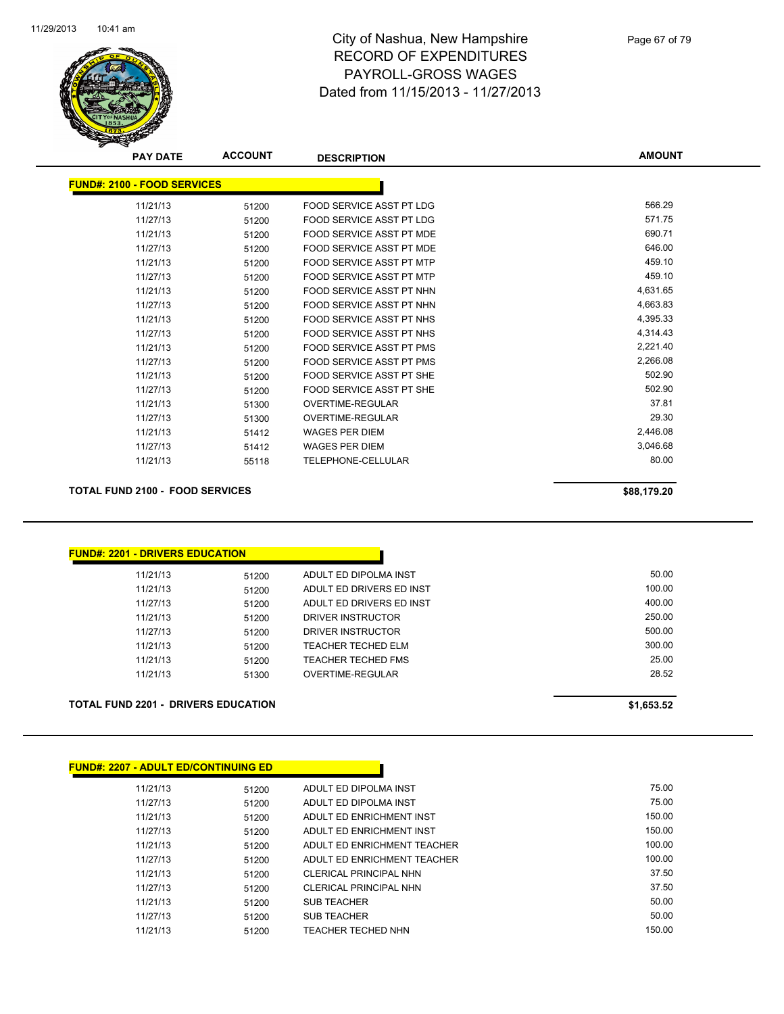

| <b>PAY DATE</b>                    | <b>ACCOUNT</b> | <b>DESCRIPTION</b>              | <b>AMOUNT</b> |
|------------------------------------|----------------|---------------------------------|---------------|
| <b>FUND#: 2100 - FOOD SERVICES</b> |                |                                 |               |
| 11/21/13                           | 51200          | <b>FOOD SERVICE ASST PT LDG</b> | 566.29        |
| 11/27/13                           | 51200          | <b>FOOD SERVICE ASST PT LDG</b> | 571.75        |
| 11/21/13                           | 51200          | <b>FOOD SERVICE ASST PT MDE</b> | 690.71        |
| 11/27/13                           | 51200          | <b>FOOD SERVICE ASST PT MDE</b> | 646.00        |
| 11/21/13                           | 51200          | <b>FOOD SERVICE ASST PT MTP</b> | 459.10        |
| 11/27/13                           | 51200          | FOOD SERVICE ASST PT MTP        | 459.10        |
| 11/21/13                           | 51200          | FOOD SERVICE ASST PT NHN        | 4,631.65      |
| 11/27/13                           | 51200          | FOOD SERVICE ASST PT NHN        | 4,663.83      |
| 11/21/13                           | 51200          | FOOD SERVICE ASST PT NHS        | 4,395.33      |
| 11/27/13                           | 51200          | FOOD SERVICE ASST PT NHS        | 4,314.43      |
| 11/21/13                           | 51200          | <b>FOOD SERVICE ASST PT PMS</b> | 2,221.40      |
| 11/27/13                           | 51200          | FOOD SERVICE ASST PT PMS        | 2,266.08      |
| 11/21/13                           | 51200          | FOOD SERVICE ASST PT SHE        | 502.90        |
| 11/27/13                           | 51200          | FOOD SERVICE ASST PT SHE        | 502.90        |
| 11/21/13                           | 51300          | <b>OVERTIME-REGULAR</b>         | 37.81         |
| 11/27/13                           | 51300          | <b>OVERTIME-REGULAR</b>         | 29.30         |
| 11/21/13                           | 51412          | <b>WAGES PER DIEM</b>           | 2,446.08      |
| 11/27/13                           | 51412          | <b>WAGES PER DIEM</b>           | 3,046.68      |
| 11/21/13                           | 55118          | TELEPHONE-CELLULAR              | 80.00         |
|                                    |                |                                 |               |

#### **TOTAL FUND 2100 - FOOD SERVICES \$88,179.20**

| 11/21/13 | 51200 | ADULT ED DIPOLMA INST     | 50.00  |
|----------|-------|---------------------------|--------|
| 11/21/13 | 51200 | ADULT ED DRIVERS ED INST  | 100.00 |
| 11/27/13 | 51200 | ADULT ED DRIVERS ED INST  | 400.00 |
| 11/21/13 | 51200 | DRIVER INSTRUCTOR         | 250.00 |
| 11/27/13 | 51200 | DRIVER INSTRUCTOR         | 500.00 |
| 11/21/13 | 51200 | <b>TEACHER TECHED ELM</b> | 300.00 |
| 11/21/13 | 51200 | TEACHER TECHED FMS        | 25.00  |
| 11/21/13 | 51300 | OVERTIME-REGULAR          | 28.52  |

| <b>FUND#: 2207 - ADULT ED/CONTINUING ED</b> |       |                             |        |
|---------------------------------------------|-------|-----------------------------|--------|
| 11/21/13                                    | 51200 | ADULT ED DIPOLMA INST       | 75.00  |
| 11/27/13                                    | 51200 | ADULT ED DIPOLMA INST       | 75.00  |
| 11/21/13                                    | 51200 | ADULT ED ENRICHMENT INST    | 150.00 |
| 11/27/13                                    | 51200 | ADULT ED ENRICHMENT INST    | 150.00 |
| 11/21/13                                    | 51200 | ADULT ED ENRICHMENT TEACHER | 100.00 |
| 11/27/13                                    | 51200 | ADULT ED ENRICHMENT TEACHER | 100.00 |
| 11/21/13                                    | 51200 | CLERICAL PRINCIPAL NHN      | 37.50  |
| 11/27/13                                    | 51200 | CLERICAL PRINCIPAL NHN      | 37.50  |
| 11/21/13                                    | 51200 | <b>SUB TEACHER</b>          | 50.00  |
| 11/27/13                                    | 51200 | <b>SUB TEACHER</b>          | 50.00  |
| 11/21/13                                    | 51200 | <b>TEACHER TECHED NHN</b>   | 150.00 |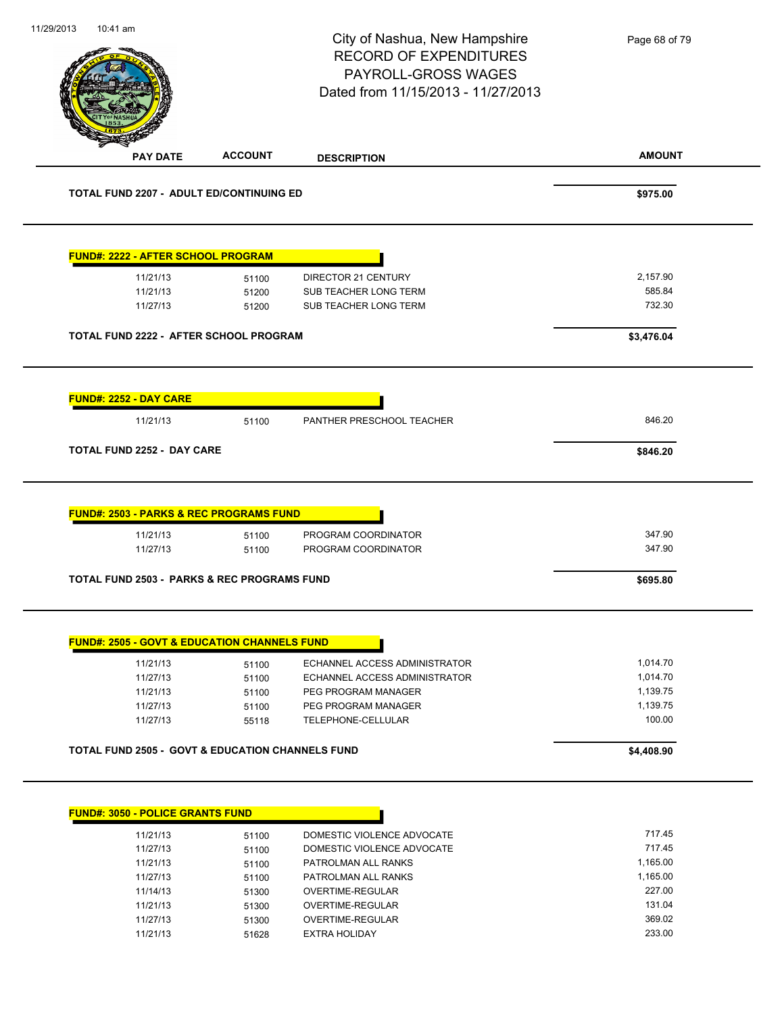| <b>ACCOUNT</b><br><b>PAY DATE</b><br><b>TOTAL FUND 2207 - ADULT ED/CONTINUING ED</b> | <b>DESCRIPTION</b>                        | <b>AMOUNT</b><br>\$975.00 |
|--------------------------------------------------------------------------------------|-------------------------------------------|---------------------------|
|                                                                                      |                                           |                           |
|                                                                                      |                                           |                           |
| <b>FUND#: 2222 - AFTER SCHOOL PROGRAM</b>                                            |                                           |                           |
| 11/21/13<br>51100                                                                    | <b>DIRECTOR 21 CENTURY</b>                | 2,157.90                  |
| 11/21/13<br>51200                                                                    | SUB TEACHER LONG TERM                     | 585.84                    |
| 11/27/13<br>51200                                                                    | SUB TEACHER LONG TERM                     | 732.30                    |
| TOTAL FUND 2222 - AFTER SCHOOL PROGRAM                                               |                                           | \$3,476.04                |
| <b>FUND#: 2252 - DAY CARE</b>                                                        |                                           |                           |
| 11/21/13<br>51100                                                                    | PANTHER PRESCHOOL TEACHER                 | 846.20                    |
| <b>TOTAL FUND 2252 - DAY CARE</b>                                                    |                                           | \$846.20                  |
| <b>FUND#: 2503 - PARKS &amp; REC PROGRAMS FUND</b><br>11/21/13<br>51100              | PROGRAM COORDINATOR                       | 347.90                    |
| 11/27/13<br>51100                                                                    | PROGRAM COORDINATOR                       | 347.90                    |
| <b>TOTAL FUND 2503 - PARKS &amp; REC PROGRAMS FUND</b>                               | \$695.80                                  |                           |
| <b>FUND#: 2505 - GOVT &amp; EDUCATION CHANNELS FUND</b>                              |                                           |                           |
| 11/21/13<br>51100                                                                    | ECHANNEL ACCESS ADMINISTRATOR             | 1,014.70                  |
| 11/27/13<br>51100                                                                    | ECHANNEL ACCESS ADMINISTRATOR             | 1,014.70                  |
| 11/21/13<br>51100                                                                    | PEG PROGRAM MANAGER                       | 1,139.75                  |
| 11/27/13<br>51100<br>11/27/13                                                        | PEG PROGRAM MANAGER<br>TELEPHONE-CELLULAR | 1,139.75<br>100.00        |
| 55118                                                                                |                                           |                           |
| <b>TOTAL FUND 2505 - GOVT &amp; EDUCATION CHANNELS FUND</b>                          |                                           | \$4,408.90                |
|                                                                                      |                                           |                           |
|                                                                                      |                                           |                           |
| <b>FUND#: 3050 - POLICE GRANTS FUND</b>                                              |                                           |                           |
| 11/21/13<br>51100                                                                    | DOMESTIC VIOLENCE ADVOCATE                | 717.45                    |
| 11/27/13<br>51100                                                                    | DOMESTIC VIOLENCE ADVOCATE                | 717.45                    |
| 11/21/13<br>51100                                                                    | PATROLMAN ALL RANKS                       | 1,165.00                  |
| 11/27/13<br>51100<br>11/14/13                                                        | PATROLMAN ALL RANKS<br>OVERTIME-REGULAR   | 1,165.00<br>227.00        |
| 51300<br>11/21/13                                                                    | OVERTIME-REGULAR                          | 131.04                    |
| 51300<br>11/27/13<br>51300                                                           | OVERTIME-REGULAR                          | 369.02                    |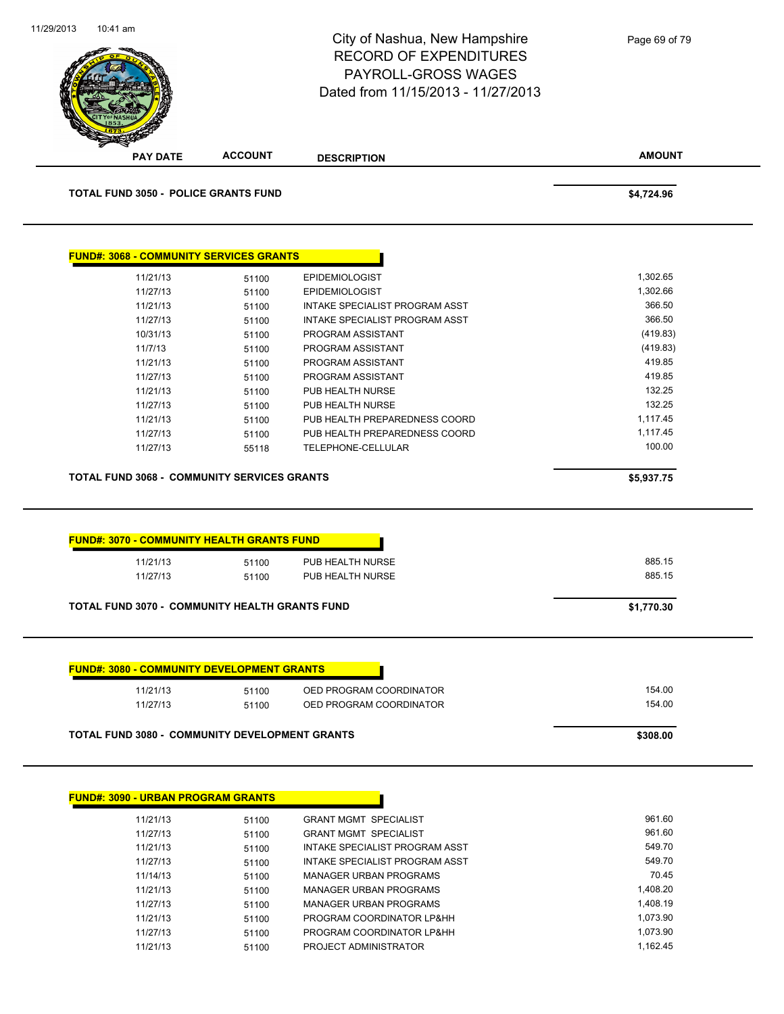

| 11/21/13 | 51100 | <b>GRANT MGMT SPECIALIST</b>   | 961.60   |
|----------|-------|--------------------------------|----------|
| 11/27/13 | 51100 | <b>GRANT MGMT SPECIALIST</b>   | 961.60   |
| 11/21/13 | 51100 | INTAKE SPECIALIST PROGRAM ASST | 549.70   |
| 11/27/13 | 51100 | INTAKE SPECIALIST PROGRAM ASST | 549.70   |
| 11/14/13 | 51100 | MANAGER URBAN PROGRAMS         | 70.45    |
| 11/21/13 | 51100 | MANAGER URBAN PROGRAMS         | 1,408.20 |
| 11/27/13 | 51100 | MANAGER URBAN PROGRAMS         | 1.408.19 |
| 11/21/13 | 51100 | PROGRAM COORDINATOR LP&HH      | 1,073.90 |
| 11/27/13 | 51100 | PROGRAM COORDINATOR LP&HH      | 1.073.90 |
| 11/21/13 | 51100 | PROJECT ADMINISTRATOR          | 1.162.45 |
|          |       |                                |          |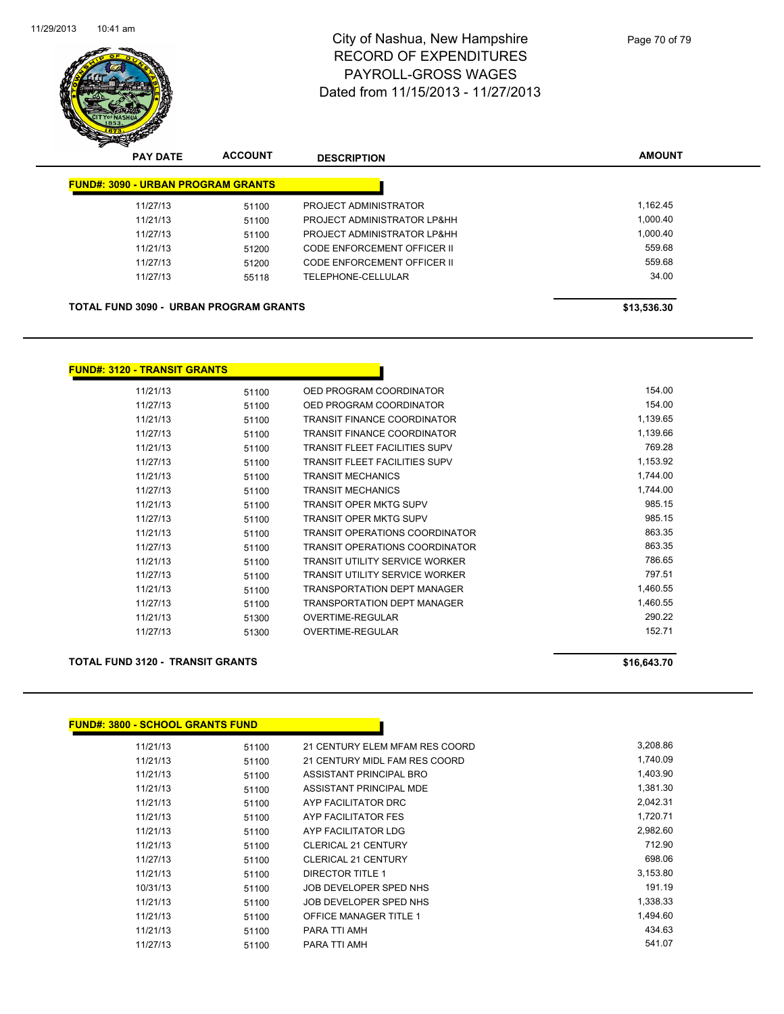

|                                               | <b>PAY DATE</b>                           | <b>ACCOUNT</b> | <b>DESCRIPTION</b>          | <b>AMOUNT</b> |
|-----------------------------------------------|-------------------------------------------|----------------|-----------------------------|---------------|
|                                               | <b>FUND#: 3090 - URBAN PROGRAM GRANTS</b> |                |                             |               |
|                                               | 11/27/13                                  | 51100          | PROJECT ADMINISTRATOR       | 1.162.45      |
|                                               | 11/21/13                                  | 51100          | PROJECT ADMINISTRATOR LP&HH | 1,000.40      |
|                                               | 11/27/13                                  | 51100          | PROJECT ADMINISTRATOR LP&HH | 1.000.40      |
|                                               | 11/21/13                                  | 51200          | CODE ENFORCEMENT OFFICER II | 559.68        |
|                                               | 11/27/13                                  | 51200          | CODE ENFORCEMENT OFFICER II | 559.68        |
|                                               | 11/27/13                                  | 55118          | TELEPHONE-CELLULAR          | 34.00         |
|                                               |                                           |                |                             |               |
| <b>TOTAL FUND 3090 - URBAN PROGRAM GRANTS</b> |                                           |                |                             | \$13,536.30   |

**FUND#: 3120 - TRANSIT GRANTS**

| 11/21/13 | 51100 | OED PROGRAM COORDINATOR               | 154.00   |
|----------|-------|---------------------------------------|----------|
| 11/27/13 | 51100 | OED PROGRAM COORDINATOR               | 154.00   |
| 11/21/13 | 51100 | <b>TRANSIT FINANCE COORDINATOR</b>    | 1,139.65 |
| 11/27/13 | 51100 | TRANSIT FINANCE COORDINATOR           | 1,139.66 |
| 11/21/13 | 51100 | <b>TRANSIT FLEET FACILITIES SUPV</b>  | 769.28   |
| 11/27/13 | 51100 | TRANSIT FLEET FACILITIES SUPV         | 1,153.92 |
| 11/21/13 | 51100 | <b>TRANSIT MECHANICS</b>              | 1,744.00 |
| 11/27/13 | 51100 | <b>TRANSIT MECHANICS</b>              | 1.744.00 |
| 11/21/13 | 51100 | <b>TRANSIT OPER MKTG SUPV</b>         | 985.15   |
| 11/27/13 | 51100 | TRANSIT OPER MKTG SUPV                | 985.15   |
| 11/21/13 | 51100 | <b>TRANSIT OPERATIONS COORDINATOR</b> | 863.35   |
| 11/27/13 | 51100 | TRANSIT OPERATIONS COORDINATOR        | 863.35   |
| 11/21/13 | 51100 | TRANSIT UTILITY SERVICE WORKER        | 786.65   |
| 11/27/13 | 51100 | TRANSIT UTILITY SERVICE WORKER        | 797.51   |
| 11/21/13 | 51100 | <b>TRANSPORTATION DEPT MANAGER</b>    | 1,460.55 |
| 11/27/13 | 51100 | <b>TRANSPORTATION DEPT MANAGER</b>    | 1,460.55 |
| 11/21/13 | 51300 | OVERTIME-REGULAR                      | 290.22   |
| 11/27/13 | 51300 | <b>OVERTIME-REGULAR</b>               | 152.71   |
|          |       |                                       |          |

#### **TOTAL FUND 3120 - TRANSIT GRANTS \$16,643.70**

| <b>FUND#: 3800 - SCHOOL GRANTS FUND</b> |       |                                |          |
|-----------------------------------------|-------|--------------------------------|----------|
| 11/21/13                                | 51100 | 21 CENTURY ELEM MFAM RES COORD | 3,208.86 |
| 11/21/13                                | 51100 | 21 CENTURY MIDL FAM RES COORD  | 1,740.09 |
| 11/21/13                                | 51100 | ASSISTANT PRINCIPAL BRO        | 1,403.90 |
| 11/21/13                                | 51100 | ASSISTANT PRINCIPAL MDE        | 1,381.30 |
| 11/21/13                                | 51100 | AYP FACILITATOR DRC            | 2,042.31 |
| 11/21/13                                | 51100 | AYP FACILITATOR FES            | 1,720.71 |
| 11/21/13                                | 51100 | AYP FACILITATOR LDG            | 2,982.60 |
| 11/21/13                                | 51100 | <b>CLERICAL 21 CENTURY</b>     | 712.90   |
| 11/27/13                                | 51100 | <b>CLERICAL 21 CENTURY</b>     | 698.06   |
| 11/21/13                                | 51100 | DIRECTOR TITLE 1               | 3,153.80 |
| 10/31/13                                | 51100 | JOB DEVELOPER SPED NHS         | 191.19   |
| 11/21/13                                | 51100 | JOB DEVELOPER SPED NHS         | 1,338.33 |
| 11/21/13                                | 51100 | <b>OFFICE MANAGER TITLE 1</b>  | 1,494.60 |
| 11/21/13                                | 51100 | PARA TTI AMH                   | 434.63   |
| 11/27/13                                | 51100 | PARA TTI AMH                   | 541.07   |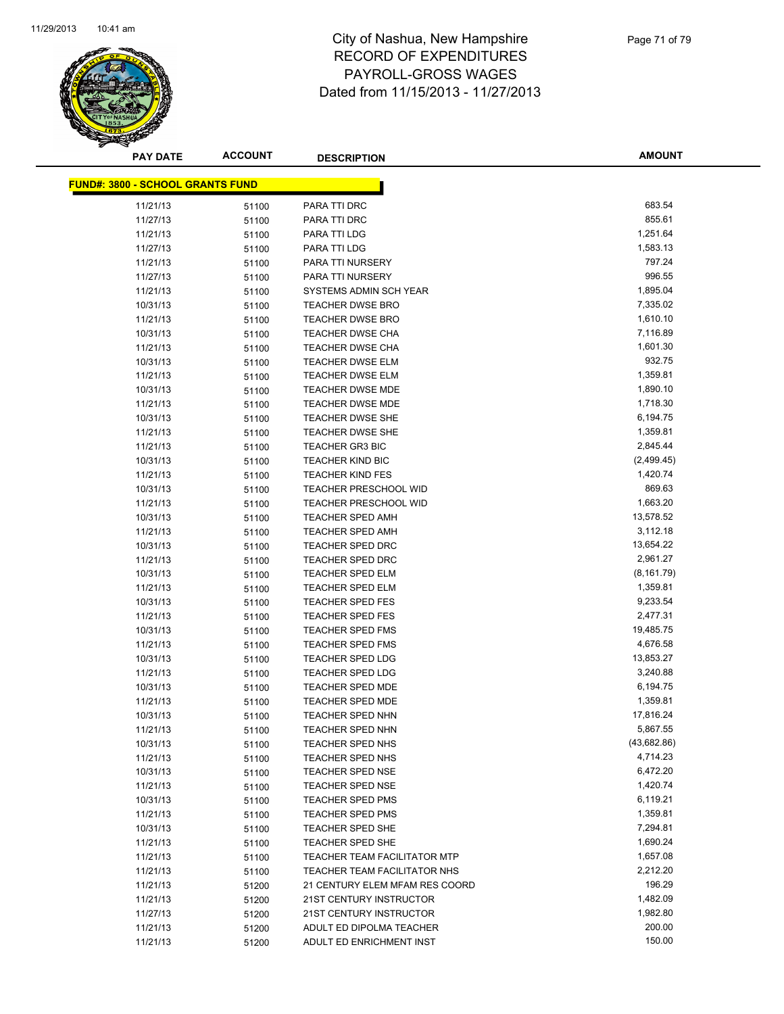

| <b>PAY DATE</b>                         | <b>ACCOUNT</b> | <b>DESCRIPTION</b>                  | AMOUNT      |
|-----------------------------------------|----------------|-------------------------------------|-------------|
| <b>FUND#: 3800 - SCHOOL GRANTS FUND</b> |                |                                     |             |
|                                         |                |                                     |             |
| 11/21/13                                | 51100          | PARA TTI DRC                        | 683.54      |
| 11/27/13                                | 51100          | PARA TTI DRC                        | 855.61      |
| 11/21/13                                | 51100          | PARA TTI LDG                        | 1,251.64    |
| 11/27/13                                | 51100          | PARA TTI LDG                        | 1,583.13    |
| 11/21/13                                | 51100          | PARA TTI NURSERY                    | 797.24      |
| 11/27/13                                | 51100          | PARA TTI NURSERY                    | 996.55      |
| 11/21/13                                | 51100          | SYSTEMS ADMIN SCH YEAR              | 1,895.04    |
| 10/31/13                                | 51100          | <b>TEACHER DWSE BRO</b>             | 7,335.02    |
| 11/21/13                                | 51100          | <b>TEACHER DWSE BRO</b>             | 1,610.10    |
| 10/31/13                                | 51100          | <b>TEACHER DWSE CHA</b>             | 7,116.89    |
| 11/21/13                                | 51100          | <b>TEACHER DWSE CHA</b>             | 1,601.30    |
| 10/31/13                                | 51100          | <b>TEACHER DWSE ELM</b>             | 932.75      |
| 11/21/13                                | 51100          | <b>TEACHER DWSE ELM</b>             | 1,359.81    |
| 10/31/13                                | 51100          | <b>TEACHER DWSE MDE</b>             | 1,890.10    |
| 11/21/13                                | 51100          | <b>TEACHER DWSE MDE</b>             | 1,718.30    |
| 10/31/13                                | 51100          | <b>TEACHER DWSE SHE</b>             | 6,194.75    |
| 11/21/13                                | 51100          | <b>TEACHER DWSE SHE</b>             | 1,359.81    |
| 11/21/13                                | 51100          | <b>TEACHER GR3 BIC</b>              | 2,845.44    |
| 10/31/13                                | 51100          | <b>TEACHER KIND BIC</b>             | (2,499.45)  |
| 11/21/13                                | 51100          | <b>TEACHER KIND FES</b>             | 1,420.74    |
| 10/31/13                                | 51100          | <b>TEACHER PRESCHOOL WID</b>        | 869.63      |
| 11/21/13                                | 51100          | <b>TEACHER PRESCHOOL WID</b>        | 1,663.20    |
| 10/31/13                                | 51100          | <b>TEACHER SPED AMH</b>             | 13,578.52   |
| 11/21/13                                | 51100          | <b>TEACHER SPED AMH</b>             | 3,112.18    |
| 10/31/13                                | 51100          | <b>TEACHER SPED DRC</b>             | 13,654.22   |
| 11/21/13                                | 51100          | <b>TEACHER SPED DRC</b>             | 2,961.27    |
| 10/31/13                                | 51100          | TEACHER SPED ELM                    | (8, 161.79) |
| 11/21/13                                | 51100          | <b>TEACHER SPED ELM</b>             | 1,359.81    |
| 10/31/13                                | 51100          | <b>TEACHER SPED FES</b>             | 9,233.54    |
| 11/21/13                                | 51100          | <b>TEACHER SPED FES</b>             | 2,477.31    |
| 10/31/13                                | 51100          | <b>TEACHER SPED FMS</b>             | 19,485.75   |
| 11/21/13                                | 51100          | TEACHER SPED FMS                    | 4,676.58    |
| 10/31/13                                | 51100          | <b>TEACHER SPED LDG</b>             | 13,853.27   |
| 11/21/13                                | 51100          | <b>TEACHER SPED LDG</b>             | 3,240.88    |
| 10/31/13                                | 51100          | <b>TEACHER SPED MDE</b>             | 6,194.75    |
| 11/21/13                                | 51100          | <b>TEACHER SPED MDE</b>             | 1,359.81    |
| 10/31/13                                | 51100          | <b>TEACHER SPED NHN</b>             | 17,816.24   |
| 11/21/13                                | 51100          | <b>TEACHER SPED NHN</b>             | 5,867.55    |
| 10/31/13                                | 51100          | <b>TEACHER SPED NHS</b>             | (43,682.86) |
| 11/21/13                                | 51100          | <b>TEACHER SPED NHS</b>             | 4,714.23    |
| 10/31/13                                | 51100          | <b>TEACHER SPED NSE</b>             | 6,472.20    |
| 11/21/13                                | 51100          | TEACHER SPED NSE                    | 1,420.74    |
| 10/31/13                                | 51100          | TEACHER SPED PMS                    | 6,119.21    |
| 11/21/13                                | 51100          | <b>TEACHER SPED PMS</b>             | 1,359.81    |
| 10/31/13                                | 51100          | <b>TEACHER SPED SHE</b>             | 7,294.81    |
| 11/21/13                                | 51100          | TEACHER SPED SHE                    | 1,690.24    |
| 11/21/13                                | 51100          | <b>TEACHER TEAM FACILITATOR MTP</b> | 1,657.08    |
| 11/21/13                                | 51100          | TEACHER TEAM FACILITATOR NHS        | 2,212.20    |
| 11/21/13                                | 51200          | 21 CENTURY ELEM MFAM RES COORD      | 196.29      |
| 11/21/13                                | 51200          | 21ST CENTURY INSTRUCTOR             | 1,482.09    |
| 11/27/13                                | 51200          | 21ST CENTURY INSTRUCTOR             | 1,982.80    |
| 11/21/13                                | 51200          | ADULT ED DIPOLMA TEACHER            | 200.00      |
| 11/21/13                                | 51200          | ADULT ED ENRICHMENT INST            | 150.00      |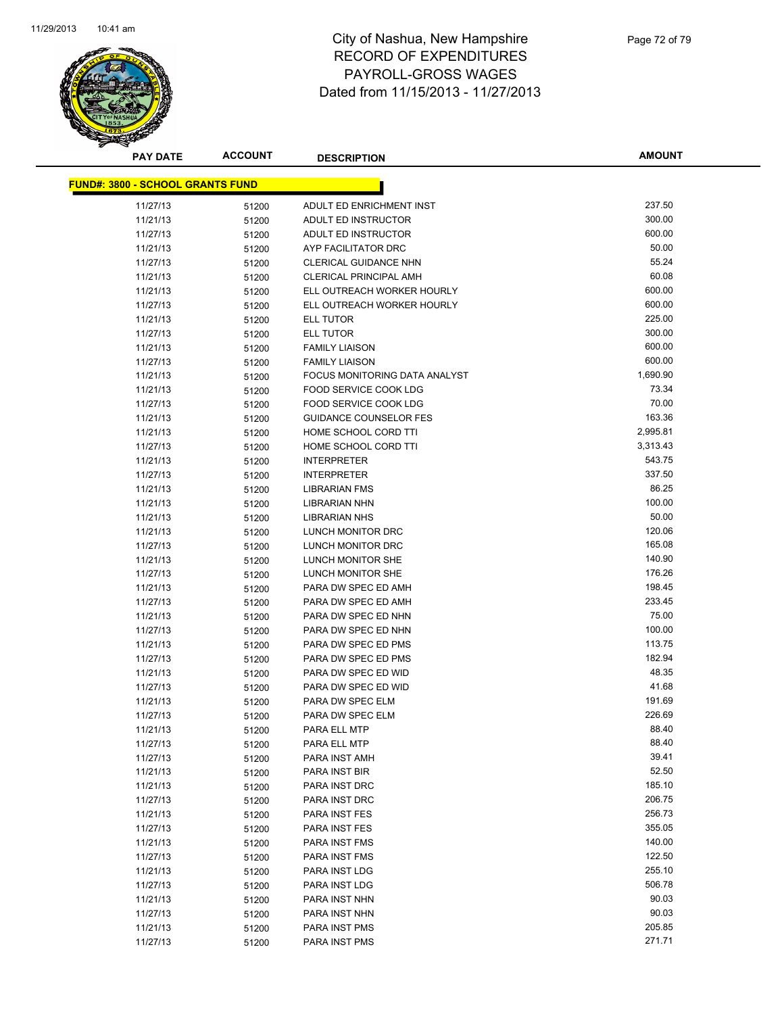

**AMOUNT**

| <b>FUND#: 3800 - SCHOOL GRANTS FUND</b> |                |                                            |                  |  |
|-----------------------------------------|----------------|--------------------------------------------|------------------|--|
| 11/27/13                                | 51200          | ADULT ED ENRICHMENT INST                   | 237.50           |  |
| 11/21/13                                | 51200          | ADULT ED INSTRUCTOR                        | 300.00           |  |
| 11/27/13                                | 51200          | ADULT ED INSTRUCTOR                        | 600.00           |  |
| 11/21/13                                | 51200          | AYP FACILITATOR DRC                        | 50.00            |  |
| 11/27/13                                | 51200          | CLERICAL GUIDANCE NHN                      | 55.24            |  |
| 11/21/13                                | 51200          | <b>CLERICAL PRINCIPAL AMH</b>              | 60.08            |  |
| 11/21/13                                | 51200          | ELL OUTREACH WORKER HOURLY                 | 600.00           |  |
| 11/27/13                                | 51200          | ELL OUTREACH WORKER HOURLY                 | 600.00           |  |
| 11/21/13                                | 51200          | <b>ELL TUTOR</b>                           | 225.00           |  |
| 11/27/13                                | 51200          | ELL TUTOR                                  | 300.00           |  |
| 11/21/13                                | 51200          | <b>FAMILY LIAISON</b>                      | 600.00           |  |
| 11/27/13                                | 51200          | <b>FAMILY LIAISON</b>                      | 600.00           |  |
| 11/21/13                                | 51200          | FOCUS MONITORING DATA ANALYST              | 1,690.90         |  |
| 11/21/13                                | 51200          | FOOD SERVICE COOK LDG                      | 73.34            |  |
| 11/27/13                                | 51200          | FOOD SERVICE COOK LDG                      | 70.00            |  |
| 11/21/13                                | 51200          | <b>GUIDANCE COUNSELOR FES</b>              | 163.36           |  |
| 11/21/13                                | 51200          | HOME SCHOOL CORD TTI                       | 2,995.81         |  |
| 11/27/13                                | 51200          | HOME SCHOOL CORD TTI                       | 3,313.43         |  |
| 11/21/13                                | 51200          | <b>INTERPRETER</b>                         | 543.75           |  |
| 11/27/13                                | 51200          | <b>INTERPRETER</b>                         | 337.50           |  |
| 11/21/13                                | 51200          | <b>LIBRARIAN FMS</b>                       | 86.25            |  |
| 11/21/13                                | 51200          | <b>LIBRARIAN NHN</b>                       | 100.00           |  |
| 11/21/13                                | 51200          | <b>LIBRARIAN NHS</b>                       | 50.00            |  |
| 11/21/13                                | 51200          | LUNCH MONITOR DRC                          | 120.06           |  |
| 11/27/13                                | 51200          | LUNCH MONITOR DRC                          | 165.08           |  |
| 11/21/13                                | 51200          | LUNCH MONITOR SHE                          | 140.90           |  |
| 11/27/13                                | 51200          | LUNCH MONITOR SHE                          | 176.26           |  |
| 11/21/13                                | 51200          | PARA DW SPEC ED AMH                        | 198.45           |  |
| 11/27/13                                | 51200          | PARA DW SPEC ED AMH                        | 233.45           |  |
| 11/21/13                                | 51200          | PARA DW SPEC ED NHN                        | 75.00            |  |
| 11/27/13                                | 51200          | PARA DW SPEC ED NHN                        | 100.00<br>113.75 |  |
| 11/21/13                                | 51200          | PARA DW SPEC ED PMS                        | 182.94           |  |
| 11/27/13                                | 51200          | PARA DW SPEC ED PMS<br>PARA DW SPEC ED WID | 48.35            |  |
| 11/21/13<br>11/27/13                    | 51200          | PARA DW SPEC ED WID                        | 41.68            |  |
| 11/21/13                                | 51200<br>51200 | PARA DW SPEC ELM                           | 191.69           |  |
| 11/27/13                                | 51200          | PARA DW SPEC ELM                           | 226.69           |  |
| 11/21/13                                | 51200          | PARA ELL MTP                               | 88.40            |  |
| 11/27/13                                | 51200          | PARA ELL MTP                               | 88.40            |  |
| 11/27/13                                | 51200          | PARA INST AMH                              | 39.41            |  |
| 11/21/13                                | 51200          | PARA INST BIR                              | 52.50            |  |
| 11/21/13                                | 51200          | PARA INST DRC                              | 185.10           |  |
| 11/27/13                                | 51200          | PARA INST DRC                              | 206.75           |  |
| 11/21/13                                | 51200          | PARA INST FES                              | 256.73           |  |
| 11/27/13                                | 51200          | PARA INST FES                              | 355.05           |  |
| 11/21/13                                | 51200          | PARA INST FMS                              | 140.00           |  |
| 11/27/13                                | 51200          | PARA INST FMS                              | 122.50           |  |
| 11/21/13                                | 51200          | PARA INST LDG                              | 255.10           |  |
| 11/27/13                                | 51200          | PARA INST LDG                              | 506.78           |  |
| 11/21/13                                | 51200          | PARA INST NHN                              | 90.03            |  |
| 11/27/13                                | 51200          | PARA INST NHN                              | 90.03            |  |
| 11/21/13                                | 51200          | PARA INST PMS                              | 205.85           |  |
| 11/27/13                                | 51200          | PARA INST PMS                              | 271.71           |  |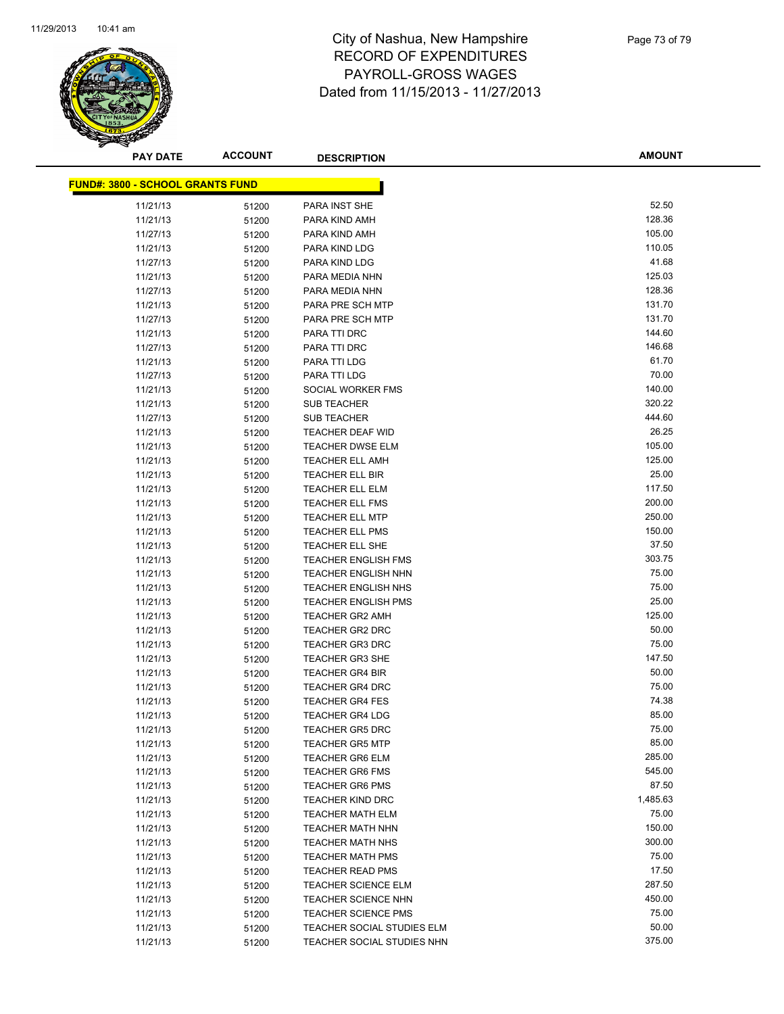

**AMOUNT**

| <b>FUND#: 3800 - SCHOOL GRANTS FUND</b> |                |                                                          |                 |
|-----------------------------------------|----------------|----------------------------------------------------------|-----------------|
| 11/21/13                                | 51200          | PARA INST SHE                                            | 52.50           |
| 11/21/13                                | 51200          | PARA KIND AMH                                            | 128.36          |
| 11/27/13                                | 51200          | PARA KIND AMH                                            | 105.00          |
| 11/21/13                                | 51200          | PARA KIND LDG                                            | 110.05          |
| 11/27/13                                | 51200          | PARA KIND LDG                                            | 41.68           |
| 11/21/13                                | 51200          | PARA MEDIA NHN                                           | 125.03          |
| 11/27/13                                | 51200          | PARA MEDIA NHN                                           | 128.36          |
| 11/21/13                                | 51200          | PARA PRE SCH MTP                                         | 131.70          |
| 11/27/13                                | 51200          | PARA PRE SCH MTP                                         | 131.70          |
| 11/21/13                                | 51200          | PARA TTI DRC                                             | 144.60          |
| 11/27/13                                | 51200          | PARA TTI DRC                                             | 146.68          |
| 11/21/13                                | 51200          | PARA TTI LDG                                             | 61.70           |
| 11/27/13                                | 51200          | PARA TTI LDG                                             | 70.00           |
| 11/21/13                                | 51200          | SOCIAL WORKER FMS                                        | 140.00          |
| 11/21/13                                | 51200          | <b>SUB TEACHER</b>                                       | 320.22          |
| 11/27/13                                | 51200          | <b>SUB TEACHER</b>                                       | 444.60          |
| 11/21/13                                | 51200          | <b>TEACHER DEAF WID</b>                                  | 26.25           |
| 11/21/13                                | 51200          | <b>TEACHER DWSE ELM</b>                                  | 105.00          |
| 11/21/13                                | 51200          | <b>TEACHER ELL AMH</b>                                   | 125.00          |
| 11/21/13                                | 51200          | TEACHER ELL BIR                                          | 25.00           |
| 11/21/13                                | 51200          | <b>TEACHER ELL ELM</b>                                   | 117.50          |
| 11/21/13                                | 51200          | <b>TEACHER ELL FMS</b>                                   | 200.00          |
| 11/21/13                                | 51200          | <b>TEACHER ELL MTP</b>                                   | 250.00          |
| 11/21/13                                | 51200          | <b>TEACHER ELL PMS</b>                                   | 150.00          |
| 11/21/13                                | 51200          | <b>TEACHER ELL SHE</b>                                   | 37.50           |
| 11/21/13                                | 51200          | <b>TEACHER ENGLISH FMS</b>                               | 303.75          |
| 11/21/13                                | 51200          | <b>TEACHER ENGLISH NHN</b>                               | 75.00           |
| 11/21/13                                | 51200          | <b>TEACHER ENGLISH NHS</b>                               | 75.00           |
| 11/21/13                                | 51200          | <b>TEACHER ENGLISH PMS</b>                               | 25.00           |
| 11/21/13                                | 51200          | <b>TEACHER GR2 AMH</b>                                   | 125.00          |
| 11/21/13                                | 51200          | <b>TEACHER GR2 DRC</b>                                   | 50.00           |
| 11/21/13                                | 51200          | <b>TEACHER GR3 DRC</b>                                   | 75.00           |
| 11/21/13                                | 51200          | <b>TEACHER GR3 SHE</b>                                   | 147.50          |
| 11/21/13                                | 51200          | <b>TEACHER GR4 BIR</b>                                   | 50.00           |
| 11/21/13                                | 51200          | <b>TEACHER GR4 DRC</b>                                   | 75.00           |
| 11/21/13                                | 51200          | <b>TEACHER GR4 FES</b>                                   | 74.38           |
| 11/21/13                                | 51200          | <b>TEACHER GR4 LDG</b>                                   | 85.00           |
| 11/21/13                                | 51200          | <b>TEACHER GR5 DRC</b>                                   | 75.00           |
| 11/21/13                                | 51200          | <b>TEACHER GR5 MTP</b>                                   | 85.00           |
| 11/21/13                                | 51200          | <b>TEACHER GR6 ELM</b>                                   | 285.00          |
| 11/21/13                                | 51200          | <b>TEACHER GR6 FMS</b>                                   | 545.00          |
| 11/21/13                                | 51200          | <b>TEACHER GR6 PMS</b>                                   | 87.50           |
| 11/21/13                                | 51200          | <b>TEACHER KIND DRC</b>                                  | 1,485.63        |
| 11/21/13                                | 51200          | <b>TEACHER MATH ELM</b>                                  | 75.00           |
| 11/21/13                                | 51200          | <b>TEACHER MATH NHN</b>                                  | 150.00          |
| 11/21/13                                | 51200          | <b>TEACHER MATH NHS</b>                                  | 300.00          |
| 11/21/13                                | 51200          | <b>TEACHER MATH PMS</b>                                  | 75.00           |
| 11/21/13                                | 51200          | <b>TEACHER READ PMS</b>                                  | 17.50<br>287.50 |
| 11/21/13                                | 51200          | <b>TEACHER SCIENCE ELM</b>                               |                 |
| 11/21/13                                | 51200          | <b>TEACHER SCIENCE NHN</b>                               | 450.00<br>75.00 |
| 11/21/13                                | 51200          | <b>TEACHER SCIENCE PMS</b>                               | 50.00           |
| 11/21/13<br>11/21/13                    | 51200<br>51200 | TEACHER SOCIAL STUDIES ELM<br>TEACHER SOCIAL STUDIES NHN | 375.00          |
|                                         |                |                                                          |                 |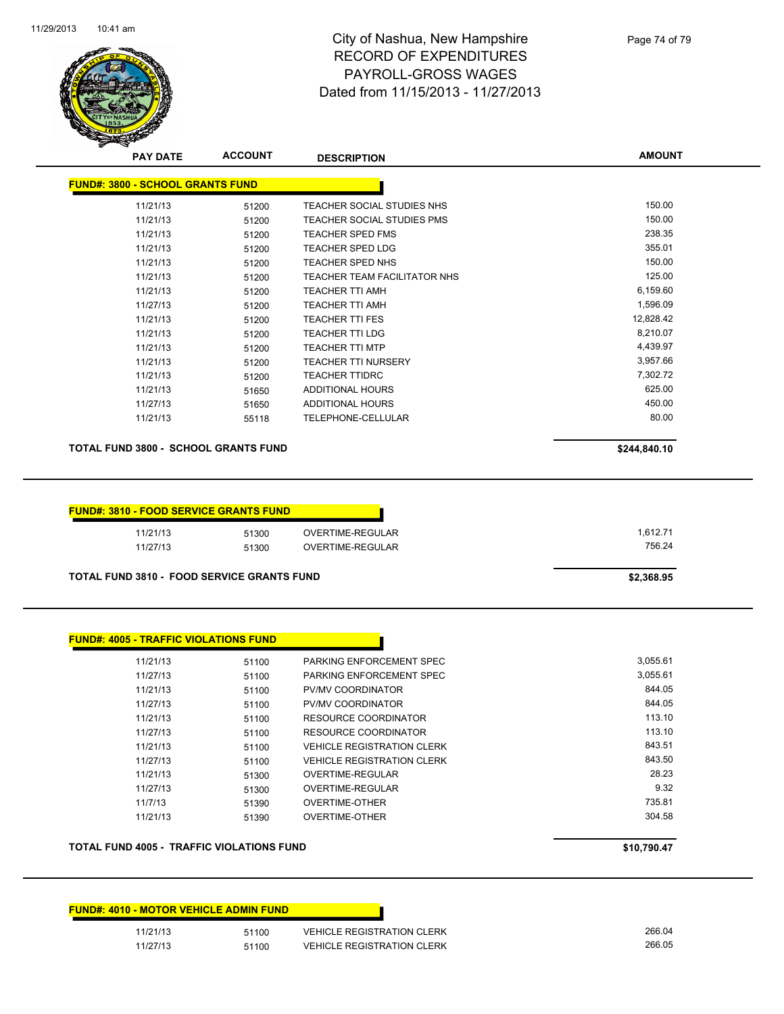

| <b>PAY DATE</b>                         | <b>ACCOUNT</b> | <b>DESCRIPTION</b>                  | <b>AMOUNT</b> |
|-----------------------------------------|----------------|-------------------------------------|---------------|
| <b>FUND#: 3800 - SCHOOL GRANTS FUND</b> |                |                                     |               |
| 11/21/13                                | 51200          | TEACHER SOCIAL STUDIES NHS          | 150.00        |
| 11/21/13                                | 51200          | <b>TEACHER SOCIAL STUDIES PMS</b>   | 150.00        |
| 11/21/13                                | 51200          | <b>TEACHER SPED FMS</b>             | 238.35        |
| 11/21/13                                | 51200          | <b>TEACHER SPED LDG</b>             | 355.01        |
| 11/21/13                                | 51200          | <b>TEACHER SPED NHS</b>             | 150.00        |
| 11/21/13                                | 51200          | <b>TEACHER TEAM FACILITATOR NHS</b> | 125.00        |
| 11/21/13                                | 51200          | <b>TEACHER TTI AMH</b>              | 6,159.60      |
| 11/27/13                                | 51200          | <b>TEACHER TTI AMH</b>              | 1,596.09      |
| 11/21/13                                | 51200          | <b>TEACHER TTI FES</b>              | 12,828.42     |
| 11/21/13                                | 51200          | <b>TEACHER TTI LDG</b>              | 8,210.07      |
| 11/21/13                                | 51200          | <b>TEACHER TTI MTP</b>              | 4,439.97      |
| 11/21/13                                | 51200          | <b>TEACHER TTI NURSERY</b>          | 3,957.66      |
| 11/21/13                                | 51200          | <b>TEACHER TTIDRC</b>               | 7,302.72      |
| 11/21/13                                | 51650          | ADDITIONAL HOURS                    | 625.00        |
| 11/27/13                                | 51650          | <b>ADDITIONAL HOURS</b>             | 450.00        |
| 11/21/13                                | 55118          | <b>TELEPHONE-CELLULAR</b>           | 80.00         |
|                                         |                |                                     |               |

**TOTAL FUND 3800 - SCHOOL GRANTS FUND \$244,840.10** 

| 11/21/13 | 51300 | OVERTIME-REGULAR | 1.612.71 |
|----------|-------|------------------|----------|
| 11/27/13 | 51300 | OVERTIME-REGULAR | 756.24   |

| 11/21/13 | 51100 | PARKING ENFORCEMENT SPEC          | 3,055.61 |
|----------|-------|-----------------------------------|----------|
| 11/27/13 | 51100 | PARKING ENFORCEMENT SPEC          | 3,055.61 |
| 11/21/13 | 51100 | <b>PV/MV COORDINATOR</b>          | 844.05   |
| 11/27/13 | 51100 | PV/MV COORDINATOR                 | 844.05   |
| 11/21/13 | 51100 | RESOURCE COORDINATOR              | 113.10   |
| 11/27/13 | 51100 | RESOURCE COORDINATOR              | 113.10   |
| 11/21/13 | 51100 | <b>VEHICLE REGISTRATION CLERK</b> | 843.51   |
| 11/27/13 | 51100 | <b>VEHICLE REGISTRATION CLERK</b> | 843.50   |
| 11/21/13 | 51300 | OVERTIME-REGULAR                  | 28.23    |
| 11/27/13 | 51300 | OVERTIME-REGULAR                  | 9.32     |
| 11/7/13  | 51390 | <b>OVERTIME-OTHER</b>             | 735.81   |
| 11/21/13 | 51390 | <b>OVERTIME-OTHER</b>             | 304.58   |

### **TOTAL FUND 4005 - TRAFFIC VIOLATIONS FUND \$10,790.47**

| n ·<br>u<br>$\cdot$<br>л.<br>, |
|--------------------------------|
|--------------------------------|

|          | <b>FUND#: 4010 - MOTOR VEHICLE ADMIN FUND</b> |                                   |
|----------|-----------------------------------------------|-----------------------------------|
| 11/21/13 | 51100                                         | <b>VEHICLE REGISTRATION CLERK</b> |
| 11/27/13 | 51100                                         | <b>VEHICLE REGISTRATION CLERK</b> |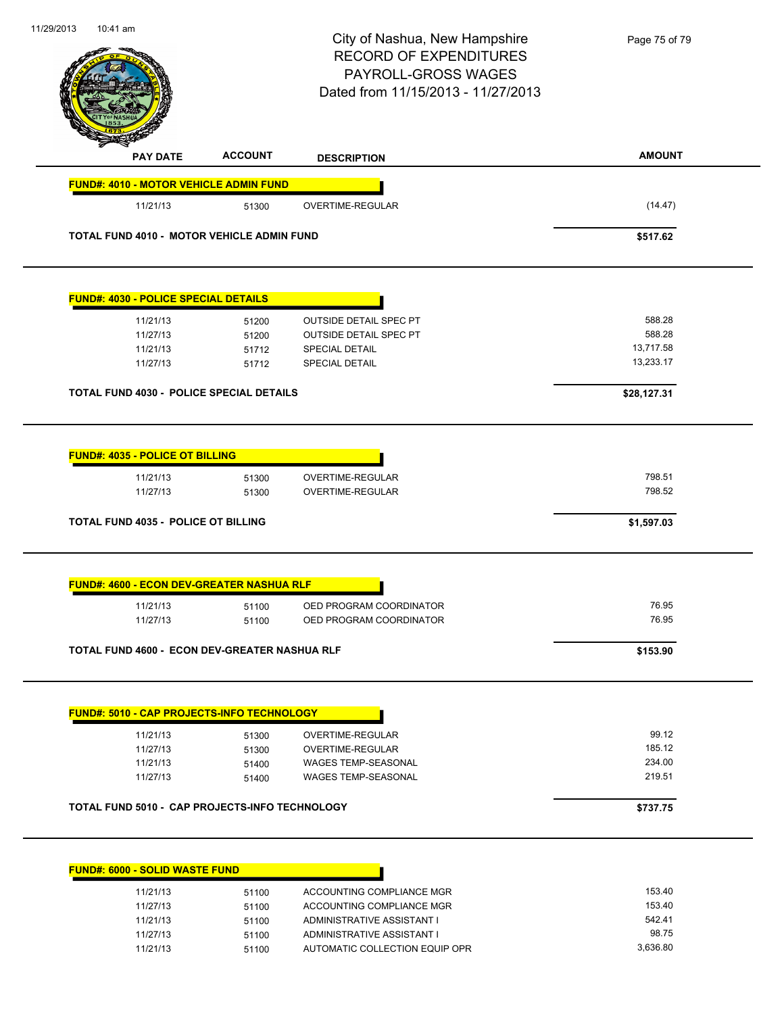|                                                   |                | City of Nashua, New Hampshire<br><b>RECORD OF EXPENDITURES</b><br>PAYROLL-GROSS WAGES<br>Dated from 11/15/2013 - 11/27/2013 | Page 75 of 79          |
|---------------------------------------------------|----------------|-----------------------------------------------------------------------------------------------------------------------------|------------------------|
| <b>PAY DATE</b>                                   | <b>ACCOUNT</b> | <b>DESCRIPTION</b>                                                                                                          | <b>AMOUNT</b>          |
| <b>FUND#: 4010 - MOTOR VEHICLE ADMIN FUND</b>     |                |                                                                                                                             |                        |
| 11/21/13                                          | 51300          | OVERTIME-REGULAR                                                                                                            | (14.47)                |
| TOTAL FUND 4010 - MOTOR VEHICLE ADMIN FUND        |                |                                                                                                                             | \$517.62               |
| <b>FUND#: 4030 - POLICE SPECIAL DETAILS</b>       |                |                                                                                                                             |                        |
| 11/21/13                                          | 51200          | <b>OUTSIDE DETAIL SPEC PT</b>                                                                                               | 588.28                 |
| 11/27/13                                          | 51200          | <b>OUTSIDE DETAIL SPEC PT</b>                                                                                               | 588.28                 |
| 11/21/13<br>11/27/13                              | 51712<br>51712 | <b>SPECIAL DETAIL</b><br><b>SPECIAL DETAIL</b>                                                                              | 13,717.58<br>13,233.17 |
| TOTAL FUND 4030 - POLICE SPECIAL DETAILS          |                |                                                                                                                             | \$28,127.31            |
| 11/27/13                                          | 51300          | OVERTIME-REGULAR                                                                                                            | 798.52                 |
| <b>TOTAL FUND 4035 - POLICE OT BILLING</b>        |                |                                                                                                                             | \$1,597.03             |
| <b>FUND#: 4600 - ECON DEV-GREATER NASHUA RLF</b>  |                |                                                                                                                             |                        |
| 11/21/13<br>11/27/13                              | 51100<br>51100 | OED PROGRAM COORDINATOR<br>OED PROGRAM COORDINATOR                                                                          | 76.95<br>76.95         |
| TOTAL FUND 4600 - ECON DEV-GREATER NASHUA RLF     |                |                                                                                                                             | \$153.90               |
| <b>FUND#: 5010 - CAP PROJECTS-INFO TECHNOLOGY</b> |                |                                                                                                                             |                        |
| 11/21/13                                          | 51300          | OVERTIME-REGULAR                                                                                                            | 99.12                  |
| 11/27/13                                          | 51300          | OVERTIME-REGULAR                                                                                                            | 185.12                 |
| 11/21/13<br>11/27/13                              | 51400<br>51400 | <b>WAGES TEMP-SEASONAL</b><br>WAGES TEMP-SEASONAL                                                                           | 234.00<br>219.51       |
| TOTAL FUND 5010 - CAP PROJECTS-INFO TECHNOLOGY    |                |                                                                                                                             | \$737.75               |
|                                                   |                |                                                                                                                             |                        |
| FUND#: 6000 - SOLID WASTE FUND                    |                |                                                                                                                             |                        |
| 11/21/13                                          | 51100          | ACCOUNTING COMPLIANCE MGR                                                                                                   | 153.40                 |
| 11/27/13                                          | 51100          | ACCOUNTING COMPLIANCE MGR                                                                                                   | 153.40                 |
| 11/21/13<br>11/27/13                              | 51100<br>51100 | ADMINISTRATIVE ASSISTANT I<br>ADMINISTRATIVE ASSISTANT I                                                                    | 542.41<br>98.75        |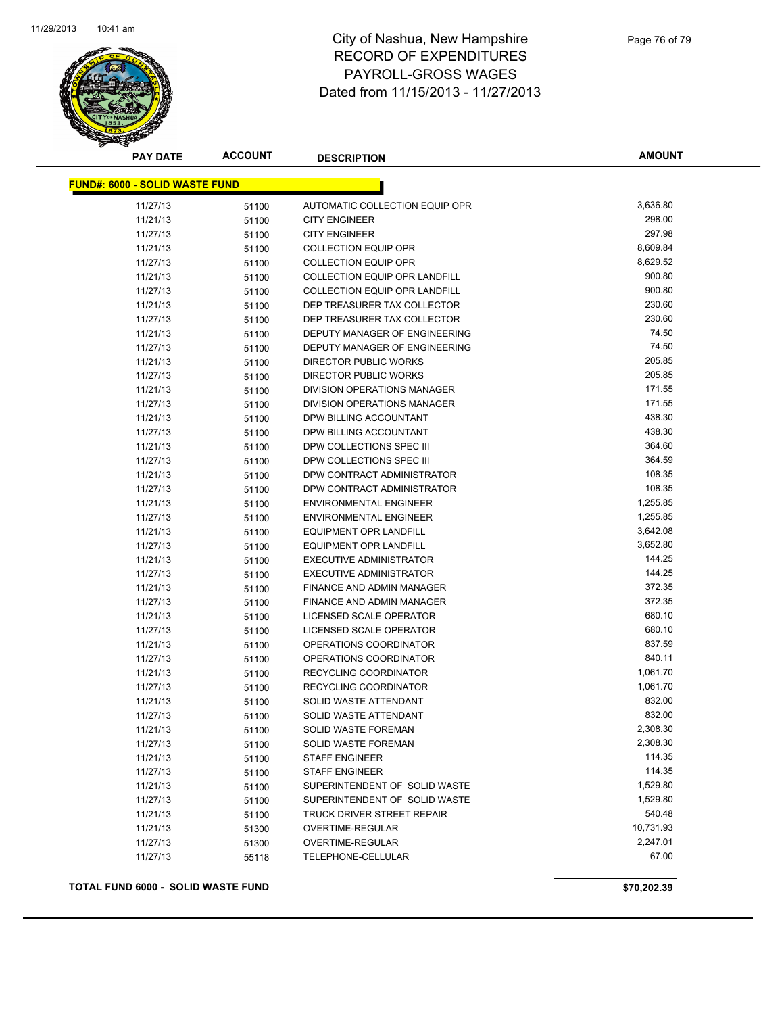

| <b>PAY DATE</b>                       | <b>ACCOUNT</b> | <b>DESCRIPTION</b>                                     | <b>AMOUNT</b>      |
|---------------------------------------|----------------|--------------------------------------------------------|--------------------|
| <b>FUND#: 6000 - SOLID WASTE FUND</b> |                |                                                        |                    |
|                                       |                |                                                        |                    |
| 11/27/13                              | 51100          | AUTOMATIC COLLECTION EQUIP OPR<br><b>CITY ENGINEER</b> | 3,636.80<br>298.00 |
| 11/21/13                              | 51100          |                                                        | 297.98             |
| 11/27/13                              | 51100          | <b>CITY ENGINEER</b>                                   | 8,609.84           |
| 11/21/13                              | 51100          | <b>COLLECTION EQUIP OPR</b>                            |                    |
| 11/27/13                              | 51100          | <b>COLLECTION EQUIP OPR</b>                            | 8,629.52<br>900.80 |
| 11/21/13                              | 51100          | <b>COLLECTION EQUIP OPR LANDFILL</b>                   | 900.80             |
| 11/27/13                              | 51100          | <b>COLLECTION EQUIP OPR LANDFILL</b>                   | 230.60             |
| 11/21/13                              | 51100          | DEP TREASURER TAX COLLECTOR                            | 230.60             |
| 11/27/13                              | 51100          | DEP TREASURER TAX COLLECTOR                            | 74.50              |
| 11/21/13                              | 51100          | DEPUTY MANAGER OF ENGINEERING                          | 74.50              |
| 11/27/13                              | 51100          | DEPUTY MANAGER OF ENGINEERING                          |                    |
| 11/21/13                              | 51100          | DIRECTOR PUBLIC WORKS                                  | 205.85             |
| 11/27/13                              | 51100          | DIRECTOR PUBLIC WORKS                                  | 205.85             |
| 11/21/13                              | 51100          | DIVISION OPERATIONS MANAGER                            | 171.55             |
| 11/27/13                              | 51100          | DIVISION OPERATIONS MANAGER                            | 171.55             |
| 11/21/13                              | 51100          | DPW BILLING ACCOUNTANT                                 | 438.30             |
| 11/27/13                              | 51100          | DPW BILLING ACCOUNTANT                                 | 438.30             |
| 11/21/13                              | 51100          | DPW COLLECTIONS SPEC III                               | 364.60             |
| 11/27/13                              | 51100          | DPW COLLECTIONS SPEC III                               | 364.59             |
| 11/21/13                              | 51100          | DPW CONTRACT ADMINISTRATOR                             | 108.35             |
| 11/27/13                              | 51100          | DPW CONTRACT ADMINISTRATOR                             | 108.35             |
| 11/21/13                              | 51100          | <b>ENVIRONMENTAL ENGINEER</b>                          | 1,255.85           |
| 11/27/13                              | 51100          | <b>ENVIRONMENTAL ENGINEER</b>                          | 1,255.85           |
| 11/21/13                              | 51100          | <b>EQUIPMENT OPR LANDFILL</b>                          | 3,642.08           |
| 11/27/13                              | 51100          | <b>EQUIPMENT OPR LANDFILL</b>                          | 3,652.80           |
| 11/21/13                              | 51100          | <b>EXECUTIVE ADMINISTRATOR</b>                         | 144.25             |
| 11/27/13                              | 51100          | <b>EXECUTIVE ADMINISTRATOR</b>                         | 144.25             |
| 11/21/13                              | 51100          | FINANCE AND ADMIN MANAGER                              | 372.35             |
| 11/27/13                              | 51100          | FINANCE AND ADMIN MANAGER                              | 372.35             |
| 11/21/13                              | 51100          | LICENSED SCALE OPERATOR                                | 680.10             |
| 11/27/13                              | 51100          | LICENSED SCALE OPERATOR                                | 680.10             |
| 11/21/13                              | 51100          | OPERATIONS COORDINATOR                                 | 837.59             |
| 11/27/13                              | 51100          | OPERATIONS COORDINATOR                                 | 840.11             |
| 11/21/13                              | 51100          | RECYCLING COORDINATOR                                  | 1,061.70           |
| 11/27/13                              | 51100          | RECYCLING COORDINATOR                                  | 1,061.70           |
| 11/21/13                              | 51100          | SOLID WASTE ATTENDANT                                  | 832.00             |
| 11/27/13                              | 51100          | SOLID WASTE ATTENDANT                                  | 832.00             |
| 11/21/13                              | 51100          | SOLID WASTE FOREMAN                                    | 2,308.30           |
| 11/27/13                              | 51100          | SOLID WASTE FOREMAN                                    | 2,308.30           |
| 11/21/13                              | 51100          | <b>STAFF ENGINEER</b>                                  | 114.35             |
| 11/27/13                              | 51100          | <b>STAFF ENGINEER</b>                                  | 114.35             |
| 11/21/13                              | 51100          | SUPERINTENDENT OF SOLID WASTE                          | 1,529.80           |
| 11/27/13                              | 51100          | SUPERINTENDENT OF SOLID WASTE                          | 1,529.80           |
| 11/21/13                              | 51100          | TRUCK DRIVER STREET REPAIR                             | 540.48             |
| 11/21/13                              | 51300          | OVERTIME-REGULAR                                       | 10,731.93          |
| 11/27/13                              | 51300          | OVERTIME-REGULAR                                       | 2,247.01           |
| 11/27/13                              | 55118          | TELEPHONE-CELLULAR                                     | 67.00              |
|                                       |                |                                                        |                    |

**TOTAL FUND 6000 - SOLID WASTE FUND \$70,202.39**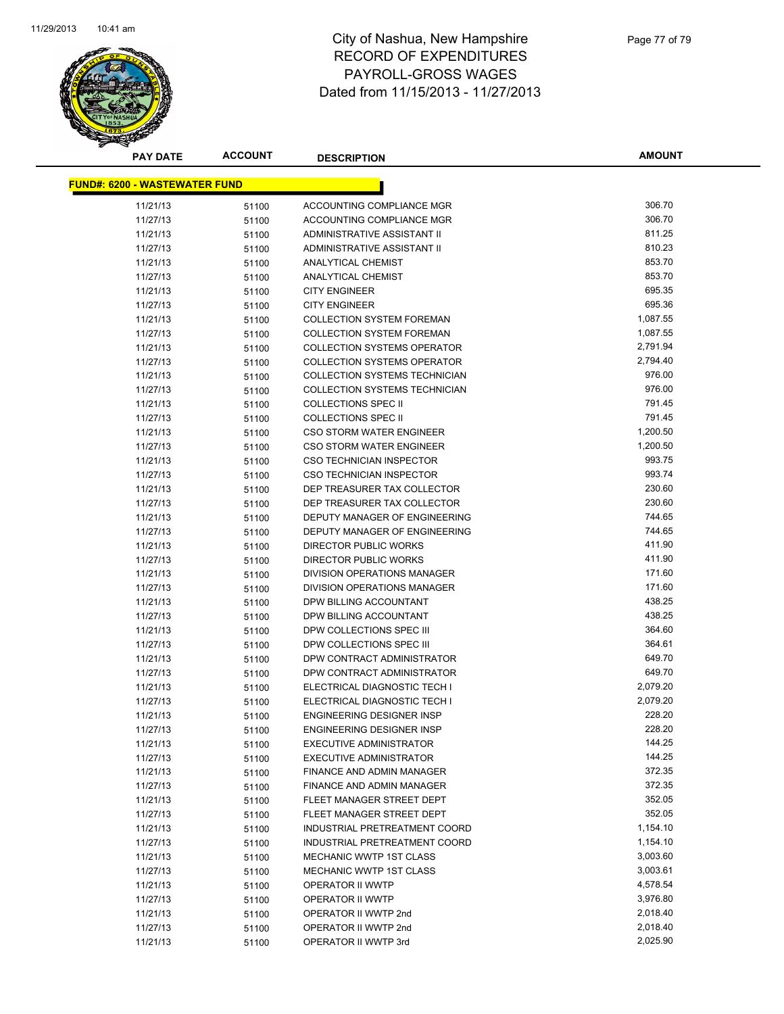

**AMOUNT**

| <b>FUND#: 6200 - WASTEWATER FUND</b> |       |                                              |                      |
|--------------------------------------|-------|----------------------------------------------|----------------------|
| 11/21/13                             | 51100 | ACCOUNTING COMPLIANCE MGR                    | 306.70               |
| 11/27/13                             | 51100 | ACCOUNTING COMPLIANCE MGR                    | 306.70               |
| 11/21/13                             | 51100 | ADMINISTRATIVE ASSISTANT II                  | 811.25               |
| 11/27/13                             | 51100 | ADMINISTRATIVE ASSISTANT II                  | 810.23               |
| 11/21/13                             | 51100 | <b>ANALYTICAL CHEMIST</b>                    | 853.70               |
| 11/27/13                             | 51100 | <b>ANALYTICAL CHEMIST</b>                    | 853.70               |
| 11/21/13                             | 51100 | <b>CITY ENGINEER</b>                         | 695.35               |
| 11/27/13                             | 51100 | <b>CITY ENGINEER</b>                         | 695.36               |
| 11/21/13                             | 51100 | <b>COLLECTION SYSTEM FOREMAN</b>             | 1,087.55             |
| 11/27/13                             | 51100 | <b>COLLECTION SYSTEM FOREMAN</b>             | 1,087.55             |
| 11/21/13                             | 51100 | <b>COLLECTION SYSTEMS OPERATOR</b>           | 2,791.94             |
| 11/27/13                             | 51100 | <b>COLLECTION SYSTEMS OPERATOR</b>           | 2,794.40             |
| 11/21/13                             | 51100 | COLLECTION SYSTEMS TECHNICIAN                | 976.00               |
| 11/27/13                             | 51100 | COLLECTION SYSTEMS TECHNICIAN                | 976.00               |
| 11/21/13                             | 51100 | <b>COLLECTIONS SPEC II</b>                   | 791.45               |
| 11/27/13                             | 51100 | <b>COLLECTIONS SPEC II</b>                   | 791.45               |
| 11/21/13                             | 51100 | <b>CSO STORM WATER ENGINEER</b>              | 1,200.50             |
| 11/27/13                             | 51100 | <b>CSO STORM WATER ENGINEER</b>              | 1,200.50             |
| 11/21/13                             | 51100 | <b>CSO TECHNICIAN INSPECTOR</b>              | 993.75               |
| 11/27/13                             | 51100 | CSO TECHNICIAN INSPECTOR                     | 993.74               |
| 11/21/13                             | 51100 | DEP TREASURER TAX COLLECTOR                  | 230.60               |
| 11/27/13                             | 51100 | DEP TREASURER TAX COLLECTOR                  | 230.60               |
| 11/21/13                             | 51100 | DEPUTY MANAGER OF ENGINEERING                | 744.65               |
| 11/27/13                             | 51100 | DEPUTY MANAGER OF ENGINEERING                | 744.65               |
| 11/21/13                             | 51100 | DIRECTOR PUBLIC WORKS                        | 411.90               |
| 11/27/13                             | 51100 | DIRECTOR PUBLIC WORKS                        | 411.90               |
| 11/21/13                             | 51100 | DIVISION OPERATIONS MANAGER                  | 171.60               |
| 11/27/13                             | 51100 | DIVISION OPERATIONS MANAGER                  | 171.60               |
| 11/21/13                             | 51100 | DPW BILLING ACCOUNTANT                       | 438.25               |
| 11/27/13                             | 51100 | DPW BILLING ACCOUNTANT                       | 438.25               |
| 11/21/13                             | 51100 | DPW COLLECTIONS SPEC III                     | 364.60               |
| 11/27/13                             | 51100 | DPW COLLECTIONS SPEC III                     | 364.61               |
| 11/21/13                             | 51100 | DPW CONTRACT ADMINISTRATOR                   | 649.70               |
| 11/27/13                             | 51100 | DPW CONTRACT ADMINISTRATOR                   | 649.70               |
| 11/21/13                             | 51100 | ELECTRICAL DIAGNOSTIC TECH I                 | 2,079.20             |
| 11/27/13                             | 51100 | ELECTRICAL DIAGNOSTIC TECH I                 | 2,079.20             |
| 11/21/13                             | 51100 | ENGINEERING DESIGNER INSP                    | 228.20               |
| 11/27/13                             | 51100 | <b>ENGINEERING DESIGNER INSP</b>             | 228.20               |
| 11/21/13                             | 51100 | EXECUTIVE ADMINISTRATOR                      | 144.25               |
| 11/27/13                             | 51100 | <b>EXECUTIVE ADMINISTRATOR</b>               | 144.25               |
| 11/21/13                             | 51100 | FINANCE AND ADMIN MANAGER                    | 372.35               |
| 11/27/13                             | 51100 | FINANCE AND ADMIN MANAGER                    | 372.35               |
| 11/21/13                             | 51100 | FLEET MANAGER STREET DEPT                    | 352.05               |
| 11/27/13                             | 51100 | FLEET MANAGER STREET DEPT                    | 352.05               |
| 11/21/13                             | 51100 | INDUSTRIAL PRETREATMENT COORD                | 1,154.10             |
| 11/27/13                             | 51100 | INDUSTRIAL PRETREATMENT COORD                | 1,154.10             |
| 11/21/13                             | 51100 | MECHANIC WWTP 1ST CLASS                      | 3,003.60             |
| 11/27/13                             | 51100 | MECHANIC WWTP 1ST CLASS                      | 3,003.61             |
| 11/21/13                             | 51100 | <b>OPERATOR II WWTP</b>                      | 4,578.54             |
| 11/27/13                             | 51100 | OPERATOR II WWTP                             | 3,976.80             |
| 11/21/13                             | 51100 | OPERATOR II WWTP 2nd<br>OPERATOR II WWTP 2nd | 2,018.40<br>2,018.40 |
| 11/27/13                             | 51100 |                                              | 2,025.90             |
| 11/21/13                             | 51100 | OPERATOR II WWTP 3rd                         |                      |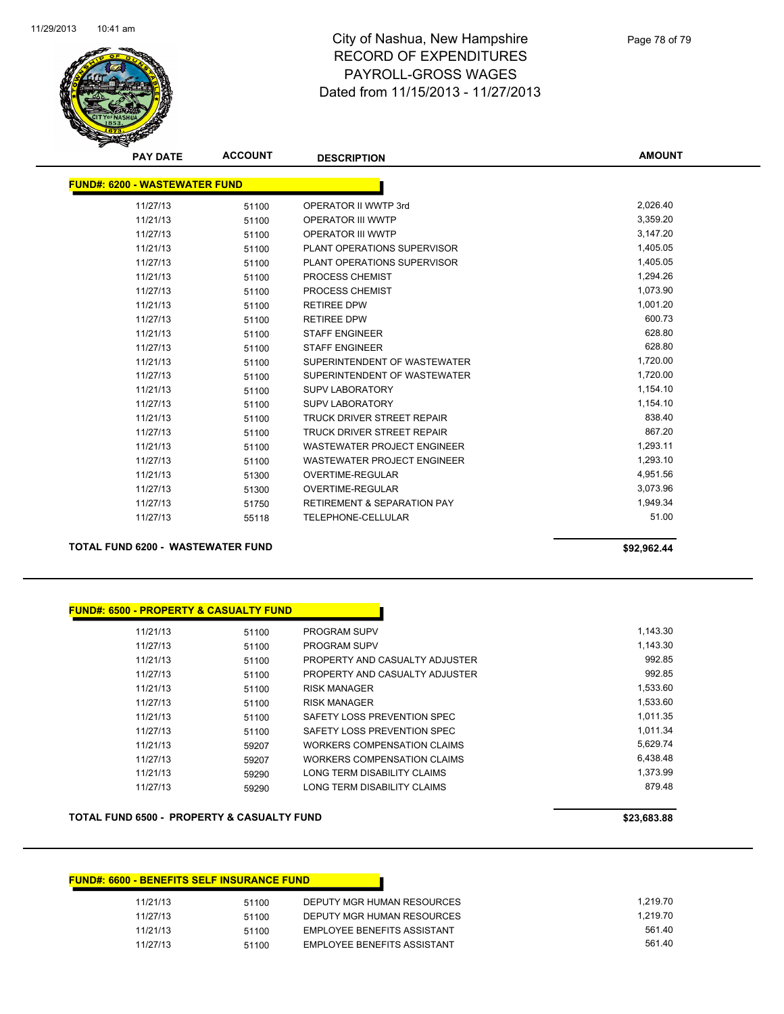

**AMOUNT**

| <b>FUND#: 6200 - WASTEWATER FUND</b> |       |                                        |          |
|--------------------------------------|-------|----------------------------------------|----------|
| 11/27/13                             | 51100 | OPERATOR II WWTP 3rd                   | 2,026.40 |
| 11/21/13                             | 51100 | <b>OPERATOR III WWTP</b>               | 3,359.20 |
| 11/27/13                             | 51100 | <b>OPERATOR III WWTP</b>               | 3,147.20 |
| 11/21/13                             | 51100 | PLANT OPERATIONS SUPERVISOR            | 1,405.05 |
| 11/27/13                             | 51100 | PLANT OPERATIONS SUPERVISOR            | 1,405.05 |
| 11/21/13                             | 51100 | PROCESS CHEMIST                        | 1,294.26 |
| 11/27/13                             | 51100 | PROCESS CHEMIST                        | 1,073.90 |
| 11/21/13                             | 51100 | <b>RETIREE DPW</b>                     | 1.001.20 |
| 11/27/13                             | 51100 | <b>RETIREE DPW</b>                     | 600.73   |
| 11/21/13                             | 51100 | <b>STAFF ENGINEER</b>                  | 628.80   |
| 11/27/13                             | 51100 | <b>STAFF ENGINEER</b>                  | 628.80   |
| 11/21/13                             | 51100 | SUPERINTENDENT OF WASTEWATER           | 1,720.00 |
| 11/27/13                             | 51100 | SUPERINTENDENT OF WASTEWATER           | 1,720.00 |
| 11/21/13                             | 51100 | <b>SUPV LABORATORY</b>                 | 1,154.10 |
| 11/27/13                             | 51100 | <b>SUPV LABORATORY</b>                 | 1,154.10 |
| 11/21/13                             | 51100 | TRUCK DRIVER STREET REPAIR             | 838.40   |
| 11/27/13                             | 51100 | <b>TRUCK DRIVER STREET REPAIR</b>      | 867.20   |
| 11/21/13                             | 51100 | <b>WASTEWATER PROJECT ENGINEER</b>     | 1.293.11 |
| 11/27/13                             | 51100 | <b>WASTEWATER PROJECT ENGINEER</b>     | 1,293.10 |
| 11/21/13                             | 51300 | <b>OVERTIME-REGULAR</b>                | 4,951.56 |
| 11/27/13                             | 51300 | OVERTIME-REGULAR                       | 3,073.96 |
| 11/27/13                             | 51750 | <b>RETIREMENT &amp; SEPARATION PAY</b> | 1,949.34 |
| 11/27/13                             | 55118 | TELEPHONE-CELLULAR                     | 51.00    |

**TOTAL FUND 6200 - WASTEWATER FUND \$92,962.44** 

## **FUND#: 6500 - PROPERTY & CASUALTY FUND**

| 11/21/13 | 51100 | <b>PROGRAM SUPV</b>            | 1.143.30 |
|----------|-------|--------------------------------|----------|
| 11/27/13 | 51100 | <b>PROGRAM SUPV</b>            | 1.143.30 |
| 11/21/13 | 51100 | PROPERTY AND CASUALTY ADJUSTER | 992.85   |
| 11/27/13 | 51100 | PROPERTY AND CASUALTY ADJUSTER | 992.85   |
| 11/21/13 | 51100 | <b>RISK MANAGER</b>            | 1,533.60 |
| 11/27/13 | 51100 | <b>RISK MANAGER</b>            | 1.533.60 |
| 11/21/13 | 51100 | SAFETY LOSS PREVENTION SPEC    | 1.011.35 |
| 11/27/13 | 51100 | SAFETY LOSS PREVENTION SPEC    | 1.011.34 |
| 11/21/13 | 59207 | WORKERS COMPENSATION CLAIMS    | 5.629.74 |
| 11/27/13 | 59207 | WORKERS COMPENSATION CLAIMS    | 6.438.48 |
| 11/21/13 | 59290 | LONG TERM DISABILITY CLAIMS    | 1.373.99 |
| 11/27/13 | 59290 | LONG TERM DISABILITY CLAIMS    | 879.48   |
|          |       |                                |          |

### **TOTAL FUND 6500 - PROPERTY & CASUALTY FUND \$23,683.88**

## **FUND#: 6600 - BENEFITS SELF INSURANCE FUND** 11/21/13 51100 DEPUTY MGR HUMAN RESOURCES 1,219.70 11/27/13 51100 DEPUTY MGR HUMAN RESOURCES 1,219.70 11/21/13 51100 EMPLOYEE BENEFITS ASSISTANT 561.40 11/27/13 51100 EMPLOYEE BENEFITS ASSISTANT 561.40